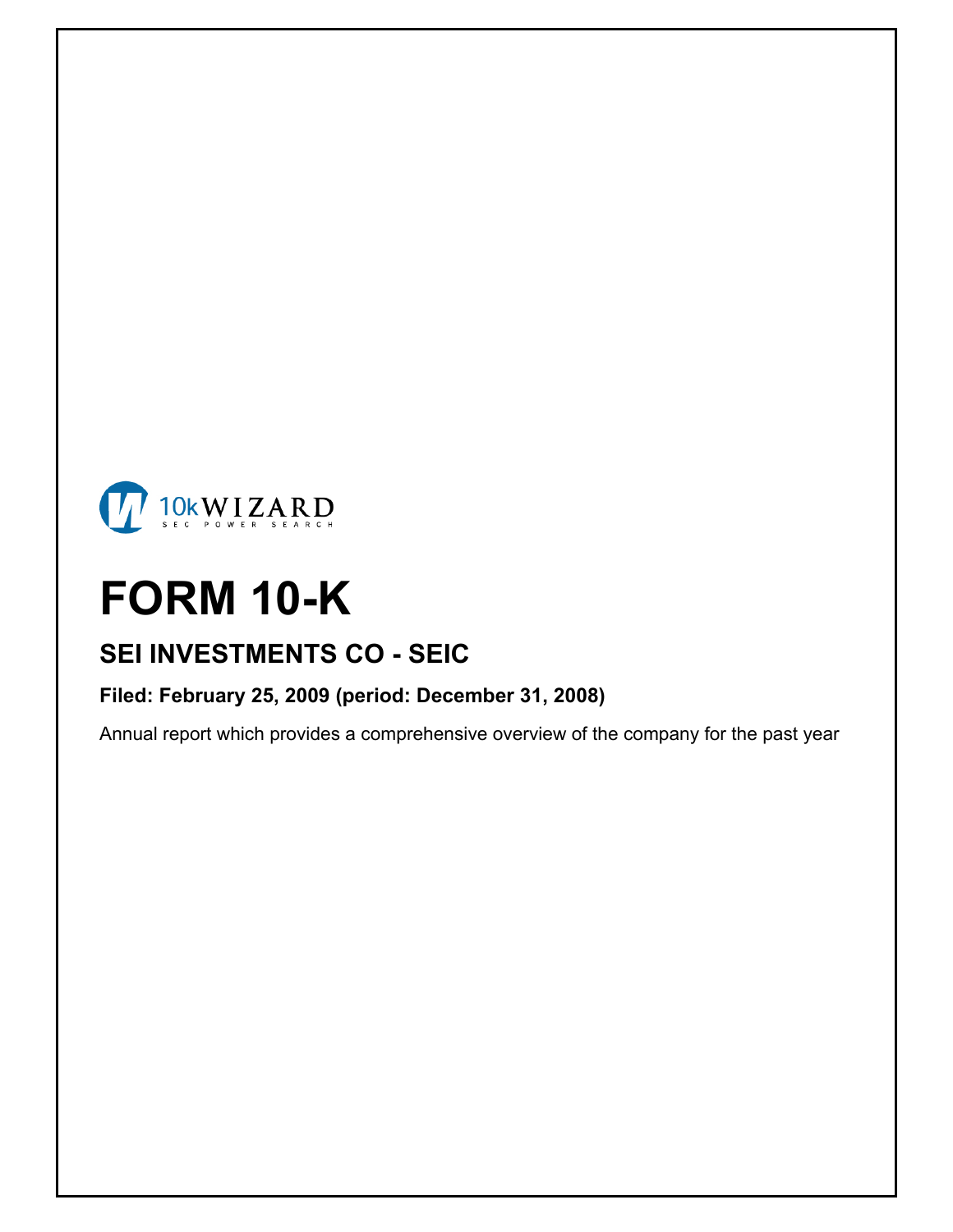

 $\overline{\phantom{a}}$ 

 $\overline{\phantom{a}}$ 

# **FORM 10-K**

# **SEI INVESTMENTS CO - SEIC**

## **Filed: February 25, 2009 (period: December 31, 2008)**

Annual report which provides a comprehensive overview of the company for the past year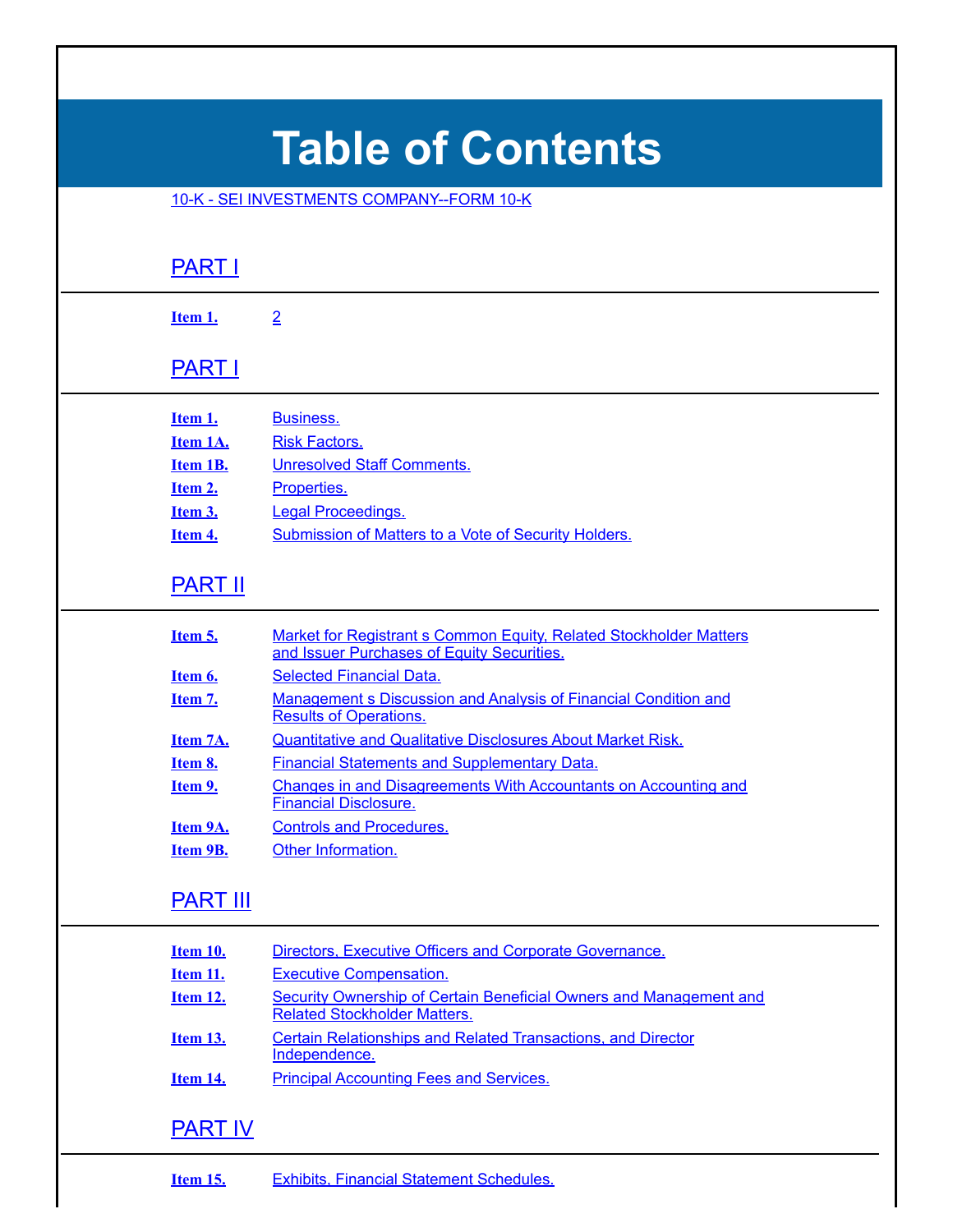# **Table of Contents**

[10-K - SEI INVESTMENTS COMPANY--FORM 10-K](#page-3-0)

| <b>PART I</b>   |                                                                                                                         |
|-----------------|-------------------------------------------------------------------------------------------------------------------------|
| Item 1.         | $\overline{2}$                                                                                                          |
| <b>PART I</b>   |                                                                                                                         |
| <u>Item 1.</u>  | Business.                                                                                                               |
| Item 1A.        | <b>Risk Factors.</b>                                                                                                    |
| Item 1B.        | <b>Unresolved Staff Comments.</b>                                                                                       |
| Item 2.         | Properties.                                                                                                             |
| Item 3.         | <b>Legal Proceedings.</b>                                                                                               |
| Item 4.         | Submission of Matters to a Vote of Security Holders.                                                                    |
|                 |                                                                                                                         |
| <b>PART II</b>  |                                                                                                                         |
| Item 5.         | <b>Market for Registrant s Common Equity, Related Stockholder Matters</b><br>and Issuer Purchases of Equity Securities. |
| <u>Item 6.</u>  | <b>Selected Financial Data.</b>                                                                                         |
| Item 7.         | <b>Management s Discussion and Analysis of Financial Condition and</b><br><b>Results of Operations.</b>                 |
| Item 7A.        | <b>Quantitative and Qualitative Disclosures About Market Risk.</b>                                                      |
| Item 8.         | <b>Financial Statements and Supplementary Data.</b>                                                                     |
| Item 9.         | <b>Changes in and Disagreements With Accountants on Accounting and</b><br><b>Financial Disclosure.</b>                  |
| <u>Item 9A.</u> | <b>Controls and Procedures.</b>                                                                                         |
| <b>Item 9B.</b> | Other Information.                                                                                                      |
| <b>PART III</b> |                                                                                                                         |
|                 |                                                                                                                         |
| <b>Item 10.</b> | Directors, Executive Officers and Corporate Governance.                                                                 |
| <b>Item 11.</b> | <b>Executive Compensation.</b>                                                                                          |
| <b>Item 12.</b> | Security Ownership of Certain Beneficial Owners and Management and                                                      |
|                 | <b>Related Stockholder Matters.</b>                                                                                     |
| <b>Item 13.</b> | <b>Certain Relationships and Related Transactions, and Director</b><br>Independence.                                    |
| <b>Item 14.</b> | <b>Principal Accounting Fees and Services.</b>                                                                          |
| <b>PART IV</b>  |                                                                                                                         |
| <b>Item 15.</b> | <b>Exhibits, Financial Statement Schedules.</b>                                                                         |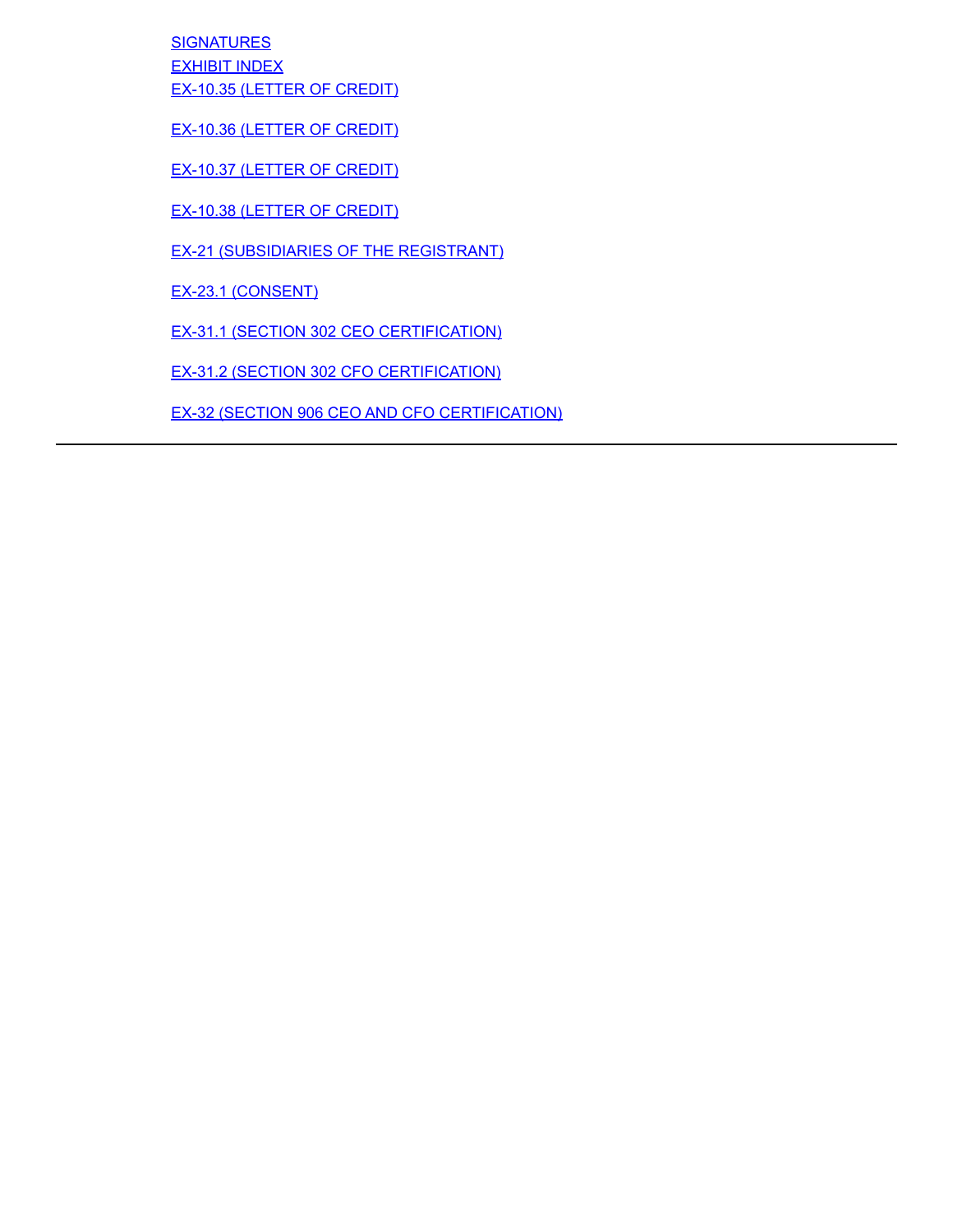**[SIGNATURES](#page-96-0)**  [EXHIBIT INDEX](#page-97-0) [EX-10.35 \(LETTER OF CREDIT\)](#page-99-0)

[EX-10.36 \(LETTER OF CREDIT\)](#page-104-0)

[EX-10.37 \(LETTER OF CREDIT\)](#page-107-0)

[EX-10.38 \(LETTER OF CREDIT\)](#page-112-0)

[EX-21 \(SUBSIDIARIES OF THE REGISTRANT\)](#page-115-0)

[EX-23.1 \(CONSENT\)](#page-116-0)

[EX-31.1 \(SECTION 302 CEO CERTIFICATION\)](#page-117-0)

[EX-31.2 \(SECTION 302 CFO CERTIFICATION\)](#page-118-0)

[EX-32 \(SECTION 906 CEO AND CFO CERTIFICATION\)](#page-119-0)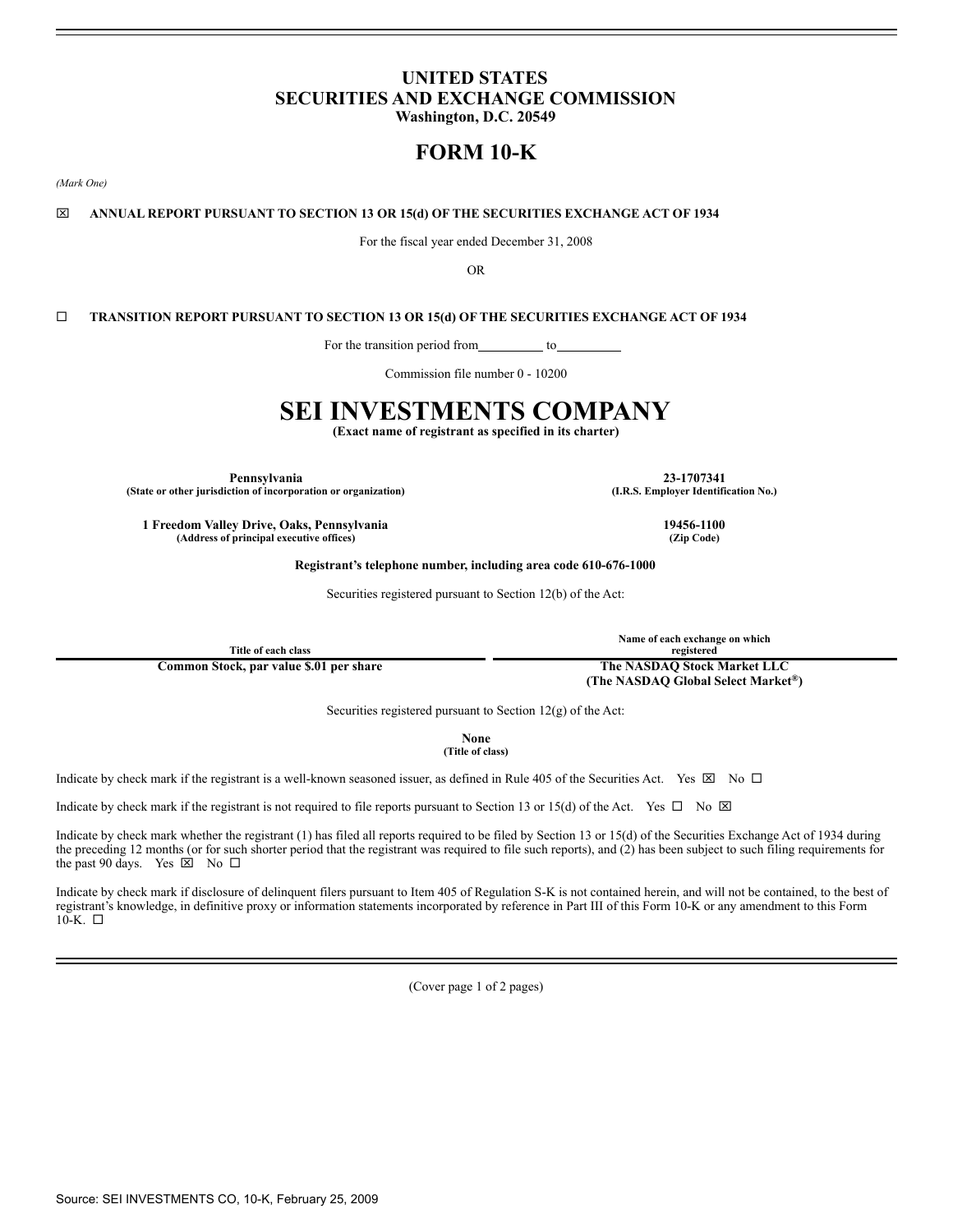## **UNITED STATES SECURITIES AND EXCHANGE COMMISSION**

**Washington, D.C. 20549**

### **FORM 10-K**

<span id="page-3-0"></span>*(Mark One)*

#### ⌧ **ANNUAL REPORT PURSUANT TO SECTION 13 OR 15(d) OF THE SECURITIES EXCHANGE ACT OF 1934**

For the fiscal year ended December 31, 2008

OR

#### � **TRANSITION REPORT PURSUANT TO SECTION 13 OR 15(d) OF THE SECURITIES EXCHANGE ACT OF 1934**

For the transition period from to\_

Commission file number 0 - 10200

### **SEI INVESTMENTS COMPANY**

**(Exact name of registrant as specified in its charter)**

**(State or other jurisdiction of incorporation or organization)** 

**Pennsylvania 23-1707341 23-1707341 23-1707341 23-1707341 (I.R.S. Employer Identification No.)** 

**1 Freedom Valley Drive, Oaks, Pennsylvania 19456-1100**  $(Address of principal executive offices)$ 

**Registrant's telephone number, including area code 610-676-1000**

Securities registered pursuant to Section 12(b) of the Act:

**Title of each class**

**Common Stock, par value \$.01 per share**

**Name of each exchange on which registered**

**The NASDAQ Stock Market LLC (The NASDAQ Global Select Market®)**

Securities registered pursuant to Section 12(g) of the Act:

**None (Title of class)**

Indicate by check mark if the registrant is a well-known seasoned issuer, as defined in Rule 405 of the Securities Act. Yes  $\boxtimes$  No  $\Box$ 

Indicate by check mark if the registrant is not required to file reports pursuant to Section 13 or 15(d) of the Act. Yes  $\Box$  No  $\boxtimes$ 

Indicate by check mark whether the registrant (1) has filed all reports required to be filed by Section 13 or 15(d) of the Securities Exchange Act of 1934 during the preceding 12 months (or for such shorter period that the registrant was required to file such reports), and (2) has been subject to such filing requirements for the past 90 days. Yes  $\boxtimes$  No  $\square$ 

Indicate by check mark if disclosure of delinquent filers pursuant to Item 405 of Regulation S-K is not contained herein, and will not be contained, to the best of registrant's knowledge, in definitive proxy or information statements incorporated by reference in Part III of this Form 10-K or any amendment to this Form  $10$ -K.  $\Box$ 

(Cover page 1 of 2 pages)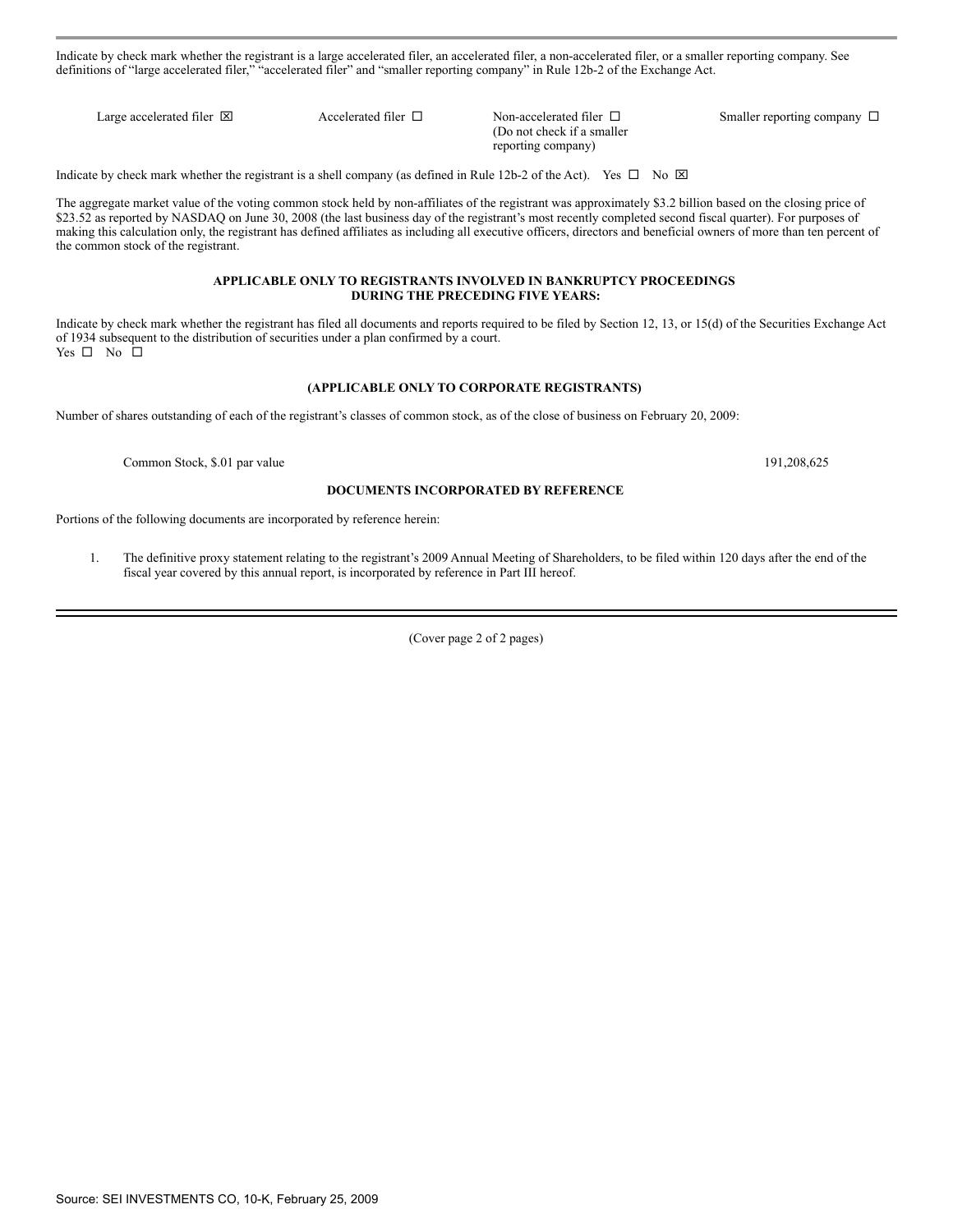Indicate by check mark whether the registrant is a large accelerated filer, an accelerated filer, a non-accelerated filer, or a smaller reporting company. See definitions of "large accelerated filer," "accelerated filer" and "smaller reporting company" in Rule 12b-2 of the Exchange Act.

(Do not check if a smaller reporting company)

Indicate by check mark whether the registrant is a shell company (as defined in Rule 12b-2 of the Act). Yes  $\Box$  No  $\boxtimes$ 

The aggregate market value of the voting common stock held by non-affiliates of the registrant was approximately \$3.2 billion based on the closing price of \$23.52 as reported by NASDAQ on June 30, 2008 (the last business day of the registrant's most recently completed second fiscal quarter). For purposes of making this calculation only, the registrant has defined affiliates as including all executive officers, directors and beneficial owners of more than ten percent of the common stock of the registrant.

#### **APPLICABLE ONLY TO REGISTRANTS INVOLVED IN BANKRUPTCY PROCEEDINGS DURING THE PRECEDING FIVE YEARS:**

Indicate by check mark whether the registrant has filed all documents and reports required to be filed by Section 12, 13, or 15(d) of the Securities Exchange Act of 1934 subsequent to the distribution of securities under a plan confirmed by a court. Yes  $\square$  No  $\square$ 

#### **(APPLICABLE ONLY TO CORPORATE REGISTRANTS)**

Number of shares outstanding of each of the registrant's classes of common stock, as of the close of business on February 20, 2009:

Common Stock, \$.01 par value 191,208,625

#### **DOCUMENTS INCORPORATED BY REFERENCE**

Portions of the following documents are incorporated by reference herein:

1. The definitive proxy statement relating to the registrant's 2009 Annual Meeting of Shareholders, to be filed within 120 days after the end of the fiscal year covered by this annual report, is incorporated by reference in Part III hereof.

(Cover page 2 of 2 pages)

Large accelerated filer  $\boxtimes$  Accelerated filer  $\Box$  Non-accelerated filer  $\Box$  Smaller reporting company  $\Box$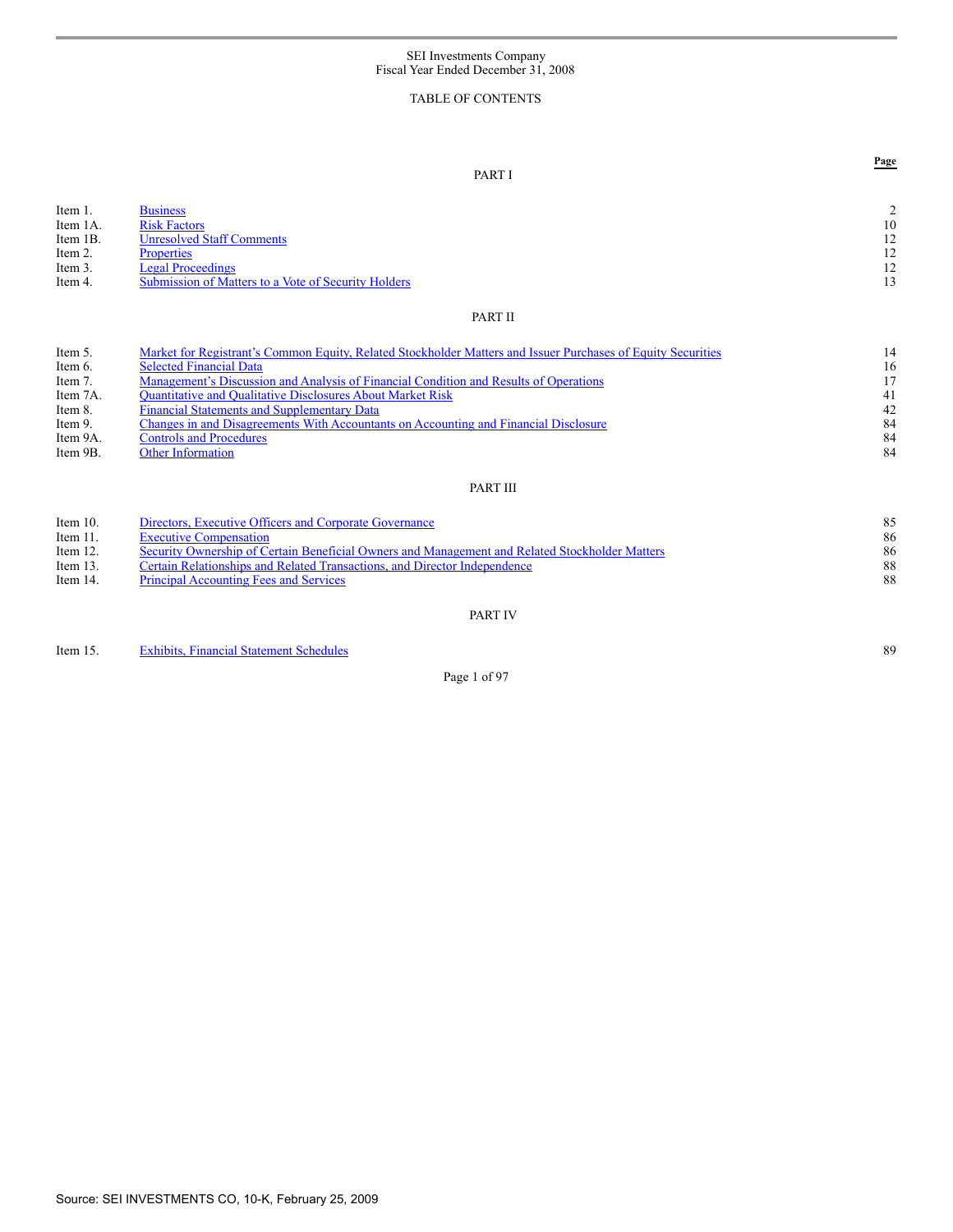#### SEI Investments Company Fiscal Year Ended December 31, 2008

#### TABLE OF CONTENTS

**Page**

<span id="page-5-0"></span>

|                                                                                         | PART I                                                                                                                                                                                                                                                                                                                                                                                                                                                                                                                   |                                              |
|-----------------------------------------------------------------------------------------|--------------------------------------------------------------------------------------------------------------------------------------------------------------------------------------------------------------------------------------------------------------------------------------------------------------------------------------------------------------------------------------------------------------------------------------------------------------------------------------------------------------------------|----------------------------------------------|
| Item 1.<br>Item 1A.<br>Item 1B.<br>Item 2.<br>Item 3.<br>Item 4.                        | <b>Business</b><br><b>Risk Factors</b><br><b>Unresolved Staff Comments</b><br><b>Properties</b><br><b>Legal Proceedings</b><br>Submission of Matters to a Vote of Security Holders                                                                                                                                                                                                                                                                                                                                       | $\overline{c}$<br>10<br>12<br>12<br>12<br>13 |
|                                                                                         | PART II                                                                                                                                                                                                                                                                                                                                                                                                                                                                                                                  |                                              |
| Item 5.<br>Item 6.<br>Item 7.<br>Item 7A.<br>Item 8.<br>Item 9.<br>Item 9A.<br>Item 9B. | Market for Registrant's Common Equity, Related Stockholder Matters and Issuer Purchases of Equity Securities<br><b>Selected Financial Data</b><br>Management's Discussion and Analysis of Financial Condition and Results of Operations<br><b>Ouantitative and Oualitative Disclosures About Market Risk</b><br><b>Financial Statements and Supplementary Data</b><br>Changes in and Disagreements With Accountants on Accounting and Financial Disclosure<br><b>Controls and Procedures</b><br><b>Other Information</b> | 14<br>16<br>17<br>41<br>42<br>84<br>84<br>84 |
|                                                                                         | PART III                                                                                                                                                                                                                                                                                                                                                                                                                                                                                                                 |                                              |
| $T_{1}$ 10                                                                              | $\mathbb{R}^n$ and $\mathbb{R}^n$ and $\mathbb{R}^n$ and $\mathbb{R}^n$ and $\mathbb{R}^n$ and $\mathbb{R}^n$ and $\mathbb{R}^n$ and $\mathbb{R}^n$ and $\mathbb{R}^n$ and $\mathbb{R}^n$ and $\mathbb{R}^n$ and $\mathbb{R}^n$ and $\mathbb{R}^n$ and $\mathbb{R}^n$ and $\mathbb{R}^n$<br>$\overline{\phantom{a}}$                                                                                                                                                                                                     | $\sim$ $\sim$                                |

| Item 10. | Directors, Executive Officers and Corporate Governance                                         |    |
|----------|------------------------------------------------------------------------------------------------|----|
| Item 11  | <b>Executive Compensation</b>                                                                  | 86 |
| Item 12. | Security Ownership of Certain Beneficial Owners and Management and Related Stockholder Matters | 86 |
| Item 13. | Certain Relationships and Related Transactions, and Director Independence                      | 88 |
| Item 14  | <b>Principal Accounting Fees and Services</b>                                                  | 88 |
|          |                                                                                                |    |

#### PART IV

Item 15. [Exhibits, Financial Statement Schedules](#page-95-0) 89

Page 1 of 97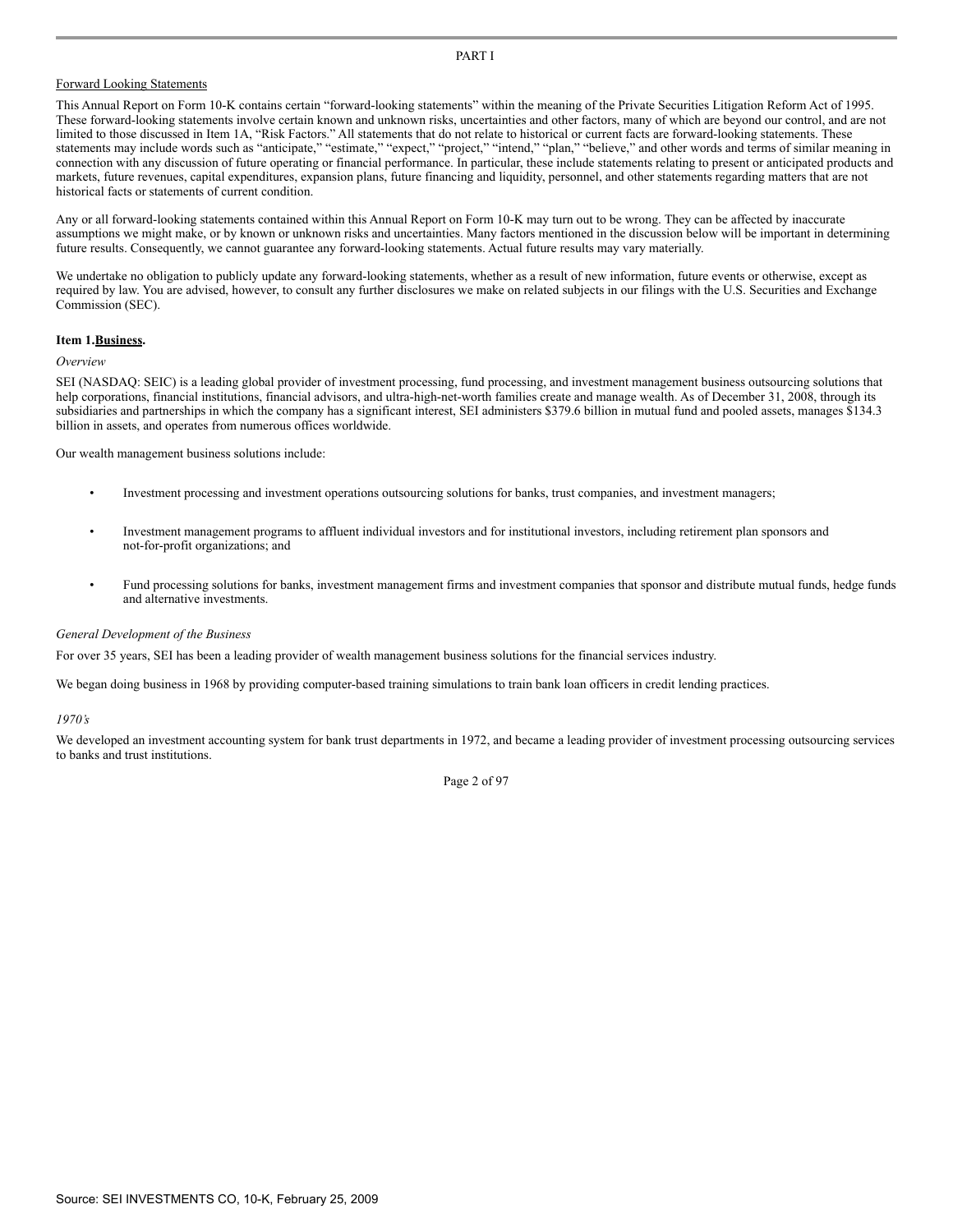#### <span id="page-6-0"></span>Forward Looking Statements

This Annual Report on Form 10-K contains certain "forward-looking statements" within the meaning of the Private Securities Litigation Reform Act of 1995. These forward-looking statements involve certain known and unknown risks, uncertainties and other factors, many of which are beyond our control, and are not limited to those discussed in Item 1A, "Risk Factors." All statements that do not relate to historical or current facts are forward-looking statements. These statements may include words such as "anticipate," "estimate," "expect," "project," "intend," "plan," "believe," and other words and terms of similar meaning in connection with any discussion of future operating or financial performance. In particular, these include statements relating to present or anticipated products and markets, future revenues, capital expenditures, expansion plans, future financing and liquidity, personnel, and other statements regarding matters that are not historical facts or statements of current condition.

Any or all forward-looking statements contained within this Annual Report on Form 10-K may turn out to be wrong. They can be affected by inaccurate assumptions we might make, or by known or unknown risks and uncertainties. Many factors mentioned in the discussion below will be important in determining future results. Consequently, we cannot guarantee any forward-looking statements. Actual future results may vary materially.

We undertake no obligation to publicly update any forward-looking statements, whether as a result of new information, future events or otherwise, except as required by law. You are advised, however, to consult any further disclosures we make on related subjects in our filings with the U.S. Securities and Exchange Commission (SEC).

#### **Item 1.Business.**

#### *Overview*

SEI (NASDAQ: SEIC) is a leading global provider of investment processing, fund processing, and investment management business outsourcing solutions that help corporations, financial institutions, financial advisors, and ultra-high-net-worth families create and manage wealth. As of December 31, 2008, through its subsidiaries and partnerships in which the company has a significant interest, SEI administers \$379.6 billion in mutual fund and pooled assets, manages \$134.3 billion in assets, and operates from numerous offices worldwide.

Our wealth management business solutions include:

- Investment processing and investment operations outsourcing solutions for banks, trust companies, and investment managers;
- Investment management programs to affluent individual investors and for institutional investors, including retirement plan sponsors and not-for-profit organizations; and
- Fund processing solutions for banks, investment management firms and investment companies that sponsor and distribute mutual funds, hedge funds and alternative investments.

#### *General Development of the Business*

For over 35 years, SEI has been a leading provider of wealth management business solutions for the financial services industry.

We began doing business in 1968 by providing computer-based training simulations to train bank loan officers in credit lending practices.

#### *1970's*

We developed an investment accounting system for bank trust departments in 1972, and became a leading provider of investment processing outsourcing services to banks and trust institutions.

Page 2 of 97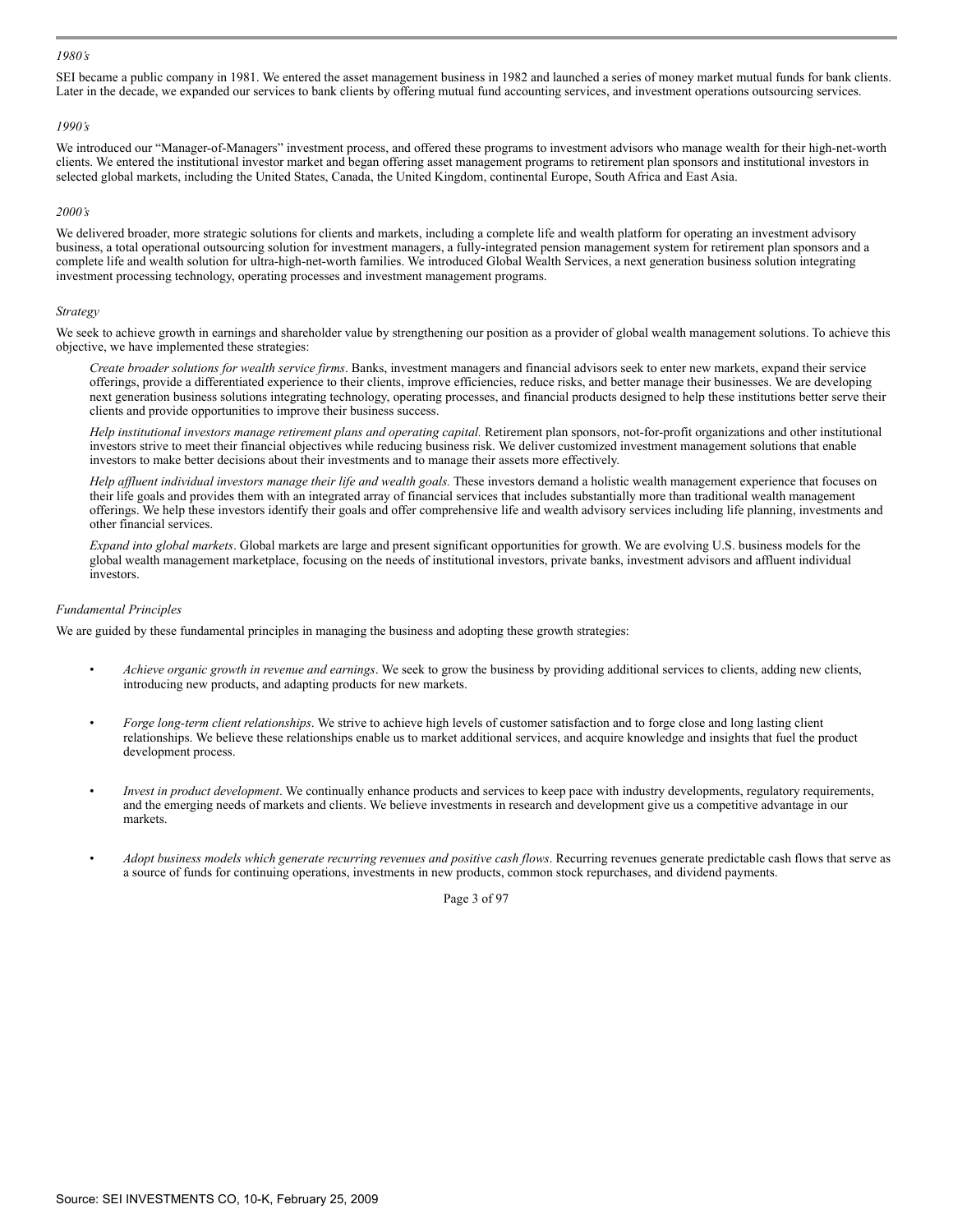#### *1980's*

SEI became a public company in 1981. We entered the asset management business in 1982 and launched a series of money market mutual funds for bank clients. Later in the decade, we expanded our services to bank clients by offering mutual fund accounting services, and investment operations outsourcing services.

#### *1990's*

We introduced our "Manager-of-Managers" investment process, and offered these programs to investment advisors who manage wealth for their high-net-worth clients. We entered the institutional investor market and began offering asset management programs to retirement plan sponsors and institutional investors in selected global markets, including the United States, Canada, the United Kingdom, continental Europe, South Africa and East Asia.

#### *2000's*

We delivered broader, more strategic solutions for clients and markets, including a complete life and wealth platform for operating an investment advisory business, a total operational outsourcing solution for investment managers, a fully-integrated pension management system for retirement plan sponsors and a complete life and wealth solution for ultra-high-net-worth families. We introduced Global Wealth Services, a next generation business solution integrating investment processing technology, operating processes and investment management programs.

#### *Strategy*

We seek to achieve growth in earnings and shareholder value by strengthening our position as a provider of global wealth management solutions. To achieve this objective, we have implemented these strategies:

*Create broader solutions for wealth service firms*. Banks, investment managers and financial advisors seek to enter new markets, expand their service offerings, provide a differentiated experience to their clients, improve efficiencies, reduce risks, and better manage their businesses. We are developing next generation business solutions integrating technology, operating processes, and financial products designed to help these institutions better serve their clients and provide opportunities to improve their business success.

*Help institutional investors manage retirement plans and operating capital.* Retirement plan sponsors, not-for-profit organizations and other institutional investors strive to meet their financial objectives while reducing business risk. We deliver customized investment management solutions that enable investors to make better decisions about their investments and to manage their assets more effectively.

*Help affluent individual investors manage their life and wealth goals.* These investors demand a holistic wealth management experience that focuses on their life goals and provides them with an integrated array of financial services that includes substantially more than traditional wealth management offerings. We help these investors identify their goals and offer comprehensive life and wealth advisory services including life planning, investments and other financial services.

*Expand into global markets*. Global markets are large and present significant opportunities for growth. We are evolving U.S. business models for the global wealth management marketplace, focusing on the needs of institutional investors, private banks, investment advisors and affluent individual investors.

#### *Fundamental Principles*

We are guided by these fundamental principles in managing the business and adopting these growth strategies:

- *Achieve organic growth in revenue and earnings*. We seek to grow the business by providing additional services to clients, adding new clients, introducing new products, and adapting products for new markets.
- *Forge long-term client relationships*. We strive to achieve high levels of customer satisfaction and to forge close and long lasting client relationships. We believe these relationships enable us to market additional services, and acquire knowledge and insights that fuel the product development process.
- *Invest in product development*. We continually enhance products and services to keep pace with industry developments, regulatory requirements, and the emerging needs of markets and clients. We believe investments in research and development give us a competitive advantage in our markets.
- *Adopt business models which generate recurring revenues and positive cash flows*. Recurring revenues generate predictable cash flows that serve as a source of funds for continuing operations, investments in new products, common stock repurchases, and dividend payments.

Page 3 of 97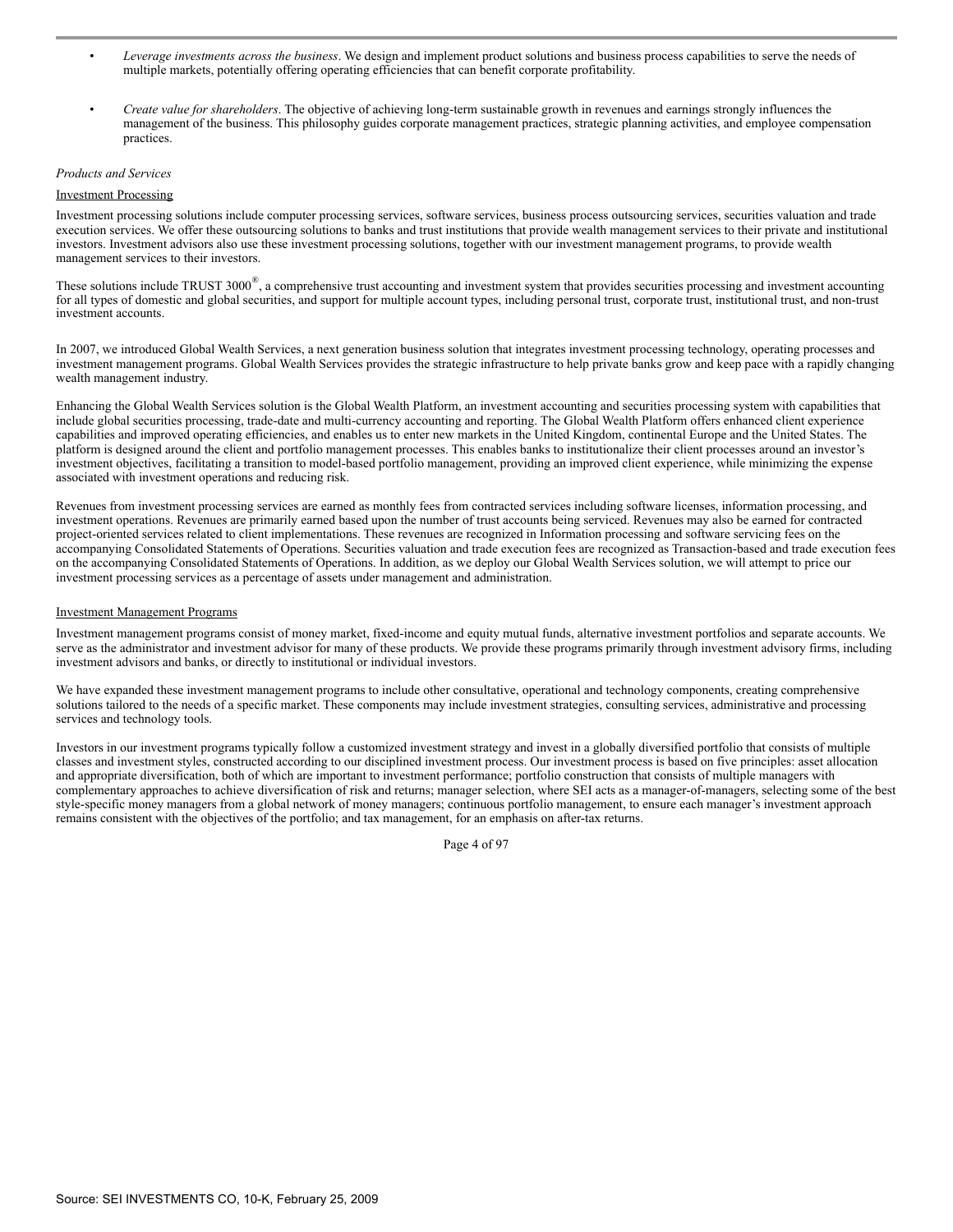- *Leverage investments across the business*. We design and implement product solutions and business process capabilities to serve the needs of multiple markets, potentially offering operating efficiencies that can benefit corporate profitability.
- *Create value for shareholders*. The objective of achieving long-term sustainable growth in revenues and earnings strongly influences the management of the business. This philosophy guides corporate management practices, strategic planning activities, and employee compensation practices.

#### *Products and Services*

#### Investment Processing

Investment processing solutions include computer processing services, software services, business process outsourcing services, securities valuation and trade execution services. We offer these outsourcing solutions to banks and trust institutions that provide wealth management services to their private and institutional investors. Investment advisors also use these investment processing solutions, together with our investment management programs, to provide wealth management services to their investors.

These solutions include TRUST 3000<sup>®</sup>, a comprehensive trust accounting and investment system that provides securities processing and investment accounting for all types of domestic and global securities, and support for multiple account types, including personal trust, corporate trust, institutional trust, and non-trust investment accounts.

In 2007, we introduced Global Wealth Services, a next generation business solution that integrates investment processing technology, operating processes and investment management programs. Global Wealth Services provides the strategic infrastructure to help private banks grow and keep pace with a rapidly changing wealth management industry.

Enhancing the Global Wealth Services solution is the Global Wealth Platform, an investment accounting and securities processing system with capabilities that include global securities processing, trade-date and multi-currency accounting and reporting. The Global Wealth Platform offers enhanced client experience capabilities and improved operating efficiencies, and enables us to enter new markets in the United Kingdom, continental Europe and the United States. The platform is designed around the client and portfolio management processes. This enables banks to institutionalize their client processes around an investor's investment objectives, facilitating a transition to model-based portfolio management, providing an improved client experience, while minimizing the expense associated with investment operations and reducing risk.

Revenues from investment processing services are earned as monthly fees from contracted services including software licenses, information processing, and investment operations. Revenues are primarily earned based upon the number of trust accounts being serviced. Revenues may also be earned for contracted project-oriented services related to client implementations. These revenues are recognized in Information processing and software servicing fees on the accompanying Consolidated Statements of Operations. Securities valuation and trade execution fees are recognized as Transaction-based and trade execution fees on the accompanying Consolidated Statements of Operations. In addition, as we deploy our Global Wealth Services solution, we will attempt to price our investment processing services as a percentage of assets under management and administration.

#### Investment Management Programs

Investment management programs consist of money market, fixed-income and equity mutual funds, alternative investment portfolios and separate accounts. We serve as the administrator and investment advisor for many of these products. We provide these programs primarily through investment advisory firms, including investment advisors and banks, or directly to institutional or individual investors.

We have expanded these investment management programs to include other consultative, operational and technology components, creating comprehensive solutions tailored to the needs of a specific market. These components may include investment strategies, consulting services, administrative and processing services and technology tools.

Investors in our investment programs typically follow a customized investment strategy and invest in a globally diversified portfolio that consists of multiple classes and investment styles, constructed according to our disciplined investment process. Our investment process is based on five principles: asset allocation and appropriate diversification, both of which are important to investment performance; portfolio construction that consists of multiple managers with complementary approaches to achieve diversification of risk and returns; manager selection, where SEI acts as a manager-of-managers, selecting some of the best style-specific money managers from a global network of money managers; continuous portfolio management, to ensure each manager's investment approach remains consistent with the objectives of the portfolio; and tax management, for an emphasis on after-tax returns.

Page 4 of 97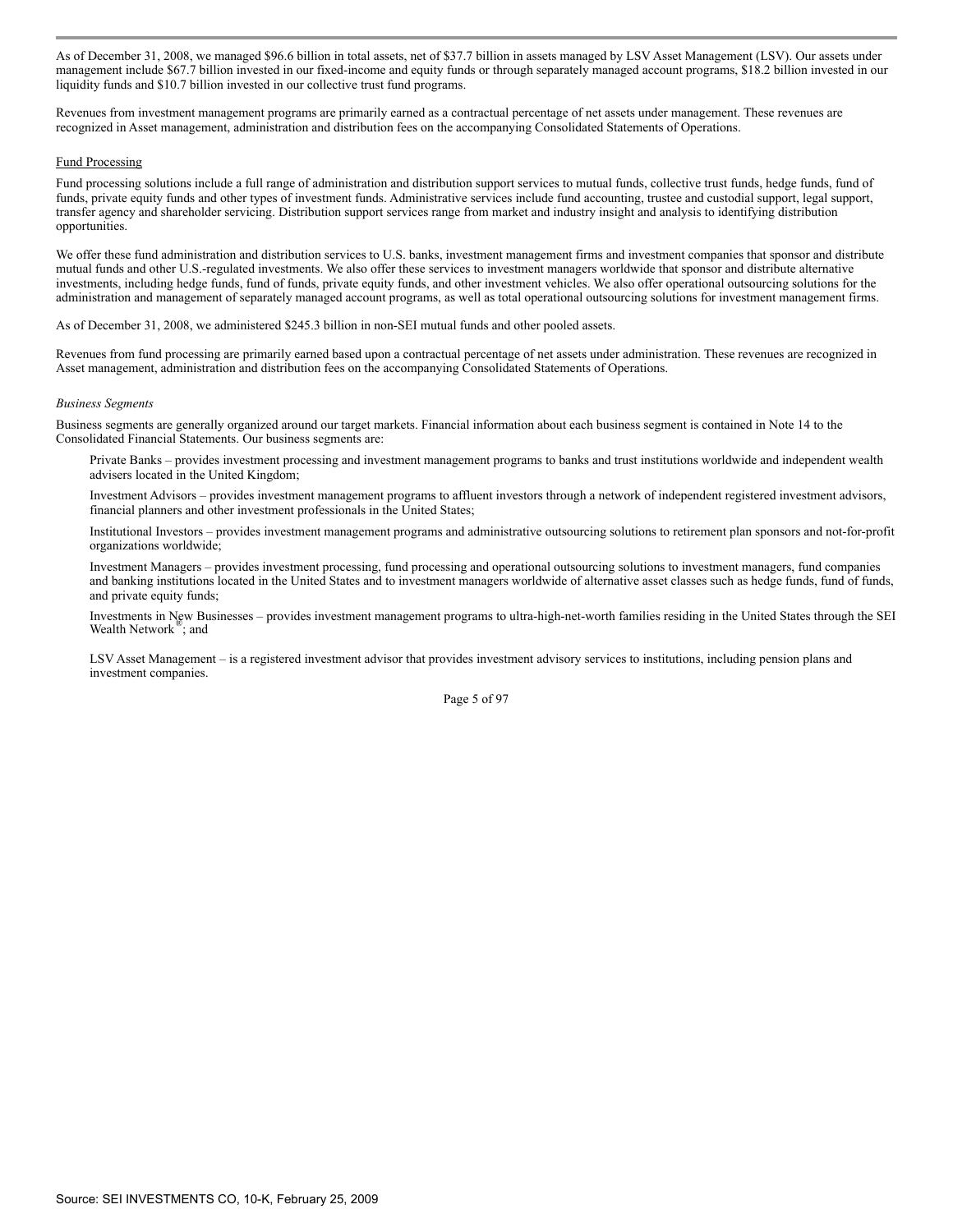As of December 31, 2008, we managed \$96.6 billion in total assets, net of \$37.7 billion in assets managed by LSV Asset Management (LSV). Our assets under management include \$67.7 billion invested in our fixed-income and equity funds or through separately managed account programs, \$18.2 billion invested in our liquidity funds and \$10.7 billion invested in our collective trust fund programs.

Revenues from investment management programs are primarily earned as a contractual percentage of net assets under management. These revenues are recognized in Asset management, administration and distribution fees on the accompanying Consolidated Statements of Operations.

#### Fund Processing

Fund processing solutions include a full range of administration and distribution support services to mutual funds, collective trust funds, hedge funds, fund of funds, private equity funds and other types of investment funds. Administrative services include fund accounting, trustee and custodial support, legal support, transfer agency and shareholder servicing. Distribution support services range from market and industry insight and analysis to identifying distribution opportunities.

We offer these fund administration and distribution services to U.S. banks, investment management firms and investment companies that sponsor and distribute mutual funds and other U.S.-regulated investments. We also offer these services to investment managers worldwide that sponsor and distribute alternative investments, including hedge funds, fund of funds, private equity funds, and other investment vehicles. We also offer operational outsourcing solutions for the administration and management of separately managed account programs, as well as total operational outsourcing solutions for investment management firms.

As of December 31, 2008, we administered \$245.3 billion in non-SEI mutual funds and other pooled assets.

Revenues from fund processing are primarily earned based upon a contractual percentage of net assets under administration. These revenues are recognized in Asset management, administration and distribution fees on the accompanying Consolidated Statements of Operations.

#### *Business Segments*

Business segments are generally organized around our target markets. Financial information about each business segment is contained in Note 14 to the Consolidated Financial Statements. Our business segments are:

Private Banks – provides investment processing and investment management programs to banks and trust institutions worldwide and independent wealth advisers located in the United Kingdom;

Investment Advisors – provides investment management programs to affluent investors through a network of independent registered investment advisors, financial planners and other investment professionals in the United States;

Institutional Investors – provides investment management programs and administrative outsourcing solutions to retirement plan sponsors and not-for-profit organizations worldwide;

Investment Managers – provides investment processing, fund processing and operational outsourcing solutions to investment managers, fund companies and banking institutions located in the United States and to investment managers worldwide of alternative asset classes such as hedge funds, fund of funds, and private equity funds;

Investments in New Businesses – provides investment management programs to ultra-high-net-worth families residing in the United States through the SEI Wealth Network $\stackrel{\textcirc}{\circ}$ ; and

LSV Asset Management – is a registered investment advisor that provides investment advisory services to institutions, including pension plans and investment companies.

Page 5 of 97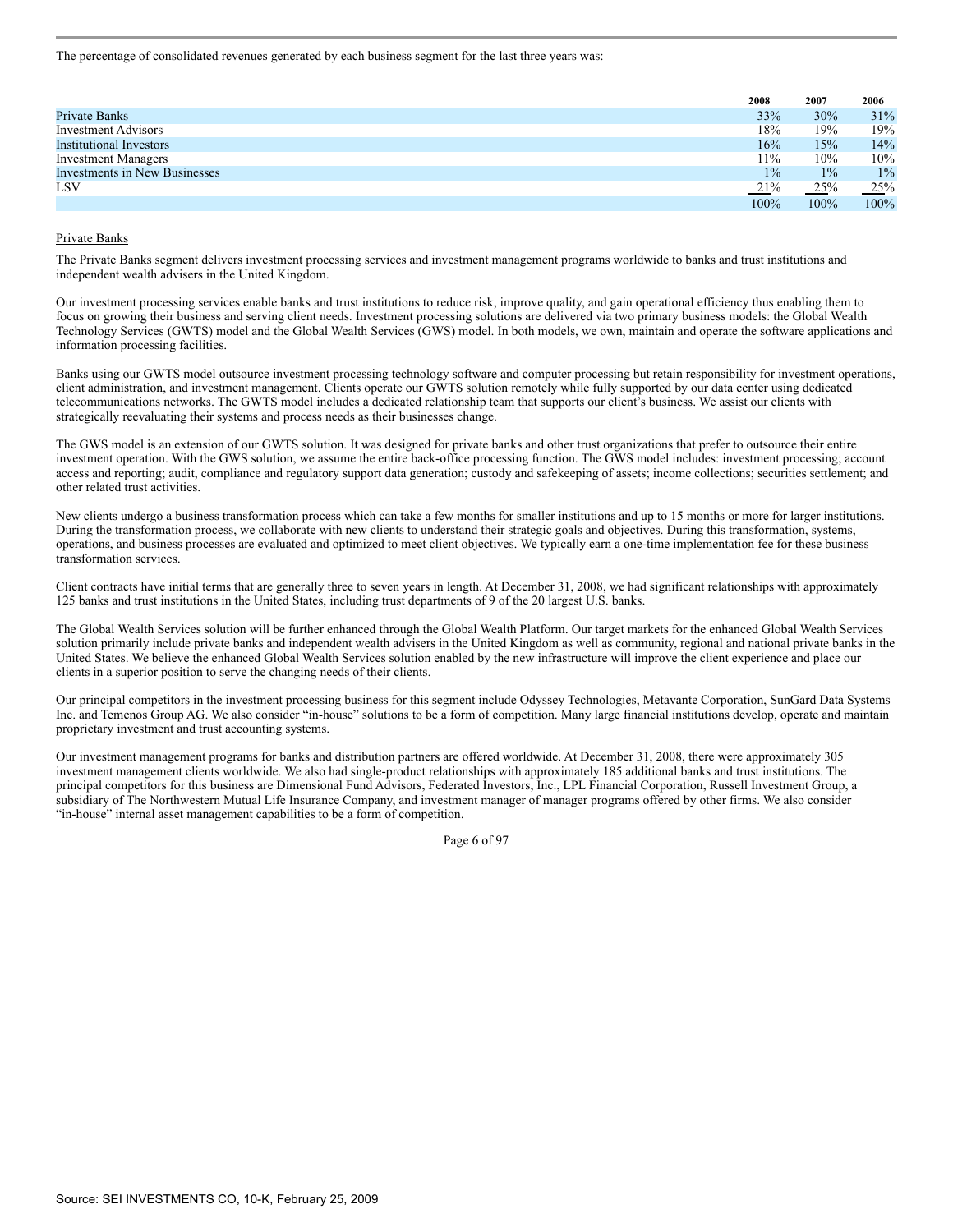The percentage of consolidated revenues generated by each business segment for the last three years was:

|                                      | 2008   | 2007  | 2006  |
|--------------------------------------|--------|-------|-------|
| <b>Private Banks</b>                 | 33%    | 30%   | 31%   |
| <b>Investment Advisors</b>           | 18%    | 19%   | 19%   |
| <b>Institutional Investors</b>       | 16%    | 15%   | 14%   |
| <b>Investment Managers</b>           | $11\%$ | 10%   | 10%   |
| <b>Investments in New Businesses</b> | $1\%$  | $1\%$ | $1\%$ |
| <b>LSV</b>                           | 21%    | 25%   | 25%   |
|                                      | 100%   | 100%  | 100%  |
|                                      |        |       |       |

#### Private Banks

The Private Banks segment delivers investment processing services and investment management programs worldwide to banks and trust institutions and independent wealth advisers in the United Kingdom.

Our investment processing services enable banks and trust institutions to reduce risk, improve quality, and gain operational efficiency thus enabling them to focus on growing their business and serving client needs. Investment processing solutions are delivered via two primary business models: the Global Wealth Technology Services (GWTS) model and the Global Wealth Services (GWS) model. In both models, we own, maintain and operate the software applications and information processing facilities.

Banks using our GWTS model outsource investment processing technology software and computer processing but retain responsibility for investment operations, client administration, and investment management. Clients operate our GWTS solution remotely while fully supported by our data center using dedicated telecommunications networks. The GWTS model includes a dedicated relationship team that supports our client's business. We assist our clients with strategically reevaluating their systems and process needs as their businesses change.

The GWS model is an extension of our GWTS solution. It was designed for private banks and other trust organizations that prefer to outsource their entire investment operation. With the GWS solution, we assume the entire back-office processing function. The GWS model includes: investment processing; account access and reporting; audit, compliance and regulatory support data generation; custody and safekeeping of assets; income collections; securities settlement; and other related trust activities.

New clients undergo a business transformation process which can take a few months for smaller institutions and up to 15 months or more for larger institutions. During the transformation process, we collaborate with new clients to understand their strategic goals and objectives. During this transformation, systems, operations, and business processes are evaluated and optimized to meet client objectives. We typically earn a one-time implementation fee for these business transformation services.

Client contracts have initial terms that are generally three to seven years in length. At December 31, 2008, we had significant relationships with approximately 125 banks and trust institutions in the United States, including trust departments of 9 of the 20 largest U.S. banks.

The Global Wealth Services solution will be further enhanced through the Global Wealth Platform. Our target markets for the enhanced Global Wealth Services solution primarily include private banks and independent wealth advisers in the United Kingdom as well as community, regional and national private banks in the United States. We believe the enhanced Global Wealth Services solution enabled by the new infrastructure will improve the client experience and place our clients in a superior position to serve the changing needs of their clients.

Our principal competitors in the investment processing business for this segment include Odyssey Technologies, Metavante Corporation, SunGard Data Systems Inc. and Temenos Group AG. We also consider "in-house" solutions to be a form of competition. Many large financial institutions develop, operate and maintain proprietary investment and trust accounting systems.

Our investment management programs for banks and distribution partners are offered worldwide. At December 31, 2008, there were approximately 305 investment management clients worldwide. We also had single-product relationships with approximately 185 additional banks and trust institutions. The principal competitors for this business are Dimensional Fund Advisors, Federated Investors, Inc., LPL Financial Corporation, Russell Investment Group, a subsidiary of The Northwestern Mutual Life Insurance Company, and investment manager of manager programs offered by other firms. We also consider "in-house" internal asset management capabilities to be a form of competition.

Page 6 of 97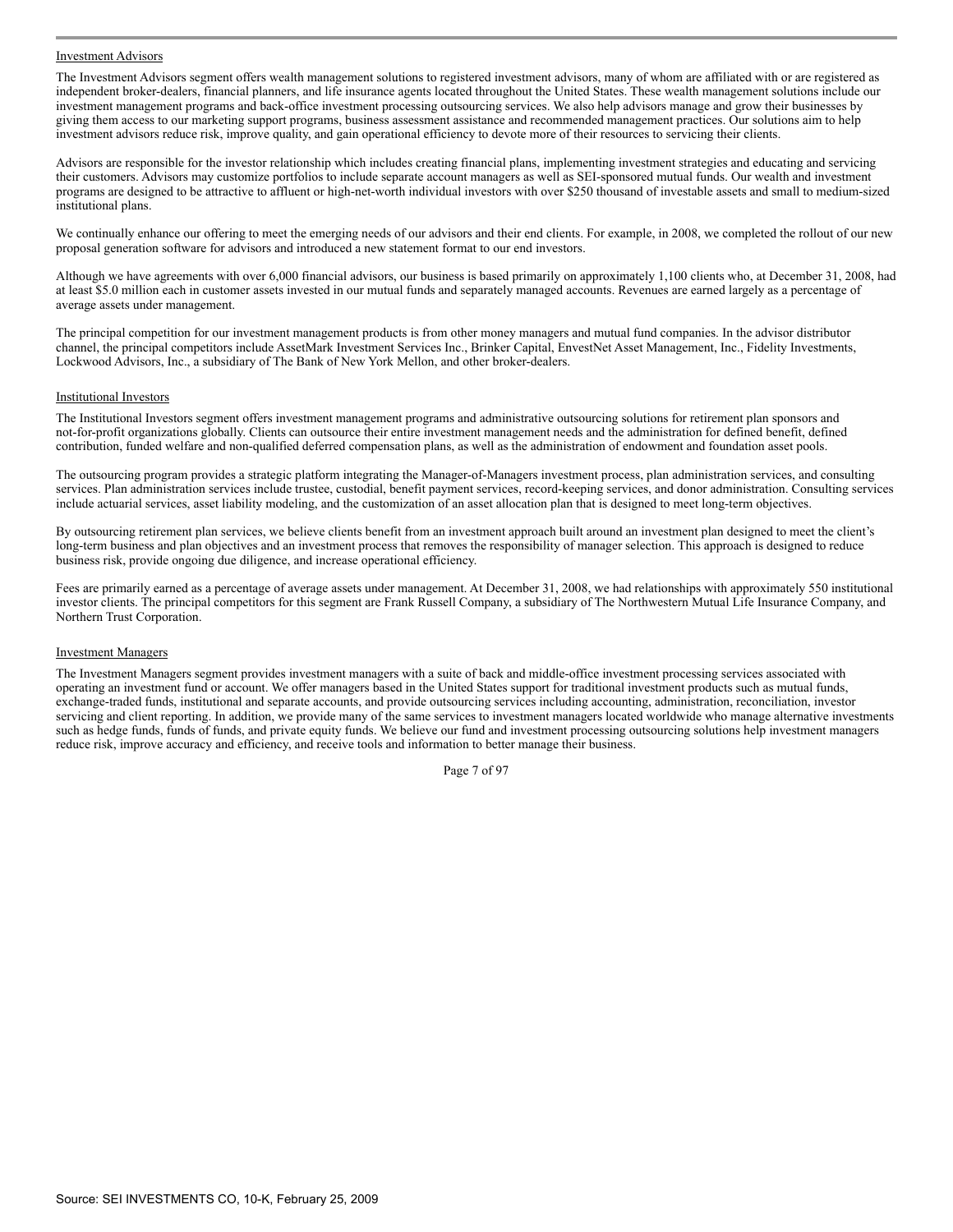#### Investment Advisors

The Investment Advisors segment offers wealth management solutions to registered investment advisors, many of whom are affiliated with or are registered as independent broker-dealers, financial planners, and life insurance agents located throughout the United States. These wealth management solutions include our investment management programs and back-office investment processing outsourcing services. We also help advisors manage and grow their businesses by giving them access to our marketing support programs, business assessment assistance and recommended management practices. Our solutions aim to help investment advisors reduce risk, improve quality, and gain operational efficiency to devote more of their resources to servicing their clients.

Advisors are responsible for the investor relationship which includes creating financial plans, implementing investment strategies and educating and servicing their customers. Advisors may customize portfolios to include separate account managers as well as SEI-sponsored mutual funds. Our wealth and investment programs are designed to be attractive to affluent or high-net-worth individual investors with over \$250 thousand of investable assets and small to medium-sized institutional plans.

We continually enhance our offering to meet the emerging needs of our advisors and their end clients. For example, in 2008, we completed the rollout of our new proposal generation software for advisors and introduced a new statement format to our end investors.

Although we have agreements with over 6,000 financial advisors, our business is based primarily on approximately 1,100 clients who, at December 31, 2008, had at least \$5.0 million each in customer assets invested in our mutual funds and separately managed accounts. Revenues are earned largely as a percentage of average assets under management.

The principal competition for our investment management products is from other money managers and mutual fund companies. In the advisor distributor channel, the principal competitors include AssetMark Investment Services Inc., Brinker Capital, EnvestNet Asset Management, Inc., Fidelity Investments, Lockwood Advisors, Inc., a subsidiary of The Bank of New York Mellon, and other broker-dealers.

#### Institutional Investors

The Institutional Investors segment offers investment management programs and administrative outsourcing solutions for retirement plan sponsors and not-for-profit organizations globally. Clients can outsource their entire investment management needs and the administration for defined benefit, defined contribution, funded welfare and non-qualified deferred compensation plans, as well as the administration of endowment and foundation asset pools.

The outsourcing program provides a strategic platform integrating the Manager-of-Managers investment process, plan administration services, and consulting services. Plan administration services include trustee, custodial, benefit payment services, record-keeping services, and donor administration. Consulting services include actuarial services, asset liability modeling, and the customization of an asset allocation plan that is designed to meet long-term objectives.

By outsourcing retirement plan services, we believe clients benefit from an investment approach built around an investment plan designed to meet the client's long-term business and plan objectives and an investment process that removes the responsibility of manager selection. This approach is designed to reduce business risk, provide ongoing due diligence, and increase operational efficiency.

Fees are primarily earned as a percentage of average assets under management. At December 31, 2008, we had relationships with approximately 550 institutional investor clients. The principal competitors for this segment are Frank Russell Company, a subsidiary of The Northwestern Mutual Life Insurance Company, and Northern Trust Corporation.

#### Investment Managers

The Investment Managers segment provides investment managers with a suite of back and middle-office investment processing services associated with operating an investment fund or account. We offer managers based in the United States support for traditional investment products such as mutual funds, exchange-traded funds, institutional and separate accounts, and provide outsourcing services including accounting, administration, reconciliation, investor servicing and client reporting. In addition, we provide many of the same services to investment managers located worldwide who manage alternative investments such as hedge funds, funds of funds, and private equity funds. We believe our fund and investment processing outsourcing solutions help investment managers reduce risk, improve accuracy and efficiency, and receive tools and information to better manage their business.

Page 7 of 97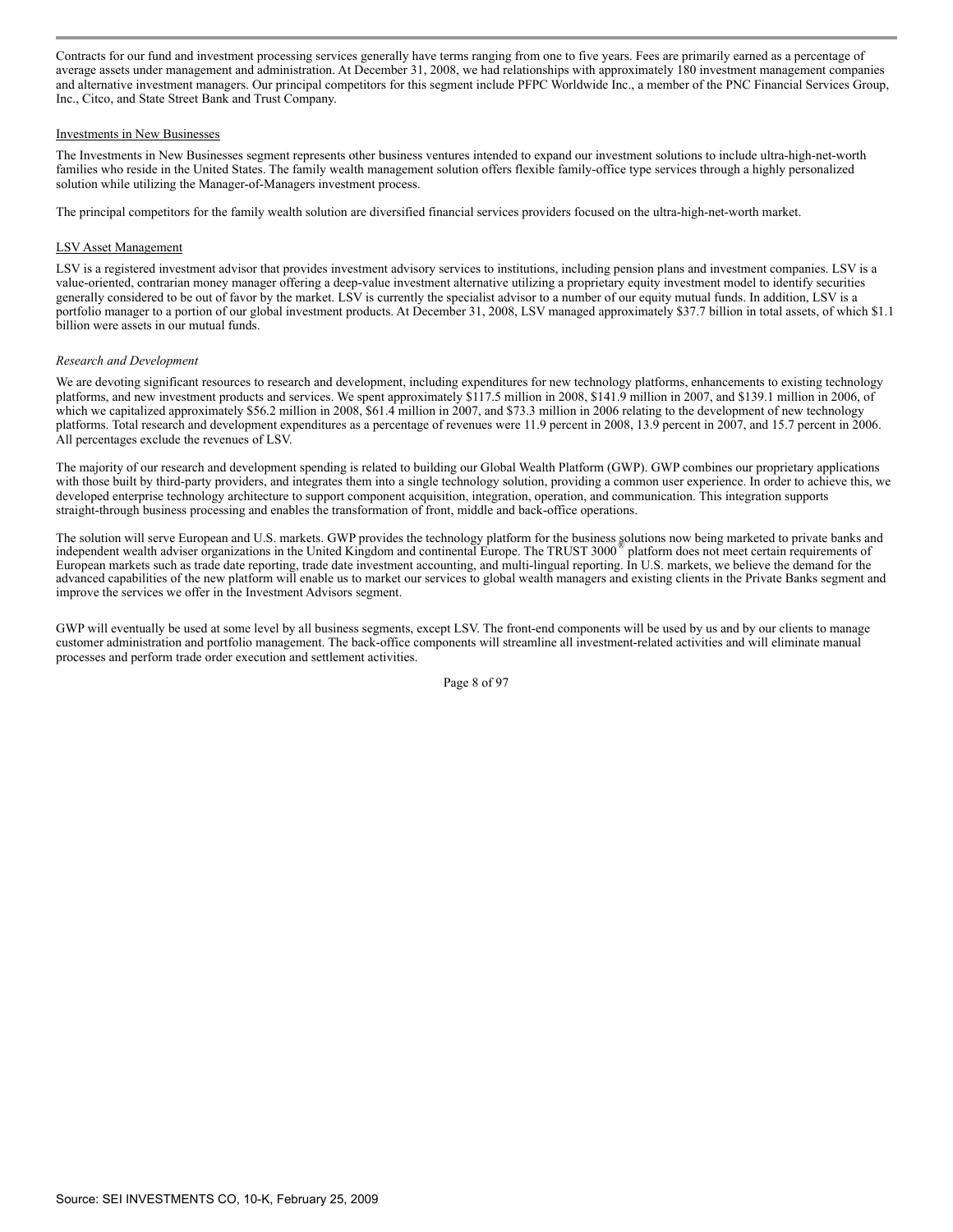Contracts for our fund and investment processing services generally have terms ranging from one to five years. Fees are primarily earned as a percentage of average assets under management and administration. At December 31, 2008, we had relationships with approximately 180 investment management companies and alternative investment managers. Our principal competitors for this segment include PFPC Worldwide Inc., a member of the PNC Financial Services Group, Inc., Citco, and State Street Bank and Trust Company.

#### Investments in New Businesses

The Investments in New Businesses segment represents other business ventures intended to expand our investment solutions to include ultra-high-net-worth families who reside in the United States. The family wealth management solution offers flexible family-office type services through a highly personalized solution while utilizing the Manager-of-Managers investment process.

The principal competitors for the family wealth solution are diversified financial services providers focused on the ultra-high-net-worth market.

#### LSV Asset Management

LSV is a registered investment advisor that provides investment advisory services to institutions, including pension plans and investment companies. LSV is a value-oriented, contrarian money manager offering a deep-value investment alternative utilizing a proprietary equity investment model to identify securities generally considered to be out of favor by the market. LSV is currently the specialist advisor to a number of our equity mutual funds. In addition, LSV is a portfolio manager to a portion of our global investment products. At December 31, 2008, LSV managed approximately \$37.7 billion in total assets, of which \$1.1 billion were assets in our mutual funds.

#### *Research and Development*

We are devoting significant resources to research and development, including expenditures for new technology platforms, enhancements to existing technology platforms, and new investment products and services. We spent approximately \$117.5 million in 2008, \$141.9 million in 2007, and \$139.1 million in 2006, of which we capitalized approximately \$56.2 million in 2008, \$61.4 million in 2007, and \$73.3 million in 2006 relating to the development of new technology platforms. Total research and development expenditures as a percentage of revenues were 11.9 percent in 2008, 13.9 percent in 2007, and 15.7 percent in 2006. All percentages exclude the revenues of LSV.

The majority of our research and development spending is related to building our Global Wealth Platform (GWP). GWP combines our proprietary applications with those built by third-party providers, and integrates them into a single technology solution, providing a common user experience. In order to achieve this, we developed enterprise technology architecture to support component acquisition, integration, operation, and communication. This integration supports straight-through business processing and enables the transformation of front, middle and back-office operations.

The solution will serve European and U.S. markets. GWP provides the technology platform for the business solutions now being marketed to private banks and independent wealth adviser organizations in the United Kingdom and European markets such as trade date reporting, trade date investment accounting, and multi-lingual reporting. In U.S. markets, we believe the demand for the advanced capabilities of the new platform will enable us to market our services to global wealth managers and existing clients in the Private Banks segment and improve the services we offer in the Investment Advisors segment.

GWP will eventually be used at some level by all business segments, except LSV. The front-end components will be used by us and by our clients to manage customer administration and portfolio management. The back-office components will streamline all investment-related activities and will eliminate manual processes and perform trade order execution and settlement activities.

Page 8 of 97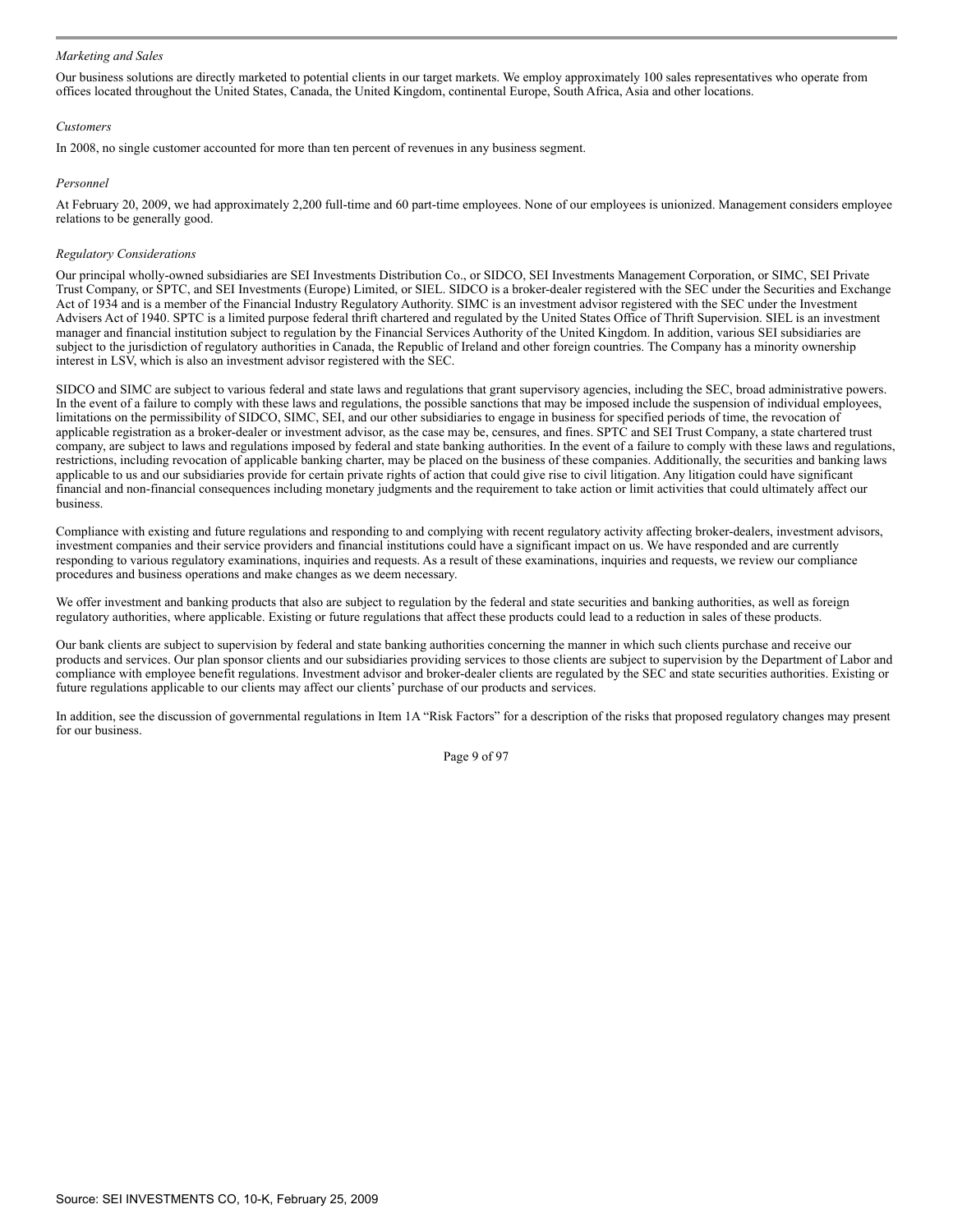#### *Marketing and Sales*

Our business solutions are directly marketed to potential clients in our target markets. We employ approximately 100 sales representatives who operate from offices located throughout the United States, Canada, the United Kingdom, continental Europe, South Africa, Asia and other locations.

#### *Customers*

In 2008, no single customer accounted for more than ten percent of revenues in any business segment.

#### *Personnel*

At February 20, 2009, we had approximately 2,200 full-time and 60 part-time employees. None of our employees is unionized. Management considers employee relations to be generally good.

#### *Regulatory Considerations*

Our principal wholly-owned subsidiaries are SEI Investments Distribution Co., or SIDCO, SEI Investments Management Corporation, or SIMC, SEI Private Trust Company, or SPTC, and SEI Investments (Europe) Limited, or SIEL. SIDCO is a broker-dealer registered with the SEC under the Securities and Exchange Act of 1934 and is a member of the Financial Industry Regulatory Authority. SIMC is an investment advisor registered with the SEC under the Investment Advisers Act of 1940. SPTC is a limited purpose federal thrift chartered and regulated by the United States Office of Thrift Supervision. SIEL is an investment manager and financial institution subject to regulation by the Financial Services Authority of the United Kingdom. In addition, various SEI subsidiaries are subject to the jurisdiction of regulatory authorities in Canada, the Republic of Ireland and other foreign countries. The Company has a minority ownership interest in LSV, which is also an investment advisor registered with the SEC.

SIDCO and SIMC are subject to various federal and state laws and regulations that grant supervisory agencies, including the SEC, broad administrative powers. In the event of a failure to comply with these laws and regulations, the possible sanctions that may be imposed include the suspension of individual employees, limitations on the permissibility of SIDCO, SIMC, SEI, and our other subsidiaries to engage in business for specified periods of time, the revocation of applicable registration as a broker-dealer or investment advisor, as the case may be, censures, and fines. SPTC and SEI Trust Company, a state chartered trust company, are subject to laws and regulations imposed by federal and state banking authorities. In the event of a failure to comply with these laws and regulations, restrictions, including revocation of applicable banking charter, may be placed on the business of these companies. Additionally, the securities and banking laws applicable to us and our subsidiaries provide for certain private rights of action that could give rise to civil litigation. Any litigation could have significant financial and non-financial consequences including monetary judgments and the requirement to take action or limit activities that could ultimately affect our business.

Compliance with existing and future regulations and responding to and complying with recent regulatory activity affecting broker-dealers, investment advisors, investment companies and their service providers and financial institutions could have a significant impact on us. We have responded and are currently responding to various regulatory examinations, inquiries and requests. As a result of these examinations, inquiries and requests, we review our compliance procedures and business operations and make changes as we deem necessary.

We offer investment and banking products that also are subject to regulation by the federal and state securities and banking authorities, as well as foreign regulatory authorities, where applicable. Existing or future regulations that affect these products could lead to a reduction in sales of these products.

Our bank clients are subject to supervision by federal and state banking authorities concerning the manner in which such clients purchase and receive our products and services. Our plan sponsor clients and our subsidiaries providing services to those clients are subject to supervision by the Department of Labor and compliance with employee benefit regulations. Investment advisor and broker-dealer clients are regulated by the SEC and state securities authorities. Existing or future regulations applicable to our clients may affect our clients' purchase of our products and services.

In addition, see the discussion of governmental regulations in Item 1A "Risk Factors" for a description of the risks that proposed regulatory changes may present for our business.

Page 9 of 97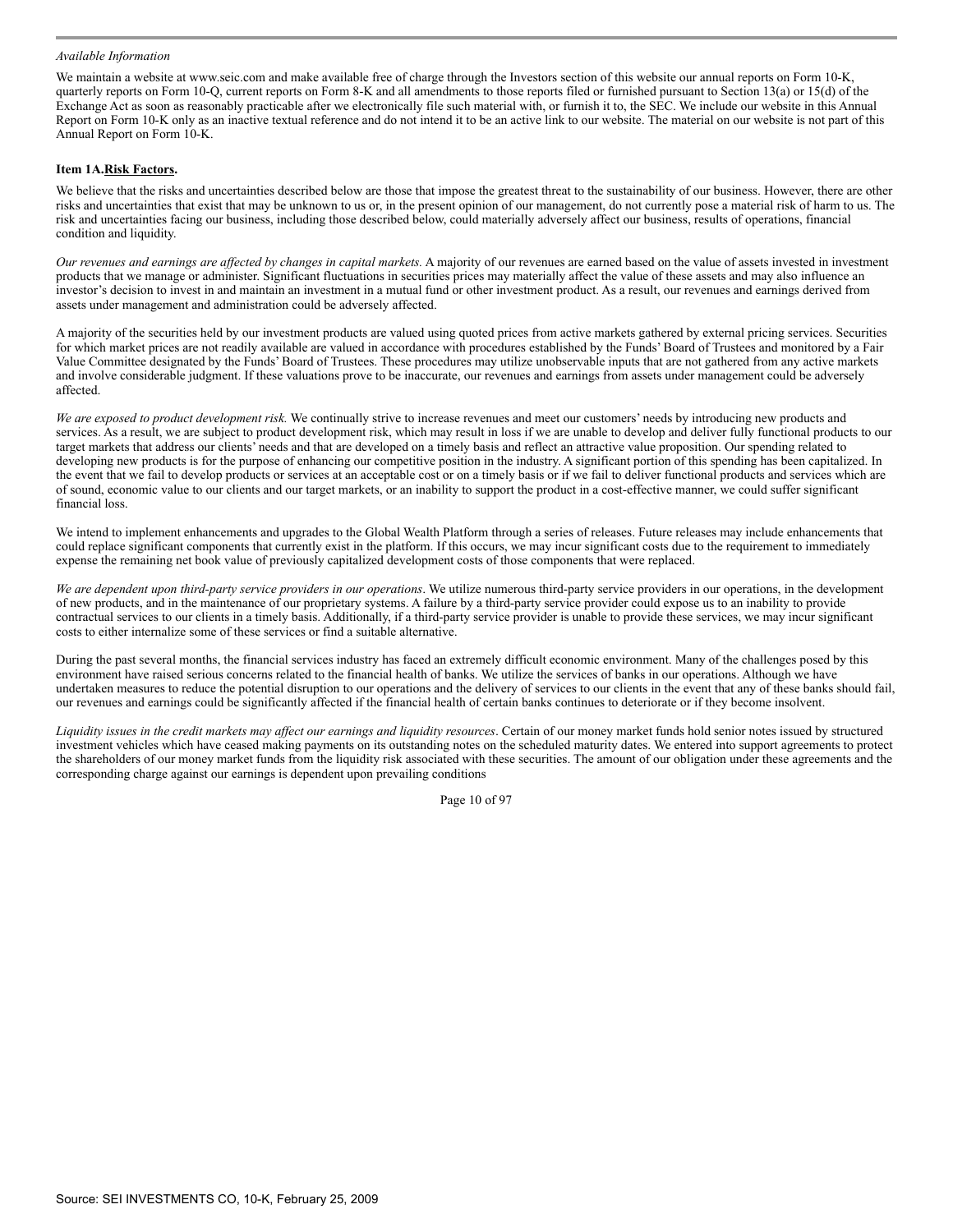#### <span id="page-14-0"></span>*Available Information*

We maintain a website at www.seic.com and make available free of charge through the Investors section of this website our annual reports on Form 10-K, quarterly reports on Form 10-Q, current reports on Form 8-K and all amendments to those reports filed or furnished pursuant to Section 13(a) or 15(d) of the Exchange Act as soon as reasonably practicable after we electronically file such material with, or furnish it to, the SEC. We include our website in this Annual Report on Form 10-K only as an inactive textual reference and do not intend it to be an active link to our website. The material on our website is not part of this Annual Report on Form 10-K.

#### **Item 1A.Risk Factors.**

We believe that the risks and uncertainties described below are those that impose the greatest threat to the sustainability of our business. However, there are other risks and uncertainties that exist that may be unknown to us or, in the present opinion of our management, do not currently pose a material risk of harm to us. The risk and uncertainties facing our business, including those described below, could materially adversely affect our business, results of operations, financial condition and liquidity.

*Our revenues and earnings are affected by changes in capital markets.* A majority of our revenues are earned based on the value of assets invested in investment products that we manage or administer. Significant fluctuations in securities prices may materially affect the value of these assets and may also influence an investor's decision to invest in and maintain an investment in a mutual fund or other investment product. As a result, our revenues and earnings derived from assets under management and administration could be adversely affected.

A majority of the securities held by our investment products are valued using quoted prices from active markets gathered by external pricing services. Securities for which market prices are not readily available are valued in accordance with procedures established by the Funds' Board of Trustees and monitored by a Fair Value Committee designated by the Funds' Board of Trustees. These procedures may utilize unobservable inputs that are not gathered from any active markets and involve considerable judgment. If these valuations prove to be inaccurate, our revenues and earnings from assets under management could be adversely affected.

*We are exposed to product development risk.* We continually strive to increase revenues and meet our customers' needs by introducing new products and services. As a result, we are subject to product development risk, which may result in loss if we are unable to develop and deliver fully functional products to our target markets that address our clients' needs and that are developed on a timely basis and reflect an attractive value proposition. Our spending related to developing new products is for the purpose of enhancing our competitive position in the industry. A significant portion of this spending has been capitalized. In the event that we fail to develop products or services at an acceptable cost or on a timely basis or if we fail to deliver functional products and services which are of sound, economic value to our clients and our target markets, or an inability to support the product in a cost-effective manner, we could suffer significant financial loss.

We intend to implement enhancements and upgrades to the Global Wealth Platform through a series of releases. Future releases may include enhancements that could replace significant components that currently exist in the platform. If this occurs, we may incur significant costs due to the requirement to immediately expense the remaining net book value of previously capitalized development costs of those components that were replaced.

*We are dependent upon third-party service providers in our operations*. We utilize numerous third-party service providers in our operations, in the development of new products, and in the maintenance of our proprietary systems. A failure by a third-party service provider could expose us to an inability to provide contractual services to our clients in a timely basis. Additionally, if a third-party service provider is unable to provide these services, we may incur significant costs to either internalize some of these services or find a suitable alternative.

During the past several months, the financial services industry has faced an extremely difficult economic environment. Many of the challenges posed by this environment have raised serious concerns related to the financial health of banks. We utilize the services of banks in our operations. Although we have undertaken measures to reduce the potential disruption to our operations and the delivery of services to our clients in the event that any of these banks should fail, our revenues and earnings could be significantly affected if the financial health of certain banks continues to deteriorate or if they become insolvent.

*Liquidity issues in the credit markets may affect our earnings and liquidity resources*. Certain of our money market funds hold senior notes issued by structured investment vehicles which have ceased making payments on its outstanding notes on the scheduled maturity dates. We entered into support agreements to protect the shareholders of our money market funds from the liquidity risk associated with these securities. The amount of our obligation under these agreements and the corresponding charge against our earnings is dependent upon prevailing conditions

Page 10 of 97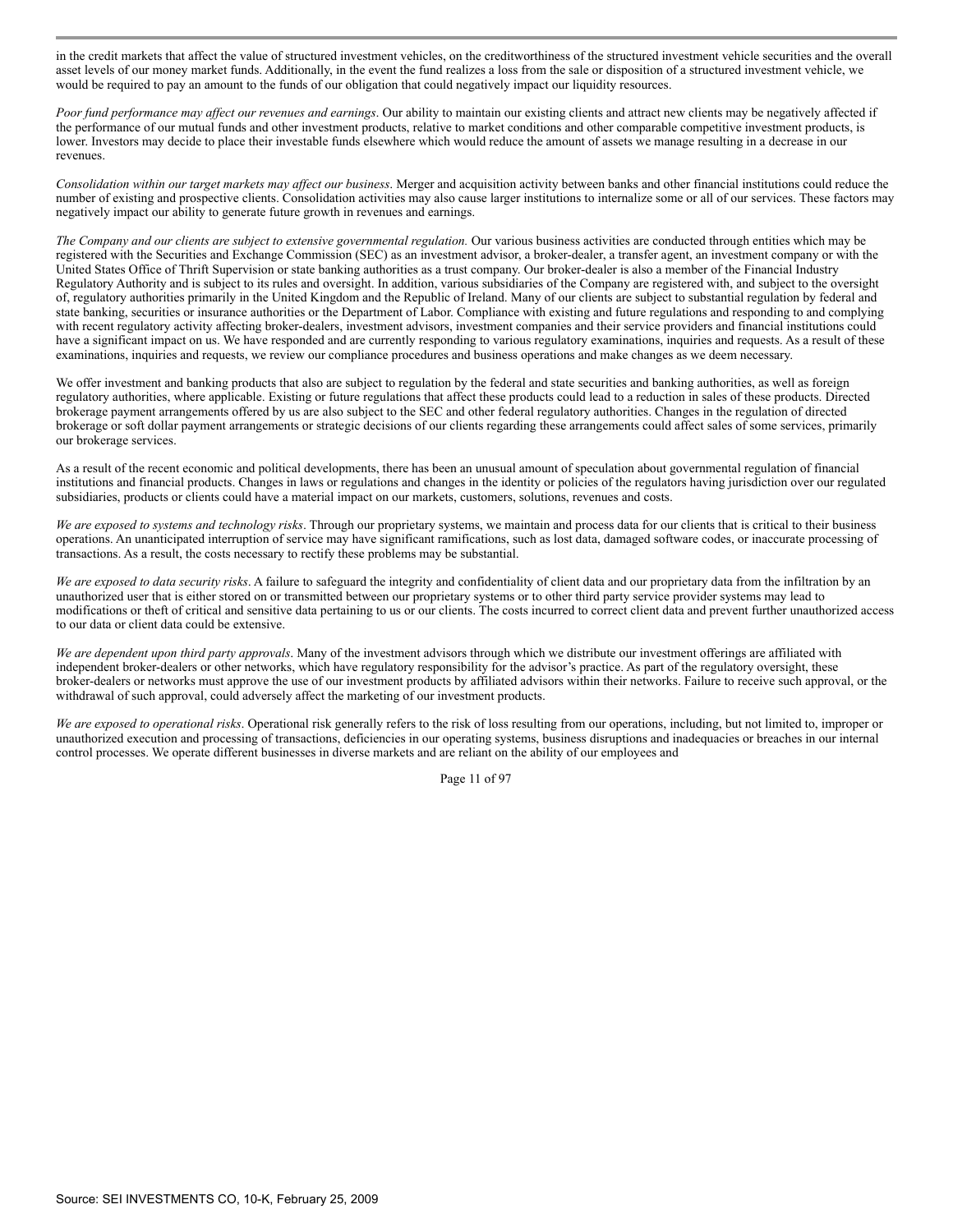in the credit markets that affect the value of structured investment vehicles, on the creditworthiness of the structured investment vehicle securities and the overall asset levels of our money market funds. Additionally, in the event the fund realizes a loss from the sale or disposition of a structured investment vehicle, we would be required to pay an amount to the funds of our obligation that could negatively impact our liquidity resources.

*Poor fund performance may affect our revenues and earnings*. Our ability to maintain our existing clients and attract new clients may be negatively affected if the performance of our mutual funds and other investment products, relative to market conditions and other comparable competitive investment products, is lower. Investors may decide to place their investable funds elsewhere which would reduce the amount of assets we manage resulting in a decrease in our revenues.

*Consolidation within our target markets may affect our business*. Merger and acquisition activity between banks and other financial institutions could reduce the number of existing and prospective clients. Consolidation activities may also cause larger institutions to internalize some or all of our services. These factors may negatively impact our ability to generate future growth in revenues and earnings.

*The Company and our clients are subject to extensive governmental regulation.* Our various business activities are conducted through entities which may be registered with the Securities and Exchange Commission (SEC) as an investment advisor, a broker-dealer, a transfer agent, an investment company or with the United States Office of Thrift Supervision or state banking authorities as a trust company. Our broker-dealer is also a member of the Financial Industry Regulatory Authority and is subject to its rules and oversight. In addition, various subsidiaries of the Company are registered with, and subject to the oversight of, regulatory authorities primarily in the United Kingdom and the Republic of Ireland. Many of our clients are subject to substantial regulation by federal and state banking, securities or insurance authorities or the Department of Labor. Compliance with existing and future regulations and responding to and complying with recent regulatory activity affecting broker-dealers, investment advisors, investment companies and their service providers and financial institutions could have a significant impact on us. We have responded and are currently responding to various regulatory examinations, inquiries and requests. As a result of these examinations, inquiries and requests, we review our compliance procedures and business operations and make changes as we deem necessary.

We offer investment and banking products that also are subject to regulation by the federal and state securities and banking authorities, as well as foreign regulatory authorities, where applicable. Existing or future regulations that affect these products could lead to a reduction in sales of these products. Directed brokerage payment arrangements offered by us are also subject to the SEC and other federal regulatory authorities. Changes in the regulation of directed brokerage or soft dollar payment arrangements or strategic decisions of our clients regarding these arrangements could affect sales of some services, primarily our brokerage services.

As a result of the recent economic and political developments, there has been an unusual amount of speculation about governmental regulation of financial institutions and financial products. Changes in laws or regulations and changes in the identity or policies of the regulators having jurisdiction over our regulated subsidiaries, products or clients could have a material impact on our markets, customers, solutions, revenues and costs.

*We are exposed to systems and technology risks*. Through our proprietary systems, we maintain and process data for our clients that is critical to their business operations. An unanticipated interruption of service may have significant ramifications, such as lost data, damaged software codes, or inaccurate processing of transactions. As a result, the costs necessary to rectify these problems may be substantial.

*We are exposed to data security risks*. A failure to safeguard the integrity and confidentiality of client data and our proprietary data from the infiltration by an unauthorized user that is either stored on or transmitted between our proprietary systems or to other third party service provider systems may lead to modifications or theft of critical and sensitive data pertaining to us or our clients. The costs incurred to correct client data and prevent further unauthorized access to our data or client data could be extensive.

*We are dependent upon third party approvals*. Many of the investment advisors through which we distribute our investment offerings are affiliated with independent broker-dealers or other networks, which have regulatory responsibility for the advisor's practice. As part of the regulatory oversight, these broker-dealers or networks must approve the use of our investment products by affiliated advisors within their networks. Failure to receive such approval, or the withdrawal of such approval, could adversely affect the marketing of our investment products.

*We are exposed to operational risks*. Operational risk generally refers to the risk of loss resulting from our operations, including, but not limited to, improper or unauthorized execution and processing of transactions, deficiencies in our operating systems, business disruptions and inadequacies or breaches in our internal control processes. We operate different businesses in diverse markets and are reliant on the ability of our employees and

Page 11 of 97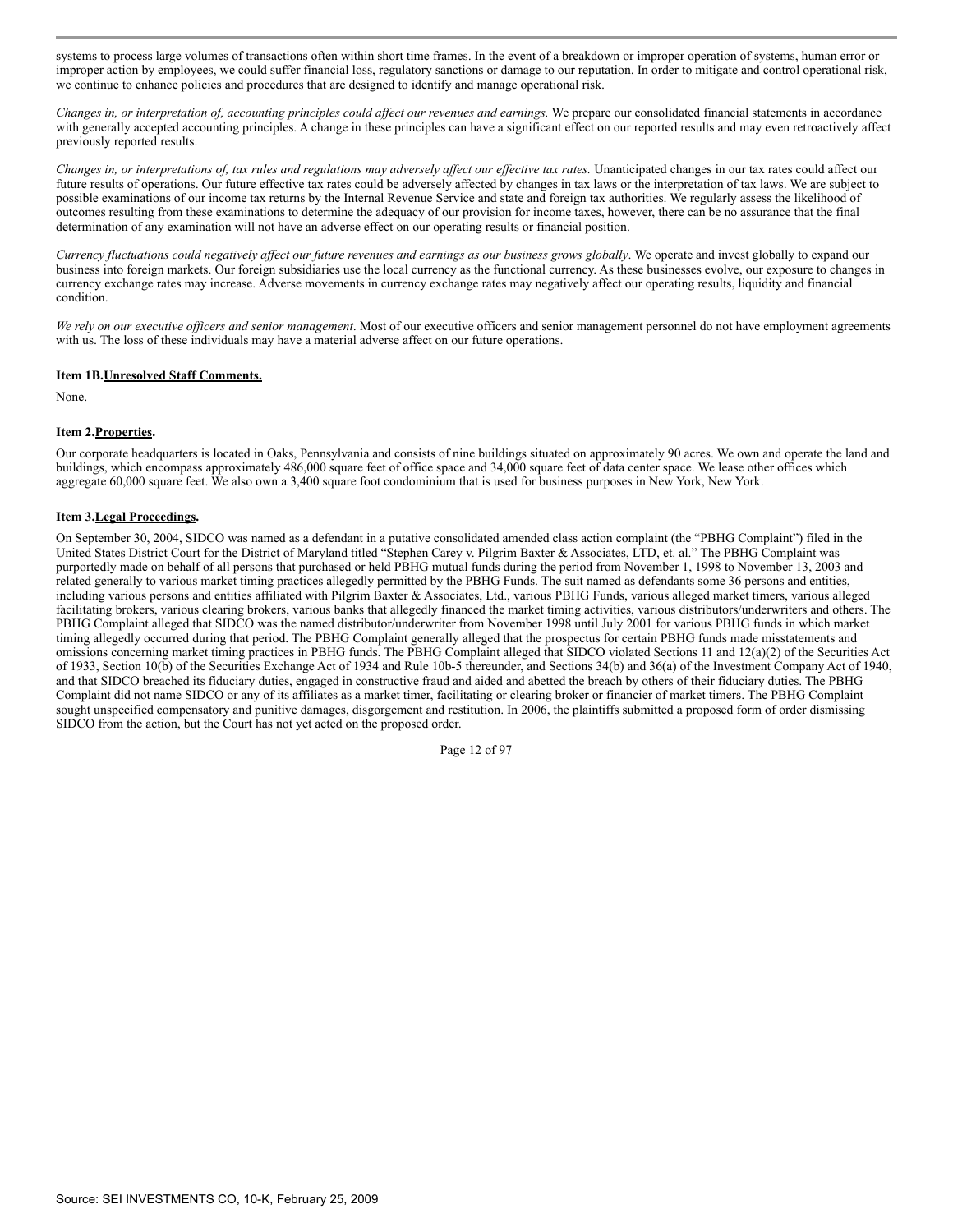<span id="page-16-0"></span>systems to process large volumes of transactions often within short time frames. In the event of a breakdown or improper operation of systems, human error or improper action by employees, we could suffer financial loss, regulatory sanctions or damage to our reputation. In order to mitigate and control operational risk, we continue to enhance policies and procedures that are designed to identify and manage operational risk.

*Changes in, or interpretation of, accounting principles could affect our revenues and earnings.* We prepare our consolidated financial statements in accordance with generally accepted accounting principles. A change in these principles can have a significant effect on our reported results and may even retroactively affect previously reported results.

*Changes in, or interpretations of, tax rules and regulations may adversely affect our effective tax rates.* Unanticipated changes in our tax rates could affect our future results of operations. Our future effective tax rates could be adversely affected by changes in tax laws or the interpretation of tax laws. We are subject to possible examinations of our income tax returns by the Internal Revenue Service and state and foreign tax authorities. We regularly assess the likelihood of outcomes resulting from these examinations to determine the adequacy of our provision for income taxes, however, there can be no assurance that the final determination of any examination will not have an adverse effect on our operating results or financial position.

*Currency fluctuations could negatively affect our future revenues and earnings as our business grows globally*. We operate and invest globally to expand our business into foreign markets. Our foreign subsidiaries use the local currency as the functional currency. As these businesses evolve, our exposure to changes in currency exchange rates may increase. Adverse movements in currency exchange rates may negatively affect our operating results, liquidity and financial condition.

*We rely on our executive officers and senior management*. Most of our executive officers and senior management personnel do not have employment agreements with us. The loss of these individuals may have a material adverse affect on our future operations.

#### **Item 1B.Unresolved Staff Comments.**

None.

#### **Item 2.Properties.**

Our corporate headquarters is located in Oaks, Pennsylvania and consists of nine buildings situated on approximately 90 acres. We own and operate the land and buildings, which encompass approximately 486,000 square feet of office space and 34,000 square feet of data center space. We lease other offices which aggregate 60,000 square feet. We also own a 3,400 square foot condominium that is used for business purposes in New York, New York.

#### **Item 3.Legal Proceedings.**

On September 30, 2004, SIDCO was named as a defendant in a putative consolidated amended class action complaint (the "PBHG Complaint") filed in the United States District Court for the District of Maryland titled "Stephen Carey v. Pilgrim Baxter & Associates, LTD, et. al." The PBHG Complaint was purportedly made on behalf of all persons that purchased or held PBHG mutual funds during the period from November 1, 1998 to November 13, 2003 and related generally to various market timing practices allegedly permitted by the PBHG Funds. The suit named as defendants some 36 persons and entities, including various persons and entities affiliated with Pilgrim Baxter & Associates, Ltd., various PBHG Funds, various alleged market timers, various alleged facilitating brokers, various clearing brokers, various banks that allegedly financed the market timing activities, various distributors/underwriters and others. The PBHG Complaint alleged that SIDCO was the named distributor/underwriter from November 1998 until July 2001 for various PBHG funds in which market timing allegedly occurred during that period. The PBHG Complaint generally alleged that the prospectus for certain PBHG funds made misstatements and omissions concerning market timing practices in PBHG funds. The PBHG Complaint alleged that SIDCO violated Sections 11 and 12(a)(2) of the Securities Act of 1933, Section 10(b) of the Securities Exchange Act of 1934 and Rule 10b-5 thereunder, and Sections 34(b) and 36(a) of the Investment Company Act of 1940, and that SIDCO breached its fiduciary duties, engaged in constructive fraud and aided and abetted the breach by others of their fiduciary duties. The PBHG Complaint did not name SIDCO or any of its affiliates as a market timer, facilitating or clearing broker or financier of market timers. The PBHG Complaint sought unspecified compensatory and punitive damages, disgorgement and restitution. In 2006, the plaintiffs submitted a proposed form of order dismissing SIDCO from the action, but the Court has not yet acted on the proposed order.

Page 12 of 97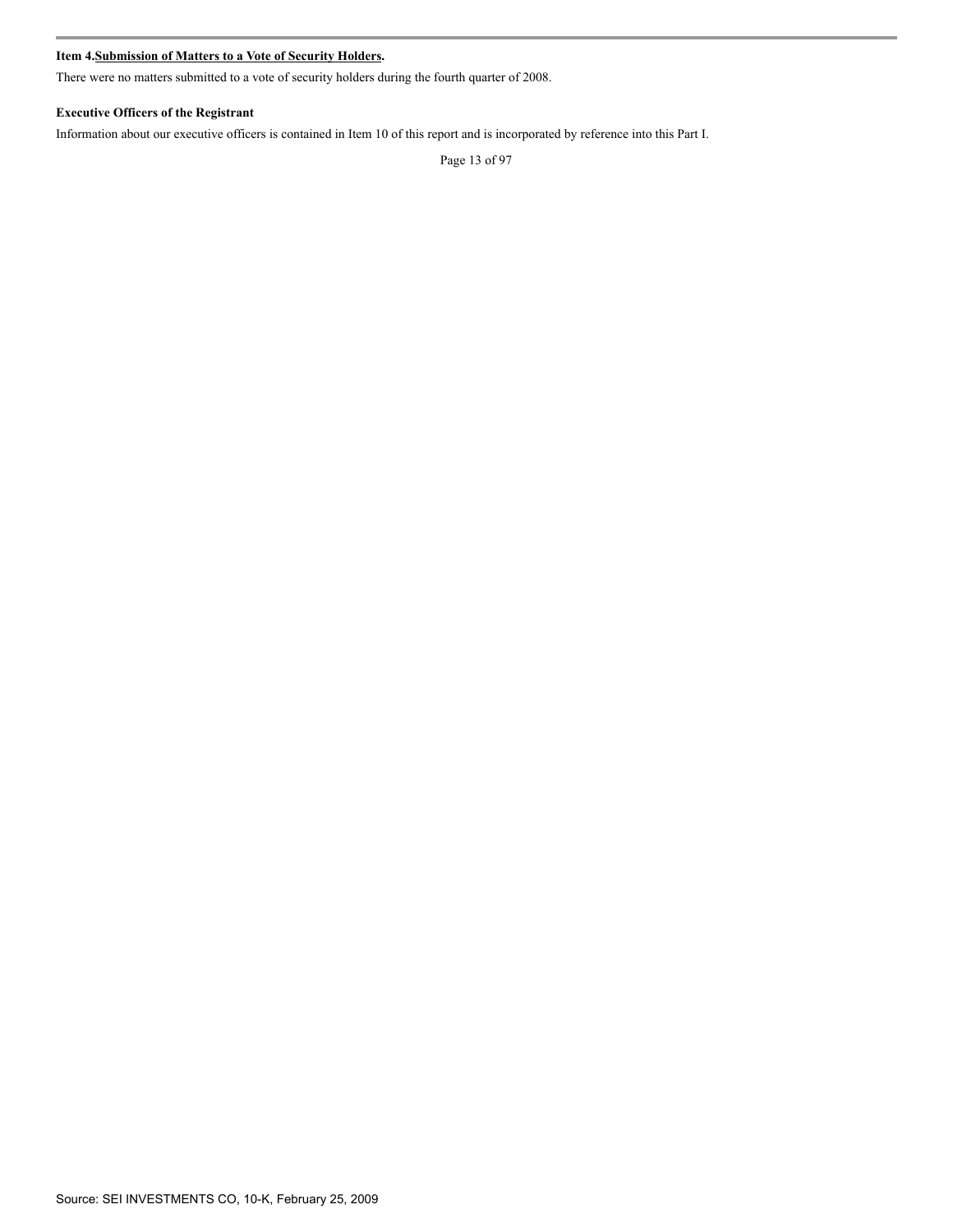#### <span id="page-17-0"></span>**Item 4.Submission of Matters to a Vote of Security Holders.**

There were no matters submitted to a vote of security holders during the fourth quarter of 2008.

#### **Executive Officers of the Registrant**

Information about our executive officers is contained in Item 10 of this report and is incorporated by reference into this Part I.

Page 13 of 97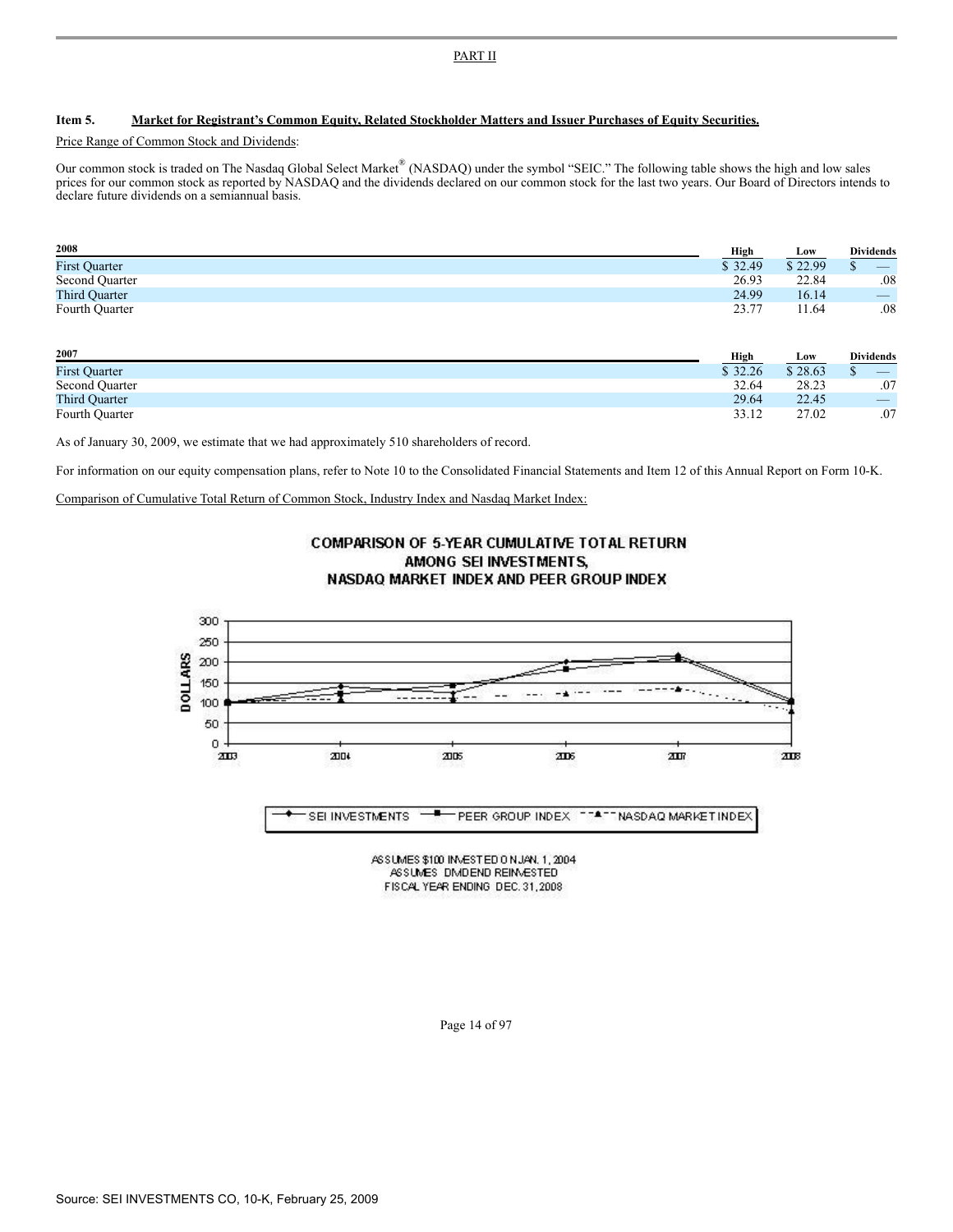#### PART II

#### <span id="page-18-0"></span>**Item 5. Market for Registrant's Common Equity, Related Stockholder Matters and Issuer Purchases of Equity Securities.**

#### Price Range of Common Stock and Dividends:

Our common stock is traded on The Nasdaq Global Select Market® (NASDAQ) under the symbol "SEIC." The following table shows the high and low sales prices for our common stock as reported by NASDAQ and the dividends declared on our common stock for the last two years. Our Board of Directors intends to declare future dividends on a semiannual basis.

| 2008                 | <b>High</b> | Low     | <b>Dividends</b>         |
|----------------------|-------------|---------|--------------------------|
| <b>First Quarter</b> | \$32.49     | \$22.99 | __                       |
| Second Quarter       | 26.93       | 22.84   | .08                      |
| <b>Third Quarter</b> | 24.99       | 16.14   | $\overline{\phantom{0}}$ |
| Fourth Quarter       | 23.77       | 11.64   | .08                      |
|                      |             |         |                          |

| 2007                 | High    | Low     | <b>Dividends</b> |
|----------------------|---------|---------|------------------|
| <b>First Quarter</b> | \$32.26 | \$28.63 | __               |
| Second Quarter       | 32.64   | 28.23   | .07              |
| <b>Third Quarter</b> | 29.64   | 22.45   |                  |
| Fourth Ouarter       | 33.12   | 27.02   | .07              |

As of January 30, 2009, we estimate that we had approximately 510 shareholders of record.

For information on our equity compensation plans, refer to Note 10 to the Consolidated Financial Statements and Item 12 of this Annual Report on Form 10-K.

Comparison of Cumulative Total Return of Common Stock, Industry Index and Nasdaq Market Index:



ASSUMES \$100 INVESTED ON JAN. 1, 2004 ASSUMES DIMDEND REINVESTED FISCAL YEAR ENDING DEC. 31, 2008

Page 14 of 97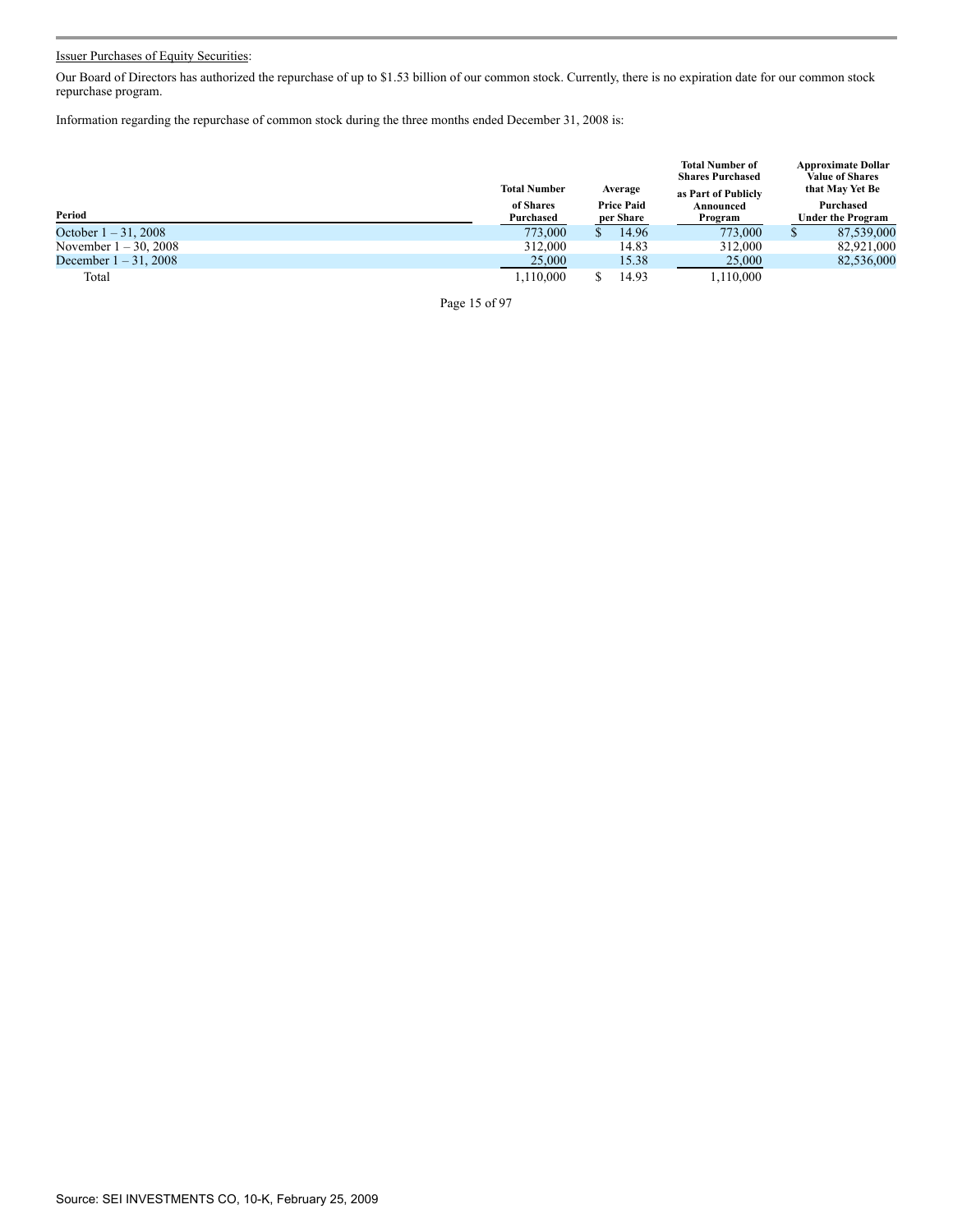#### Issuer Purchases of Equity Securities:

Our Board of Directors has authorized the repurchase of up to \$1.53 billion of our common stock. Currently, there is no expiration date for our common stock repurchase program.

Information regarding the repurchase of common stock during the three months ended December 31, 2008 is:

|                          | <b>Total Number</b>    |                                | Average | <b>Total Number of</b><br><b>Shares Purchased</b><br>as Part of Publicly | <b>Approximate Dollar</b><br><b>Value of Shares</b><br>that May Yet Be |
|--------------------------|------------------------|--------------------------------|---------|--------------------------------------------------------------------------|------------------------------------------------------------------------|
| Period                   | of Shares<br>Purchased | <b>Price Paid</b><br>per Share |         | Announced<br>Program                                                     | Purchased<br>Under the Program                                         |
| October $1 - 31$ , 2008  | 773,000                |                                | 14.96   | 773,000                                                                  | 87,539,000                                                             |
| November $1 - 30$ , 2008 | 312,000                |                                | 14.83   | 312,000                                                                  | 82,921,000                                                             |
| December $1 - 31$ , 2008 | 25,000                 |                                | 15.38   | 25,000                                                                   | 82,536,000                                                             |
| Total                    | 1,110,000              |                                | 14.93   | ,110,000                                                                 |                                                                        |

Page 15 of 97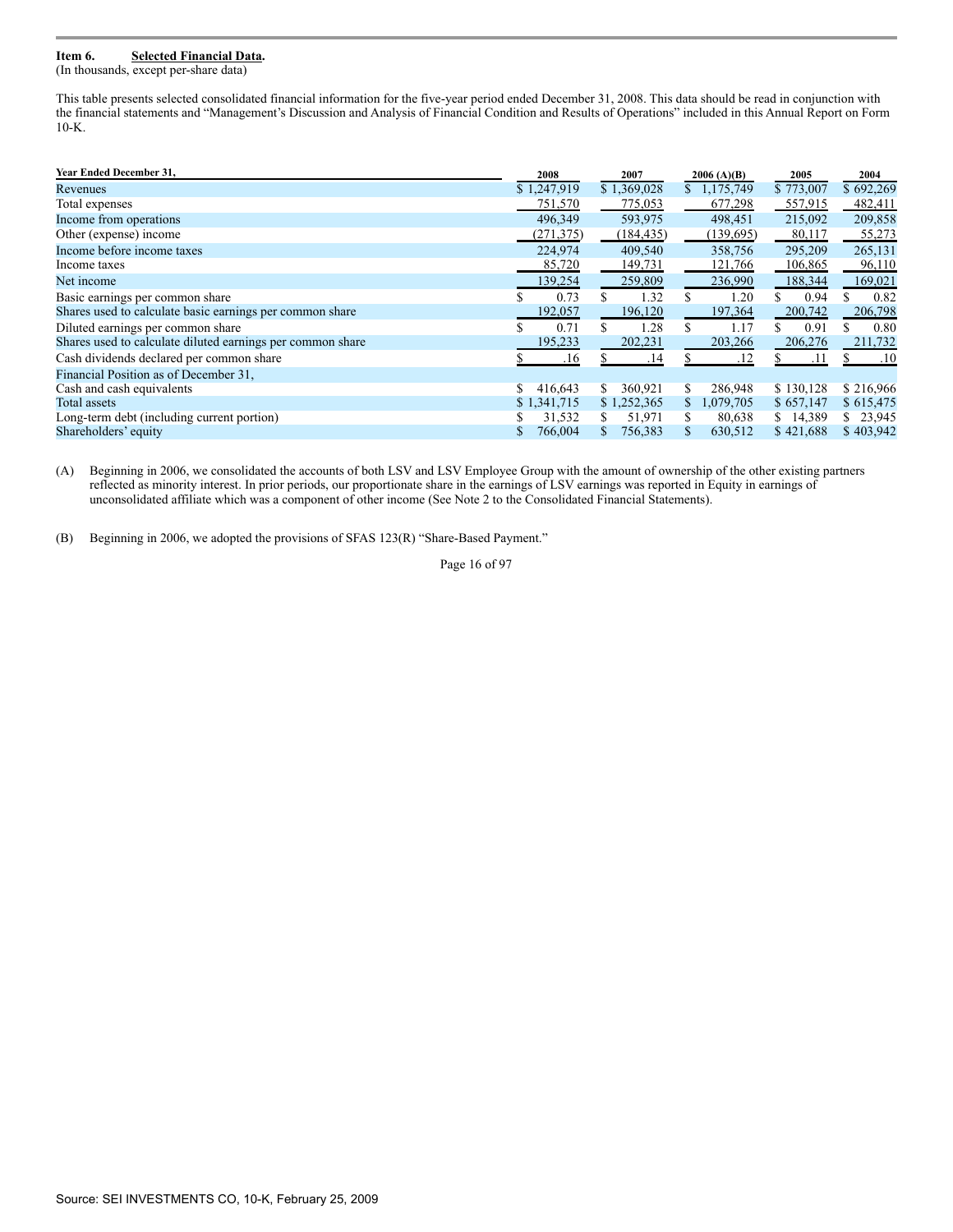#### <span id="page-20-0"></span>**Item 6. Selected Financial Data.**

(In thousands, except per-share data)

This table presents selected consolidated financial information for the five-year period ended December 31, 2008. This data should be read in conjunction with the financial statements and "Management's Discussion and Analysis of Financial Condition and Results of Operations" included in this Annual Report on Form 10-K.

| <b>Year Ended December 31,</b>                             | 2008         | 2007        | 2006(A)(B)       | 2005      | 2004      |
|------------------------------------------------------------|--------------|-------------|------------------|-----------|-----------|
| Revenues                                                   | \$1,247,919  | \$1,369,028 | \$1,175,749      | \$773,007 | \$692,269 |
| Total expenses                                             | 751,570      | 775,053     | 677,298          | 557,915   | 482,411   |
| Income from operations                                     | 496,349      | 593,975     | 498,451          | 215,092   | 209,858   |
| Other (expense) income                                     | (271, 375)   | (184, 435)  | (139,695)        | 80,117    | 55,273    |
| Income before income taxes                                 | 224,974      | 409,540     | 358,756          | 295,209   | 265,131   |
| Income taxes                                               | 85,720       | 149,731     | 121,766          | 106,865   | 96,110    |
| Net income                                                 | 139,254      | 259,809     | 236,990          | 188,344   | 169,021   |
| Basic earnings per common share                            | 0.73         | 1.32        | 1.20<br>У        | 0.94      | 0.82      |
| Shares used to calculate basic earnings per common share   | 192,057      | 196,120     | 197,364          | 200,742   | 206,798   |
| Diluted earnings per common share                          | 0.71         | .28<br>\$.  | 1.17<br>S        | 0.91      | 0.80      |
| Shares used to calculate diluted earnings per common share | 195,233      | 202,231     | 203,266          | 206,276   | 211,732   |
| Cash dividends declared per common share                   | .16          | .14         | .12              | .11       | .10       |
| Financial Position as of December 31.                      |              |             |                  |           |           |
| Cash and cash equivalents                                  | S<br>416.643 | 360,921     | \$<br>286,948    | \$130,128 | \$216,966 |
| Total assets                                               | \$1,341,715  | \$1,252,365 | 1,079,705<br>\$. | \$657,147 | \$615,475 |
| Long-term debt (including current portion)                 | 31,532       | 51,971      | 80,638<br>S.     | \$14,389  | \$23,945  |
| Shareholders' equity                                       | 766,004      | 756,383     | 630,512          | \$421,688 | \$403,942 |

(A) Beginning in 2006, we consolidated the accounts of both LSV and LSV Employee Group with the amount of ownership of the other existing partners reflected as minority interest. In prior periods, our proportionate share in the earnings of LSV earnings was reported in Equity in earnings of unconsolidated affiliate which was a component of other income (See Note 2 to the Consolidated Financial Statements).

(B) Beginning in 2006, we adopted the provisions of SFAS 123(R) "Share-Based Payment."

Page 16 of 97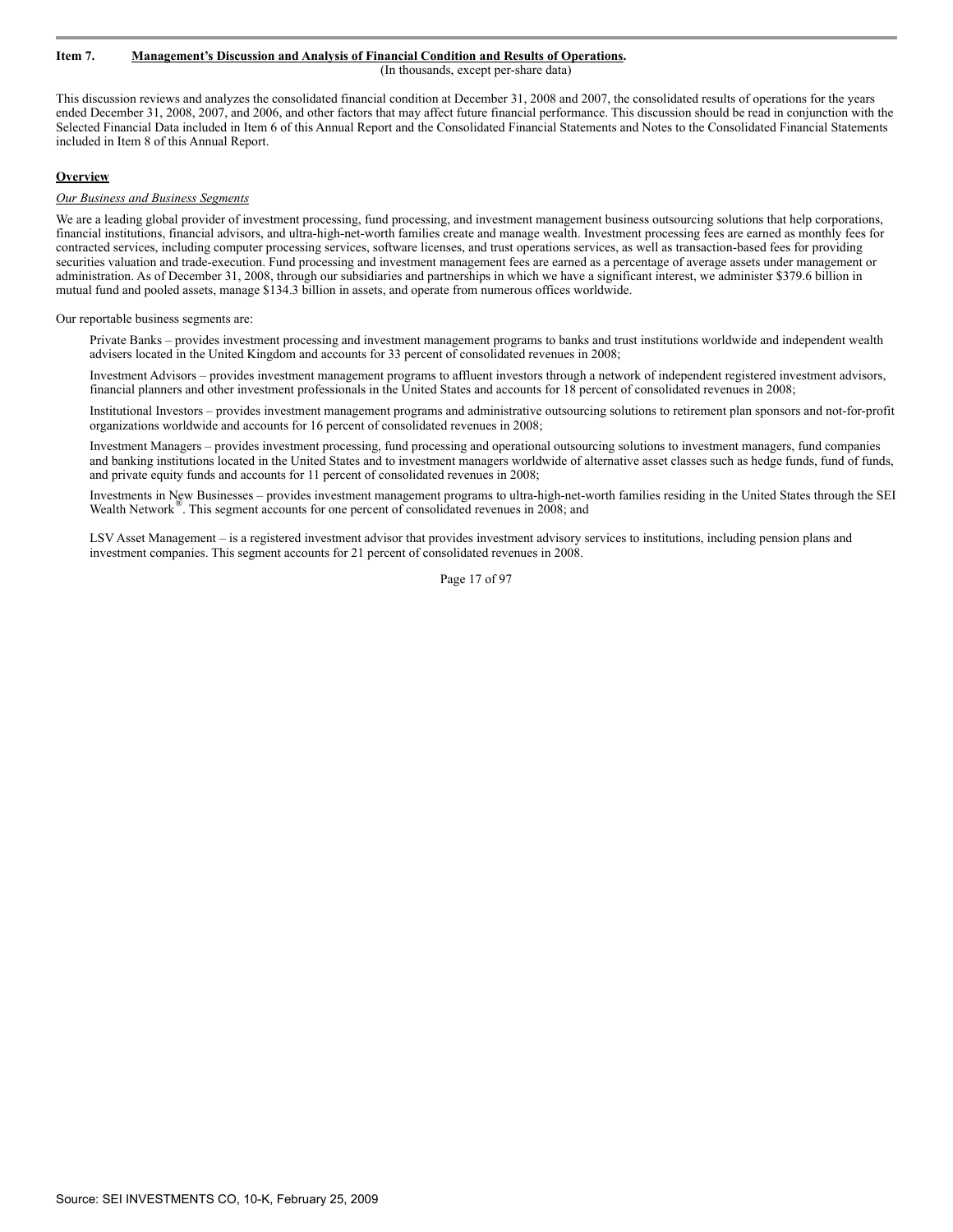#### <span id="page-21-0"></span>**Item 7. Management's Discussion and Analysis of Financial Condition and Results of Operations.**

(In thousands, except per-share data)

This discussion reviews and analyzes the consolidated financial condition at December 31, 2008 and 2007, the consolidated results of operations for the years ended December 31, 2008, 2007, and 2006, and other factors that may affect future financial performance. This discussion should be read in conjunction with the Selected Financial Data included in Item 6 of this Annual Report and the Consolidated Financial Statements and Notes to the Consolidated Financial Statements included in Item 8 of this Annual Report.

#### **Overview**

#### *Our Business and Business Segments*

We are a leading global provider of investment processing, fund processing, and investment management business outsourcing solutions that help corporations, financial institutions, financial advisors, and ultra-high-net-worth families create and manage wealth. Investment processing fees are earned as monthly fees for contracted services, including computer processing services, software licenses, and trust operations services, as well as transaction-based fees for providing securities valuation and trade-execution. Fund processing and investment management fees are earned as a percentage of average assets under management or administration. As of December 31, 2008, through our subsidiaries and partnerships in which we have a significant interest, we administer \$379.6 billion in mutual fund and pooled assets, manage \$134.3 billion in assets, and operate from numerous offices worldwide.

Our reportable business segments are:

Private Banks – provides investment processing and investment management programs to banks and trust institutions worldwide and independent wealth advisers located in the United Kingdom and accounts for 33 percent of consolidated revenues in 2008;

Investment Advisors – provides investment management programs to affluent investors through a network of independent registered investment advisors, financial planners and other investment professionals in the United States and accounts for 18 percent of consolidated revenues in 2008;

Institutional Investors – provides investment management programs and administrative outsourcing solutions to retirement plan sponsors and not-for-profit organizations worldwide and accounts for 16 percent of consolidated revenues in 2008;

Investment Managers – provides investment processing, fund processing and operational outsourcing solutions to investment managers, fund companies and banking institutions located in the United States and to investment managers worldwide of alternative asset classes such as hedge funds, fund of funds, and private equity funds and accounts for 11 percent of consolidated revenues in 2008;

Investments in New Businesses – provides investment management programs to ultra-high-net-worth families residing in the United States through the SEI Wealth Network<sup>®</sup>. This segment accounts for one percent of consolidated revenues in 2008; and

LSV Asset Management – is a registered investment advisor that provides investment advisory services to institutions, including pension plans and investment companies. This segment accounts for 21 percent of consolidated revenues in 2008.

Page 17 of 97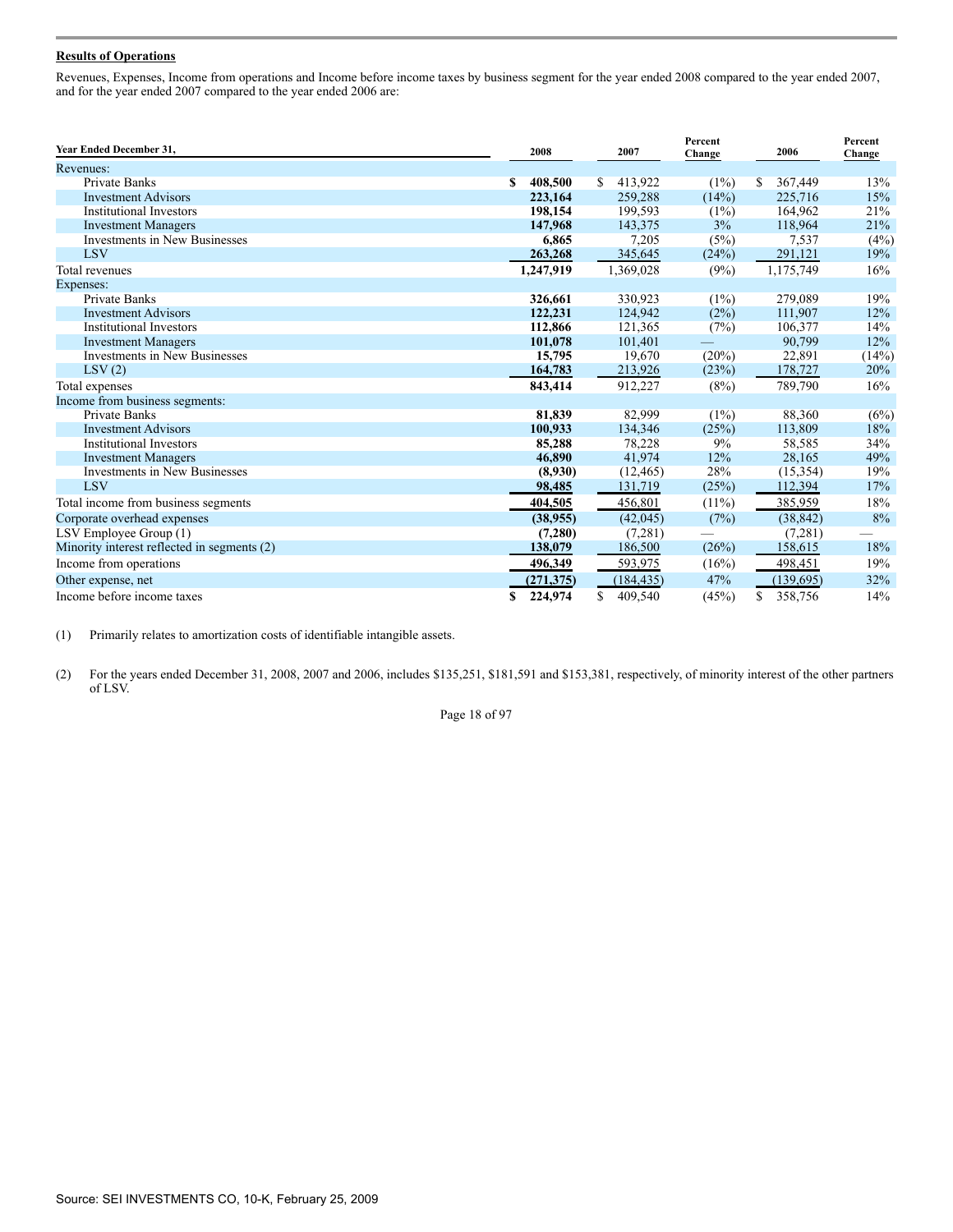#### **Results of Operations**

Revenues, Expenses, Income from operations and Income before income taxes by business segment for the year ended 2008 compared to the year ended 2007, and for the year ended 2007 compared to the year ended 2006 are:

| <b>Year Ended December 31,</b>              | 2008         | 2007          | Percent<br>Change | 2006         | Percent<br>Change |
|---------------------------------------------|--------------|---------------|-------------------|--------------|-------------------|
| Revenues:                                   |              |               |                   |              |                   |
| Private Banks                               | 408,500<br>S | 413.922<br>S. | (1%)              | 367.449<br>S | 13%               |
| <b>Investment Advisors</b>                  | 223,164      | 259,288       | (14%)             | 225,716      | 15%               |
| <b>Institutional Investors</b>              | 198,154      | 199,593       | (1%)              | 164,962      | 21%               |
| <b>Investment Managers</b>                  | 147,968      | 143,375       | 3%                | 118,964      | 21%               |
| <b>Investments in New Businesses</b>        | 6,865        | 7,205         | (5%)              | 7,537        | (4%)              |
| <b>LSV</b>                                  | 263,268      | 345,645       | (24%)             | 291,121      | 19%               |
| Total revenues                              | 1,247,919    | 1,369,028     | (9%)              | 1,175,749    | 16%               |
| Expenses:                                   |              |               |                   |              |                   |
| <b>Private Banks</b>                        | 326,661      | 330,923       | (1%)              | 279,089      | 19%               |
| <b>Investment Advisors</b>                  | 122,231      | 124,942       | (2%)              | 111,907      | 12%               |
| <b>Institutional Investors</b>              | 112,866      | 121,365       | (7%)              | 106,377      | 14%               |
| <b>Investment Managers</b>                  | 101.078      | 101,401       |                   | 90,799       | 12%               |
| <b>Investments in New Businesses</b>        | 15,795       | 19,670        | (20%)             | 22,891       | (14%)             |
| LSV(2)                                      | 164,783      | 213,926       | (23%)             | 178,727      | 20%               |
| Total expenses                              | 843,414      | 912,227       | (8%)              | 789,790      | 16%               |
| Income from business segments:              |              |               |                   |              |                   |
| Private Banks                               | 81.839       | 82,999        | $(1\%)$           | 88,360       | (6%)              |
| <b>Investment Advisors</b>                  | 100,933      | 134,346       | (25%)             | 113,809      | 18%               |
| <b>Institutional Investors</b>              | 85,288       | 78,228        | 9%                | 58,585       | 34%               |
| <b>Investment Managers</b>                  | 46,890       | 41,974        | 12%               | 28,165       | 49%               |
| <b>Investments in New Businesses</b>        | (8,930)      | (12, 465)     | 28%               | (15,354)     | 19%               |
| <b>LSV</b>                                  | 98,485       | 131,719       | (25%)             | 112,394      | 17%               |
| Total income from business segments         | 404,505      | 456,801       | $(11\%)$          | 385,959      | 18%               |
| Corporate overhead expenses                 | (38, 955)    | (42,045)      | (7%)              | (38, 842)    | 8%                |
| LSV Employee Group (1)                      | (7,280)      | (7,281)       |                   | (7,281)      |                   |
| Minority interest reflected in segments (2) | 138,079      | 186,500       | (26%)             | 158,615      | 18%               |
| Income from operations                      | 496,349      | 593,975       | (16%)             | 498,451      | 19%               |
| Other expense, net                          | (271, 375)   | (184, 435)    | 47%               | (139,695)    | 32%               |
| Income before income taxes                  | 224,974<br>S | \$<br>409,540 | (45%)             | 358,756<br>S | 14%               |

(1) Primarily relates to amortization costs of identifiable intangible assets.

(2) For the years ended December 31, 2008, 2007 and 2006, includes \$135,251, \$181,591 and \$153,381, respectively, of minority interest of the other partners of LSV.

Page 18 of 97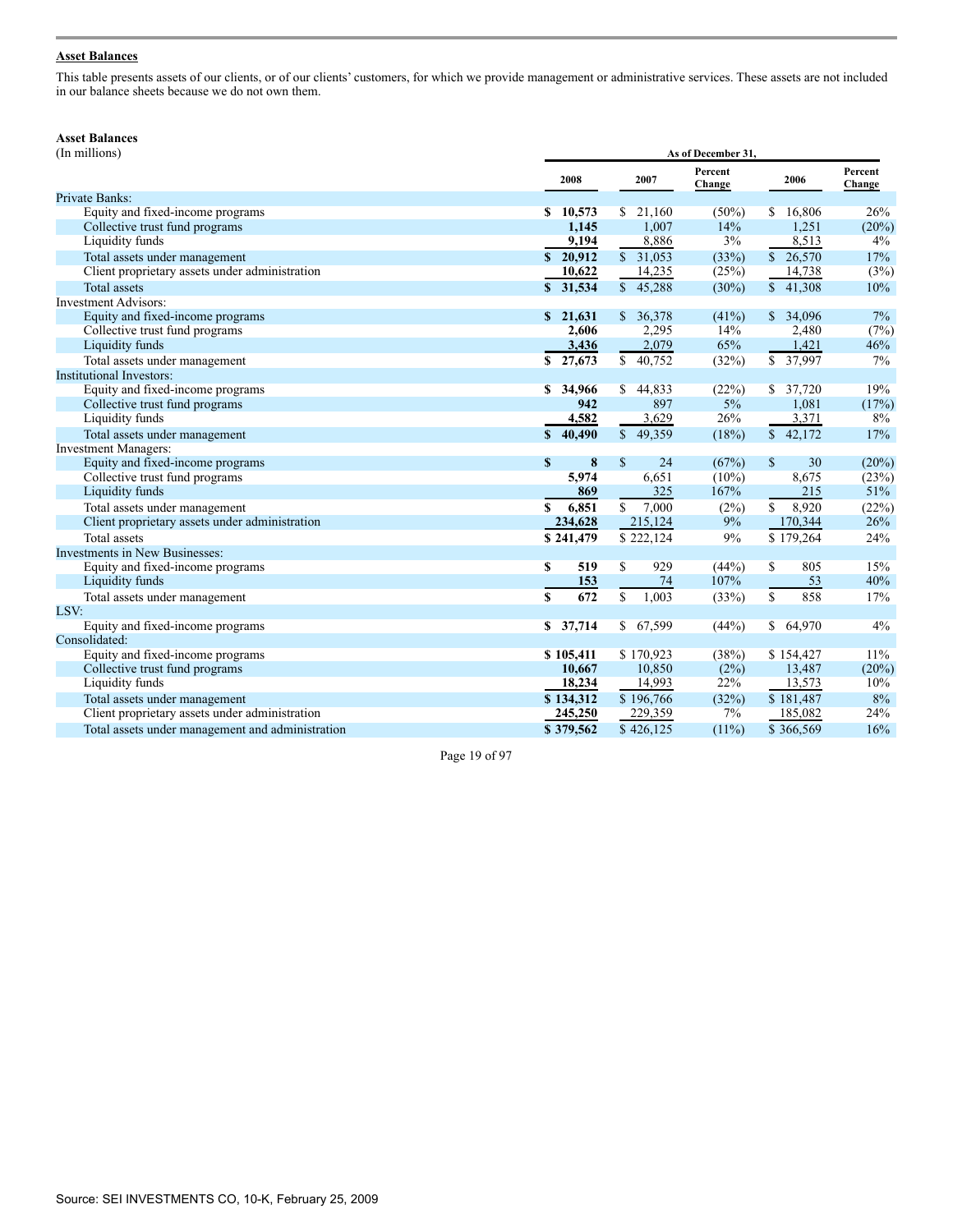#### **Asset Balances**

This table presents assets of our clients, or of our clients' customers, for which we provide management or administrative services. These assets are not included in our balance sheets because we do not own them.

#### **Asset Balances**

| (In millions)                                    |                        | As of December 31, |                   |              |                   |  |  |  |  |  |  |  |  |
|--------------------------------------------------|------------------------|--------------------|-------------------|--------------|-------------------|--|--|--|--|--|--|--|--|
|                                                  | 2008                   | 2007               | Percent<br>Change | 2006         | Percent<br>Change |  |  |  |  |  |  |  |  |
| Private Banks:                                   |                        |                    |                   |              |                   |  |  |  |  |  |  |  |  |
| Equity and fixed-income programs                 | 10,573<br>S.           | \$21,160           | $(50\%)$          | \$16,806     | 26%               |  |  |  |  |  |  |  |  |
| Collective trust fund programs                   | 1,145                  | 1,007              | 14%               | 1,251        | (20%)             |  |  |  |  |  |  |  |  |
| Liquidity funds                                  | 9,194                  | 8,886              | 3%                | 8,513        | 4%                |  |  |  |  |  |  |  |  |
| Total assets under management                    | 20,912<br>$\mathbf{S}$ | \$31,053           | (33%)             | \$26,570     | 17%               |  |  |  |  |  |  |  |  |
| Client proprietary assets under administration   | 10,622                 | 14,235             | (25%)             | 14,738       | (3%)              |  |  |  |  |  |  |  |  |
| <b>Total assets</b>                              | 31,534<br>\$           | \$45,288           | $(30\%)$          | \$41,308     | 10%               |  |  |  |  |  |  |  |  |
| <b>Investment Advisors:</b>                      |                        |                    |                   |              |                   |  |  |  |  |  |  |  |  |
| Equity and fixed-income programs                 | \$21,631               | \$36,378           | $(41\%)$          | \$34,096     | $7\%$             |  |  |  |  |  |  |  |  |
| Collective trust fund programs                   | 2,606                  | 2,295              | 14%               | 2,480        | (7%)              |  |  |  |  |  |  |  |  |
| Liquidity funds                                  | 3,436                  | 2.079              | 65%               | 1.421        | 46%               |  |  |  |  |  |  |  |  |
| Total assets under management                    | \$27,673               | \$40,752           | (32%)             | \$ 37,997    | $7\%$             |  |  |  |  |  |  |  |  |
| <b>Institutional Investors:</b>                  |                        |                    |                   |              |                   |  |  |  |  |  |  |  |  |
| Equity and fixed-income programs                 | 34,966<br>S.           | \$44,833           | (22%)             | 37,720<br>S. | 19%               |  |  |  |  |  |  |  |  |
| Collective trust fund programs                   | 942                    | 897                | $5\%$             | 1,081        | (17%)             |  |  |  |  |  |  |  |  |
| Liquidity funds                                  | 4,582                  | 3,629              | 26%               | 3,371        | 8%                |  |  |  |  |  |  |  |  |
| Total assets under management                    | 40,490<br>$\mathbf{s}$ | \$49,359           | (18%)             | \$42,172     | 17%               |  |  |  |  |  |  |  |  |
| <b>Investment Managers:</b>                      |                        |                    |                   |              |                   |  |  |  |  |  |  |  |  |
| Equity and fixed-income programs                 | 8<br>S                 | $\mathbb{S}$<br>24 | (67%)             | \$<br>30     | (20%)             |  |  |  |  |  |  |  |  |
| Collective trust fund programs                   | 5,974                  | 6,651              | $(10\%)$          | 8,675        | (23%)             |  |  |  |  |  |  |  |  |
| Liquidity funds                                  | 869                    | 325                | 167%              | 215          | 51%               |  |  |  |  |  |  |  |  |
| Total assets under management                    | 6,851<br>\$            | \$<br>7,000        | (2%)              | \$<br>8,920  | (22%)             |  |  |  |  |  |  |  |  |
| Client proprietary assets under administration   | 234,628                | 215,124            | 9%                | 170,344      | 26%               |  |  |  |  |  |  |  |  |
| <b>Total assets</b>                              | \$241,479              | \$222,124          | 9%                | \$179,264    | 24%               |  |  |  |  |  |  |  |  |
| <b>Investments in New Businesses:</b>            |                        |                    |                   |              |                   |  |  |  |  |  |  |  |  |
| Equity and fixed-income programs                 | 519<br>S               | \$<br>929          | (44%)             | \$<br>805    | 15%               |  |  |  |  |  |  |  |  |
| Liquidity funds                                  | 153                    | 74                 | 107%              | 53           | 40%               |  |  |  |  |  |  |  |  |
| Total assets under management                    | 672<br>S               | \$<br>1,003        | (33%)             | \$<br>858    | 17%               |  |  |  |  |  |  |  |  |
| LSV:                                             |                        |                    |                   |              |                   |  |  |  |  |  |  |  |  |
| Equity and fixed-income programs                 | \$37,714               | \$67,599           | (44%)             | \$64,970     | 4%                |  |  |  |  |  |  |  |  |
| Consolidated:                                    |                        |                    |                   |              |                   |  |  |  |  |  |  |  |  |
| Equity and fixed-income programs                 | \$105,411              | \$170,923          | (38%)             | \$154,427    | 11%               |  |  |  |  |  |  |  |  |
| Collective trust fund programs                   | 10,667                 | 10,850             | (2%)              | 13,487       | (20%)             |  |  |  |  |  |  |  |  |
| Liquidity funds                                  | 18,234                 | 14,993             | 22%               | 13,573       | 10%               |  |  |  |  |  |  |  |  |
| Total assets under management                    | \$134,312              | \$196,766          | (32%)             | \$181,487    | 8%                |  |  |  |  |  |  |  |  |
| Client proprietary assets under administration   | 245,250                | 229,359            | 7%                | 185,082      | 24%               |  |  |  |  |  |  |  |  |
| Total assets under management and administration | \$379,562              | \$426.125          | $(11\%)$          | \$366,569    | 16%               |  |  |  |  |  |  |  |  |

Page 19 of 97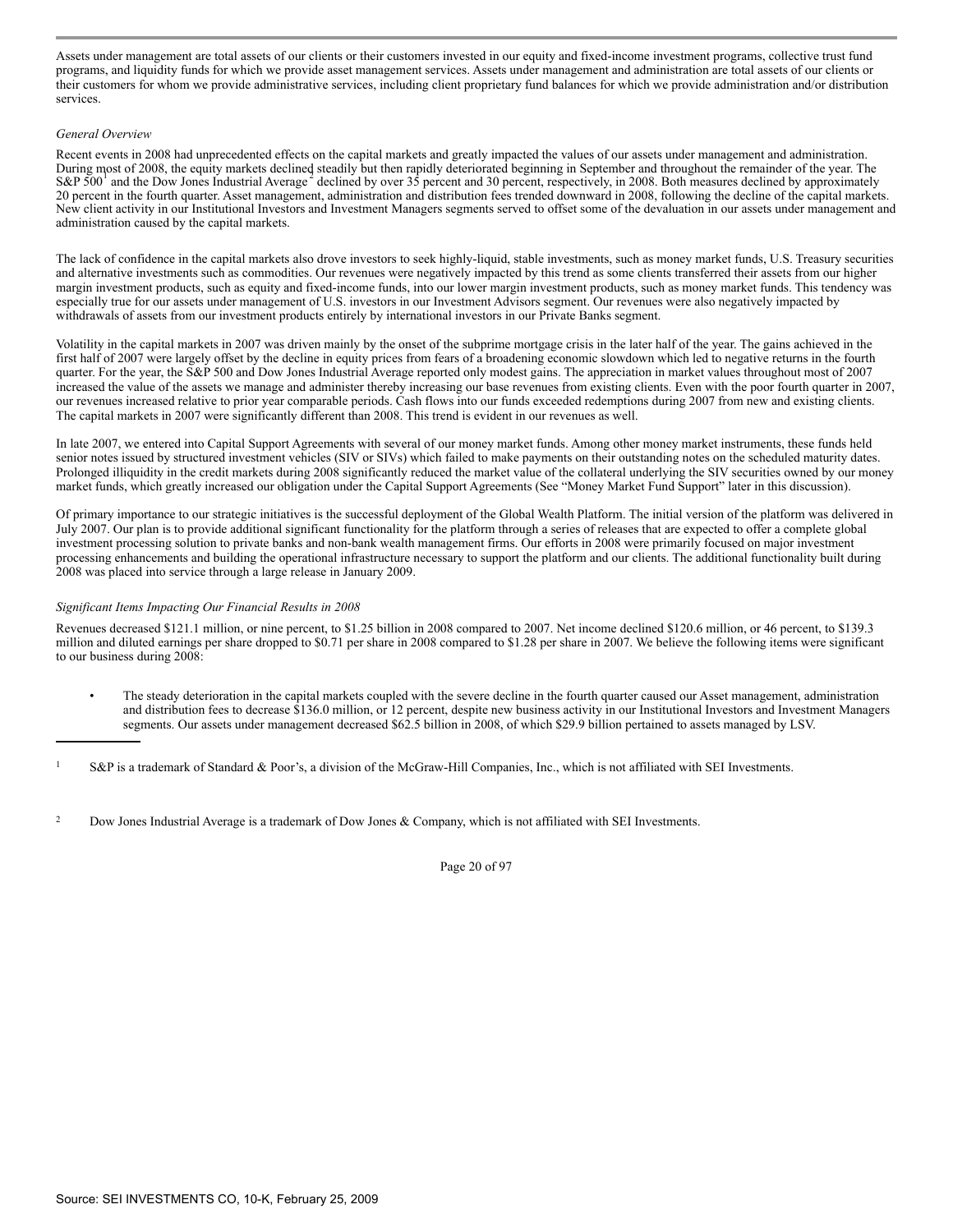Assets under management are total assets of our clients or their customers invested in our equity and fixed-income investment programs, collective trust fund programs, and liquidity funds for which we provide asset management services. Assets under management and administration are total assets of our clients or their customers for whom we provide administrative services, including client proprietary fund balances for which we provide administration and/or distribution services.

#### *General Overview*

Recent events in 2008 had unprecedented effects on the capital markets and greatly impacted the values of our assets under management and administration. During most of 2008, the equity markets declined steadily but then rapidly deteriorated beginning in September and throughout the remainder of the year. The S&P 500<sup>-</sup> and the Dow Jones Industrial Average <sup>2</sup> declined by over 35 percent and 30 percent, respectively, in 2008. Both measures declined by approximately 20 percent in the fourth quarter. Asset management, administration and distribution fees trended downward in 2008, following the decline of the capital markets. New client activity in our Institutional Investors and Investment Managers segments served to offset some of the devaluation in our assets under management and administration caused by the capital markets.

The lack of confidence in the capital markets also drove investors to seek highly-liquid, stable investments, such as money market funds, U.S. Treasury securities and alternative investments such as commodities. Our revenues were negatively impacted by this trend as some clients transferred their assets from our higher margin investment products, such as equity and fixed-income funds, into our lower margin investment products, such as money market funds. This tendency was especially true for our assets under management of U.S. investors in our Investment Advisors segment. Our revenues were also negatively impacted by withdrawals of assets from our investment products entirely by international investors in our Private Banks segment.

Volatility in the capital markets in 2007 was driven mainly by the onset of the subprime mortgage crisis in the later half of the year. The gains achieved in the first half of 2007 were largely offset by the decline in equity prices from fears of a broadening economic slowdown which led to negative returns in the fourth quarter. For the year, the S&P 500 and Dow Jones Industrial Average reported only modest gains. The appreciation in market values throughout most of 2007 increased the value of the assets we manage and administer thereby increasing our base revenues from existing clients. Even with the poor fourth quarter in 2007, our revenues increased relative to prior year comparable periods. Cash flows into our funds exceeded redemptions during 2007 from new and existing clients. The capital markets in 2007 were significantly different than 2008. This trend is evident in our revenues as well.

In late 2007, we entered into Capital Support Agreements with several of our money market funds. Among other money market instruments, these funds held senior notes issued by structured investment vehicles (SIV or SIVs) which failed to make payments on their outstanding notes on the scheduled maturity dates. Prolonged illiquidity in the credit markets during 2008 significantly reduced the market value of the collateral underlying the SIV securities owned by our money market funds, which greatly increased our obligation under the Capital Support Agreements (See "Money Market Fund Support" later in this discussion).

Of primary importance to our strategic initiatives is the successful deployment of the Global Wealth Platform. The initial version of the platform was delivered in July 2007. Our plan is to provide additional significant functionality for the platform through a series of releases that are expected to offer a complete global investment processing solution to private banks and non-bank wealth management firms. Our efforts in 2008 were primarily focused on major investment processing enhancements and building the operational infrastructure necessary to support the platform and our clients. The additional functionality built during 2008 was placed into service through a large release in January 2009.

#### *Significant Items Impacting Our Financial Results in 2008*

Revenues decreased \$121.1 million, or nine percent, to \$1.25 billion in 2008 compared to 2007. Net income declined \$120.6 million, or 46 percent, to \$139.3 million and diluted earnings per share dropped to \$0.71 per share in 2008 compared to \$1.28 per share in 2007. We believe the following items were significant to our business during 2008:

- The steady deterioration in the capital markets coupled with the severe decline in the fourth quarter caused our Asset management, administration and distribution fees to decrease \$136.0 million, or 12 percent, despite new business activity in our Institutional Investors and Investment Managers segments. Our assets under management decreased \$62.5 billion in 2008, of which \$29.9 billion pertained to assets managed by LSV.
- <sup>1</sup> S&P is a trademark of Standard & Poor's, a division of the McGraw-Hill Companies, Inc., which is not affiliated with SEI Investments.
- <sup>2</sup> Dow Jones Industrial Average is a trademark of Dow Jones & Company, which is not affiliated with SEI Investments.

Page 20 of 97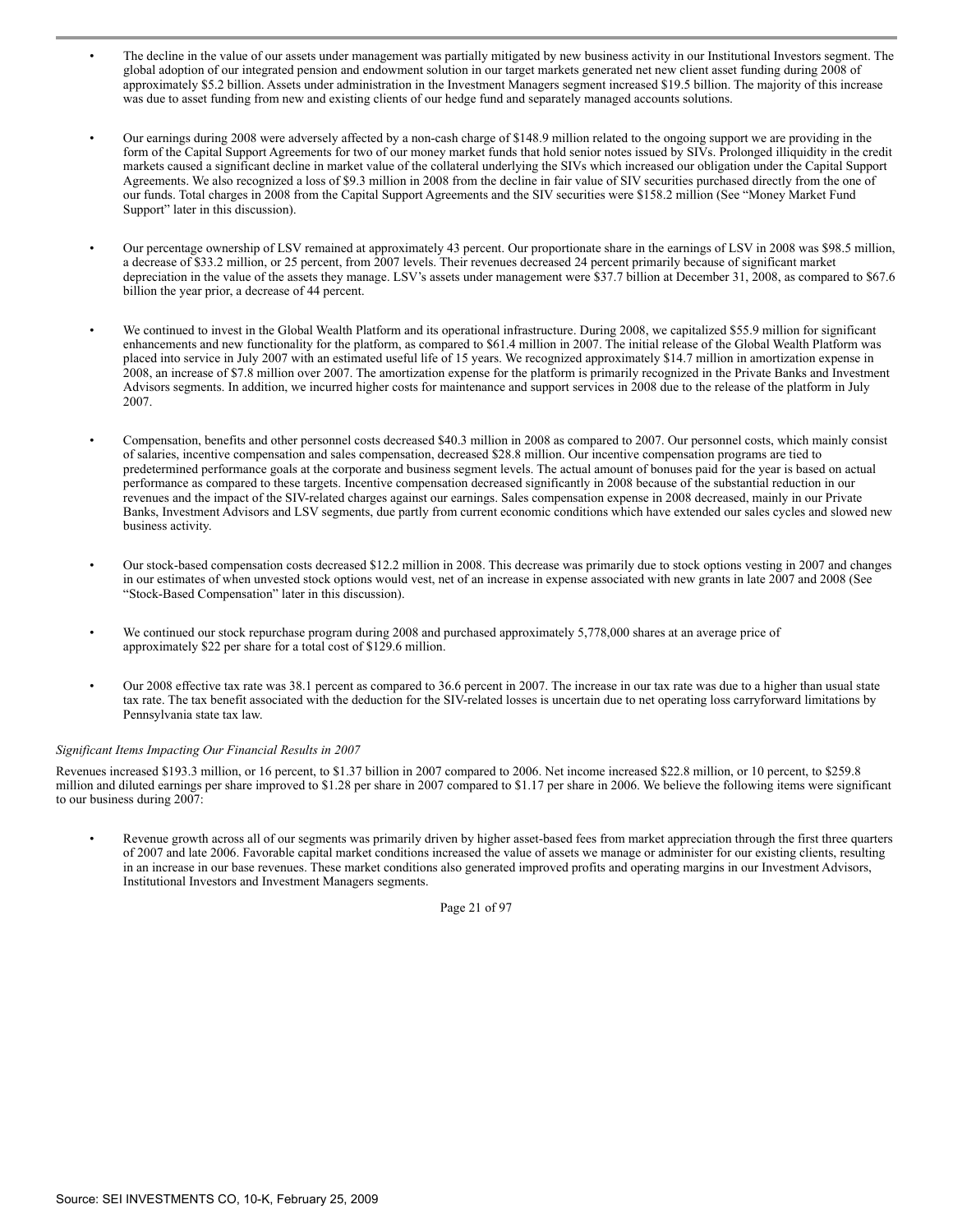- The decline in the value of our assets under management was partially mitigated by new business activity in our Institutional Investors segment. The global adoption of our integrated pension and endowment solution in our target markets generated net new client asset funding during 2008 of approximately \$5.2 billion. Assets under administration in the Investment Managers segment increased \$19.5 billion. The majority of this increase was due to asset funding from new and existing clients of our hedge fund and separately managed accounts solutions.
- Our earnings during 2008 were adversely affected by a non-cash charge of \$148.9 million related to the ongoing support we are providing in the form of the Capital Support Agreements for two of our money market funds that hold senior notes issued by SIVs. Prolonged illiquidity in the credit markets caused a significant decline in market value of the collateral underlying the SIVs which increased our obligation under the Capital Support Agreements. We also recognized a loss of \$9.3 million in 2008 from the decline in fair value of SIV securities purchased directly from the one of our funds. Total charges in 2008 from the Capital Support Agreements and the SIV securities were \$158.2 million (See "Money Market Fund Support" later in this discussion).
- Our percentage ownership of LSV remained at approximately 43 percent. Our proportionate share in the earnings of LSV in 2008 was \$98.5 million, a decrease of \$33.2 million, or 25 percent, from 2007 levels. Their revenues decreased 24 percent primarily because of significant market depreciation in the value of the assets they manage. LSV's assets under management were \$37.7 billion at December 31, 2008, as compared to \$67.6 billion the year prior, a decrease of 44 percent.
- We continued to invest in the Global Wealth Platform and its operational infrastructure. During 2008, we capitalized \$55.9 million for significant enhancements and new functionality for the platform, as compared to \$61.4 million in 2007. The initial release of the Global Wealth Platform was placed into service in July 2007 with an estimated useful life of 15 years. We recognized approximately \$14.7 million in amortization expense in 2008, an increase of \$7.8 million over 2007. The amortization expense for the platform is primarily recognized in the Private Banks and Investment Advisors segments. In addition, we incurred higher costs for maintenance and support services in 2008 due to the release of the platform in July 2007.
- Compensation, benefits and other personnel costs decreased \$40.3 million in 2008 as compared to 2007. Our personnel costs, which mainly consist of salaries, incentive compensation and sales compensation, decreased \$28.8 million. Our incentive compensation programs are tied to predetermined performance goals at the corporate and business segment levels. The actual amount of bonuses paid for the year is based on actual performance as compared to these targets. Incentive compensation decreased significantly in 2008 because of the substantial reduction in our revenues and the impact of the SIV-related charges against our earnings. Sales compensation expense in 2008 decreased, mainly in our Private Banks, Investment Advisors and LSV segments, due partly from current economic conditions which have extended our sales cycles and slowed new business activity.
- Our stock-based compensation costs decreased \$12.2 million in 2008. This decrease was primarily due to stock options vesting in 2007 and changes in our estimates of when unvested stock options would vest, net of an increase in expense associated with new grants in late 2007 and 2008 (See "Stock-Based Compensation" later in this discussion).
- We continued our stock repurchase program during 2008 and purchased approximately 5,778,000 shares at an average price of approximately \$22 per share for a total cost of \$129.6 million.
- Our 2008 effective tax rate was 38.1 percent as compared to 36.6 percent in 2007. The increase in our tax rate was due to a higher than usual state tax rate. The tax benefit associated with the deduction for the SIV-related losses is uncertain due to net operating loss carryforward limitations by Pennsylvania state tax law.

#### *Significant Items Impacting Our Financial Results in 2007*

Revenues increased \$193.3 million, or 16 percent, to \$1.37 billion in 2007 compared to 2006. Net income increased \$22.8 million, or 10 percent, to \$259.8 million and diluted earnings per share improved to \$1.28 per share in 2007 compared to \$1.17 per share in 2006. We believe the following items were significant to our business during 2007:

• Revenue growth across all of our segments was primarily driven by higher asset-based fees from market appreciation through the first three quarters of 2007 and late 2006. Favorable capital market conditions increased the value of assets we manage or administer for our existing clients, resulting in an increase in our base revenues. These market conditions also generated improved profits and operating margins in our Investment Advisors, Institutional Investors and Investment Managers segments.

Page 21 of 97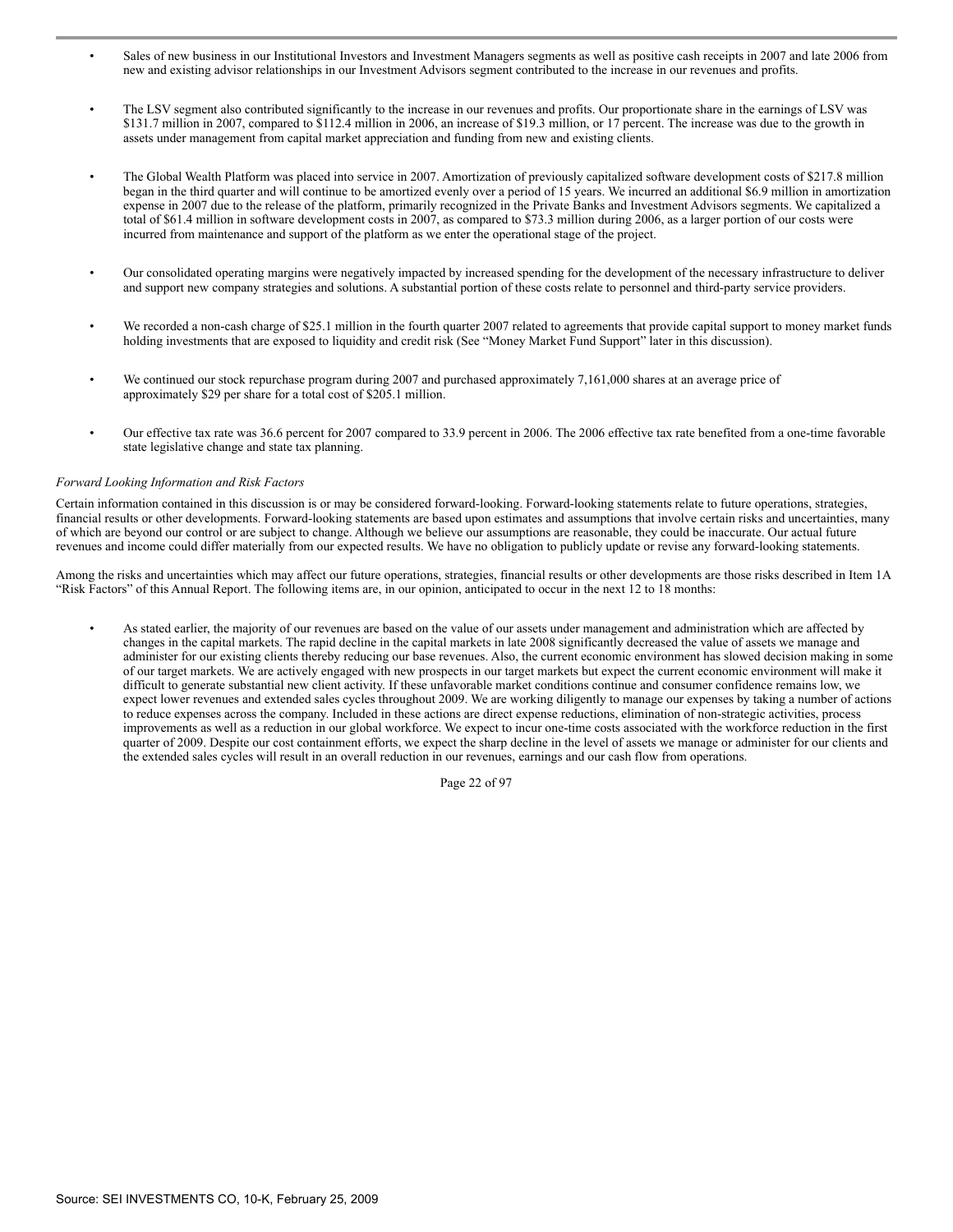- Sales of new business in our Institutional Investors and Investment Managers segments as well as positive cash receipts in 2007 and late 2006 from new and existing advisor relationships in our Investment Advisors segment contributed to the increase in our revenues and profits.
- The LSV segment also contributed significantly to the increase in our revenues and profits. Our proportionate share in the earnings of LSV was \$131.7 million in 2007, compared to \$112.4 million in 2006, an increase of \$19.3 million, or 17 percent. The increase was due to the growth in assets under management from capital market appreciation and funding from new and existing clients.
- The Global Wealth Platform was placed into service in 2007. Amortization of previously capitalized software development costs of \$217.8 million began in the third quarter and will continue to be amortized evenly over a period of 15 years. We incurred an additional \$6.9 million in amortization expense in 2007 due to the release of the platform, primarily recognized in the Private Banks and Investment Advisors segments. We capitalized a total of \$61.4 million in software development costs in 2007, as compared to \$73.3 million during 2006, as a larger portion of our costs were incurred from maintenance and support of the platform as we enter the operational stage of the project.
- Our consolidated operating margins were negatively impacted by increased spending for the development of the necessary infrastructure to deliver and support new company strategies and solutions. A substantial portion of these costs relate to personnel and third-party service providers.
- We recorded a non-cash charge of \$25.1 million in the fourth quarter 2007 related to agreements that provide capital support to money market funds holding investments that are exposed to liquidity and credit risk (See "Money Market Fund Support" later in this discussion).
- We continued our stock repurchase program during 2007 and purchased approximately 7,161,000 shares at an average price of approximately \$29 per share for a total cost of \$205.1 million.
- Our effective tax rate was 36.6 percent for 2007 compared to 33.9 percent in 2006. The 2006 effective tax rate benefited from a one-time favorable state legislative change and state tax planning.

#### *Forward Looking Information and Risk Factors*

Certain information contained in this discussion is or may be considered forward-looking. Forward-looking statements relate to future operations, strategies, financial results or other developments. Forward-looking statements are based upon estimates and assumptions that involve certain risks and uncertainties, many of which are beyond our control or are subject to change. Although we believe our assumptions are reasonable, they could be inaccurate. Our actual future revenues and income could differ materially from our expected results. We have no obligation to publicly update or revise any forward-looking statements.

Among the risks and uncertainties which may affect our future operations, strategies, financial results or other developments are those risks described in Item 1A "Risk Factors" of this Annual Report. The following items are, in our opinion, anticipated to occur in the next 12 to 18 months:

• As stated earlier, the majority of our revenues are based on the value of our assets under management and administration which are affected by changes in the capital markets. The rapid decline in the capital markets in late 2008 significantly decreased the value of assets we manage and administer for our existing clients thereby reducing our base revenues. Also, the current economic environment has slowed decision making in some of our target markets. We are actively engaged with new prospects in our target markets but expect the current economic environment will make it difficult to generate substantial new client activity. If these unfavorable market conditions continue and consumer confidence remains low, we expect lower revenues and extended sales cycles throughout 2009. We are working diligently to manage our expenses by taking a number of actions to reduce expenses across the company. Included in these actions are direct expense reductions, elimination of non-strategic activities, process improvements as well as a reduction in our global workforce. We expect to incur one-time costs associated with the workforce reduction in the first quarter of 2009. Despite our cost containment efforts, we expect the sharp decline in the level of assets we manage or administer for our clients and the extended sales cycles will result in an overall reduction in our revenues, earnings and our cash flow from operations.

Page 22 of 97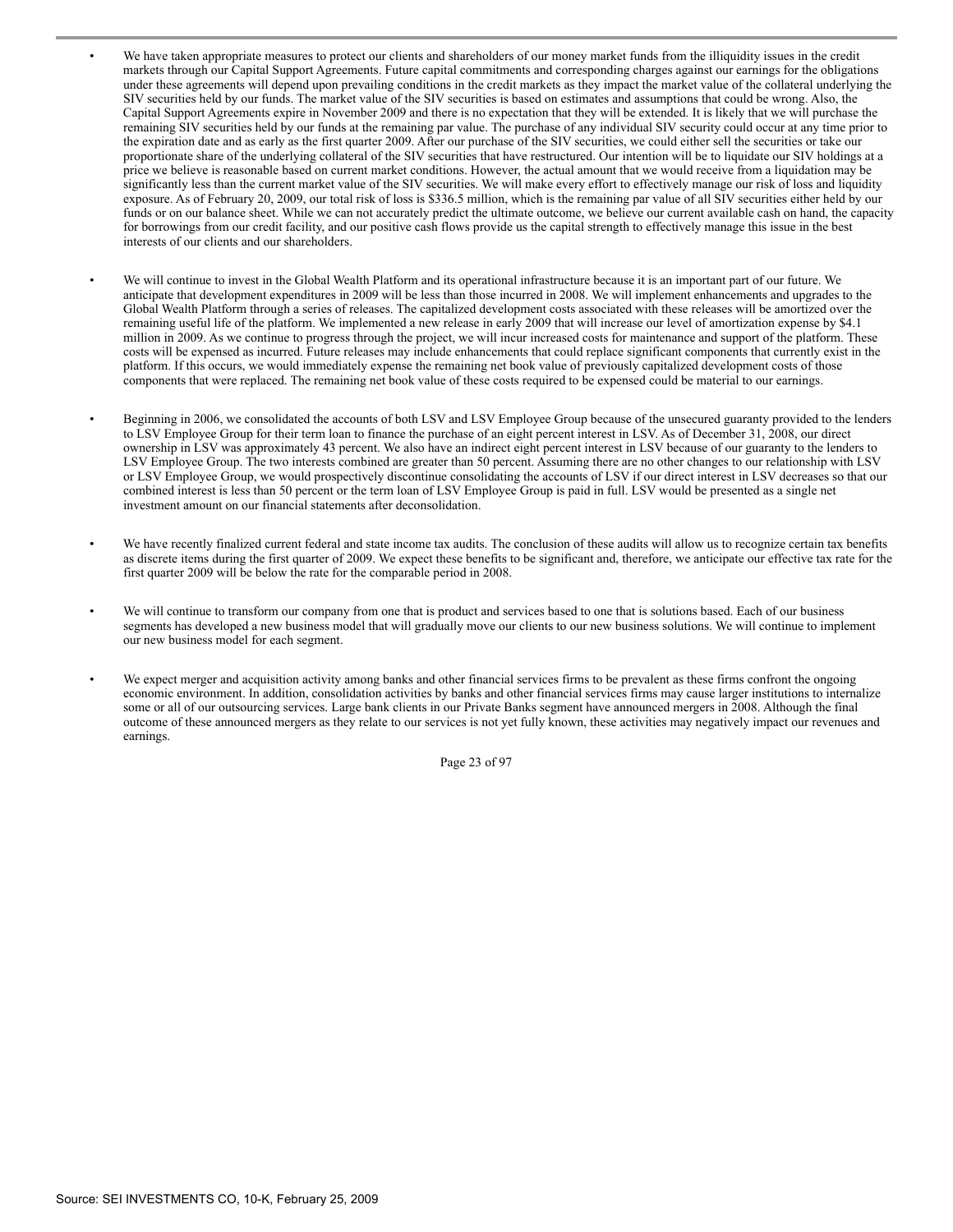• We have taken appropriate measures to protect our clients and shareholders of our money market funds from the illiquidity issues in the credit markets through our Capital Support Agreements. Future capital commitments and corresponding charges against our earnings for the obligations under these agreements will depend upon prevailing conditions in the credit markets as they impact the market value of the collateral underlying the SIV securities held by our funds. The market value of the SIV securities is based on estimates and assumptions that could be wrong. Also, the Capital Support Agreements expire in November 2009 and there is no expectation that they will be extended. It is likely that we will purchase the remaining SIV securities held by our funds at the remaining par value. The purchase of any individual SIV security could occur at any time prior to the expiration date and as early as the first quarter 2009. After our purchase of the SIV securities, we could either sell the securities or take our proportionate share of the underlying collateral of the SIV securities that have restructured. Our intention will be to liquidate our SIV holdings at a price we believe is reasonable based on current market conditions. However, the actual amount that we would receive from a liquidation may be significantly less than the current market value of the SIV securities. We will make every effort to effectively manage our risk of loss and liquidity exposure. As of February 20, 2009, our total risk of loss is \$336.5 million, which is the remaining par value of all SIV securities either held by our funds or on our balance sheet. While we can not accurately predict the ultimate outcome, we believe our current available cash on hand, the capacity for borrowings from our credit facility, and our positive cash flows provide us the capital strength to effectively manage this issue in the best interests of our clients and our shareholders.

- We will continue to invest in the Global Wealth Platform and its operational infrastructure because it is an important part of our future. We anticipate that development expenditures in 2009 will be less than those incurred in 2008. We will implement enhancements and upgrades to the Global Wealth Platform through a series of releases. The capitalized development costs associated with these releases will be amortized over the remaining useful life of the platform. We implemented a new release in early 2009 that will increase our level of amortization expense by \$4.1 million in 2009. As we continue to progress through the project, we will incur increased costs for maintenance and support of the platform. These costs will be expensed as incurred. Future releases may include enhancements that could replace significant components that currently exist in the platform. If this occurs, we would immediately expense the remaining net book value of previously capitalized development costs of those components that were replaced. The remaining net book value of these costs required to be expensed could be material to our earnings.
- Beginning in 2006, we consolidated the accounts of both LSV and LSV Employee Group because of the unsecured guaranty provided to the lenders to LSV Employee Group for their term loan to finance the purchase of an eight percent interest in LSV. As of December 31, 2008, our direct ownership in LSV was approximately 43 percent. We also have an indirect eight percent interest in LSV because of our guaranty to the lenders to LSV Employee Group. The two interests combined are greater than 50 percent. Assuming there are no other changes to our relationship with LSV or LSV Employee Group, we would prospectively discontinue consolidating the accounts of LSV if our direct interest in LSV decreases so that our combined interest is less than 50 percent or the term loan of LSV Employee Group is paid in full. LSV would be presented as a single net investment amount on our financial statements after deconsolidation.
- We have recently finalized current federal and state income tax audits. The conclusion of these audits will allow us to recognize certain tax benefits as discrete items during the first quarter of 2009. We expect these benefits to be significant and, therefore, we anticipate our effective tax rate for the first quarter 2009 will be below the rate for the comparable period in 2008.
- We will continue to transform our company from one that is product and services based to one that is solutions based. Each of our business segments has developed a new business model that will gradually move our clients to our new business solutions. We will continue to implement our new business model for each segment.
- We expect merger and acquisition activity among banks and other financial services firms to be prevalent as these firms confront the ongoing economic environment. In addition, consolidation activities by banks and other financial services firms may cause larger institutions to internalize some or all of our outsourcing services. Large bank clients in our Private Banks segment have announced mergers in 2008. Although the final outcome of these announced mergers as they relate to our services is not yet fully known, these activities may negatively impact our revenues and earnings.

Page 23 of 97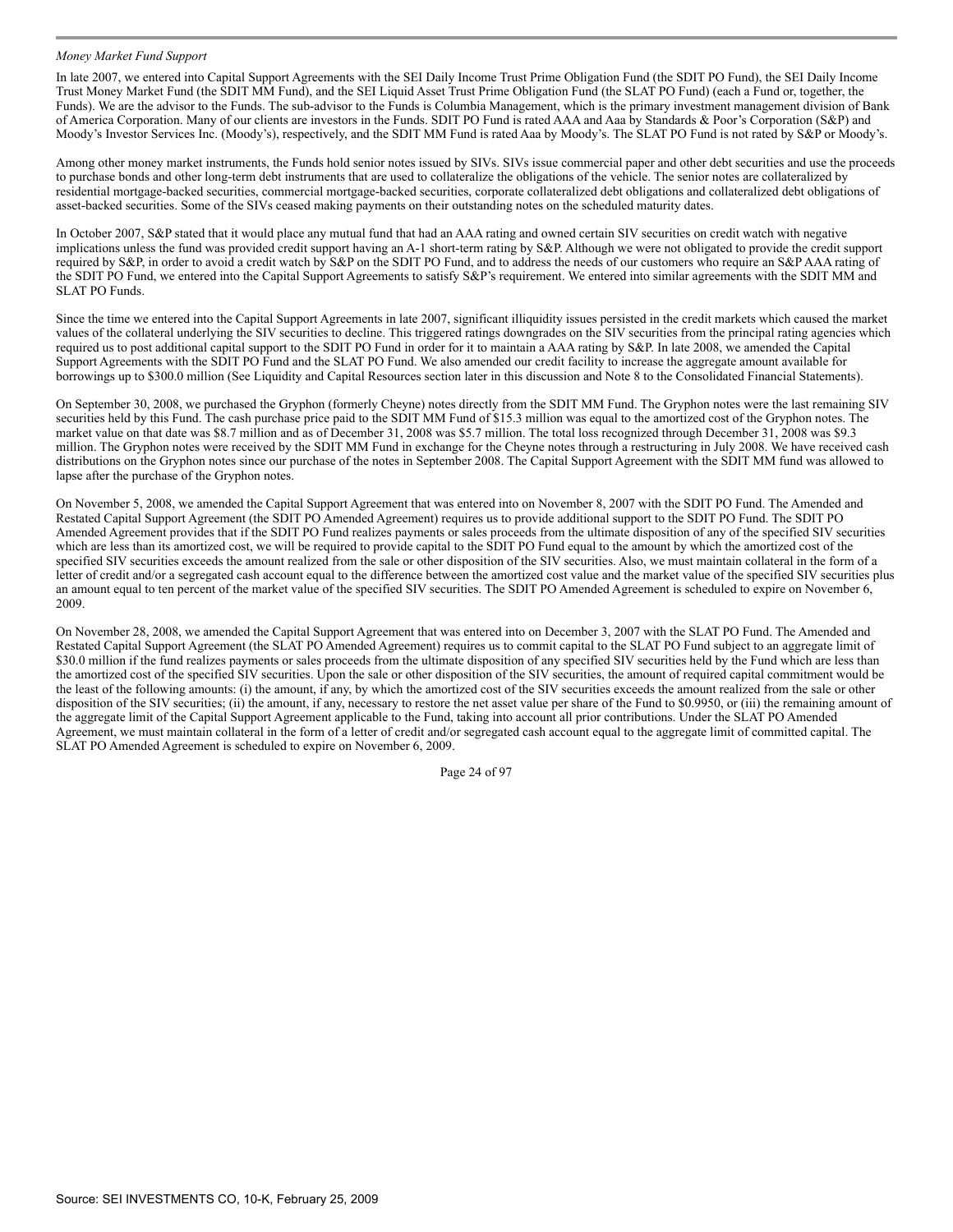#### *Money Market Fund Support*

In late 2007, we entered into Capital Support Agreements with the SEI Daily Income Trust Prime Obligation Fund (the SDIT PO Fund), the SEI Daily Income Trust Money Market Fund (the SDIT MM Fund), and the SEI Liquid Asset Trust Prime Obligation Fund (the SLAT PO Fund) (each a Fund or, together, the Funds). We are the advisor to the Funds. The sub-advisor to the Funds is Columbia Management, which is the primary investment management division of Bank of America Corporation. Many of our clients are investors in the Funds. SDIT PO Fund is rated AAA and Aaa by Standards & Poor's Corporation (S&P) and Moody's Investor Services Inc. (Moody's), respectively, and the SDIT MM Fund is rated Aaa by Moody's. The SLAT PO Fund is not rated by S&P or Moody's.

Among other money market instruments, the Funds hold senior notes issued by SIVs. SIVs issue commercial paper and other debt securities and use the proceeds to purchase bonds and other long-term debt instruments that are used to collateralize the obligations of the vehicle. The senior notes are collateralized by residential mortgage-backed securities, commercial mortgage-backed securities, corporate collateralized debt obligations and collateralized debt obligations of asset-backed securities. Some of the SIVs ceased making payments on their outstanding notes on the scheduled maturity dates.

In October 2007, S&P stated that it would place any mutual fund that had an AAA rating and owned certain SIV securities on credit watch with negative implications unless the fund was provided credit support having an A-1 short-term rating by S&P. Although we were not obligated to provide the credit support required by S&P, in order to avoid a credit watch by S&P on the SDIT PO Fund, and to address the needs of our customers who require an S&P AAA rating of the SDIT PO Fund, we entered into the Capital Support Agreements to satisfy S&P's requirement. We entered into similar agreements with the SDIT MM and SLAT PO Funds.

Since the time we entered into the Capital Support Agreements in late 2007, significant illiquidity issues persisted in the credit markets which caused the market values of the collateral underlying the SIV securities to decline. This triggered ratings downgrades on the SIV securities from the principal rating agencies which required us to post additional capital support to the SDIT PO Fund in order for it to maintain a AAA rating by S&P. In late 2008, we amended the Capital Support Agreements with the SDIT PO Fund and the SLAT PO Fund. We also amended our credit facility to increase the aggregate amount available for borrowings up to \$300.0 million (See Liquidity and Capital Resources section later in this discussion and Note 8 to the Consolidated Financial Statements).

On September 30, 2008, we purchased the Gryphon (formerly Cheyne) notes directly from the SDIT MM Fund. The Gryphon notes were the last remaining SIV securities held by this Fund. The cash purchase price paid to the SDIT MM Fund of \$15.3 million was equal to the amortized cost of the Gryphon notes. The market value on that date was \$8.7 million and as of December 31, 2008 was \$5.7 million. The total loss recognized through December 31, 2008 was \$9.3 million. The Gryphon notes were received by the SDIT MM Fund in exchange for the Cheyne notes through a restructuring in July 2008. We have received cash distributions on the Gryphon notes since our purchase of the notes in September 2008. The Capital Support Agreement with the SDIT MM fund was allowed to lapse after the purchase of the Gryphon notes.

On November 5, 2008, we amended the Capital Support Agreement that was entered into on November 8, 2007 with the SDIT PO Fund. The Amended and Restated Capital Support Agreement (the SDIT PO Amended Agreement) requires us to provide additional support to the SDIT PO Fund. The SDIT PO Amended Agreement provides that if the SDIT PO Fund realizes payments or sales proceeds from the ultimate disposition of any of the specified SIV securities which are less than its amortized cost, we will be required to provide capital to the SDIT PO Fund equal to the amount by which the amortized cost of the specified SIV securities exceeds the amount realized from the sale or other disposition of the SIV securities. Also, we must maintain collateral in the form of a letter of credit and/or a segregated cash account equal to the difference between the amortized cost value and the market value of the specified SIV securities plus an amount equal to ten percent of the market value of the specified SIV securities. The SDIT PO Amended Agreement is scheduled to expire on November 6, 2009.

On November 28, 2008, we amended the Capital Support Agreement that was entered into on December 3, 2007 with the SLAT PO Fund. The Amended and Restated Capital Support Agreement (the SLAT PO Amended Agreement) requires us to commit capital to the SLAT PO Fund subject to an aggregate limit of \$30.0 million if the fund realizes payments or sales proceeds from the ultimate disposition of any specified SIV securities held by the Fund which are less than the amortized cost of the specified SIV securities. Upon the sale or other disposition of the SIV securities, the amount of required capital commitment would be the least of the following amounts: (i) the amount, if any, by which the amortized cost of the SIV securities exceeds the amount realized from the sale or other disposition of the SIV securities; (ii) the amount, if any, necessary to restore the net asset value per share of the Fund to \$0.9950, or (iii) the remaining amount of the aggregate limit of the Capital Support Agreement applicable to the Fund, taking into account all prior contributions. Under the SLAT PO Amended Agreement, we must maintain collateral in the form of a letter of credit and/or segregated cash account equal to the aggregate limit of committed capital. The SLAT PO Amended Agreement is scheduled to expire on November 6, 2009.

Page 24 of 97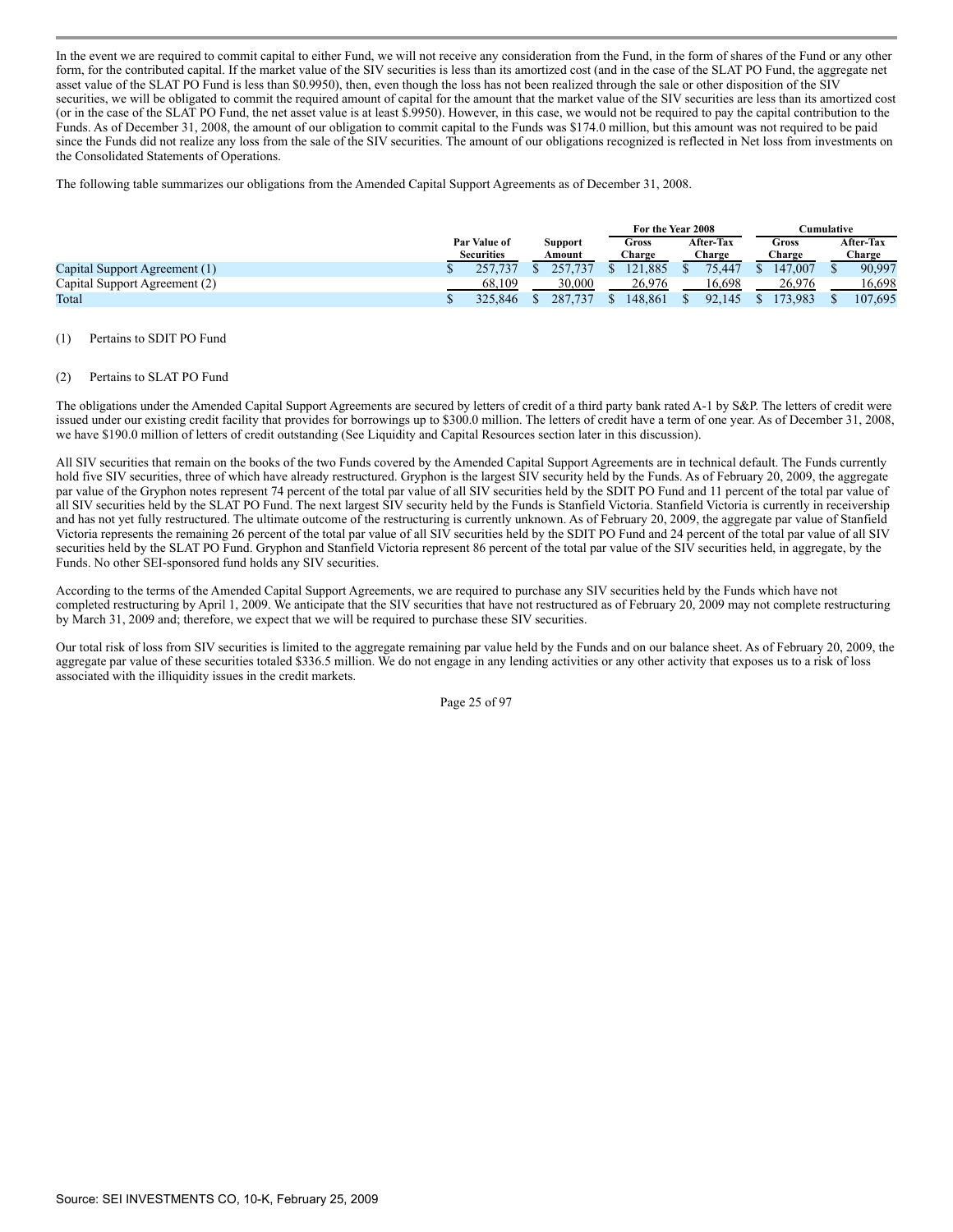In the event we are required to commit capital to either Fund, we will not receive any consideration from the Fund, in the form of shares of the Fund or any other form, for the contributed capital. If the market value of the SIV securities is less than its amortized cost (and in the case of the SLAT PO Fund, the aggregate net asset value of the SLAT PO Fund is less than \$0.9950), then, even though the loss has not been realized through the sale or other disposition of the SIV securities, we will be obligated to commit the required amount of capital for the amount that the market value of the SIV securities are less than its amortized cost (or in the case of the SLAT PO Fund, the net asset value is at least \$.9950). However, in this case, we would not be required to pay the capital contribution to the Funds. As of December 31, 2008, the amount of our obligation to commit capital to the Funds was \$174.0 million, but this amount was not required to be paid since the Funds did not realize any loss from the sale of the SIV securities. The amount of our obligations recognized is reflected in Net loss from investments on the Consolidated Statements of Operations.

The following table summarizes our obligations from the Amended Capital Support Agreements as of December 31, 2008.

|                               |              |         |                   |         |                   | For the Year 2008 |                        |        |                            |         | <b>Cumulative</b>             |         |                     |  |
|-------------------------------|--------------|---------|-------------------|---------|-------------------|-------------------|------------------------|--------|----------------------------|---------|-------------------------------|---------|---------------------|--|
|                               | Par Value of |         | <b>Securities</b> |         | Support<br>Amount |                   | Gross<br><b>Charge</b> |        | After-Tax<br><b>Charge</b> |         | <b>Gross</b><br><b>Charge</b> |         | After-Tax<br>Charge |  |
| Capital Support Agreement (1) |              |         |                   | 257.737 |                   | 121.885           |                        | 75.447 |                            | 147.007 |                               | 90.997  |                     |  |
|                               |              | 68.109  |                   | 30.000  |                   | 26.976            |                        | 16.698 |                            | 26.976  |                               | 16.698  |                     |  |
| Capital Support Agreement (2) |              |         |                   |         |                   |                   |                        |        |                            |         |                               |         |                     |  |
| Total                         |              | 325,846 |                   | 287.737 |                   | 148.861           |                        | 92.145 |                            | 173.983 |                               | 107.695 |                     |  |

#### (1) Pertains to SDIT PO Fund

#### (2) Pertains to SLAT PO Fund

The obligations under the Amended Capital Support Agreements are secured by letters of credit of a third party bank rated A-1 by S&P. The letters of credit were issued under our existing credit facility that provides for borrowings up to \$300.0 million. The letters of credit have a term of one year. As of December 31, 2008, we have \$190.0 million of letters of credit outstanding (See Liquidity and Capital Resources section later in this discussion).

All SIV securities that remain on the books of the two Funds covered by the Amended Capital Support Agreements are in technical default. The Funds currently hold five SIV securities, three of which have already restructured. Gryphon is the largest SIV security held by the Funds. As of February 20, 2009, the aggregate par value of the Gryphon notes represent 74 percent of the total par value of all SIV securities held by the SDIT PO Fund and 11 percent of the total par value of all SIV securities held by the SLAT PO Fund. The next largest SIV security held by the Funds is Stanfield Victoria. Stanfield Victoria is currently in receivership and has not yet fully restructured. The ultimate outcome of the restructuring is currently unknown. As of February 20, 2009, the aggregate par value of Stanfield Victoria represents the remaining 26 percent of the total par value of all SIV securities held by the SDIT PO Fund and 24 percent of the total par value of all SIV securities held by the SLAT PO Fund. Gryphon and Stanfield Victoria represent 86 percent of the total par value of the SIV securities held, in aggregate, by the Funds. No other SEI-sponsored fund holds any SIV securities.

According to the terms of the Amended Capital Support Agreements, we are required to purchase any SIV securities held by the Funds which have not completed restructuring by April 1, 2009. We anticipate that the SIV securities that have not restructured as of February 20, 2009 may not complete restructuring by March 31, 2009 and; therefore, we expect that we will be required to purchase these SIV securities.

Our total risk of loss from SIV securities is limited to the aggregate remaining par value held by the Funds and on our balance sheet. As of February 20, 2009, the aggregate par value of these securities totaled \$336.5 million. We do not engage in any lending activities or any other activity that exposes us to a risk of loss associated with the illiquidity issues in the credit markets.

Page 25 of 97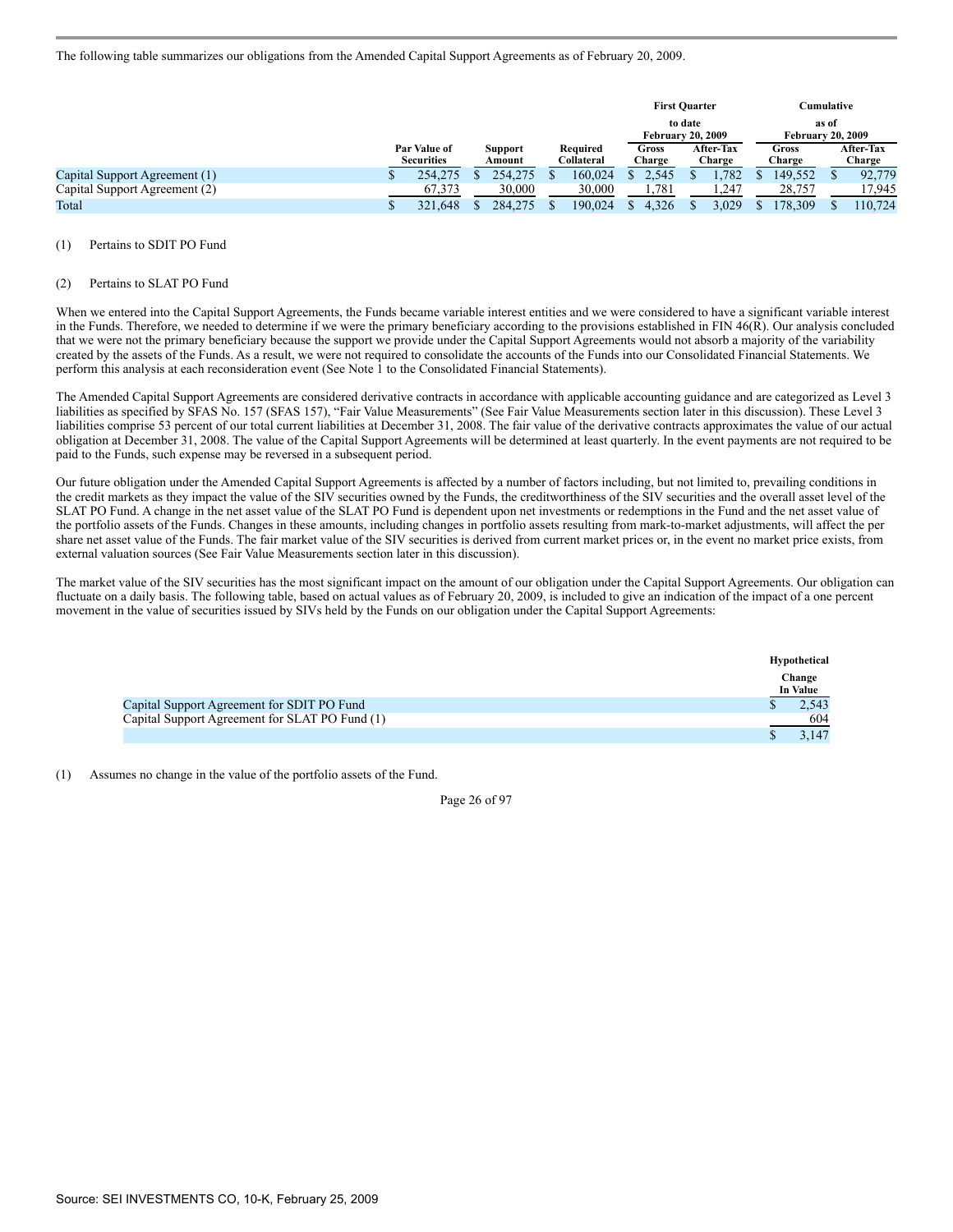The following table summarizes our obligations from the Amended Capital Support Agreements as of February 20, 2009.

|                               |  |                                   |  |                   |                        | <b>First Quarter</b>     |                 |  |                     | <b>Cumulative</b>        |                 |  |                     |
|-------------------------------|--|-----------------------------------|--|-------------------|------------------------|--------------------------|-----------------|--|---------------------|--------------------------|-----------------|--|---------------------|
|                               |  |                                   |  |                   |                        | <b>February 20, 2009</b> | to date         |  |                     | <b>February 20, 2009</b> | as of           |  |                     |
|                               |  | Par Value of<br><b>Securities</b> |  | Support<br>Amount | Required<br>Collateral |                          | Gross<br>Charge |  | After-Tax<br>Charge |                          | Gross<br>Charge |  | After-Tax<br>Charge |
| Capital Support Agreement (1) |  | 254,275                           |  | 254,275           | 160.024                |                          | 2,545           |  | .782                |                          | 149,552         |  | 92,779              |
| Capital Support Agreement (2) |  | 67,373                            |  | 30,000            | 30,000                 |                          | 1,781           |  | .247                |                          | 28,757          |  | 17,945              |
| Total                         |  | 321,648                           |  | 284,275           | 190.024                |                          | 4.326           |  | 3.029               |                          | 78.309          |  | 110,724             |

#### (1) Pertains to SDIT PO Fund

#### (2) Pertains to SLAT PO Fund

When we entered into the Capital Support Agreements, the Funds became variable interest entities and we were considered to have a significant variable interest in the Funds. Therefore, we needed to determine if we were the primary beneficiary according to the provisions established in FIN 46(R). Our analysis concluded that we were not the primary beneficiary because the support we provide under the Capital Support Agreements would not absorb a majority of the variability created by the assets of the Funds. As a result, we were not required to consolidate the accounts of the Funds into our Consolidated Financial Statements. We perform this analysis at each reconsideration event (See Note 1 to the Consolidated Financial Statements).

The Amended Capital Support Agreements are considered derivative contracts in accordance with applicable accounting guidance and are categorized as Level 3 liabilities as specified by SFAS No. 157 (SFAS 157), "Fair Value Measurements" (See Fair Value Measurements section later in this discussion). These Level 3 liabilities comprise 53 percent of our total current liabilities at December 31, 2008. The fair value of the derivative contracts approximates the value of our actual obligation at December 31, 2008. The value of the Capital Support Agreements will be determined at least quarterly. In the event payments are not required to be paid to the Funds, such expense may be reversed in a subsequent period.

Our future obligation under the Amended Capital Support Agreements is affected by a number of factors including, but not limited to, prevailing conditions in the credit markets as they impact the value of the SIV securities owned by the Funds, the creditworthiness of the SIV securities and the overall asset level of the SLAT PO Fund. A change in the net asset value of the SLAT PO Fund is dependent upon net investments or redemptions in the Fund and the net asset value of the portfolio assets of the Funds. Changes in these amounts, including changes in portfolio assets resulting from mark-to-market adjustments, will affect the per share net asset value of the Funds. The fair market value of the SIV securities is derived from current market prices or, in the event no market price exists, from external valuation sources (See Fair Value Measurements section later in this discussion).

The market value of the SIV securities has the most significant impact on the amount of our obligation under the Capital Support Agreements. Our obligation can fluctuate on a daily basis. The following table, based on actual values as of February 20, 2009, is included to give an indication of the impact of a one percent movement in the value of securities issued by SIVs held by the Funds on our obligation under the Capital Support Agreements:

|                                                | Hypothetical       |  |
|------------------------------------------------|--------------------|--|
|                                                | Change<br>In Value |  |
|                                                |                    |  |
| Capital Support Agreement for SDIT PO Fund     | 2.543              |  |
| Capital Support Agreement for SLAT PO Fund (1) | 604                |  |
|                                                | 3.147              |  |

(1) Assumes no change in the value of the portfolio assets of the Fund.

#### Page 26 of 97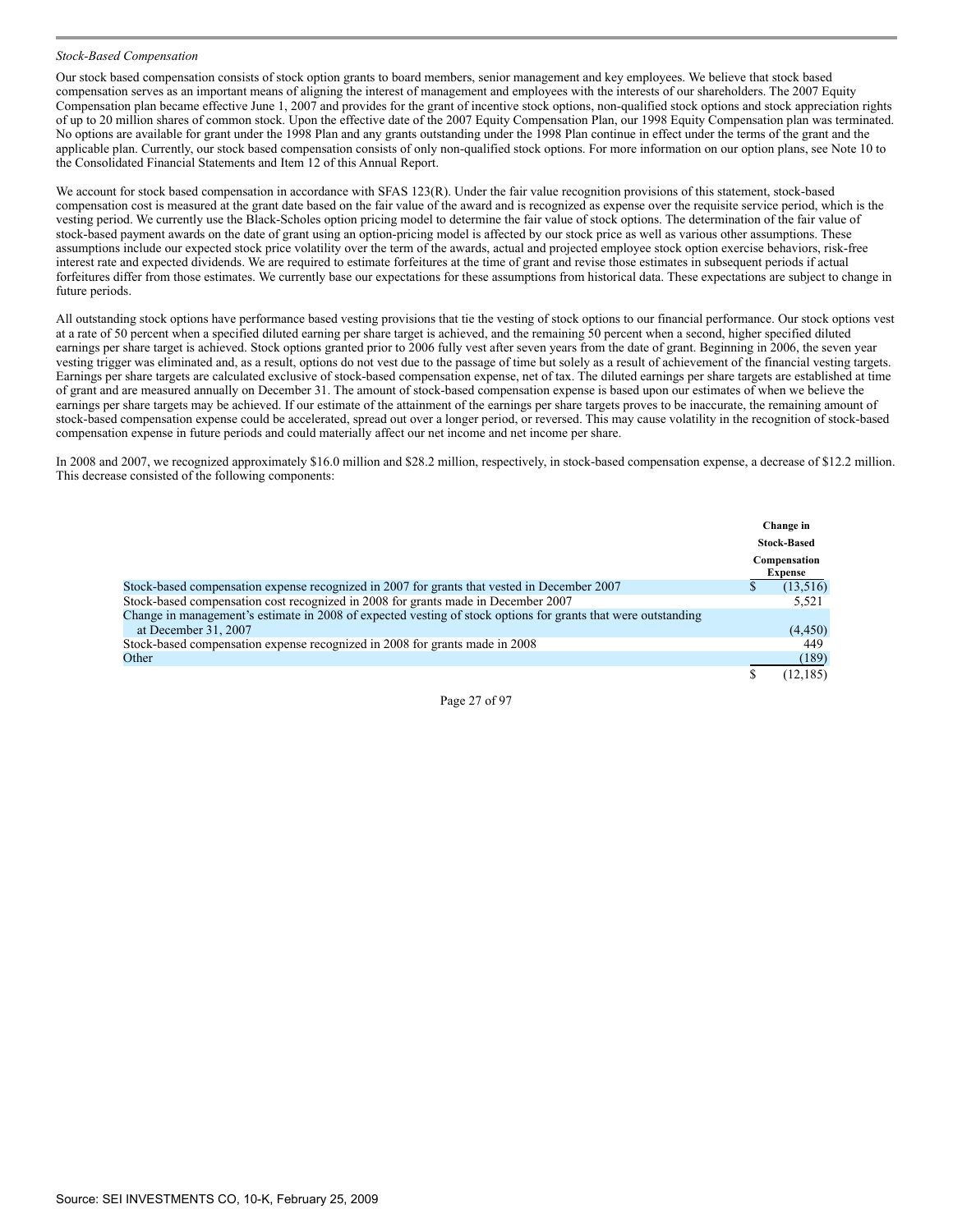#### *Stock-Based Compensation*

Our stock based compensation consists of stock option grants to board members, senior management and key employees. We believe that stock based compensation serves as an important means of aligning the interest of management and employees with the interests of our shareholders. The 2007 Equity Compensation plan became effective June 1, 2007 and provides for the grant of incentive stock options, non-qualified stock options and stock appreciation rights of up to 20 million shares of common stock. Upon the effective date of the 2007 Equity Compensation Plan, our 1998 Equity Compensation plan was terminated. No options are available for grant under the 1998 Plan and any grants outstanding under the 1998 Plan continue in effect under the terms of the grant and the applicable plan. Currently, our stock based compensation consists of only non-qualified stock options. For more information on our option plans, see Note 10 to the Consolidated Financial Statements and Item 12 of this Annual Report.

We account for stock based compensation in accordance with SFAS 123(R). Under the fair value recognition provisions of this statement, stock-based compensation cost is measured at the grant date based on the fair value of the award and is recognized as expense over the requisite service period, which is the vesting period. We currently use the Black-Scholes option pricing model to determine the fair value of stock options. The determination of the fair value of stock-based payment awards on the date of grant using an option-pricing model is affected by our stock price as well as various other assumptions. These assumptions include our expected stock price volatility over the term of the awards, actual and projected employee stock option exercise behaviors, risk-free interest rate and expected dividends. We are required to estimate forfeitures at the time of grant and revise those estimates in subsequent periods if actual forfeitures differ from those estimates. We currently base our expectations for these assumptions from historical data. These expectations are subject to change in future periods.

All outstanding stock options have performance based vesting provisions that tie the vesting of stock options to our financial performance. Our stock options vest at a rate of 50 percent when a specified diluted earning per share target is achieved, and the remaining 50 percent when a second, higher specified diluted earnings per share target is achieved. Stock options granted prior to 2006 fully vest after seven years from the date of grant. Beginning in 2006, the seven year vesting trigger was eliminated and, as a result, options do not vest due to the passage of time but solely as a result of achievement of the financial vesting targets. Earnings per share targets are calculated exclusive of stock-based compensation expense, net of tax. The diluted earnings per share targets are established at time of grant and are measured annually on December 31. The amount of stock-based compensation expense is based upon our estimates of when we believe the earnings per share targets may be achieved. If our estimate of the attainment of the earnings per share targets proves to be inaccurate, the remaining amount of stock-based compensation expense could be accelerated, spread out over a longer period, or reversed. This may cause volatility in the recognition of stock-based compensation expense in future periods and could materially affect our net income and net income per share.

In 2008 and 2007, we recognized approximately \$16.0 million and \$28.2 million, respectively, in stock-based compensation expense, a decrease of \$12.2 million. This decrease consisted of the following components:

|                                                                                                               | Change in<br><b>Stock-Based</b> |                         |  |
|---------------------------------------------------------------------------------------------------------------|---------------------------------|-------------------------|--|
|                                                                                                               |                                 | Compensation<br>Expense |  |
| Stock-based compensation expense recognized in 2007 for grants that vested in December 2007                   |                                 | (13,516)                |  |
| Stock-based compensation cost recognized in 2008 for grants made in December 2007                             |                                 | 5,521                   |  |
| Change in management's estimate in 2008 of expected vesting of stock options for grants that were outstanding |                                 |                         |  |
| at December 31, 2007                                                                                          |                                 | (4, 450)                |  |
| Stock-based compensation expense recognized in 2008 for grants made in 2008                                   |                                 | 449                     |  |
| Other                                                                                                         |                                 | (189)                   |  |
|                                                                                                               |                                 | (12, 185)               |  |

Page 27 of 97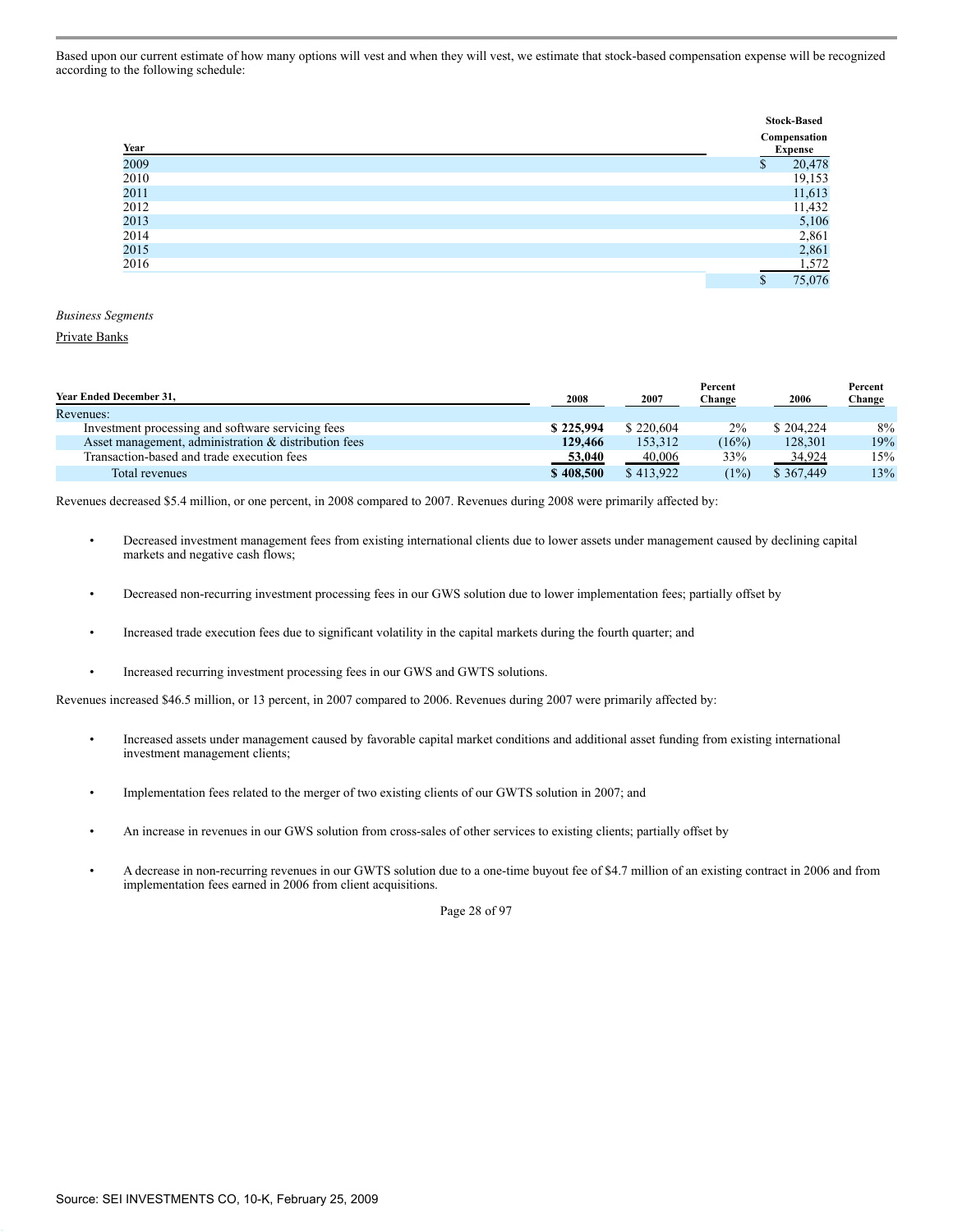Based upon our current estimate of how many options will vest and when they will vest, we estimate that stock-based compensation expense will be recognized according to the following schedule:

|      | <b>Stock-Based</b> |                                                                |  |
|------|--------------------|----------------------------------------------------------------|--|
| Year |                    | Compensation<br>Expense<br>\$20,478                            |  |
| 2009 |                    |                                                                |  |
| 2010 |                    | 19,153                                                         |  |
| 2011 |                    |                                                                |  |
| 2012 |                    |                                                                |  |
| 2013 |                    |                                                                |  |
| 2014 |                    |                                                                |  |
| 2015 |                    |                                                                |  |
| 2016 |                    | 19,155<br>11,613<br>11,432<br>5,106<br>2,861<br>2,861<br>1,572 |  |
|      |                    | 75,076                                                         |  |

#### *Business Segments*

Private Banks

| <b>Year Ended December 31.</b><br>Revenues:          | 2008      | 2007      | Percent<br>Change | 2006      | Percent<br>Change |
|------------------------------------------------------|-----------|-----------|-------------------|-----------|-------------------|
| Investment processing and software servicing fees    | \$225,994 | \$220,604 | 2%                | \$204.224 | 8%                |
| Asset management, administration & distribution fees | 129.466   | 153.312   | (16%)             | 128.301   | 19%               |
| Transaction-based and trade execution fees           | 53,040    | 40,006    | 33%               | 34,924    | 15%               |
| Total revenues                                       | \$408,500 | \$413.922 | (1%)              | \$367,449 | 13%               |

Revenues decreased \$5.4 million, or one percent, in 2008 compared to 2007. Revenues during 2008 were primarily affected by:

- Decreased investment management fees from existing international clients due to lower assets under management caused by declining capital markets and negative cash flows;
- Decreased non-recurring investment processing fees in our GWS solution due to lower implementation fees; partially offset by
- Increased trade execution fees due to significant volatility in the capital markets during the fourth quarter; and
- Increased recurring investment processing fees in our GWS and GWTS solutions.

Revenues increased \$46.5 million, or 13 percent, in 2007 compared to 2006. Revenues during 2007 were primarily affected by:

- Increased assets under management caused by favorable capital market conditions and additional asset funding from existing international investment management clients;
- Implementation fees related to the merger of two existing clients of our GWTS solution in 2007; and
- An increase in revenues in our GWS solution from cross-sales of other services to existing clients; partially offset by
- A decrease in non-recurring revenues in our GWTS solution due to a one-time buyout fee of \$4.7 million of an existing contract in 2006 and from implementation fees earned in 2006 from client acquisitions.

Page 28 of 97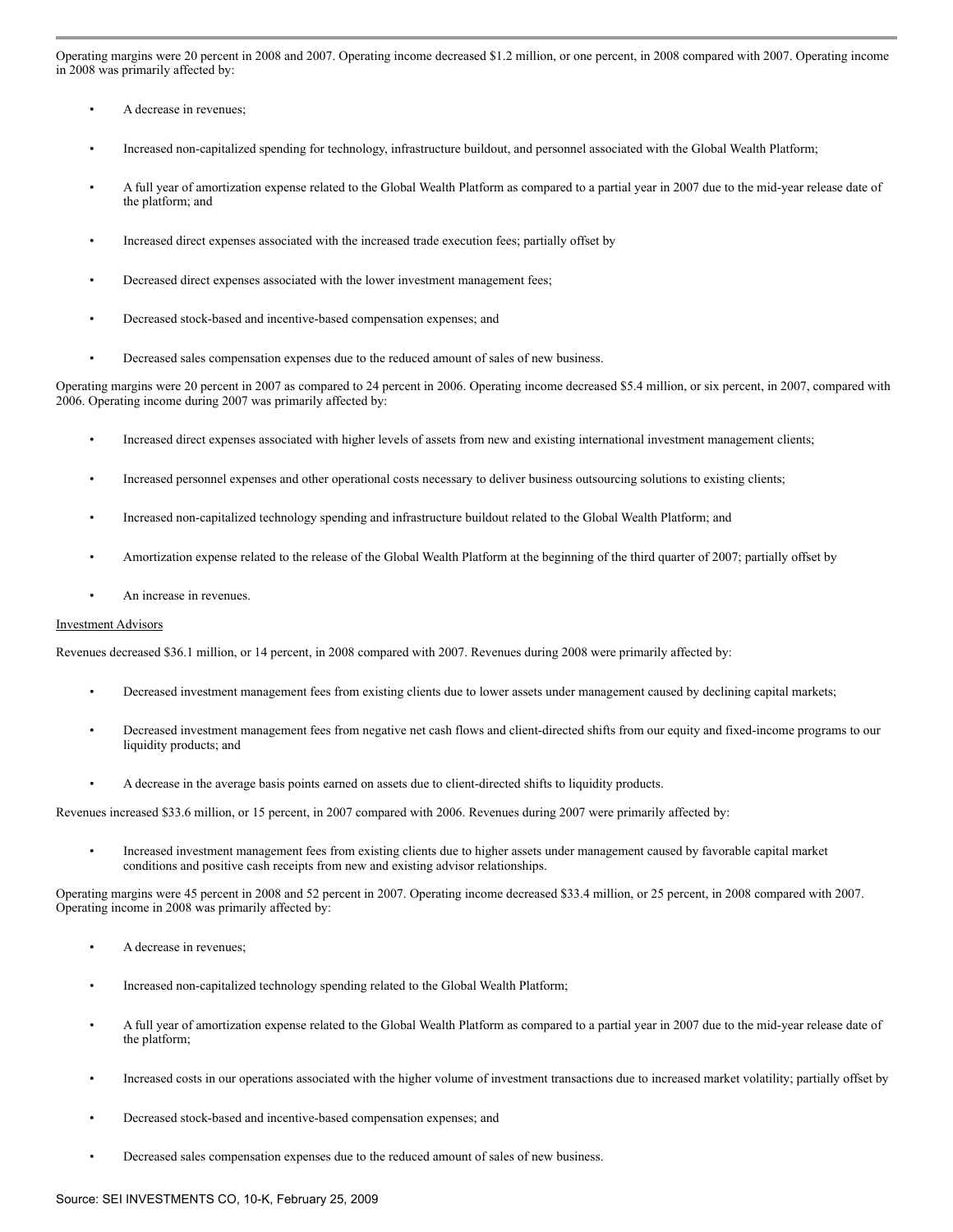Operating margins were 20 percent in 2008 and 2007. Operating income decreased \$1.2 million, or one percent, in 2008 compared with 2007. Operating income in 2008 was primarily affected by:

- A decrease in revenues;
- Increased non-capitalized spending for technology, infrastructure buildout, and personnel associated with the Global Wealth Platform;
- A full year of amortization expense related to the Global Wealth Platform as compared to a partial year in 2007 due to the mid-year release date of the platform; and
- Increased direct expenses associated with the increased trade execution fees; partially offset by
- Decreased direct expenses associated with the lower investment management fees;
- Decreased stock-based and incentive-based compensation expenses; and
- Decreased sales compensation expenses due to the reduced amount of sales of new business.

Operating margins were 20 percent in 2007 as compared to 24 percent in 2006. Operating income decreased \$5.4 million, or six percent, in 2007, compared with 2006. Operating income during 2007 was primarily affected by:

- Increased direct expenses associated with higher levels of assets from new and existing international investment management clients;
- Increased personnel expenses and other operational costs necessary to deliver business outsourcing solutions to existing clients;
- Increased non-capitalized technology spending and infrastructure buildout related to the Global Wealth Platform; and
- Amortization expense related to the release of the Global Wealth Platform at the beginning of the third quarter of 2007; partially offset by
- An increase in revenues.

#### Investment Advisors

Revenues decreased \$36.1 million, or 14 percent, in 2008 compared with 2007. Revenues during 2008 were primarily affected by:

- Decreased investment management fees from existing clients due to lower assets under management caused by declining capital markets;
- Decreased investment management fees from negative net cash flows and client-directed shifts from our equity and fixed-income programs to our liquidity products; and
- A decrease in the average basis points earned on assets due to client-directed shifts to liquidity products.

Revenues increased \$33.6 million, or 15 percent, in 2007 compared with 2006. Revenues during 2007 were primarily affected by:

• Increased investment management fees from existing clients due to higher assets under management caused by favorable capital market conditions and positive cash receipts from new and existing advisor relationships.

Operating margins were 45 percent in 2008 and 52 percent in 2007. Operating income decreased \$33.4 million, or 25 percent, in 2008 compared with 2007. Operating income in 2008 was primarily affected by:

- A decrease in revenues;
- Increased non-capitalized technology spending related to the Global Wealth Platform;
- A full year of amortization expense related to the Global Wealth Platform as compared to a partial year in 2007 due to the mid-year release date of the platform;
- Increased costs in our operations associated with the higher volume of investment transactions due to increased market volatility; partially offset by
- Decreased stock-based and incentive-based compensation expenses; and
- Decreased sales compensation expenses due to the reduced amount of sales of new business.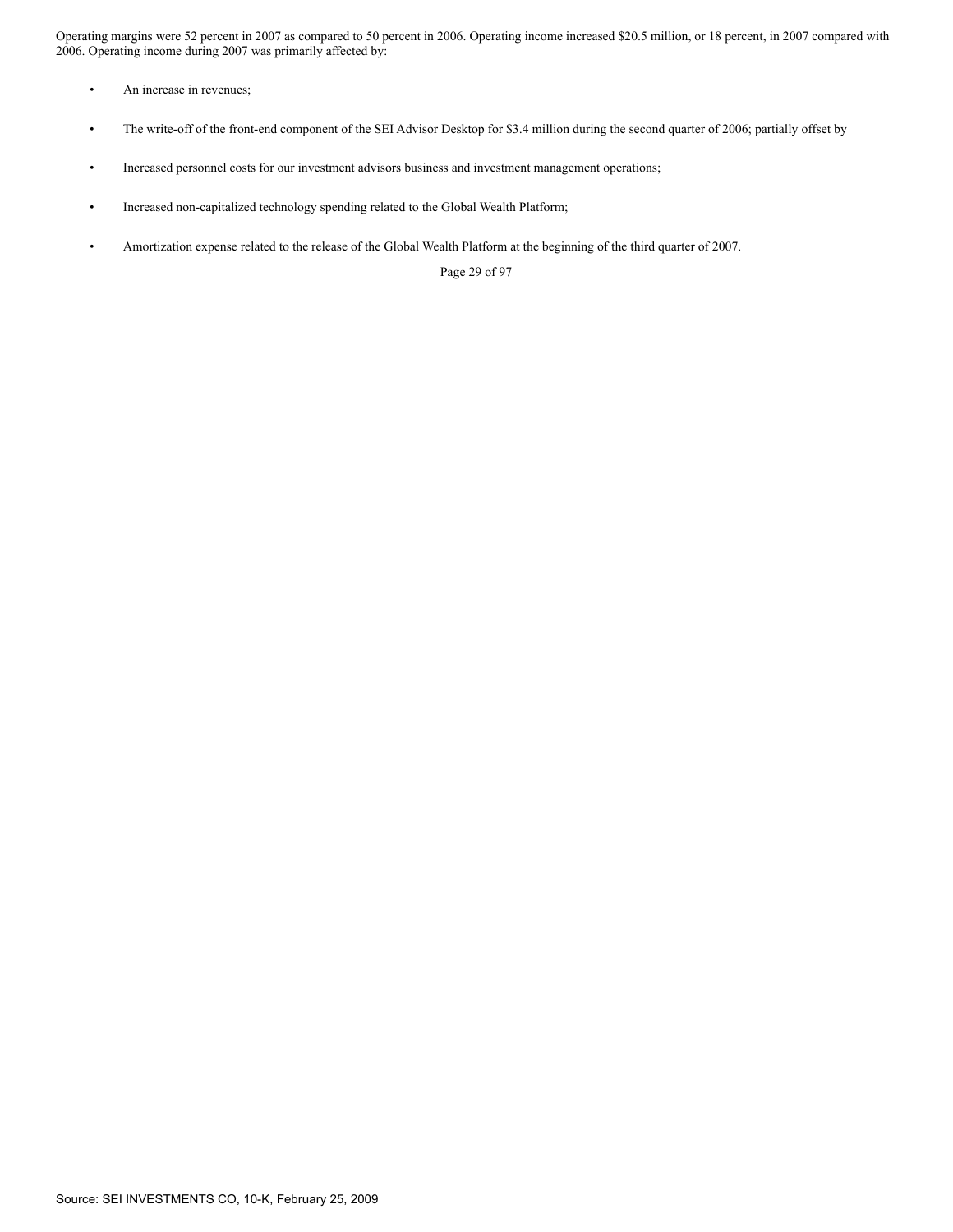Operating margins were 52 percent in 2007 as compared to 50 percent in 2006. Operating income increased \$20.5 million, or 18 percent, in 2007 compared with 2006. Operating income during 2007 was primarily affected by:

- An increase in revenues;
- The write-off of the front-end component of the SEI Advisor Desktop for \$3.4 million during the second quarter of 2006; partially offset by
- Increased personnel costs for our investment advisors business and investment management operations;
- Increased non-capitalized technology spending related to the Global Wealth Platform;
- Amortization expense related to the release of the Global Wealth Platform at the beginning of the third quarter of 2007.

Page 29 of 97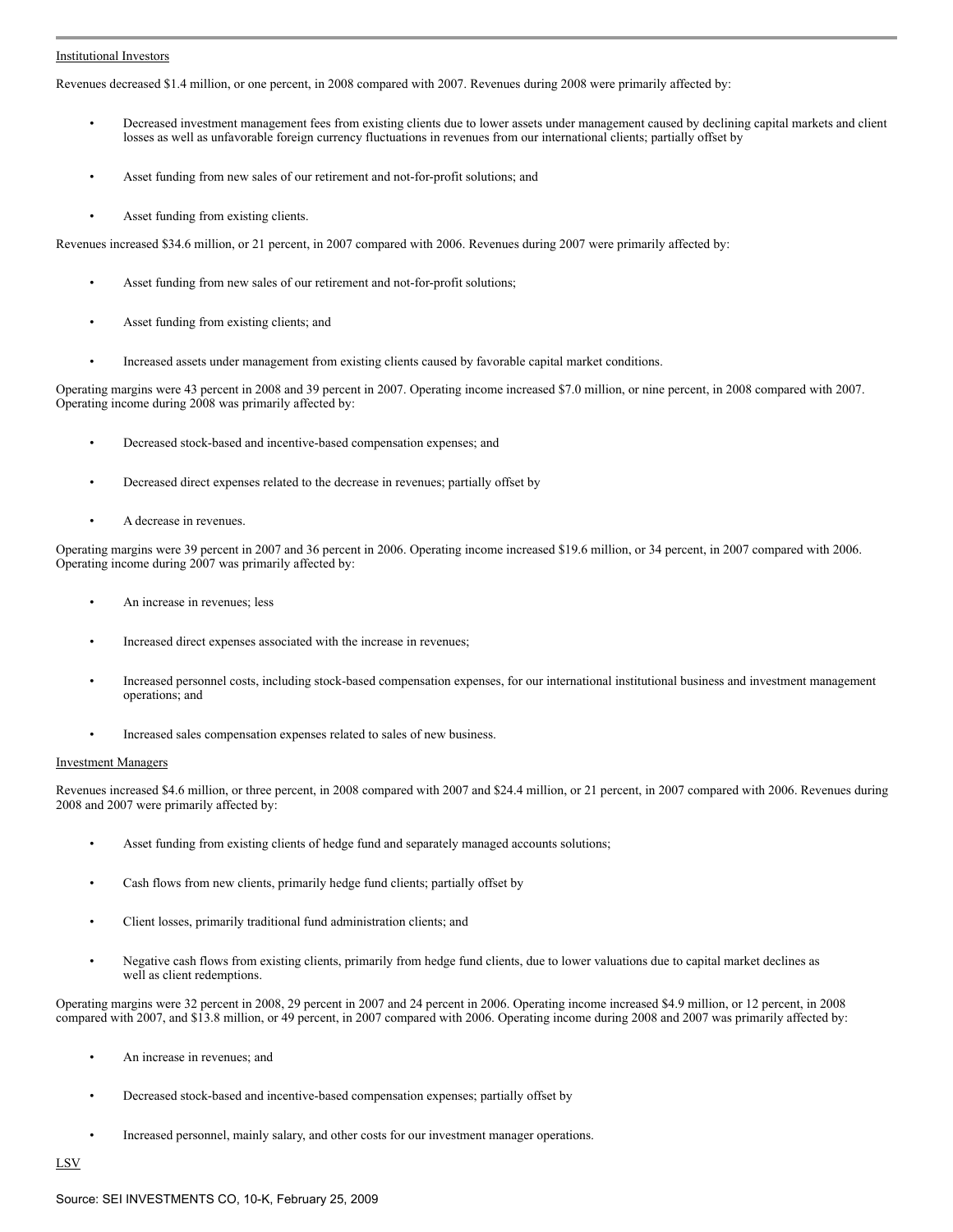#### Institutional Investors

Revenues decreased \$1.4 million, or one percent, in 2008 compared with 2007. Revenues during 2008 were primarily affected by:

- Decreased investment management fees from existing clients due to lower assets under management caused by declining capital markets and client losses as well as unfavorable foreign currency fluctuations in revenues from our international clients; partially offset by
- Asset funding from new sales of our retirement and not-for-profit solutions; and
- Asset funding from existing clients.

Revenues increased \$34.6 million, or 21 percent, in 2007 compared with 2006. Revenues during 2007 were primarily affected by:

- Asset funding from new sales of our retirement and not-for-profit solutions;
- Asset funding from existing clients; and
- Increased assets under management from existing clients caused by favorable capital market conditions.

Operating margins were 43 percent in 2008 and 39 percent in 2007. Operating income increased \$7.0 million, or nine percent, in 2008 compared with 2007. Operating income during 2008 was primarily affected by:

- Decreased stock-based and incentive-based compensation expenses; and
- Decreased direct expenses related to the decrease in revenues; partially offset by
- A decrease in revenues.

Operating margins were 39 percent in 2007 and 36 percent in 2006. Operating income increased \$19.6 million, or 34 percent, in 2007 compared with 2006. Operating income during 2007 was primarily affected by:

- An increase in revenues; less
- Increased direct expenses associated with the increase in revenues;
- Increased personnel costs, including stock-based compensation expenses, for our international institutional business and investment management operations; and
- Increased sales compensation expenses related to sales of new business.

#### Investment Managers

Revenues increased \$4.6 million, or three percent, in 2008 compared with 2007 and \$24.4 million, or 21 percent, in 2007 compared with 2006. Revenues during 2008 and 2007 were primarily affected by:

- Asset funding from existing clients of hedge fund and separately managed accounts solutions;
- Cash flows from new clients, primarily hedge fund clients; partially offset by
- Client losses, primarily traditional fund administration clients; and
- Negative cash flows from existing clients, primarily from hedge fund clients, due to lower valuations due to capital market declines as well as client redemptions.

Operating margins were 32 percent in 2008, 29 percent in 2007 and 24 percent in 2006. Operating income increased \$4.9 million, or 12 percent, in 2008 compared with 2007, and \$13.8 million, or 49 percent, in 2007 compared with 2006. Operating income during 2008 and 2007 was primarily affected by:

- An increase in revenues; and
- Decreased stock-based and incentive-based compensation expenses; partially offset by
- Increased personnel, mainly salary, and other costs for our investment manager operations.

LSV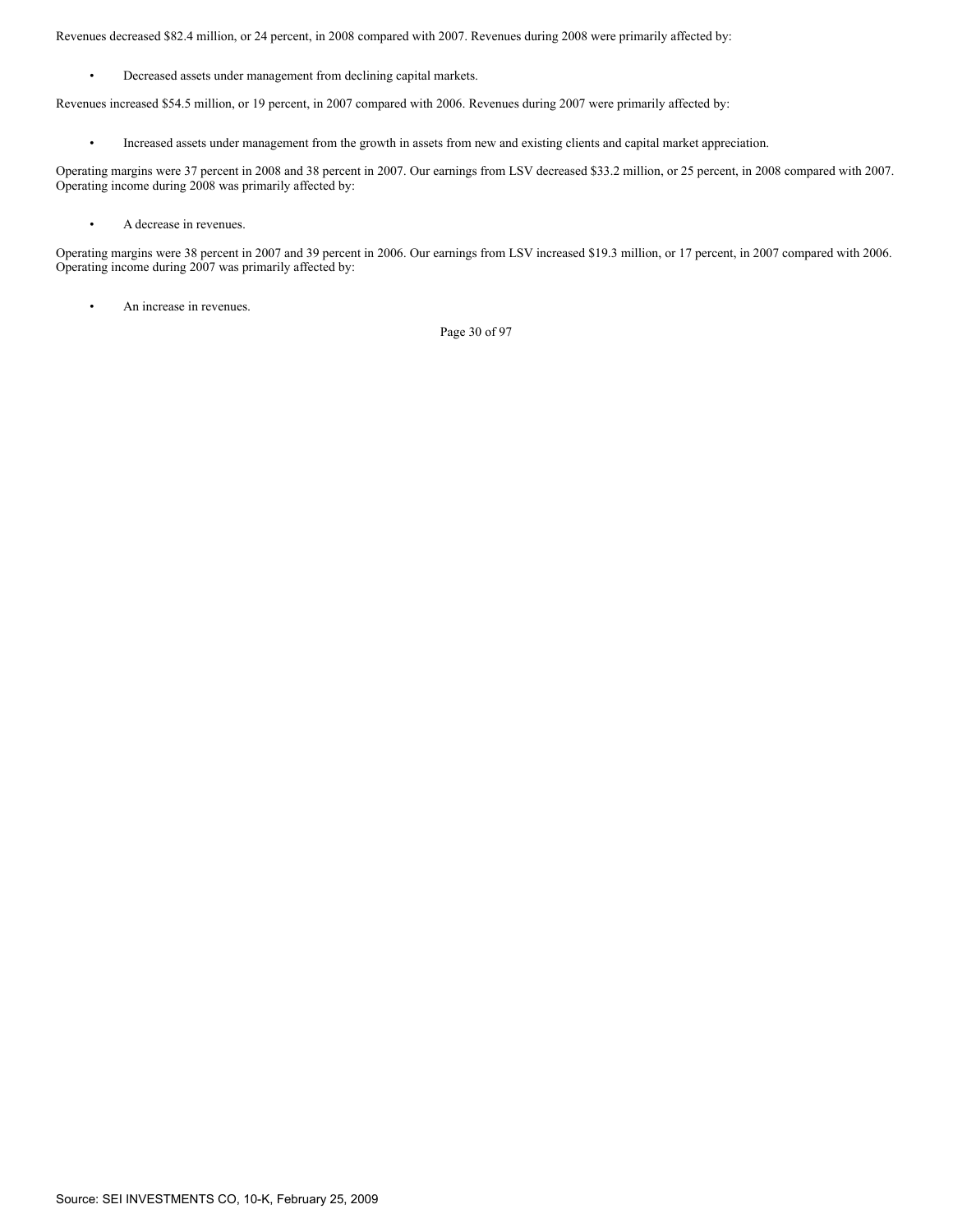Revenues decreased \$82.4 million, or 24 percent, in 2008 compared with 2007. Revenues during 2008 were primarily affected by:

• Decreased assets under management from declining capital markets.

Revenues increased \$54.5 million, or 19 percent, in 2007 compared with 2006. Revenues during 2007 were primarily affected by:

• Increased assets under management from the growth in assets from new and existing clients and capital market appreciation.

Operating margins were 37 percent in 2008 and 38 percent in 2007. Our earnings from LSV decreased \$33.2 million, or 25 percent, in 2008 compared with 2007. Operating income during 2008 was primarily affected by:

• A decrease in revenues.

Operating margins were 38 percent in 2007 and 39 percent in 2006. Our earnings from LSV increased \$19.3 million, or 17 percent, in 2007 compared with 2006. Operating income during 2007 was primarily affected by:

• An increase in revenues.

Page 30 of 97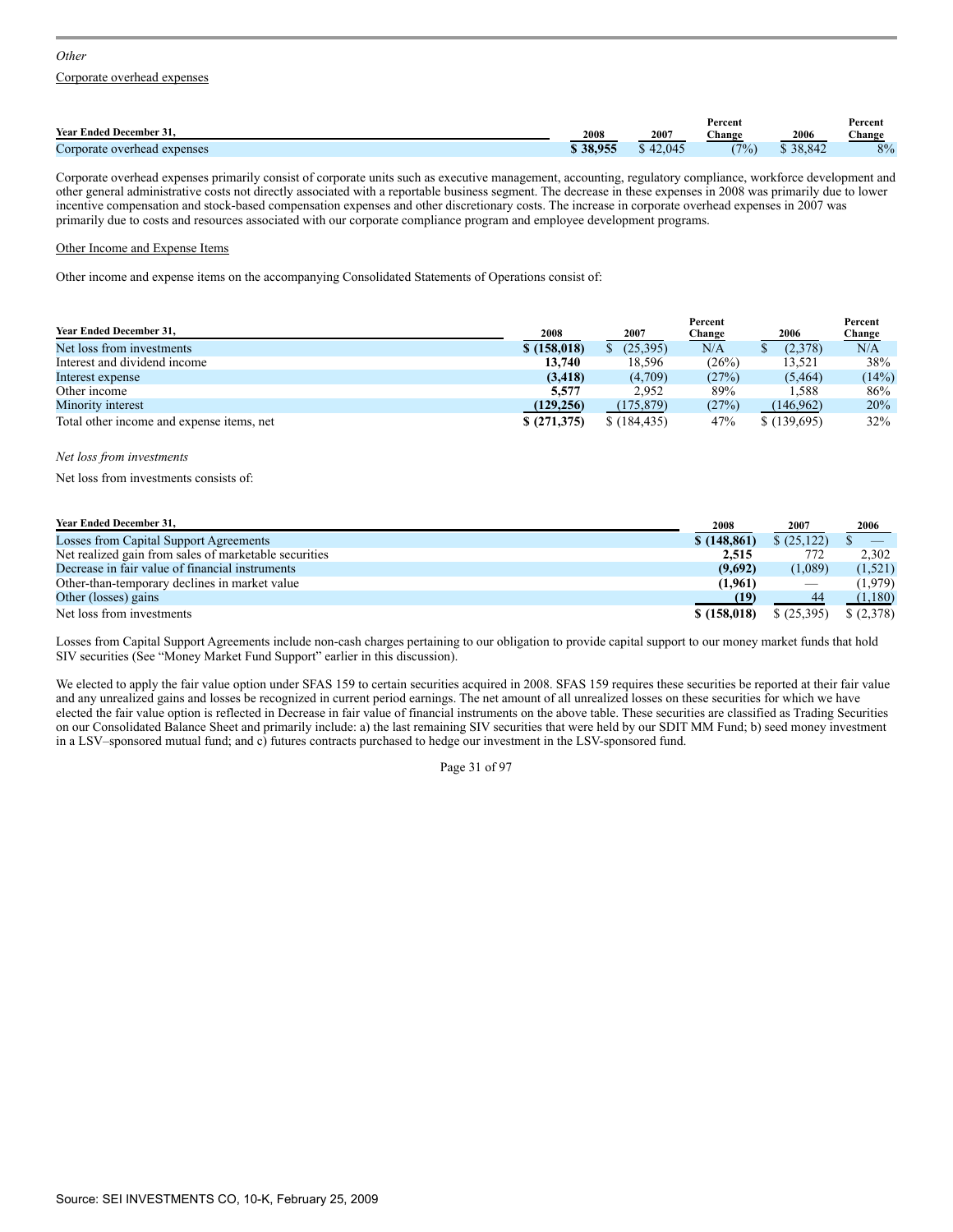|                                |          |        | Percent |        | Percent |
|--------------------------------|----------|--------|---------|--------|---------|
| <b>Year Ended December 31.</b> | 2008     | 2007   | Change  | 2006   | Change  |
| Corporate overhead expenses    | \$38,955 | 42.045 | $7\%$   | 38.842 | 8%      |

Corporate overhead expenses primarily consist of corporate units such as executive management, accounting, regulatory compliance, workforce development and other general administrative costs not directly associated with a reportable business segment. The decrease in these expenses in 2008 was primarily due to lower incentive compensation and stock-based compensation expenses and other discretionary costs. The increase in corporate overhead expenses in 2007 was primarily due to costs and resources associated with our corporate compliance program and employee development programs.

# Other Income and Expense Items

Other income and expense items on the accompanying Consolidated Statements of Operations consist of:

|                                           |             |              | Percent |             | Percent |
|-------------------------------------------|-------------|--------------|---------|-------------|---------|
| <b>Year Ended December 31.</b>            | 2008        | 2007         | Change  | 2006        | Change  |
| Net loss from investments                 | \$(158,018) | (25, 395)    | N/A     | (2,378)     | N/A     |
| Interest and dividend income              | 13,740      | 18.596       | (26%)   | 13.521      | 38%     |
| Interest expense                          | (3, 418)    | (4,709)      | (27%)   | (5,464)     | (14%)   |
| Other income                              | 5.577       | 2.952        | 89%     | .588        | 86%     |
| Minority interest                         | (129, 256)  | (175, 879)   | (27%)   | (146, 962)  | 20%     |
| Total other income and expense items, net | \$(271,375) | \$(184, 435) | 47%     | \$(139,695) | 32%     |

#### *Net loss from investments*

Net loss from investments consists of:

| Year Ended December 31,                               | 2008         | 2007        | 2006       |
|-------------------------------------------------------|--------------|-------------|------------|
| Losses from Capital Support Agreements                | \$(148, 861) | \$(25.122)  |            |
| Net realized gain from sales of marketable securities | 2.515        | 772         | 2,302      |
| Decrease in fair value of financial instruments       | (9,692)      | (1,089)     | (1,521)    |
| Other-than-temporary declines in market value         | (1.961)      |             | (1.979)    |
| Other (losses) gains                                  | (19)         | 44          | (1,180)    |
| Net loss from investments                             | \$(158,018)  | \$ (25,395) | \$ (2,378) |

Losses from Capital Support Agreements include non-cash charges pertaining to our obligation to provide capital support to our money market funds that hold SIV securities (See "Money Market Fund Support" earlier in this discussion).

We elected to apply the fair value option under SFAS 159 to certain securities acquired in 2008. SFAS 159 requires these securities be reported at their fair value and any unrealized gains and losses be recognized in current period earnings. The net amount of all unrealized losses on these securities for which we have elected the fair value option is reflected in Decrease in fair value of financial instruments on the above table. These securities are classified as Trading Securities on our Consolidated Balance Sheet and primarily include: a) the last remaining SIV securities that were held by our SDIT MM Fund; b) seed money investment in a LSV–sponsored mutual fund; and c) futures contracts purchased to hedge our investment in the LSV-sponsored fund.

Page 31 of 97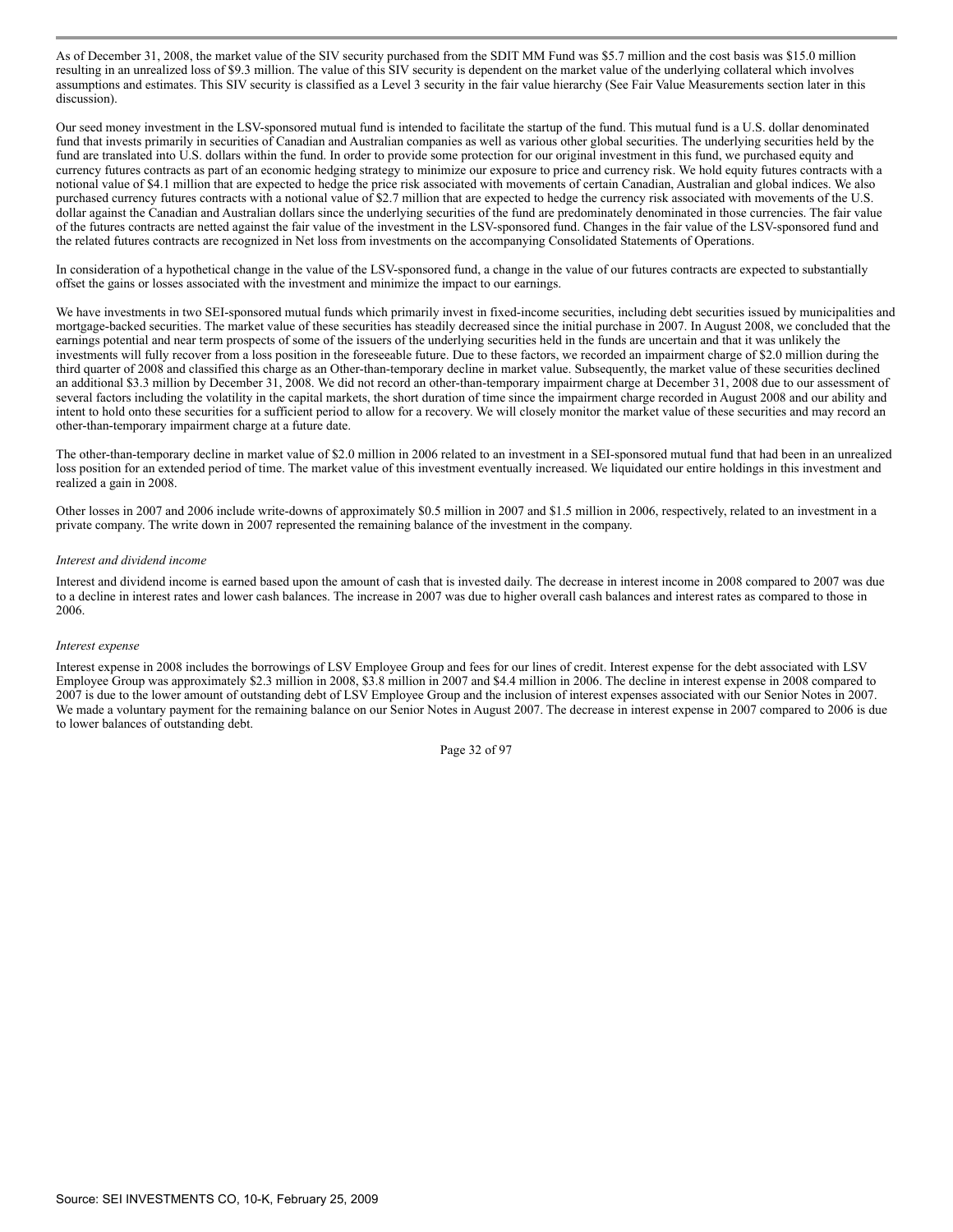As of December 31, 2008, the market value of the SIV security purchased from the SDIT MM Fund was \$5.7 million and the cost basis was \$15.0 million resulting in an unrealized loss of \$9.3 million. The value of this SIV security is dependent on the market value of the underlying collateral which involves assumptions and estimates. This SIV security is classified as a Level 3 security in the fair value hierarchy (See Fair Value Measurements section later in this discussion).

Our seed money investment in the LSV-sponsored mutual fund is intended to facilitate the startup of the fund. This mutual fund is a U.S. dollar denominated fund that invests primarily in securities of Canadian and Australian companies as well as various other global securities. The underlying securities held by the fund are translated into U.S. dollars within the fund. In order to provide some protection for our original investment in this fund, we purchased equity and currency futures contracts as part of an economic hedging strategy to minimize our exposure to price and currency risk. We hold equity futures contracts with a notional value of \$4.1 million that are expected to hedge the price risk associated with movements of certain Canadian, Australian and global indices. We also purchased currency futures contracts with a notional value of \$2.7 million that are expected to hedge the currency risk associated with movements of the U.S. dollar against the Canadian and Australian dollars since the underlying securities of the fund are predominately denominated in those currencies. The fair value of the futures contracts are netted against the fair value of the investment in the LSV-sponsored fund. Changes in the fair value of the LSV-sponsored fund and the related futures contracts are recognized in Net loss from investments on the accompanying Consolidated Statements of Operations.

In consideration of a hypothetical change in the value of the LSV-sponsored fund, a change in the value of our futures contracts are expected to substantially offset the gains or losses associated with the investment and minimize the impact to our earnings.

We have investments in two SEI-sponsored mutual funds which primarily invest in fixed-income securities, including debt securities issued by municipalities and mortgage-backed securities. The market value of these securities has steadily decreased since the initial purchase in 2007. In August 2008, we concluded that the earnings potential and near term prospects of some of the issuers of the underlying securities held in the funds are uncertain and that it was unlikely the investments will fully recover from a loss position in the foreseeable future. Due to these factors, we recorded an impairment charge of \$2.0 million during the third quarter of 2008 and classified this charge as an Other-than-temporary decline in market value. Subsequently, the market value of these securities declined an additional \$3.3 million by December 31, 2008. We did not record an other-than-temporary impairment charge at December 31, 2008 due to our assessment of several factors including the volatility in the capital markets, the short duration of time since the impairment charge recorded in August 2008 and our ability and intent to hold onto these securities for a sufficient period to allow for a recovery. We will closely monitor the market value of these securities and may record an other-than-temporary impairment charge at a future date.

The other-than-temporary decline in market value of \$2.0 million in 2006 related to an investment in a SEI-sponsored mutual fund that had been in an unrealized loss position for an extended period of time. The market value of this investment eventually increased. We liquidated our entire holdings in this investment and realized a gain in 2008.

Other losses in 2007 and 2006 include write-downs of approximately \$0.5 million in 2007 and \$1.5 million in 2006, respectively, related to an investment in a private company. The write down in 2007 represented the remaining balance of the investment in the company.

# *Interest and dividend income*

Interest and dividend income is earned based upon the amount of cash that is invested daily. The decrease in interest income in 2008 compared to 2007 was due to a decline in interest rates and lower cash balances. The increase in 2007 was due to higher overall cash balances and interest rates as compared to those in 2006.

#### *Interest expense*

Interest expense in 2008 includes the borrowings of LSV Employee Group and fees for our lines of credit. Interest expense for the debt associated with LSV Employee Group was approximately \$2.3 million in 2008, \$3.8 million in 2007 and \$4.4 million in 2006. The decline in interest expense in 2008 compared to 2007 is due to the lower amount of outstanding debt of LSV Employee Group and the inclusion of interest expenses associated with our Senior Notes in 2007. We made a voluntary payment for the remaining balance on our Senior Notes in August 2007. The decrease in interest expense in 2007 compared to 2006 is due to lower balances of outstanding debt.

Page 32 of 97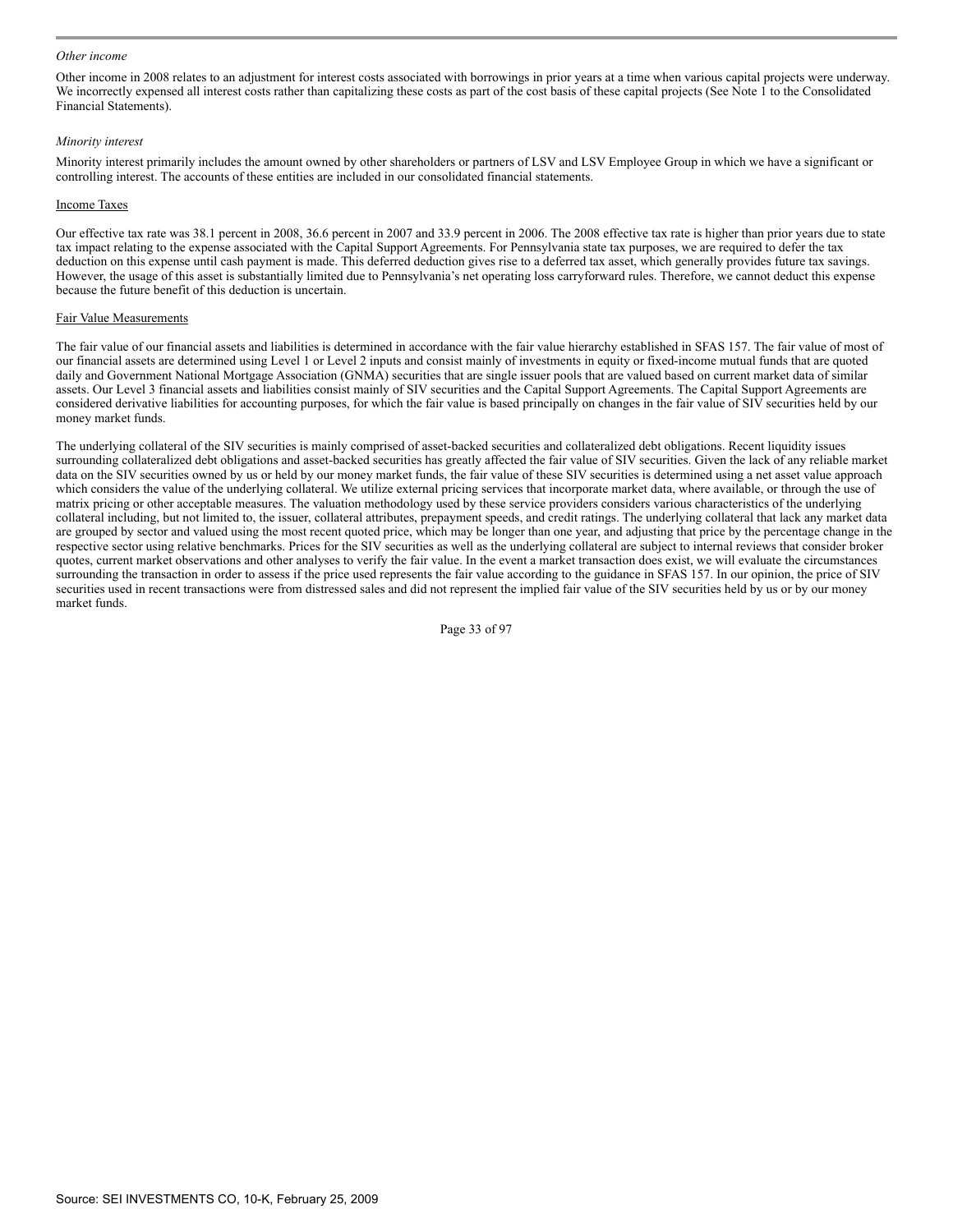#### *Other income*

Other income in 2008 relates to an adjustment for interest costs associated with borrowings in prior years at a time when various capital projects were underway. We incorrectly expensed all interest costs rather than capitalizing these costs as part of the cost basis of these capital projects (See Note 1 to the Consolidated Financial Statements).

# *Minority interest*

Minority interest primarily includes the amount owned by other shareholders or partners of LSV and LSV Employee Group in which we have a significant or controlling interest. The accounts of these entities are included in our consolidated financial statements.

#### Income Taxes

Our effective tax rate was 38.1 percent in 2008, 36.6 percent in 2007 and 33.9 percent in 2006. The 2008 effective tax rate is higher than prior years due to state tax impact relating to the expense associated with the Capital Support Agreements. For Pennsylvania state tax purposes, we are required to defer the tax deduction on this expense until cash payment is made. This deferred deduction gives rise to a deferred tax asset, which generally provides future tax savings. However, the usage of this asset is substantially limited due to Pennsylvania's net operating loss carryforward rules. Therefore, we cannot deduct this expense because the future benefit of this deduction is uncertain.

# Fair Value Measurements

The fair value of our financial assets and liabilities is determined in accordance with the fair value hierarchy established in SFAS 157. The fair value of most of our financial assets are determined using Level 1 or Level 2 inputs and consist mainly of investments in equity or fixed-income mutual funds that are quoted daily and Government National Mortgage Association (GNMA) securities that are single issuer pools that are valued based on current market data of similar assets. Our Level 3 financial assets and liabilities consist mainly of SIV securities and the Capital Support Agreements. The Capital Support Agreements are considered derivative liabilities for accounting purposes, for which the fair value is based principally on changes in the fair value of SIV securities held by our money market funds.

The underlying collateral of the SIV securities is mainly comprised of asset-backed securities and collateralized debt obligations. Recent liquidity issues surrounding collateralized debt obligations and asset-backed securities has greatly affected the fair value of SIV securities. Given the lack of any reliable market data on the SIV securities owned by us or held by our money market funds, the fair value of these SIV securities is determined using a net asset value approach which considers the value of the underlying collateral. We utilize external pricing services that incorporate market data, where available, or through the use of matrix pricing or other acceptable measures. The valuation methodology used by these service providers considers various characteristics of the underlying collateral including, but not limited to, the issuer, collateral attributes, prepayment speeds, and credit ratings. The underlying collateral that lack any market data are grouped by sector and valued using the most recent quoted price, which may be longer than one year, and adjusting that price by the percentage change in the respective sector using relative benchmarks. Prices for the SIV securities as well as the underlying collateral are subject to internal reviews that consider broker quotes, current market observations and other analyses to verify the fair value. In the event a market transaction does exist, we will evaluate the circumstances surrounding the transaction in order to assess if the price used represents the fair value according to the guidance in SFAS 157. In our opinion, the price of SIV securities used in recent transactions were from distressed sales and did not represent the implied fair value of the SIV securities held by us or by our money market funds.

Page 33 of 97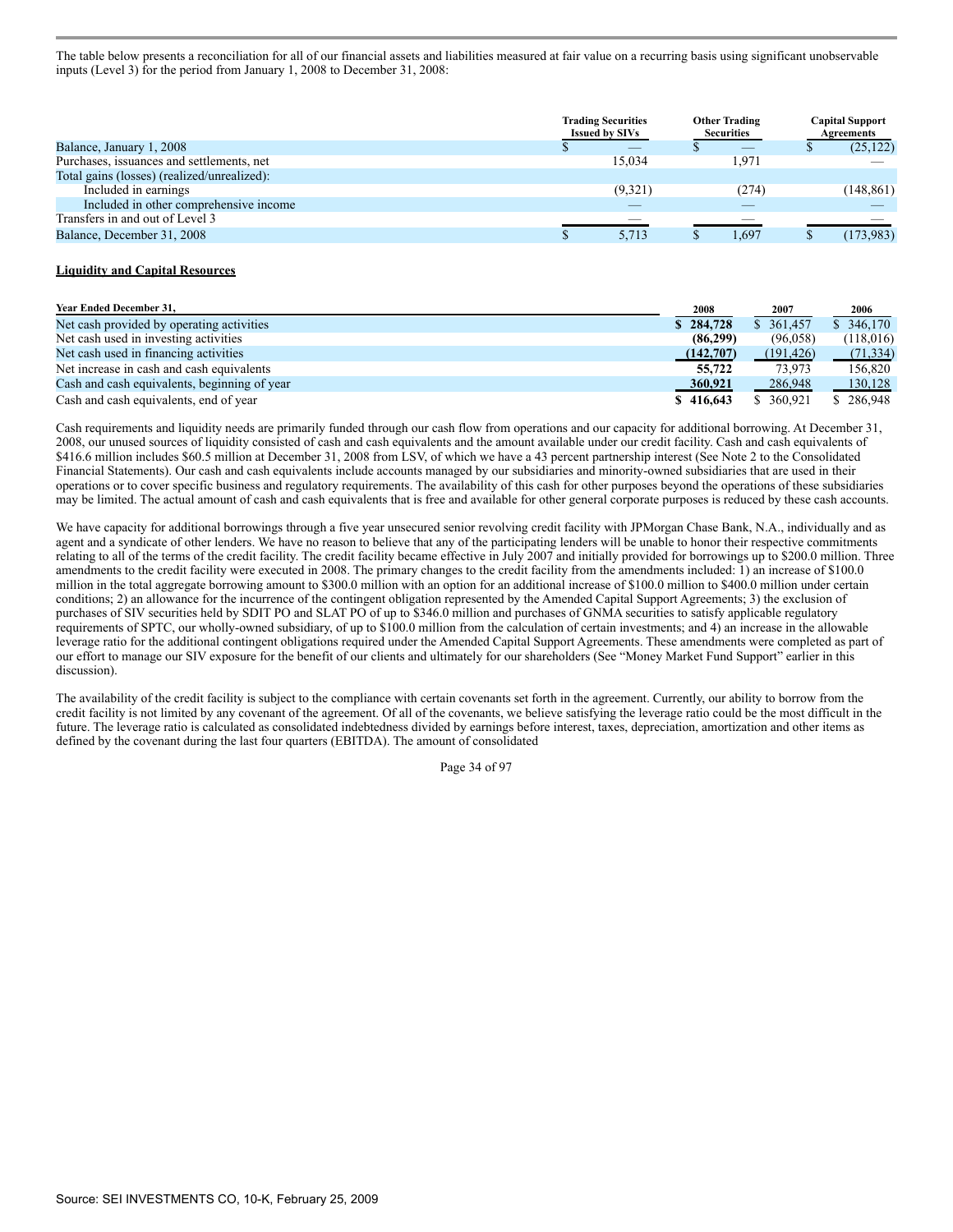The table below presents a reconciliation for all of our financial assets and liabilities measured at fair value on a recurring basis using significant unobservable inputs (Level 3) for the period from January 1, 2008 to December 31, 2008:

|                                             |  | <b>Trading Securities</b><br><b>Issued by SIVs</b> |  |       |  | <b>Other Trading</b><br><b>Securities</b> |  | Capital Support<br>Agreements |
|---------------------------------------------|--|----------------------------------------------------|--|-------|--|-------------------------------------------|--|-------------------------------|
| Balance, January 1, 2008                    |  |                                                    |  |       |  | (25, 122)                                 |  |                               |
| Purchases, issuances and settlements, net   |  | 15.034                                             |  | l.971 |  |                                           |  |                               |
| Total gains (losses) (realized/unrealized): |  |                                                    |  |       |  |                                           |  |                               |
| Included in earnings                        |  | (9,321)                                            |  | (274) |  | (148, 861)                                |  |                               |
| Included in other comprehensive income      |  |                                                    |  |       |  |                                           |  |                               |
| Transfers in and out of Level 3             |  |                                                    |  |       |  |                                           |  |                               |
| Balance, December 31, 2008                  |  | 5,713                                              |  | .697  |  | (173.983)                                 |  |                               |

# **Liquidity and Capital Resources**

| Year Ended December 31,                      | 2008      | 2007          | 2006       |
|----------------------------------------------|-----------|---------------|------------|
| Net cash provided by operating activities    | \$284,728 | \$ 361,457    | \$ 346,170 |
| Net cash used in investing activities        | (86,299)  | (96.058)      | (118,016)  |
| Net cash used in financing activities        | (142,707) | (191, 426)    | (71, 334)  |
| Net increase in cash and cash equivalents    | 55,722    | 73.973        | 156.820    |
| Cash and cash equivalents, beginning of year | 360,921   | 286,948       | 130,128    |
| Cash and cash equivalents, end of year       | \$416,643 | 360.921<br>S. | \$286,948  |

Cash requirements and liquidity needs are primarily funded through our cash flow from operations and our capacity for additional borrowing. At December 31, 2008, our unused sources of liquidity consisted of cash and cash equivalents and the amount available under our credit facility. Cash and cash equivalents of \$416.6 million includes \$60.5 million at December 31, 2008 from LSV, of which we have a 43 percent partnership interest (See Note 2 to the Consolidated Financial Statements). Our cash and cash equivalents include accounts managed by our subsidiaries and minority-owned subsidiaries that are used in their operations or to cover specific business and regulatory requirements. The availability of this cash for other purposes beyond the operations of these subsidiaries may be limited. The actual amount of cash and cash equivalents that is free and available for other general corporate purposes is reduced by these cash accounts.

We have capacity for additional borrowings through a five year unsecured senior revolving credit facility with JPMorgan Chase Bank, N.A., individually and as agent and a syndicate of other lenders. We have no reason to believe that any of the participating lenders will be unable to honor their respective commitments relating to all of the terms of the credit facility. The credit facility became effective in July 2007 and initially provided for borrowings up to \$200.0 million. Three amendments to the credit facility were executed in 2008. The primary changes to the credit facility from the amendments included: 1) an increase of \$100.0 million in the total aggregate borrowing amount to \$300.0 million with an option for an additional increase of \$100.0 million to \$400.0 million under certain conditions; 2) an allowance for the incurrence of the contingent obligation represented by the Amended Capital Support Agreements; 3) the exclusion of purchases of SIV securities held by SDIT PO and SLAT PO of up to \$346.0 million and purchases of GNMA securities to satisfy applicable regulatory requirements of SPTC, our wholly-owned subsidiary, of up to \$100.0 million from the calculation of certain investments; and 4) an increase in the allowable leverage ratio for the additional contingent obligations required under the Amended Capital Support Agreements. These amendments were completed as part of our effort to manage our SIV exposure for the benefit of our clients and ultimately for our shareholders (See "Money Market Fund Support" earlier in this discussion).

The availability of the credit facility is subject to the compliance with certain covenants set forth in the agreement. Currently, our ability to borrow from the credit facility is not limited by any covenant of the agreement. Of all of the covenants, we believe satisfying the leverage ratio could be the most difficult in the future. The leverage ratio is calculated as consolidated indebtedness divided by earnings before interest, taxes, depreciation, amortization and other items as defined by the covenant during the last four quarters (EBITDA). The amount of consolidated

Page 34 of 97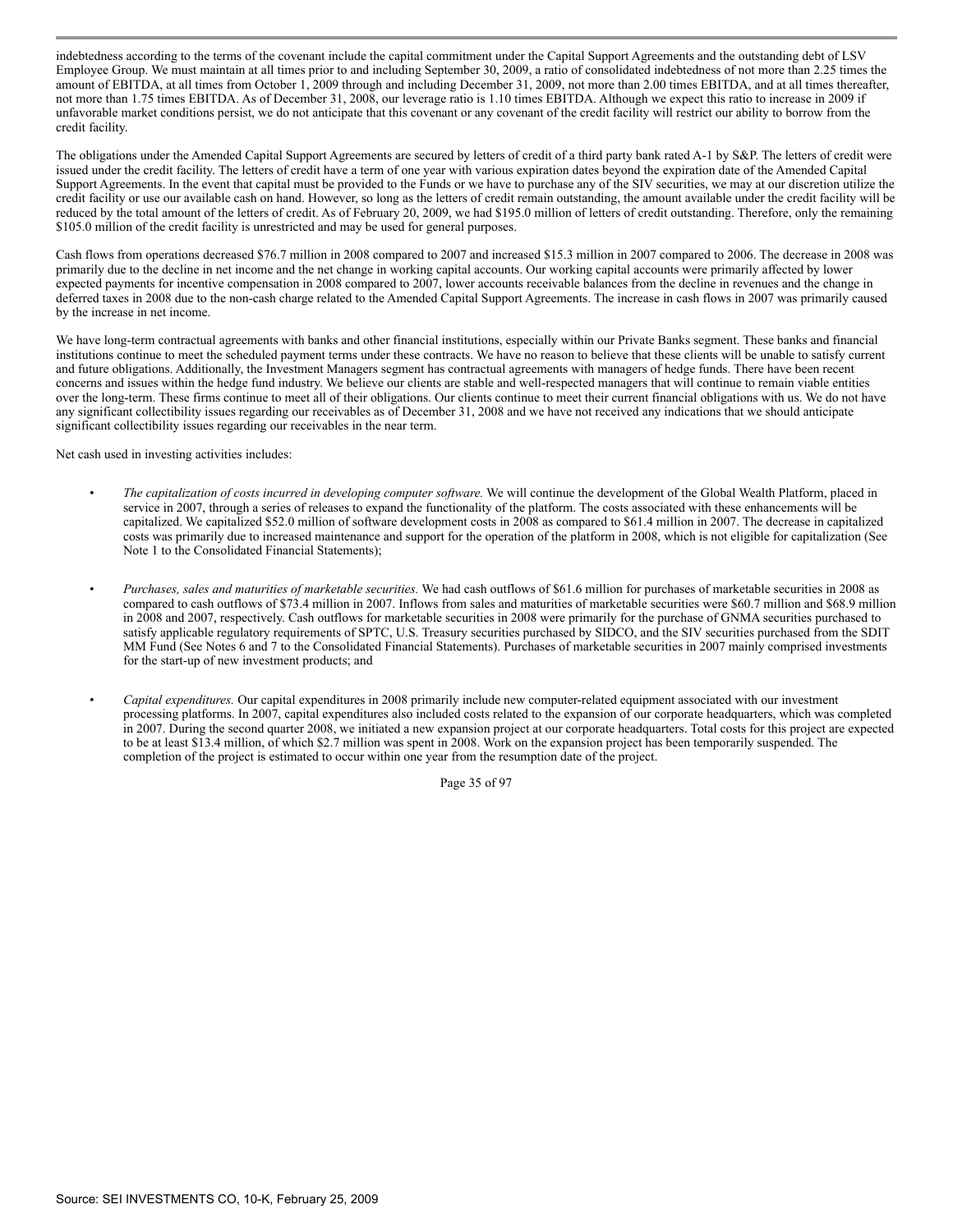indebtedness according to the terms of the covenant include the capital commitment under the Capital Support Agreements and the outstanding debt of LSV Employee Group. We must maintain at all times prior to and including September 30, 2009, a ratio of consolidated indebtedness of not more than 2.25 times the amount of EBITDA, at all times from October 1, 2009 through and including December 31, 2009, not more than 2.00 times EBITDA, and at all times thereafter, not more than 1.75 times EBITDA. As of December 31, 2008, our leverage ratio is 1.10 times EBITDA. Although we expect this ratio to increase in 2009 if unfavorable market conditions persist, we do not anticipate that this covenant or any covenant of the credit facility will restrict our ability to borrow from the credit facility.

The obligations under the Amended Capital Support Agreements are secured by letters of credit of a third party bank rated A-1 by S&P. The letters of credit were issued under the credit facility. The letters of credit have a term of one year with various expiration dates beyond the expiration date of the Amended Capital Support Agreements. In the event that capital must be provided to the Funds or we have to purchase any of the SIV securities, we may at our discretion utilize the credit facility or use our available cash on hand. However, so long as the letters of credit remain outstanding, the amount available under the credit facility will be reduced by the total amount of the letters of credit. As of February 20, 2009, we had \$195.0 million of letters of credit outstanding. Therefore, only the remaining \$105.0 million of the credit facility is unrestricted and may be used for general purposes.

Cash flows from operations decreased \$76.7 million in 2008 compared to 2007 and increased \$15.3 million in 2007 compared to 2006. The decrease in 2008 was primarily due to the decline in net income and the net change in working capital accounts. Our working capital accounts were primarily affected by lower expected payments for incentive compensation in 2008 compared to 2007, lower accounts receivable balances from the decline in revenues and the change in deferred taxes in 2008 due to the non-cash charge related to the Amended Capital Support Agreements. The increase in cash flows in 2007 was primarily caused by the increase in net income.

We have long-term contractual agreements with banks and other financial institutions, especially within our Private Banks segment. These banks and financial institutions continue to meet the scheduled payment terms under these contracts. We have no reason to believe that these clients will be unable to satisfy current and future obligations. Additionally, the Investment Managers segment has contractual agreements with managers of hedge funds. There have been recent concerns and issues within the hedge fund industry. We believe our clients are stable and well-respected managers that will continue to remain viable entities over the long-term. These firms continue to meet all of their obligations. Our clients continue to meet their current financial obligations with us. We do not have any significant collectibility issues regarding our receivables as of December 31, 2008 and we have not received any indications that we should anticipate significant collectibility issues regarding our receivables in the near term.

Net cash used in investing activities includes:

- *The capitalization of costs incurred in developing computer software.* We will continue the development of the Global Wealth Platform, placed in service in 2007, through a series of releases to expand the functionality of the platform. The costs associated with these enhancements will be capitalized. We capitalized \$52.0 million of software development costs in 2008 as compared to \$61.4 million in 2007. The decrease in capitalized costs was primarily due to increased maintenance and support for the operation of the platform in 2008, which is not eligible for capitalization (See Note 1 to the Consolidated Financial Statements);
- *Purchases, sales and maturities of marketable securities.* We had cash outflows of \$61.6 million for purchases of marketable securities in 2008 as compared to cash outflows of \$73.4 million in 2007. Inflows from sales and maturities of marketable securities were \$60.7 million and \$68.9 million in 2008 and 2007, respectively. Cash outflows for marketable securities in 2008 were primarily for the purchase of GNMA securities purchased to satisfy applicable regulatory requirements of SPTC, U.S. Treasury securities purchased by SIDCO, and the SIV securities purchased from the SDIT MM Fund (See Notes 6 and 7 to the Consolidated Financial Statements). Purchases of marketable securities in 2007 mainly comprised investments for the start-up of new investment products; and
- *Capital expenditures.* Our capital expenditures in 2008 primarily include new computer-related equipment associated with our investment processing platforms. In 2007, capital expenditures also included costs related to the expansion of our corporate headquarters, which was completed in 2007. During the second quarter 2008, we initiated a new expansion project at our corporate headquarters. Total costs for this project are expected to be at least \$13.4 million, of which \$2.7 million was spent in 2008. Work on the expansion project has been temporarily suspended. The completion of the project is estimated to occur within one year from the resumption date of the project.

Page 35 of 97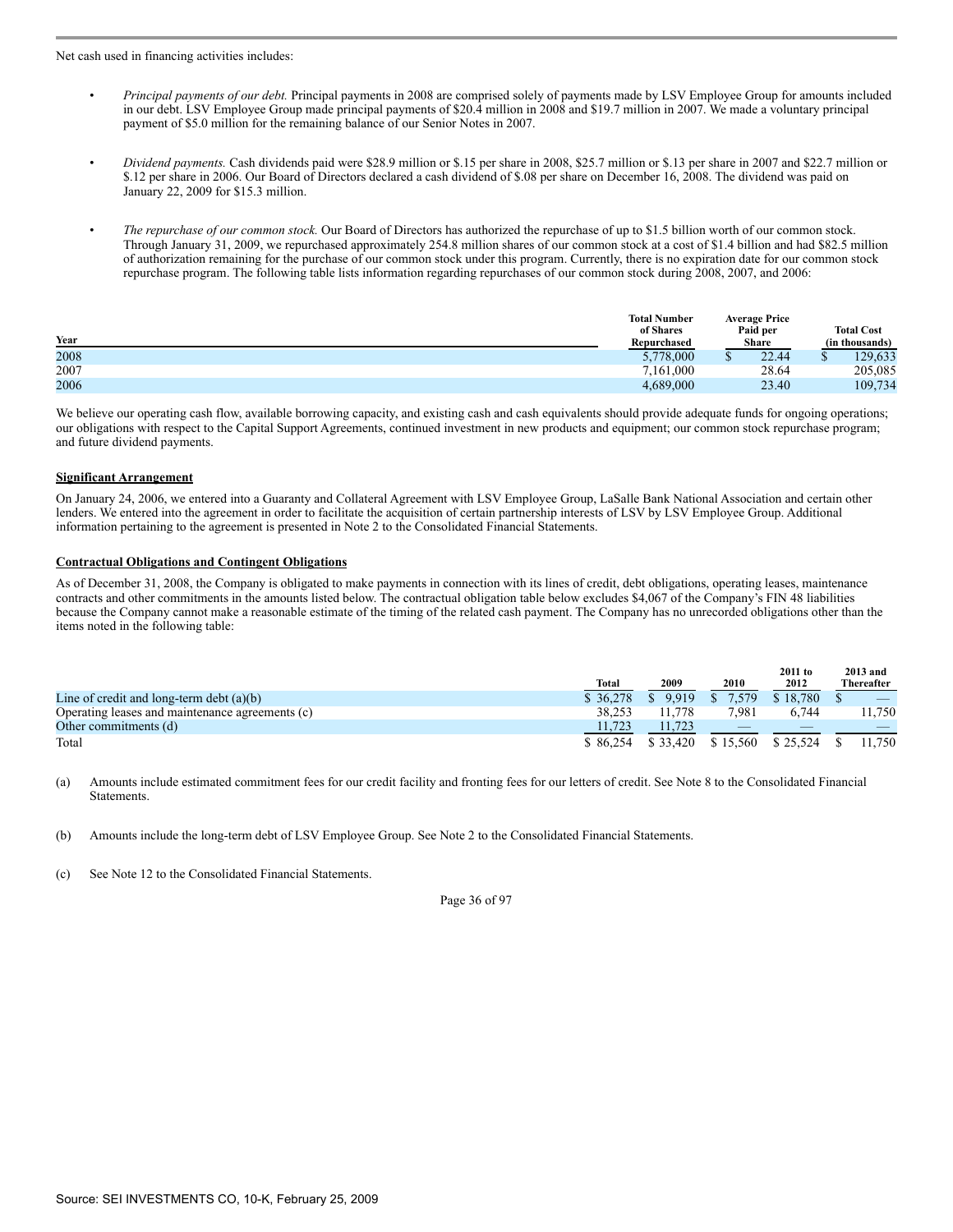Net cash used in financing activities includes:

- *Principal payments of our debt.* Principal payments in 2008 are comprised solely of payments made by LSV Employee Group for amounts included in our debt. LSV Employee Group made principal payments of \$20.4 million in 2008 and \$19.7 million in 2007. We made a voluntary principal payment of \$5.0 million for the remaining balance of our Senior Notes in 2007.
- *Dividend payments.* Cash dividends paid were \$28.9 million or \$.15 per share in 2008, \$25.7 million or \$.13 per share in 2007 and \$22.7 million or \$.12 per share in 2006. Our Board of Directors declared a cash dividend of \$.08 per share on December 16, 2008. The dividend was paid on January 22, 2009 for \$15.3 million.
- *The repurchase of our common stock.* Our Board of Directors has authorized the repurchase of up to \$1.5 billion worth of our common stock. Through January 31, 2009, we repurchased approximately 254.8 million shares of our common stock at a cost of \$1.4 billion and had \$82.5 million of authorization remaining for the purchase of our common stock under this program. Currently, there is no expiration date for our common stock repurchase program. The following table lists information regarding repurchases of our common stock during 2008, 2007, and 2006:

| Year | <b>Total Number</b><br>of Shares<br>Repurchased | <b>Average Price</b><br>Paid per<br><b>Share</b> |       | <b>Total Cost</b><br>(in thousands) |         |  |
|------|-------------------------------------------------|--------------------------------------------------|-------|-------------------------------------|---------|--|
| 2008 | 5,778,000                                       |                                                  | 22.44 |                                     | 129,633 |  |
| 2007 | 7.161.000                                       |                                                  | 28.64 |                                     | 205,085 |  |
| 2006 | 4,689,000                                       |                                                  | 23.40 |                                     | 109,734 |  |

We believe our operating cash flow, available borrowing capacity, and existing cash and cash equivalents should provide adequate funds for ongoing operations; our obligations with respect to the Capital Support Agreements, continued investment in new products and equipment; our common stock repurchase program; and future dividend payments.

# **Significant Arrangement**

On January 24, 2006, we entered into a Guaranty and Collateral Agreement with LSV Employee Group, LaSalle Bank National Association and certain other lenders. We entered into the agreement in order to facilitate the acquisition of certain partnership interests of LSV by LSV Employee Group. Additional information pertaining to the agreement is presented in Note 2 to the Consolidated Financial Statements.

# **Contractual Obligations and Contingent Obligations**

As of December 31, 2008, the Company is obligated to make payments in connection with its lines of credit, debt obligations, operating leases, maintenance contracts and other commitments in the amounts listed below. The contractual obligation table below excludes \$4,067 of the Company's FIN 48 liabilities because the Company cannot make a reasonable estimate of the timing of the related cash payment. The Company has no unrecorded obligations other than the items noted in the following table:

|                                                 |              |          |          | 2011 to  | 2013 and          |
|-------------------------------------------------|--------------|----------|----------|----------|-------------------|
|                                                 | <b>Total</b> | 2009     | 2010     | 2012     | <b>Thereafter</b> |
| Line of credit and long-term debt $(a)(b)$      | \$36.278     | 9.919    | 7.579    | \$18.780 |                   |
| Operating leases and maintenance agreements (c) | 38.253       | 11.778   | 7.981    | 6.744    | 1,750             |
| Other commitments (d)                           |              |          |          |          |                   |
| Total                                           | \$86.254     | \$33.420 | \$15.560 | \$25,524 | 1.750             |

(a) Amounts include estimated commitment fees for our credit facility and fronting fees for our letters of credit. See Note 8 to the Consolidated Financial Statements.

- (b) Amounts include the long-term debt of LSV Employee Group. See Note 2 to the Consolidated Financial Statements.
- (c) See Note 12 to the Consolidated Financial Statements.

Page 36 of 97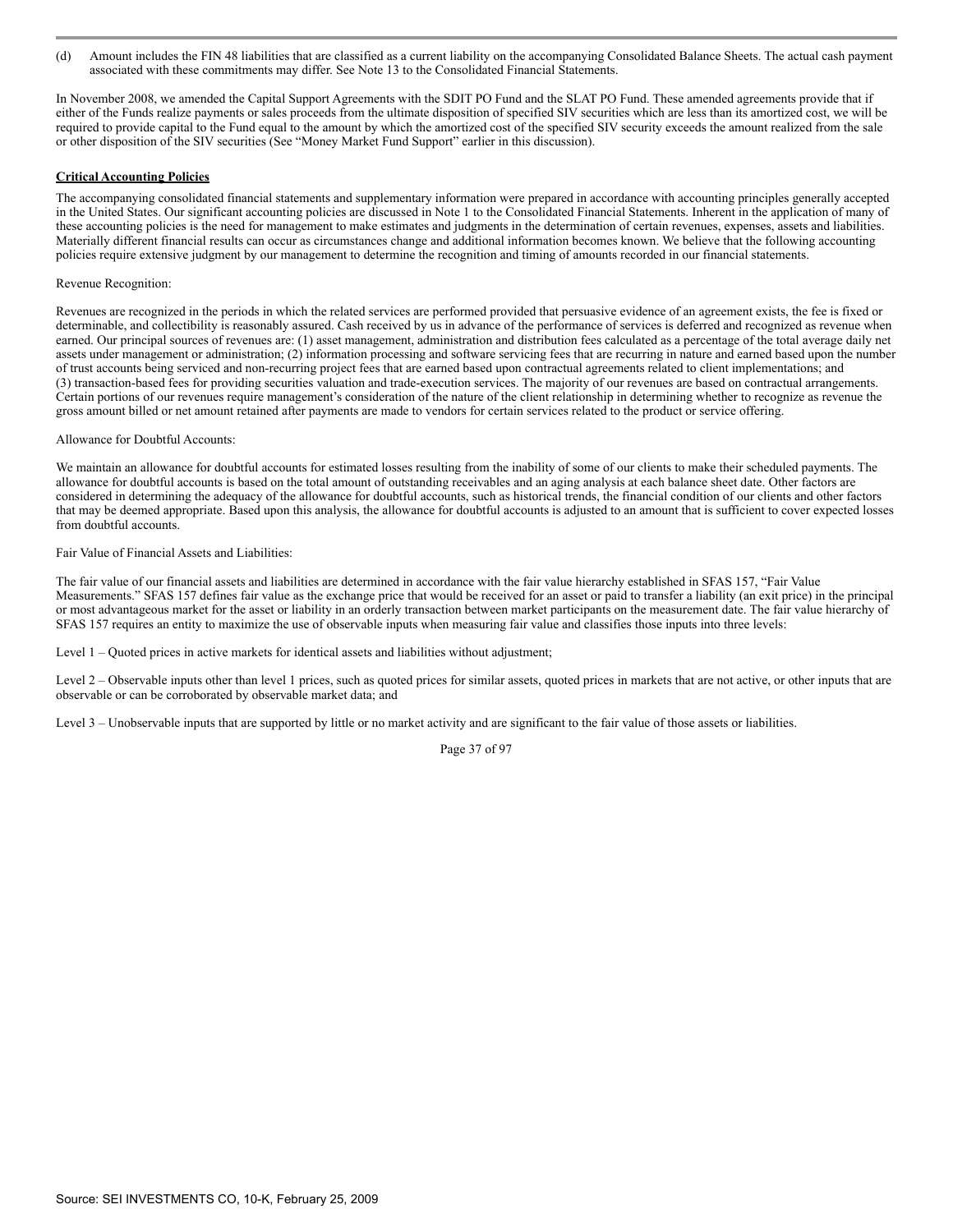(d) Amount includes the FIN 48 liabilities that are classified as a current liability on the accompanying Consolidated Balance Sheets. The actual cash payment associated with these commitments may differ. See Note 13 to the Consolidated Financial Statements.

In November 2008, we amended the Capital Support Agreements with the SDIT PO Fund and the SLAT PO Fund. These amended agreements provide that if either of the Funds realize payments or sales proceeds from the ultimate disposition of specified SIV securities which are less than its amortized cost, we will be required to provide capital to the Fund equal to the amount by which the amortized cost of the specified SIV security exceeds the amount realized from the sale or other disposition of the SIV securities (See "Money Market Fund Support" earlier in this discussion).

# **Critical Accounting Policies**

The accompanying consolidated financial statements and supplementary information were prepared in accordance with accounting principles generally accepted in the United States. Our significant accounting policies are discussed in Note 1 to the Consolidated Financial Statements. Inherent in the application of many of these accounting policies is the need for management to make estimates and judgments in the determination of certain revenues, expenses, assets and liabilities. Materially different financial results can occur as circumstances change and additional information becomes known. We believe that the following accounting policies require extensive judgment by our management to determine the recognition and timing of amounts recorded in our financial statements.

# Revenue Recognition:

Revenues are recognized in the periods in which the related services are performed provided that persuasive evidence of an agreement exists, the fee is fixed or determinable, and collectibility is reasonably assured. Cash received by us in advance of the performance of services is deferred and recognized as revenue when earned. Our principal sources of revenues are: (1) asset management, administration and distribution fees calculated as a percentage of the total average daily net assets under management or administration; (2) information processing and software servicing fees that are recurring in nature and earned based upon the number of trust accounts being serviced and non-recurring project fees that are earned based upon contractual agreements related to client implementations; and (3) transaction-based fees for providing securities valuation and trade-execution services. The majority of our revenues are based on contractual arrangements. Certain portions of our revenues require management's consideration of the nature of the client relationship in determining whether to recognize as revenue the gross amount billed or net amount retained after payments are made to vendors for certain services related to the product or service offering.

Allowance for Doubtful Accounts:

We maintain an allowance for doubtful accounts for estimated losses resulting from the inability of some of our clients to make their scheduled payments. The allowance for doubtful accounts is based on the total amount of outstanding receivables and an aging analysis at each balance sheet date. Other factors are considered in determining the adequacy of the allowance for doubtful accounts, such as historical trends, the financial condition of our clients and other factors that may be deemed appropriate. Based upon this analysis, the allowance for doubtful accounts is adjusted to an amount that is sufficient to cover expected losses from doubtful accounts.

Fair Value of Financial Assets and Liabilities:

The fair value of our financial assets and liabilities are determined in accordance with the fair value hierarchy established in SFAS 157, "Fair Value Measurements." SFAS 157 defines fair value as the exchange price that would be received for an asset or paid to transfer a liability (an exit price) in the principal or most advantageous market for the asset or liability in an orderly transaction between market participants on the measurement date. The fair value hierarchy of SFAS 157 requires an entity to maximize the use of observable inputs when measuring fair value and classifies those inputs into three levels:

Level 1 – Quoted prices in active markets for identical assets and liabilities without adjustment;

Level 2 – Observable inputs other than level 1 prices, such as quoted prices for similar assets, quoted prices in markets that are not active, or other inputs that are observable or can be corroborated by observable market data; and

Level 3 – Unobservable inputs that are supported by little or no market activity and are significant to the fair value of those assets or liabilities.

Page 37 of 97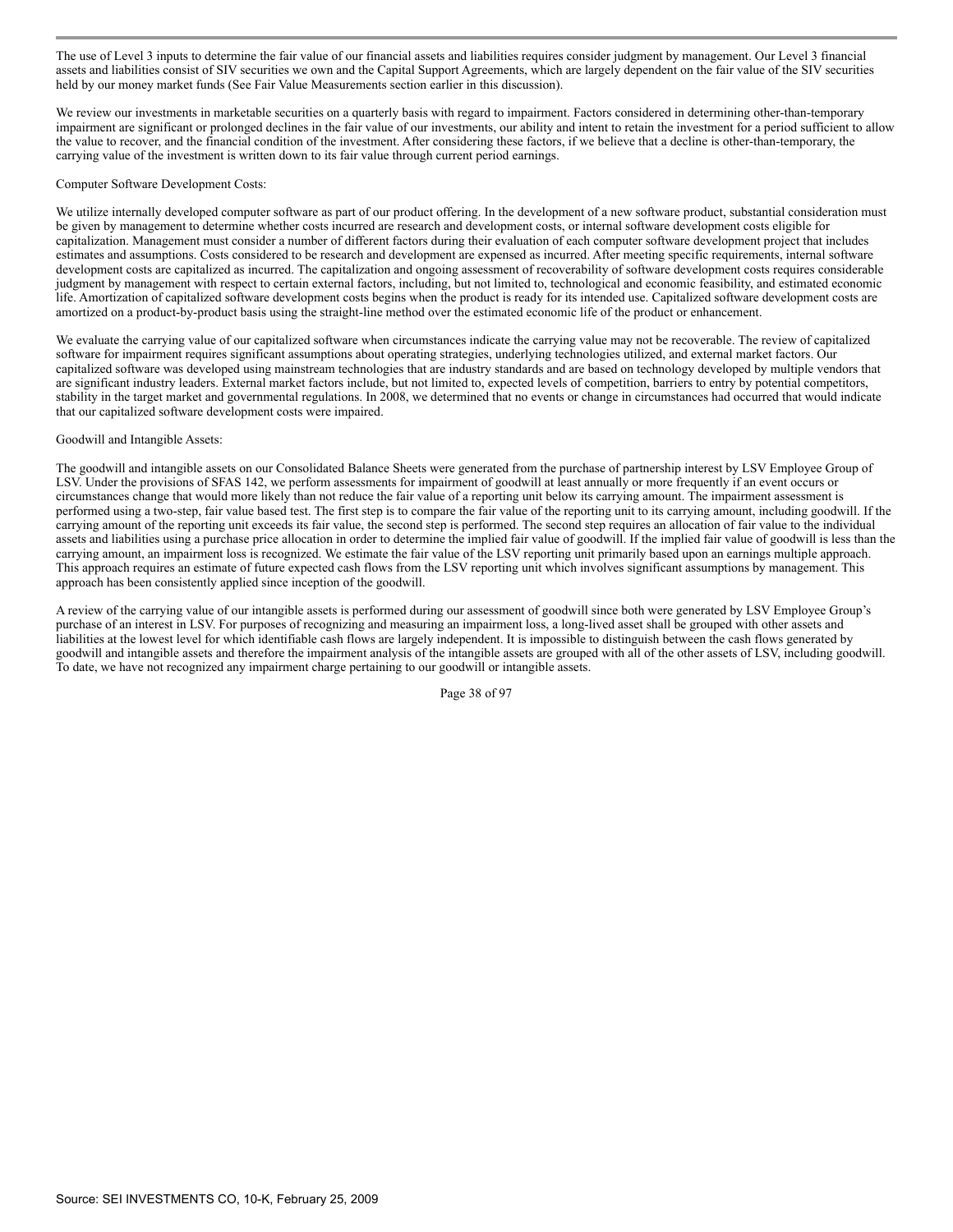The use of Level 3 inputs to determine the fair value of our financial assets and liabilities requires consider judgment by management. Our Level 3 financial assets and liabilities consist of SIV securities we own and the Capital Support Agreements, which are largely dependent on the fair value of the SIV securities held by our money market funds (See Fair Value Measurements section earlier in this discussion).

We review our investments in marketable securities on a quarterly basis with regard to impairment. Factors considered in determining other-than-temporary impairment are significant or prolonged declines in the fair value of our investments, our ability and intent to retain the investment for a period sufficient to allow the value to recover, and the financial condition of the investment. After considering these factors, if we believe that a decline is other-than-temporary, the carrying value of the investment is written down to its fair value through current period earnings.

#### Computer Software Development Costs:

We utilize internally developed computer software as part of our product offering. In the development of a new software product, substantial consideration must be given by management to determine whether costs incurred are research and development costs, or internal software development costs eligible for capitalization. Management must consider a number of different factors during their evaluation of each computer software development project that includes estimates and assumptions. Costs considered to be research and development are expensed as incurred. After meeting specific requirements, internal software development costs are capitalized as incurred. The capitalization and ongoing assessment of recoverability of software development costs requires considerable judgment by management with respect to certain external factors, including, but not limited to, technological and economic feasibility, and estimated economic life. Amortization of capitalized software development costs begins when the product is ready for its intended use. Capitalized software development costs are amortized on a product-by-product basis using the straight-line method over the estimated economic life of the product or enhancement.

We evaluate the carrying value of our capitalized software when circumstances indicate the carrying value may not be recoverable. The review of capitalized software for impairment requires significant assumptions about operating strategies, underlying technologies utilized, and external market factors. Our capitalized software was developed using mainstream technologies that are industry standards and are based on technology developed by multiple vendors that are significant industry leaders. External market factors include, but not limited to, expected levels of competition, barriers to entry by potential competitors, stability in the target market and governmental regulations. In 2008, we determined that no events or change in circumstances had occurred that would indicate that our capitalized software development costs were impaired.

# Goodwill and Intangible Assets:

The goodwill and intangible assets on our Consolidated Balance Sheets were generated from the purchase of partnership interest by LSV Employee Group of LSV. Under the provisions of SFAS 142, we perform assessments for impairment of goodwill at least annually or more frequently if an event occurs or circumstances change that would more likely than not reduce the fair value of a reporting unit below its carrying amount. The impairment assessment is performed using a two-step, fair value based test. The first step is to compare the fair value of the reporting unit to its carrying amount, including goodwill. If the carrying amount of the reporting unit exceeds its fair value, the second step is performed. The second step requires an allocation of fair value to the individual assets and liabilities using a purchase price allocation in order to determine the implied fair value of goodwill. If the implied fair value of goodwill is less than the carrying amount, an impairment loss is recognized. We estimate the fair value of the LSV reporting unit primarily based upon an earnings multiple approach. This approach requires an estimate of future expected cash flows from the LSV reporting unit which involves significant assumptions by management. This approach has been consistently applied since inception of the goodwill.

A review of the carrying value of our intangible assets is performed during our assessment of goodwill since both were generated by LSV Employee Group's purchase of an interest in LSV. For purposes of recognizing and measuring an impairment loss, a long-lived asset shall be grouped with other assets and liabilities at the lowest level for which identifiable cash flows are largely independent. It is impossible to distinguish between the cash flows generated by goodwill and intangible assets and therefore the impairment analysis of the intangible assets are grouped with all of the other assets of LSV, including goodwill. To date, we have not recognized any impairment charge pertaining to our goodwill or intangible assets.

Page 38 of 97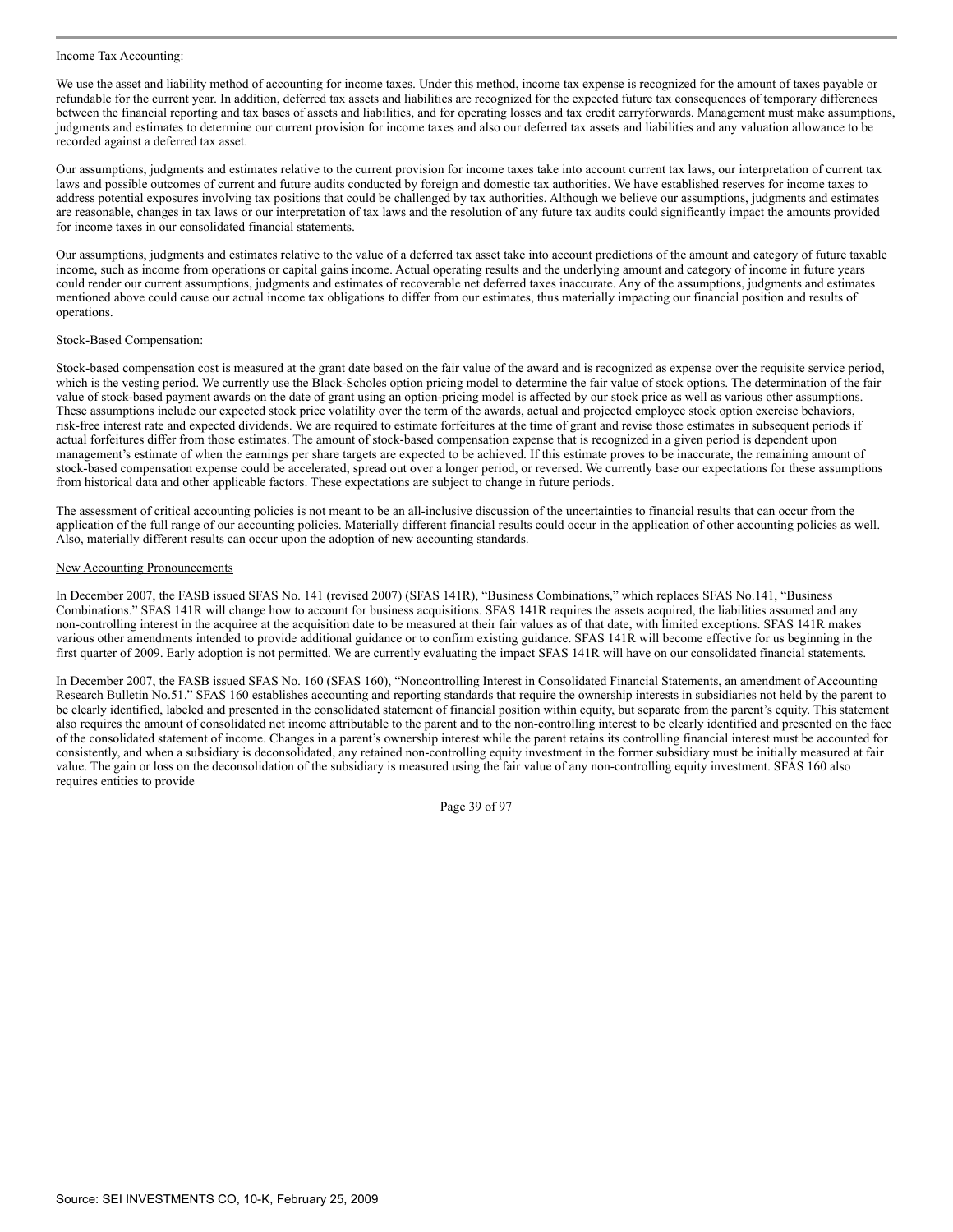#### Income Tax Accounting:

We use the asset and liability method of accounting for income taxes. Under this method, income tax expense is recognized for the amount of taxes payable or refundable for the current year. In addition, deferred tax assets and liabilities are recognized for the expected future tax consequences of temporary differences between the financial reporting and tax bases of assets and liabilities, and for operating losses and tax credit carryforwards. Management must make assumptions, judgments and estimates to determine our current provision for income taxes and also our deferred tax assets and liabilities and any valuation allowance to be recorded against a deferred tax asset.

Our assumptions, judgments and estimates relative to the current provision for income taxes take into account current tax laws, our interpretation of current tax laws and possible outcomes of current and future audits conducted by foreign and domestic tax authorities. We have established reserves for income taxes to address potential exposures involving tax positions that could be challenged by tax authorities. Although we believe our assumptions, judgments and estimates are reasonable, changes in tax laws or our interpretation of tax laws and the resolution of any future tax audits could significantly impact the amounts provided for income taxes in our consolidated financial statements.

Our assumptions, judgments and estimates relative to the value of a deferred tax asset take into account predictions of the amount and category of future taxable income, such as income from operations or capital gains income. Actual operating results and the underlying amount and category of income in future years could render our current assumptions, judgments and estimates of recoverable net deferred taxes inaccurate. Any of the assumptions, judgments and estimates mentioned above could cause our actual income tax obligations to differ from our estimates, thus materially impacting our financial position and results of operations.

# Stock-Based Compensation:

Stock-based compensation cost is measured at the grant date based on the fair value of the award and is recognized as expense over the requisite service period, which is the vesting period. We currently use the Black-Scholes option pricing model to determine the fair value of stock options. The determination of the fair value of stock-based payment awards on the date of grant using an option-pricing model is affected by our stock price as well as various other assumptions. These assumptions include our expected stock price volatility over the term of the awards, actual and projected employee stock option exercise behaviors, risk-free interest rate and expected dividends. We are required to estimate forfeitures at the time of grant and revise those estimates in subsequent periods if actual forfeitures differ from those estimates. The amount of stock-based compensation expense that is recognized in a given period is dependent upon management's estimate of when the earnings per share targets are expected to be achieved. If this estimate proves to be inaccurate, the remaining amount of stock-based compensation expense could be accelerated, spread out over a longer period, or reversed. We currently base our expectations for these assumptions from historical data and other applicable factors. These expectations are subject to change in future periods.

The assessment of critical accounting policies is not meant to be an all-inclusive discussion of the uncertainties to financial results that can occur from the application of the full range of our accounting policies. Materially different financial results could occur in the application of other accounting policies as well. Also, materially different results can occur upon the adoption of new accounting standards.

# New Accounting Pronouncements

In December 2007, the FASB issued SFAS No. 141 (revised 2007) (SFAS 141R), "Business Combinations," which replaces SFAS No.141, "Business Combinations." SFAS 141R will change how to account for business acquisitions. SFAS 141R requires the assets acquired, the liabilities assumed and any non-controlling interest in the acquiree at the acquisition date to be measured at their fair values as of that date, with limited exceptions. SFAS 141R makes various other amendments intended to provide additional guidance or to confirm existing guidance. SFAS 141R will become effective for us beginning in the first quarter of 2009. Early adoption is not permitted. We are currently evaluating the impact SFAS 141R will have on our consolidated financial statements.

In December 2007, the FASB issued SFAS No. 160 (SFAS 160), "Noncontrolling Interest in Consolidated Financial Statements, an amendment of Accounting Research Bulletin No.51." SFAS 160 establishes accounting and reporting standards that require the ownership interests in subsidiaries not held by the parent to be clearly identified, labeled and presented in the consolidated statement of financial position within equity, but separate from the parent's equity. This statement also requires the amount of consolidated net income attributable to the parent and to the non-controlling interest to be clearly identified and presented on the face of the consolidated statement of income. Changes in a parent's ownership interest while the parent retains its controlling financial interest must be accounted for consistently, and when a subsidiary is deconsolidated, any retained non-controlling equity investment in the former subsidiary must be initially measured at fair value. The gain or loss on the deconsolidation of the subsidiary is measured using the fair value of any non-controlling equity investment. SFAS 160 also requires entities to provide

Page 39 of 97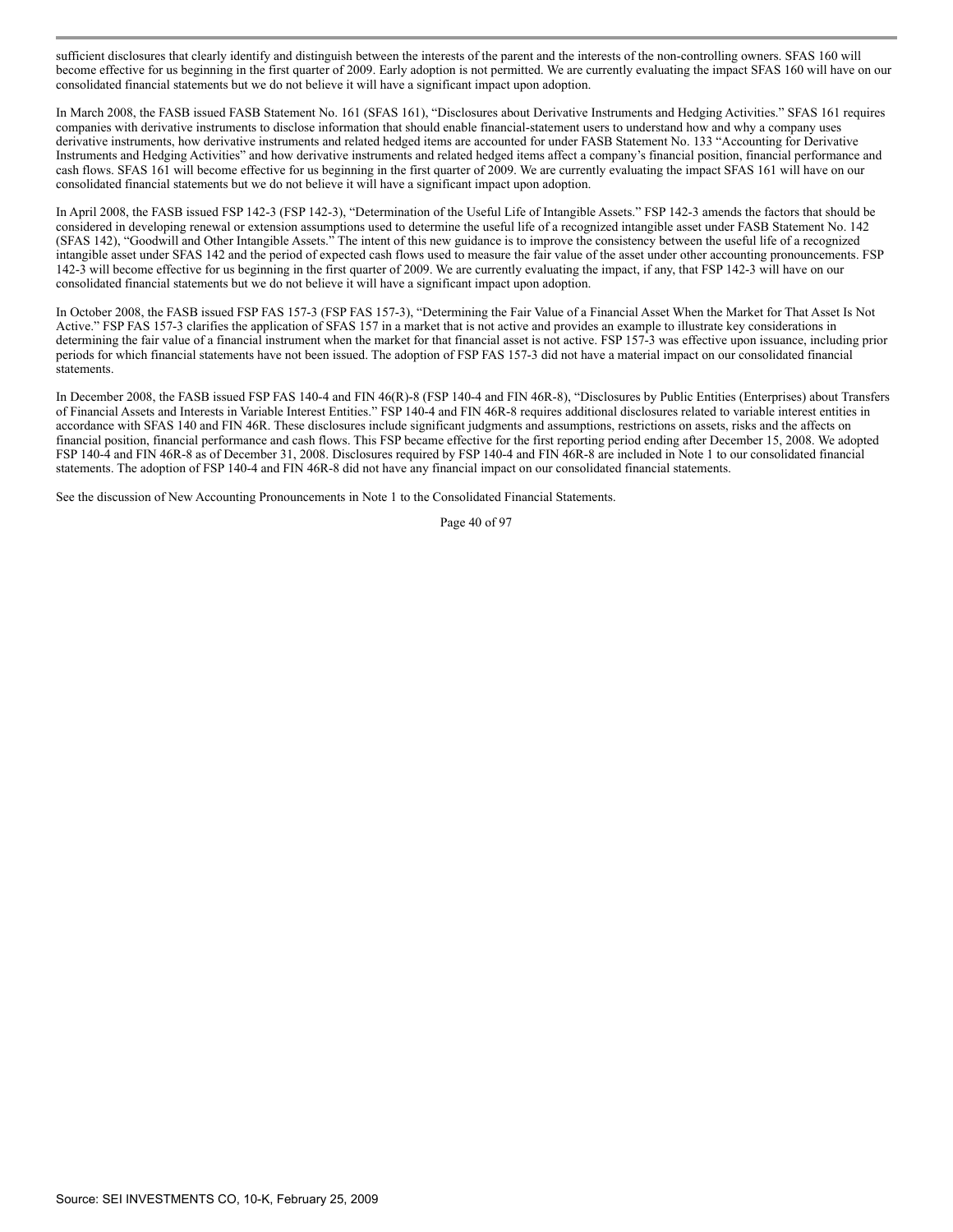sufficient disclosures that clearly identify and distinguish between the interests of the parent and the interests of the non-controlling owners. SFAS 160 will become effective for us beginning in the first quarter of 2009. Early adoption is not permitted. We are currently evaluating the impact SFAS 160 will have on our consolidated financial statements but we do not believe it will have a significant impact upon adoption.

In March 2008, the FASB issued FASB Statement No. 161 (SFAS 161), "Disclosures about Derivative Instruments and Hedging Activities." SFAS 161 requires companies with derivative instruments to disclose information that should enable financial-statement users to understand how and why a company uses derivative instruments, how derivative instruments and related hedged items are accounted for under FASB Statement No. 133 "Accounting for Derivative Instruments and Hedging Activities" and how derivative instruments and related hedged items affect a company's financial position, financial performance and cash flows. SFAS 161 will become effective for us beginning in the first quarter of 2009. We are currently evaluating the impact SFAS 161 will have on our consolidated financial statements but we do not believe it will have a significant impact upon adoption.

In April 2008, the FASB issued FSP 142-3 (FSP 142-3), "Determination of the Useful Life of Intangible Assets." FSP 142-3 amends the factors that should be considered in developing renewal or extension assumptions used to determine the useful life of a recognized intangible asset under FASB Statement No. 142 (SFAS 142), "Goodwill and Other Intangible Assets." The intent of this new guidance is to improve the consistency between the useful life of a recognized intangible asset under SFAS 142 and the period of expected cash flows used to measure the fair value of the asset under other accounting pronouncements. FSP 142-3 will become effective for us beginning in the first quarter of 2009. We are currently evaluating the impact, if any, that FSP 142-3 will have on our consolidated financial statements but we do not believe it will have a significant impact upon adoption.

In October 2008, the FASB issued FSP FAS 157-3 (FSP FAS 157-3), "Determining the Fair Value of a Financial Asset When the Market for That Asset Is Not Active." FSP FAS 157-3 clarifies the application of SFAS 157 in a market that is not active and provides an example to illustrate key considerations in determining the fair value of a financial instrument when the market for that financial asset is not active. FSP 157-3 was effective upon issuance, including prior periods for which financial statements have not been issued. The adoption of FSP FAS 157-3 did not have a material impact on our consolidated financial statements.

In December 2008, the FASB issued FSP FAS 140-4 and FIN 46(R)-8 (FSP 140-4 and FIN 46R-8), "Disclosures by Public Entities (Enterprises) about Transfers of Financial Assets and Interests in Variable Interest Entities." FSP 140-4 and FIN 46R-8 requires additional disclosures related to variable interest entities in accordance with SFAS 140 and FIN 46R. These disclosures include significant judgments and assumptions, restrictions on assets, risks and the affects on financial position, financial performance and cash flows. This FSP became effective for the first reporting period ending after December 15, 2008. We adopted FSP 140-4 and FIN 46R-8 as of December 31, 2008. Disclosures required by FSP 140-4 and FIN 46R-8 are included in Note 1 to our consolidated financial statements. The adoption of FSP 140-4 and FIN 46R-8 did not have any financial impact on our consolidated financial statements.

See the discussion of New Accounting Pronouncements in Note 1 to the Consolidated Financial Statements.

Page 40 of 97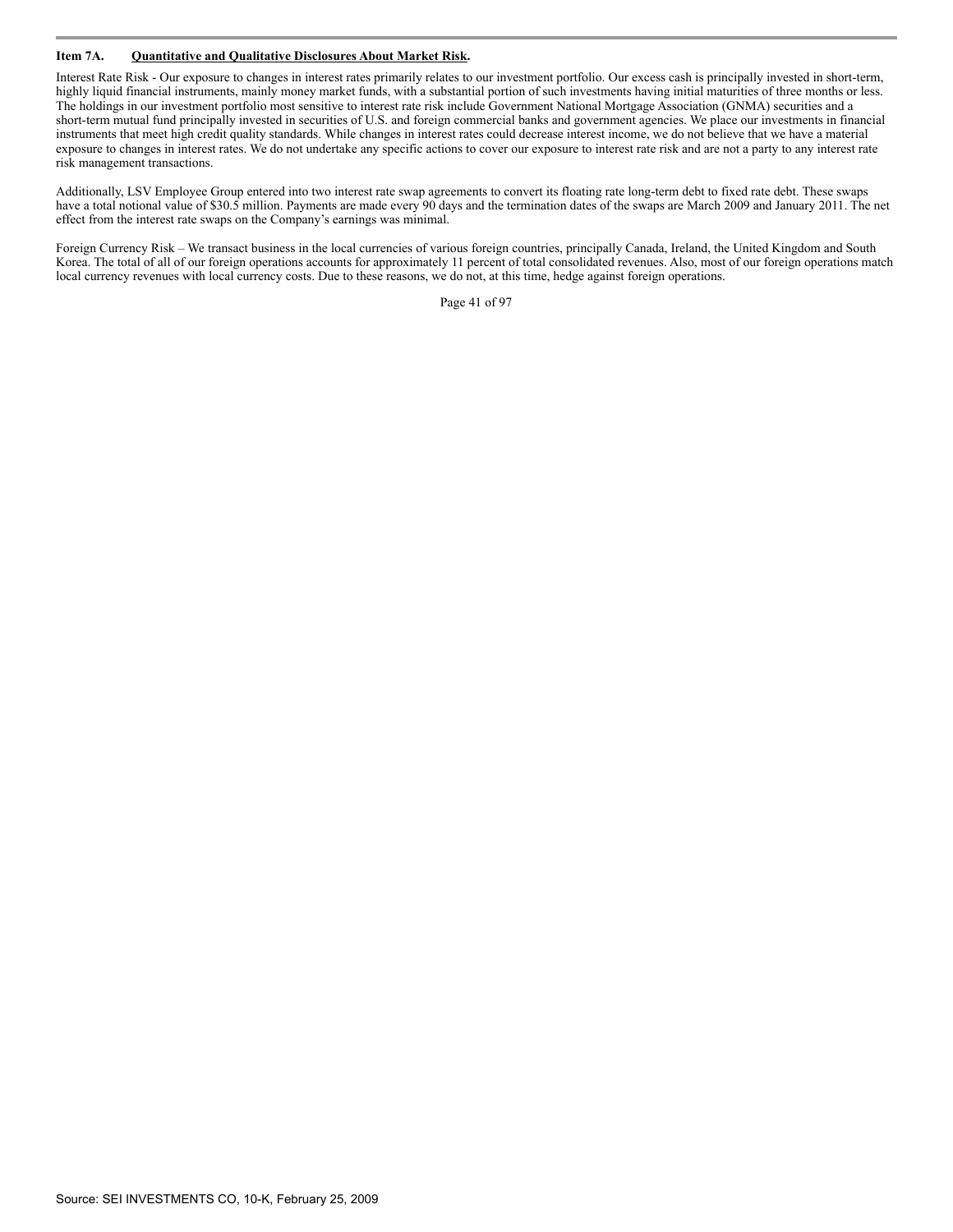# **Item 7A. Quantitative and Qualitative Disclosures About Market Risk.**

Interest Rate Risk - Our exposure to changes in interest rates primarily relates to our investment portfolio. Our excess cash is principally invested in short-term, highly liquid financial instruments, mainly money market funds, with a substantial portion of such investments having initial maturities of three months or less. The holdings in our investment portfolio most sensitive to interest rate risk include Government National Mortgage Association (GNMA) securities and a short-term mutual fund principally invested in securities of U.S. and foreign commercial banks and government agencies. We place our investments in financial instruments that meet high credit quality standards. While changes in interest rates could decrease interest income, we do not believe that we have a material exposure to changes in interest rates. We do not undertake any specific actions to cover our exposure to interest rate risk and are not a party to any interest rate risk management transactions.

Additionally, LSV Employee Group entered into two interest rate swap agreements to convert its floating rate long-term debt to fixed rate debt. These swaps have a total notional value of \$30.5 million. Payments are made every 90 days and the termination dates of the swaps are March 2009 and January 2011. The net effect from the interest rate swaps on the Company's earnings was minimal.

Foreign Currency Risk – We transact business in the local currencies of various foreign countries, principally Canada, Ireland, the United Kingdom and South Korea. The total of all of our foreign operations accounts for approximately 11 percent of total consolidated revenues. Also, most of our foreign operations match local currency revenues with local currency costs. Due to these reasons, we do not, at this time, hedge against foreign operations.

Page 41 of 97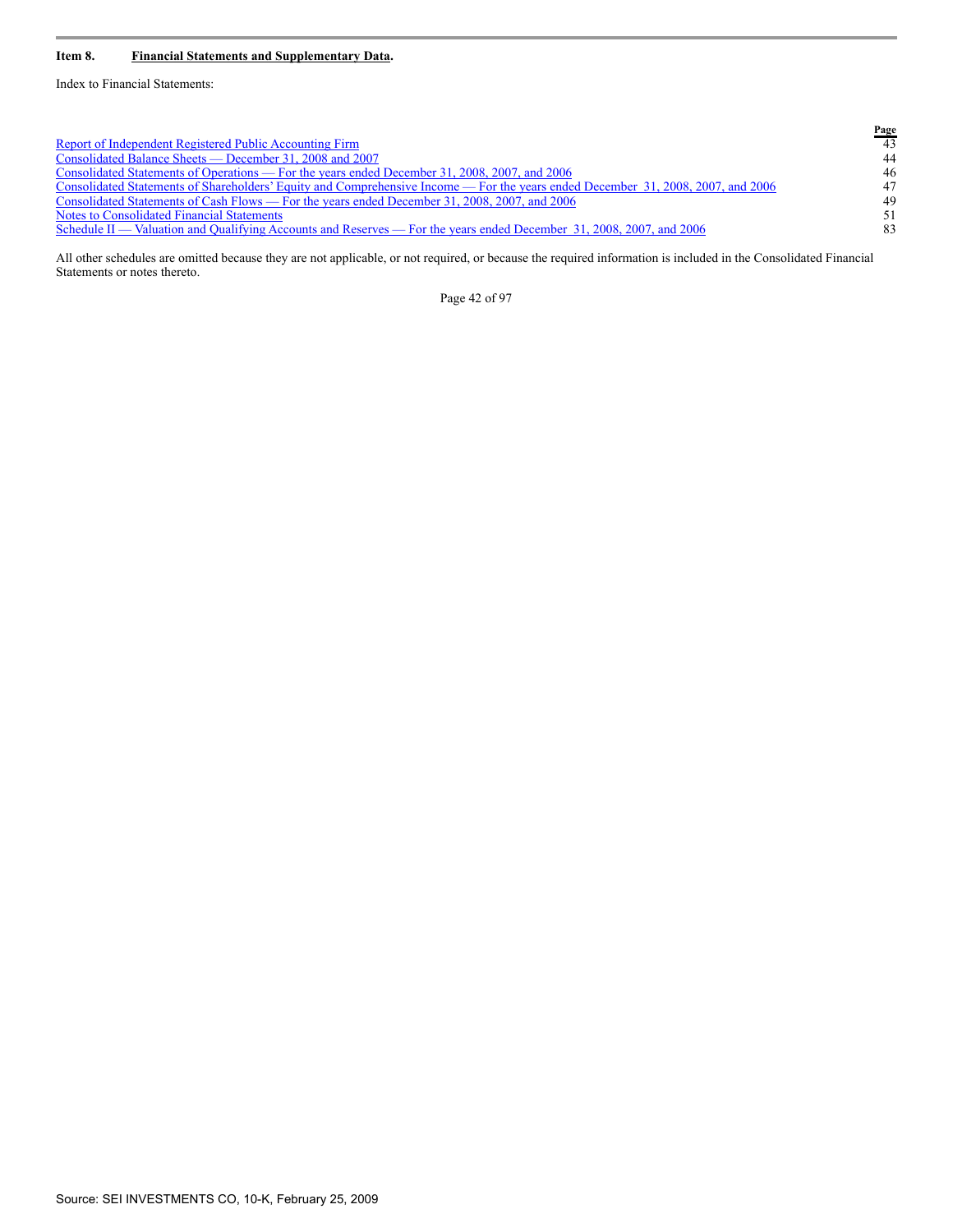# **Item 8. Financial Statements and Supplementary Data.**

Index to Financial Statements:

|                                                                                                                                  | <b>Page</b> |
|----------------------------------------------------------------------------------------------------------------------------------|-------------|
| <b>Report of Independent Registered Public Accounting Firm</b>                                                                   | 43          |
| Consolidated Balance Sheets — December 31, 2008 and 2007                                                                         | 44          |
| Consolidated Statements of Operations — For the years ended December 31, 2008, 2007, and 2006                                    | 46          |
| Consolidated Statements of Shareholders' Equity and Comprehensive Income — For the years ended December 31, 2008, 2007, and 2006 | 47          |
| Consolidated Statements of Cash Flows — For the years ended December 31, 2008, 2007, and 2006                                    | 49          |
| Notes to Consolidated Financial Statements                                                                                       | -51         |
| Schedule II — Valuation and Qualifying Accounts and Reserves — For the years ended December 31, 2008, 2007, and 2006             | 83          |
|                                                                                                                                  |             |

All other schedules are omitted because they are not applicable, or not required, or because the required information is included in the Consolidated Financial Statements or notes thereto.

Page 42 of 97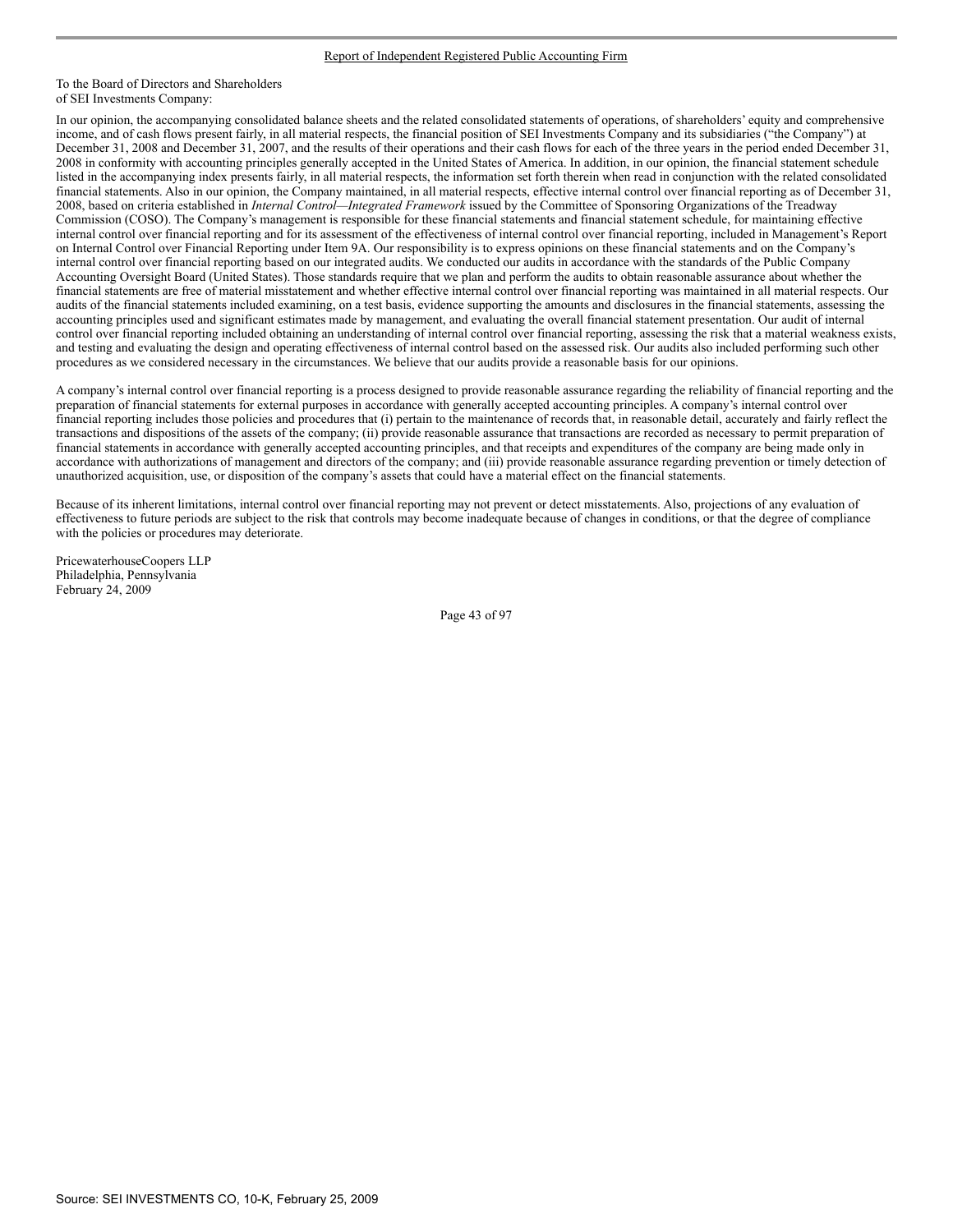#### <span id="page-49-0"></span>To the Board of Directors and Shareholders of SEI Investments Company:

In our opinion, the accompanying consolidated balance sheets and the related consolidated statements of operations, of shareholders' equity and comprehensive income, and of cash flows present fairly, in all material respects, the financial position of SEI Investments Company and its subsidiaries ("the Company") at December 31, 2008 and December 31, 2007, and the results of their operations and their cash flows for each of the three years in the period ended December 31, 2008 in conformity with accounting principles generally accepted in the United States of America. In addition, in our opinion, the financial statement schedule listed in the accompanying index presents fairly, in all material respects, the information set forth therein when read in conjunction with the related consolidated financial statements. Also in our opinion, the Company maintained, in all material respects, effective internal control over financial reporting as of December 31, 2008, based on criteria established in *Internal Control—Integrated Framework* issued by the Committee of Sponsoring Organizations of the Treadway Commission (COSO). The Company's management is responsible for these financial statements and financial statement schedule, for maintaining effective internal control over financial reporting and for its assessment of the effectiveness of internal control over financial reporting, included in Management's Report on Internal Control over Financial Reporting under Item 9A. Our responsibility is to express opinions on these financial statements and on the Company's internal control over financial reporting based on our integrated audits. We conducted our audits in accordance with the standards of the Public Company Accounting Oversight Board (United States). Those standards require that we plan and perform the audits to obtain reasonable assurance about whether the financial statements are free of material misstatement and whether effective internal control over financial reporting was maintained in all material respects. Our audits of the financial statements included examining, on a test basis, evidence supporting the amounts and disclosures in the financial statements, assessing the accounting principles used and significant estimates made by management, and evaluating the overall financial statement presentation. Our audit of internal control over financial reporting included obtaining an understanding of internal control over financial reporting, assessing the risk that a material weakness exists, and testing and evaluating the design and operating effectiveness of internal control based on the assessed risk. Our audits also included performing such other procedures as we considered necessary in the circumstances. We believe that our audits provide a reasonable basis for our opinions.

A company's internal control over financial reporting is a process designed to provide reasonable assurance regarding the reliability of financial reporting and the preparation of financial statements for external purposes in accordance with generally accepted accounting principles. A company's internal control over financial reporting includes those policies and procedures that (i) pertain to the maintenance of records that, in reasonable detail, accurately and fairly reflect the transactions and dispositions of the assets of the company; (ii) provide reasonable assurance that transactions are recorded as necessary to permit preparation of financial statements in accordance with generally accepted accounting principles, and that receipts and expenditures of the company are being made only in accordance with authorizations of management and directors of the company; and (iii) provide reasonable assurance regarding prevention or timely detection of unauthorized acquisition, use, or disposition of the company's assets that could have a material effect on the financial statements.

Because of its inherent limitations, internal control over financial reporting may not prevent or detect misstatements. Also, projections of any evaluation of effectiveness to future periods are subject to the risk that controls may become inadequate because of changes in conditions, or that the degree of compliance with the policies or procedures may deteriorate.

PricewaterhouseCoopers LLP Philadelphia, Pennsylvania February 24, 2009

Page 43 of 97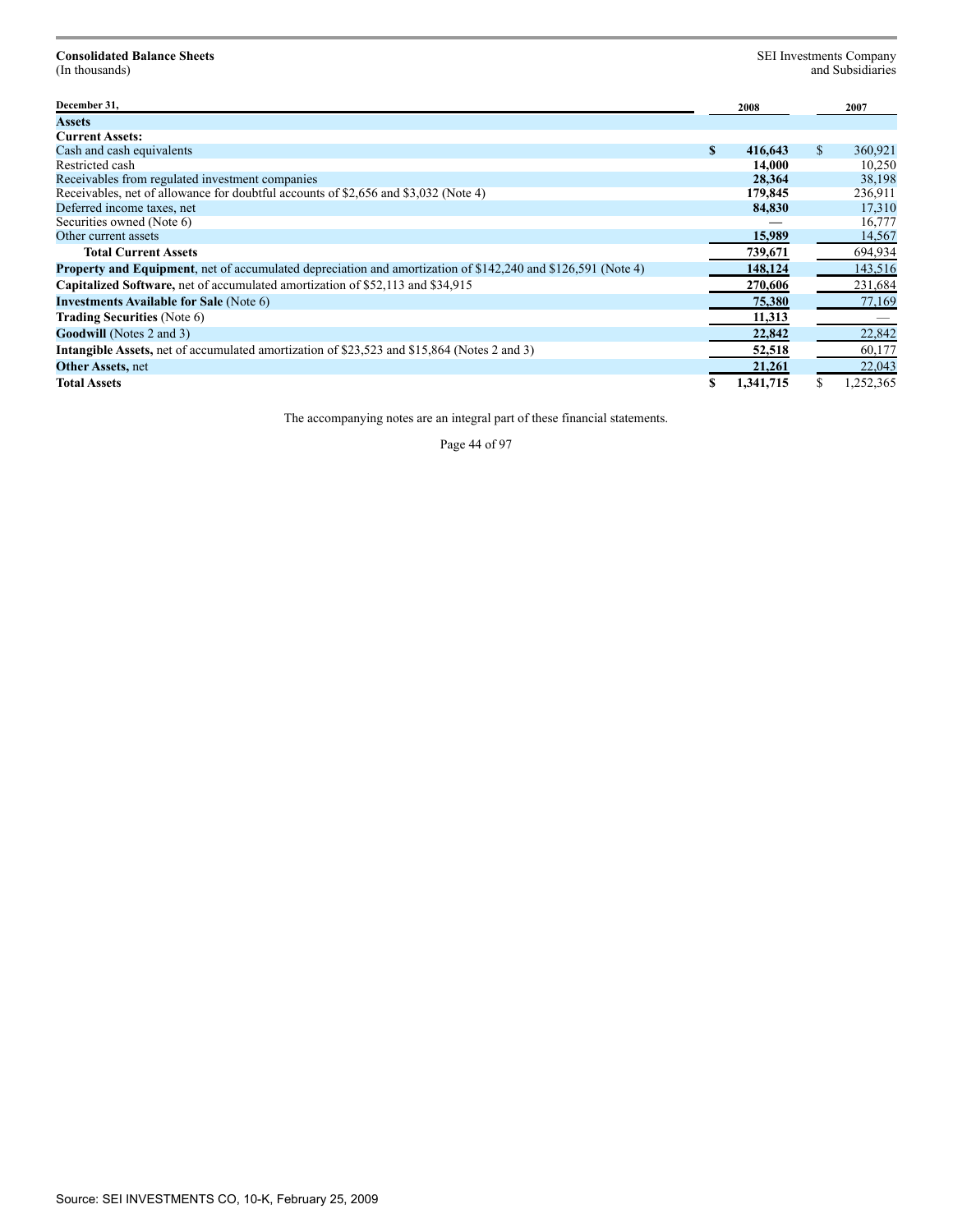# <span id="page-50-0"></span>**Consolidated Balance Sheets** (In thousands)

SEI Investments Company and Subsidiaries

| December 31,                                                                                                         | 2008          |           | 2007          |
|----------------------------------------------------------------------------------------------------------------------|---------------|-----------|---------------|
| <b>Assets</b>                                                                                                        |               |           |               |
| <b>Current Assets:</b>                                                                                               |               |           |               |
| Cash and cash equivalents                                                                                            | <sup>\$</sup> | 416,643   | \$<br>360,921 |
| Restricted cash                                                                                                      |               | 14,000    | 10,250        |
| Receivables from regulated investment companies                                                                      |               | 28,364    | 38,198        |
| Receivables, net of allowance for doubtful accounts of \$2,656 and \$3,032 (Note 4)                                  |               | 179,845   | 236,911       |
| Deferred income taxes, net                                                                                           |               | 84,830    | 17,310        |
| Securities owned (Note 6)                                                                                            |               |           | 16,777        |
| Other current assets                                                                                                 |               | 15,989    | 14,567        |
| <b>Total Current Assets</b>                                                                                          |               | 739,671   | 694,934       |
| <b>Property and Equipment</b> , net of accumulated depreciation and amortization of \$142,240 and \$126,591 (Note 4) |               | 148,124   | 143,516       |
| Capitalized Software, net of accumulated amortization of \$52,113 and \$34,915                                       |               | 270,606   | 231,684       |
| <b>Investments Available for Sale (Note 6)</b>                                                                       |               | 75,380    | 77,169        |
| <b>Trading Securities</b> (Note 6)                                                                                   |               | 11,313    |               |
| <b>Goodwill</b> (Notes 2 and 3)                                                                                      |               | 22,842    | 22,842        |
| <b>Intangible Assets,</b> net of accumulated amortization of \$23,523 and \$15,864 (Notes 2 and 3)                   |               | 52,518    | 60,177        |
| <b>Other Assets, net</b>                                                                                             |               | 21,261    | 22,043        |
| <b>Total Assets</b>                                                                                                  | S             | 1,341,715 | .252,365      |

The accompanying notes are an integral part of these financial statements.

Page 44 of 97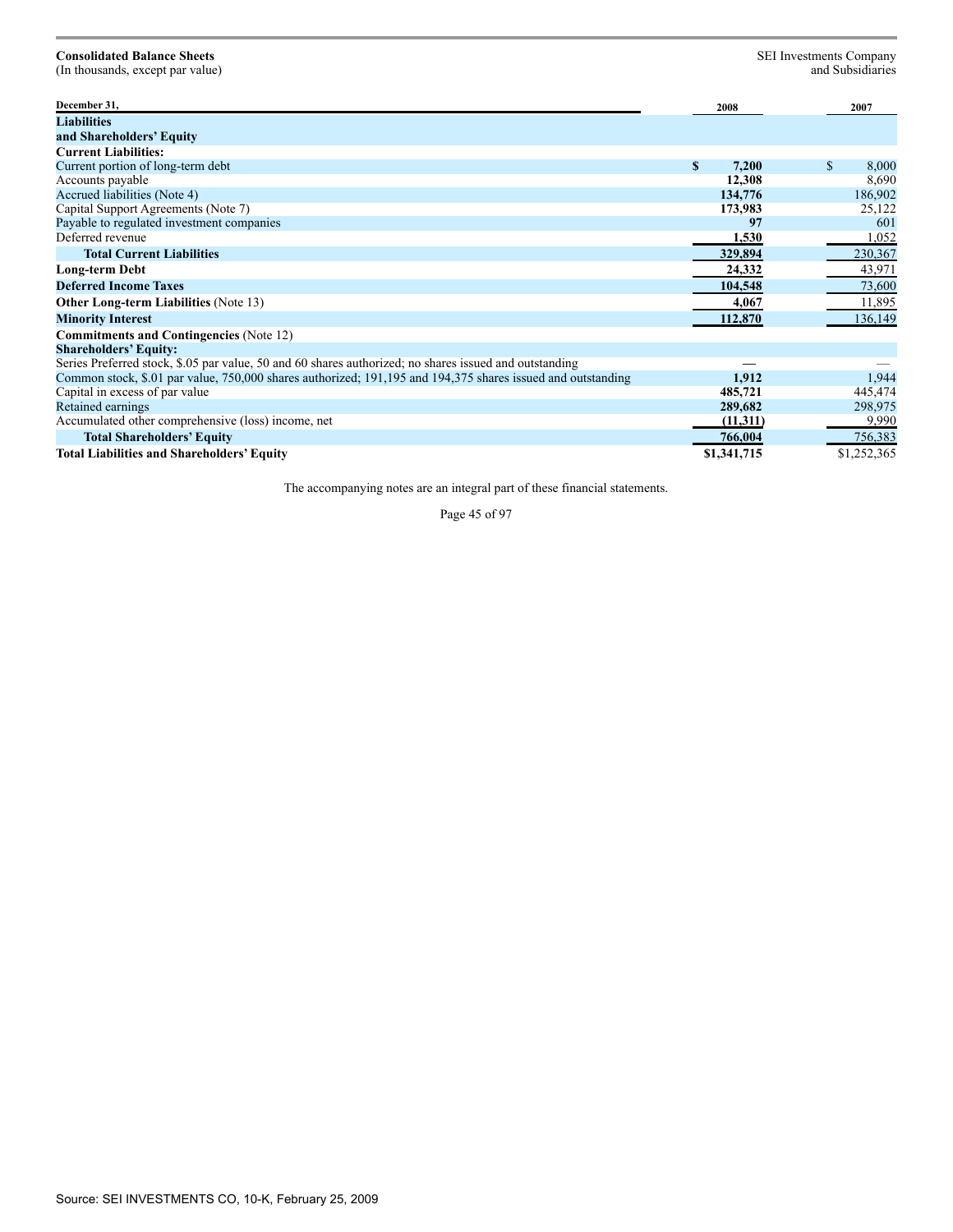# **Consolidated Balance Sheets** (In thousands, except par value)

| December 31,                                                                                                | 2008        |          | 2007        |
|-------------------------------------------------------------------------------------------------------------|-------------|----------|-------------|
| <b>Liabilities</b>                                                                                          |             |          |             |
| and Shareholders' Equity                                                                                    |             |          |             |
| <b>Current Liabilities:</b>                                                                                 |             |          |             |
| Current portion of long-term debt                                                                           | S           | 7,200    | \$<br>8,000 |
| Accounts payable                                                                                            |             | 12,308   | 8,690       |
| Accrued liabilities (Note 4)                                                                                |             | 134,776  | 186,902     |
| Capital Support Agreements (Note 7)                                                                         |             | 173,983  | 25,122      |
| Payable to regulated investment companies                                                                   |             | 97       | 601         |
| Deferred revenue                                                                                            |             | 1,530    | 1,052       |
| <b>Total Current Liabilities</b>                                                                            |             | 329,894  | 230,367     |
| <b>Long-term Debt</b>                                                                                       |             | 24,332   | 43,971      |
| <b>Deferred Income Taxes</b>                                                                                |             | 104,548  | 73,600      |
| <b>Other Long-term Liabilities (Note 13)</b>                                                                |             | 4,067    | 11,895      |
| <b>Minority Interest</b>                                                                                    |             | 112,870  | 136,149     |
| <b>Commitments and Contingencies (Note 12)</b>                                                              |             |          |             |
| <b>Shareholders' Equity:</b>                                                                                |             |          |             |
| Series Preferred stock, \$.05 par value, 50 and 60 shares authorized; no shares issued and outstanding      |             |          |             |
| Common stock, \$.01 par value, 750,000 shares authorized; 191,195 and 194,375 shares issued and outstanding |             | 1,912    | 1,944       |
| Capital in excess of par value                                                                              |             | 485,721  | 445,474     |
| Retained earnings                                                                                           |             | 289,682  | 298,975     |
| Accumulated other comprehensive (loss) income, net                                                          |             | (11,311) | 9,990       |
| <b>Total Shareholders' Equity</b>                                                                           |             | 766,004  | 756,383     |
| <b>Total Liabilities and Shareholders' Equity</b>                                                           | \$1,341,715 |          | \$1,252,365 |
|                                                                                                             |             |          |             |

The accompanying notes are an integral part of these financial statements.

Page 45 of 97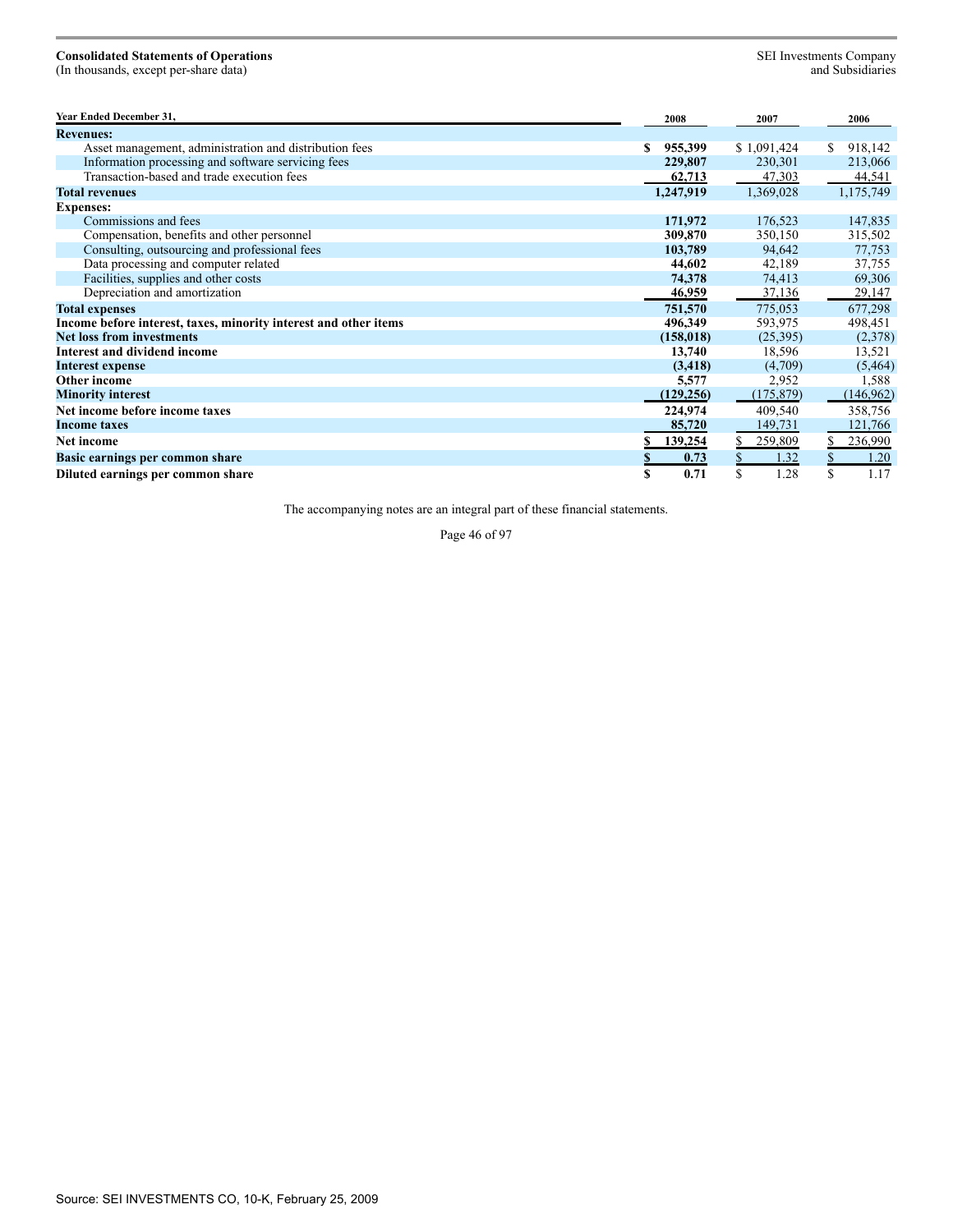# <span id="page-52-0"></span>**Consolidated Statements of Operations**

(In thousands, except per-share data)

| <b>Year Ended December 31,</b>                                   |    | 2008       | 2007        |    | 2006       |
|------------------------------------------------------------------|----|------------|-------------|----|------------|
| <b>Revenues:</b>                                                 |    |            |             |    |            |
| Asset management, administration and distribution fees           | S. | 955,399    | \$1,091,424 | S. | 918,142    |
| Information processing and software servicing fees               |    | 229,807    | 230,301     |    | 213,066    |
| Transaction-based and trade execution fees                       |    | 62,713     | 47,303      |    | 44,541     |
| <b>Total revenues</b>                                            |    | 1,247,919  | 1,369,028   |    | 1,175,749  |
| <b>Expenses:</b>                                                 |    |            |             |    |            |
| Commissions and fees                                             |    | 171,972    | 176,523     |    | 147,835    |
| Compensation, benefits and other personnel                       |    | 309,870    | 350,150     |    | 315,502    |
| Consulting, outsourcing and professional fees                    |    | 103,789    | 94,642      |    | 77,753     |
| Data processing and computer related                             |    | 44,602     | 42,189      |    | 37,755     |
| Facilities, supplies and other costs                             |    | 74,378     | 74,413      |    | 69,306     |
| Depreciation and amortization                                    |    | 46,959     | 37,136      |    | 29,147     |
| <b>Total expenses</b>                                            |    | 751,570    | 775,053     |    | 677,298    |
| Income before interest, taxes, minority interest and other items |    | 496,349    | 593,975     |    | 498,451    |
| <b>Net loss from investments</b>                                 |    | (158, 018) | (25,395)    |    | (2,378)    |
| Interest and dividend income                                     |    | 13,740     | 18,596      |    | 13,521     |
| Interest expense                                                 |    | (3, 418)   | (4,709)     |    | (5, 464)   |
| Other income                                                     |    | 5,577      | 2,952       |    | 1,588      |
| <b>Minority interest</b>                                         |    | (129, 256) | (175, 879)  |    | (146, 962) |
| Net income before income taxes                                   |    | 224,974    | 409,540     |    | 358,756    |
| <b>Income taxes</b>                                              |    | 85,720     | 149,731     |    | 121,766    |
| Net income                                                       |    | 139,254    | 259,809     |    | 236,990    |
| Basic earnings per common share                                  |    | 0.73       | 1.32        |    | 1.20       |
| Diluted earnings per common share                                | S  | 0.71       | \$<br>1.28  | \$ | 1.17       |

The accompanying notes are an integral part of these financial statements.

Page 46 of 97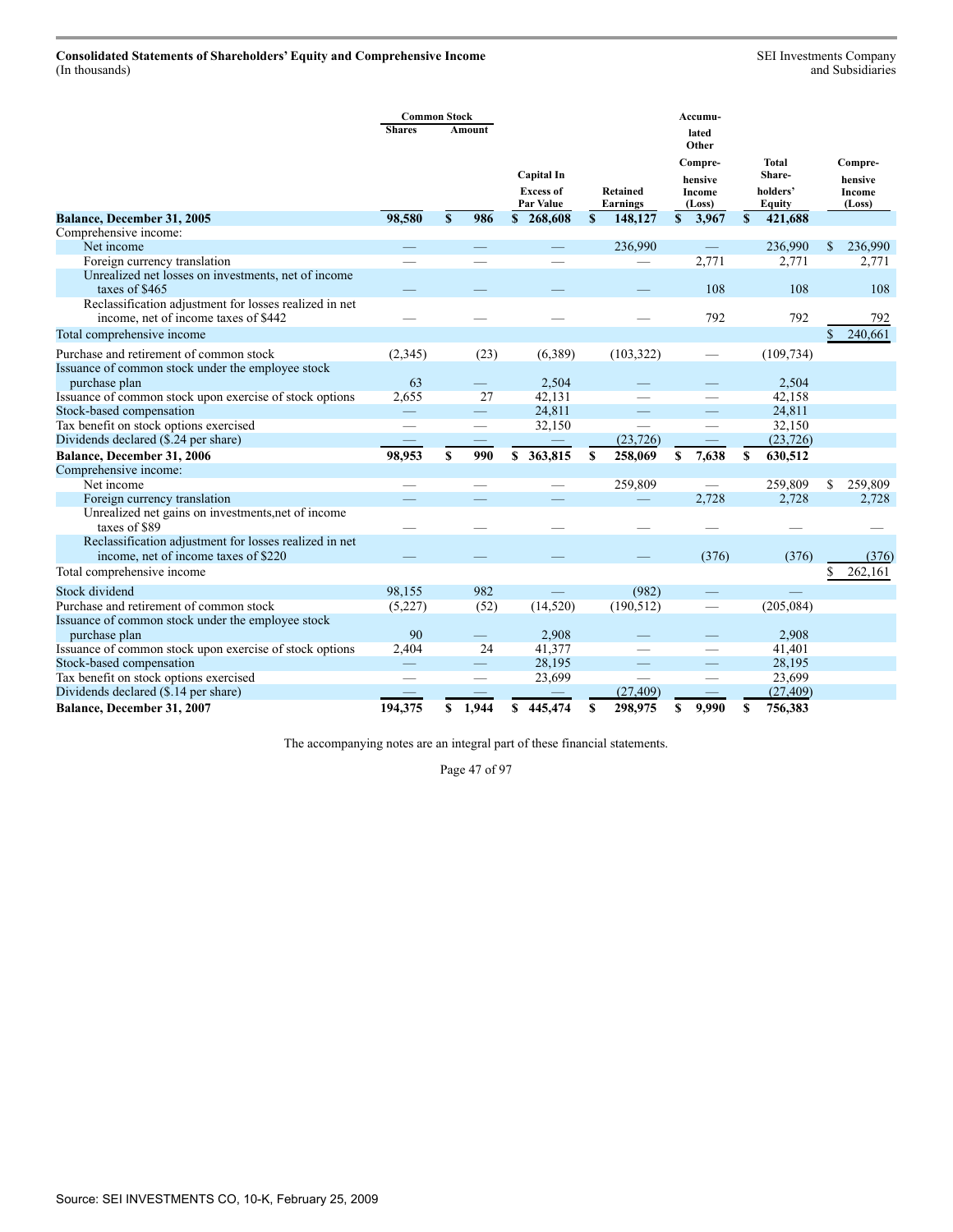<span id="page-53-0"></span>

|                                                                                                | <b>Common Stock</b>      |              |                          |                                                                 |              |                                               |    | Accumu-                                         |              |                                                                |     |                                        |
|------------------------------------------------------------------------------------------------|--------------------------|--------------|--------------------------|-----------------------------------------------------------------|--------------|-----------------------------------------------|----|-------------------------------------------------|--------------|----------------------------------------------------------------|-----|----------------------------------------|
|                                                                                                | <b>Shares</b>            |              | Amount                   |                                                                 |              |                                               |    | lated<br>Other                                  |              |                                                                |     |                                        |
| <b>Balance, December 31, 2005</b>                                                              | 98,580                   | $\mathbf{s}$ | 986                      | Capital In<br><b>Excess of</b><br><b>Par Value</b><br>\$268,608 | $\mathbf{s}$ | <b>Retained</b><br><b>Earnings</b><br>148,127 | S. | Compre-<br>hensive<br>Income<br>(Loss)<br>3,967 | $\mathbb{S}$ | <b>Total</b><br>Share-<br>holders'<br><b>Equity</b><br>421,688 |     | Compre-<br>hensive<br>Income<br>(Loss) |
| Comprehensive income:                                                                          |                          |              |                          |                                                                 |              |                                               |    |                                                 |              |                                                                |     |                                        |
| Net income                                                                                     |                          |              |                          |                                                                 |              | 236.990                                       |    |                                                 |              | 236,990                                                        | \$. | 236,990                                |
| Foreign currency translation                                                                   |                          |              |                          |                                                                 |              |                                               |    | 2,771                                           |              | 2,771                                                          |     | 2,771                                  |
| Unrealized net losses on investments, net of income                                            |                          |              |                          |                                                                 |              |                                               |    |                                                 |              |                                                                |     |                                        |
| taxes of \$465                                                                                 |                          |              |                          |                                                                 |              |                                               |    | 108                                             |              | 108                                                            |     | 108                                    |
| Reclassification adjustment for losses realized in net                                         |                          |              |                          |                                                                 |              |                                               |    |                                                 |              |                                                                |     |                                        |
| income, net of income taxes of \$442                                                           |                          |              |                          |                                                                 |              |                                               |    | 792                                             |              | 792                                                            |     | 792                                    |
| Total comprehensive income                                                                     |                          |              |                          |                                                                 |              |                                               |    |                                                 |              |                                                                |     | 240,661                                |
| Purchase and retirement of common stock                                                        | (2,345)                  |              | (23)                     | (6,389)                                                         |              | (103, 322)                                    |    | $\qquad \qquad \longleftarrow$                  |              | (109, 734)                                                     |     |                                        |
| Issuance of common stock under the employee stock                                              |                          |              |                          |                                                                 |              |                                               |    |                                                 |              |                                                                |     |                                        |
| purchase plan                                                                                  | 63                       |              |                          | 2,504                                                           |              |                                               |    |                                                 |              | 2,504                                                          |     |                                        |
| Issuance of common stock upon exercise of stock options                                        | 2,655                    |              | 27                       | 42,131                                                          |              |                                               |    |                                                 |              | 42,158                                                         |     |                                        |
| Stock-based compensation                                                                       |                          |              | $\longrightarrow$        | 24,811                                                          |              |                                               |    | -                                               |              | 24,811                                                         |     |                                        |
| Tax benefit on stock options exercised                                                         |                          |              | $\overline{\phantom{0}}$ | 32,150                                                          |              | ш,                                            |    | $\overline{\phantom{0}}$                        |              | 32,150                                                         |     |                                        |
| Dividends declared (\$.24 per share)                                                           |                          |              |                          |                                                                 |              | (23, 726)                                     |    |                                                 |              | (23, 726)                                                      |     |                                        |
| Balance, December 31, 2006                                                                     | 98,953                   | S            | 990                      | 363,815<br>S.                                                   | S            | 258,069                                       | S. | 7,638                                           | S            | 630,512                                                        |     |                                        |
| Comprehensive income:                                                                          |                          |              |                          |                                                                 |              |                                               |    |                                                 |              |                                                                |     |                                        |
| Net income                                                                                     |                          |              |                          |                                                                 |              | 259,809                                       |    |                                                 |              | 259,809                                                        | \$  | 259,809                                |
| Foreign currency translation                                                                   |                          |              |                          |                                                                 |              |                                               |    | 2,728                                           |              | 2,728                                                          |     | 2,728                                  |
| Unrealized net gains on investments, net of income<br>taxes of \$89                            |                          |              |                          |                                                                 |              |                                               |    |                                                 |              |                                                                |     |                                        |
| Reclassification adjustment for losses realized in net<br>income, net of income taxes of \$220 |                          |              |                          |                                                                 |              |                                               |    | (376)                                           |              | (376)                                                          |     | (376)                                  |
| Total comprehensive income                                                                     |                          |              |                          |                                                                 |              |                                               |    |                                                 |              |                                                                | S   | 262,161                                |
| Stock dividend                                                                                 | 98,155                   |              | 982                      |                                                                 |              | (982)                                         |    |                                                 |              |                                                                |     |                                        |
| Purchase and retirement of common stock                                                        | (5,227)                  |              | (52)                     | (14,520)                                                        |              | (190, 512)                                    |    |                                                 |              | (205, 084)                                                     |     |                                        |
| Issuance of common stock under the employee stock                                              |                          |              |                          |                                                                 |              |                                               |    |                                                 |              |                                                                |     |                                        |
| purchase plan                                                                                  | 90                       |              | $\equiv$                 | 2,908                                                           |              |                                               |    |                                                 |              | 2,908                                                          |     |                                        |
| Issuance of common stock upon exercise of stock options                                        | 2,404                    |              | 24                       | 41,377                                                          |              |                                               |    |                                                 |              | 41,401                                                         |     |                                        |
| Stock-based compensation                                                                       | $\overline{\phantom{0}}$ |              | $\overline{\phantom{0}}$ | 28,195                                                          |              | $\overline{\phantom{0}}$                      |    |                                                 |              | 28,195                                                         |     |                                        |
| Tax benefit on stock options exercised                                                         |                          |              | $\qquad \qquad$          | 23,699                                                          |              | —<br>—                                        |    |                                                 |              | 23,699                                                         |     |                                        |
| Dividends declared (\$.14 per share)                                                           |                          |              |                          |                                                                 |              | (27, 409)                                     |    |                                                 |              | (27, 409)                                                      |     |                                        |
| Balance, December 31, 2007                                                                     | 194,375                  | $\mathbf S$  | 1,944                    | 445,474<br>S                                                    | S            | 298,975                                       | \$ | 9,990                                           | \$           | 756,383                                                        |     |                                        |

The accompanying notes are an integral part of these financial statements.

Page 47 of 97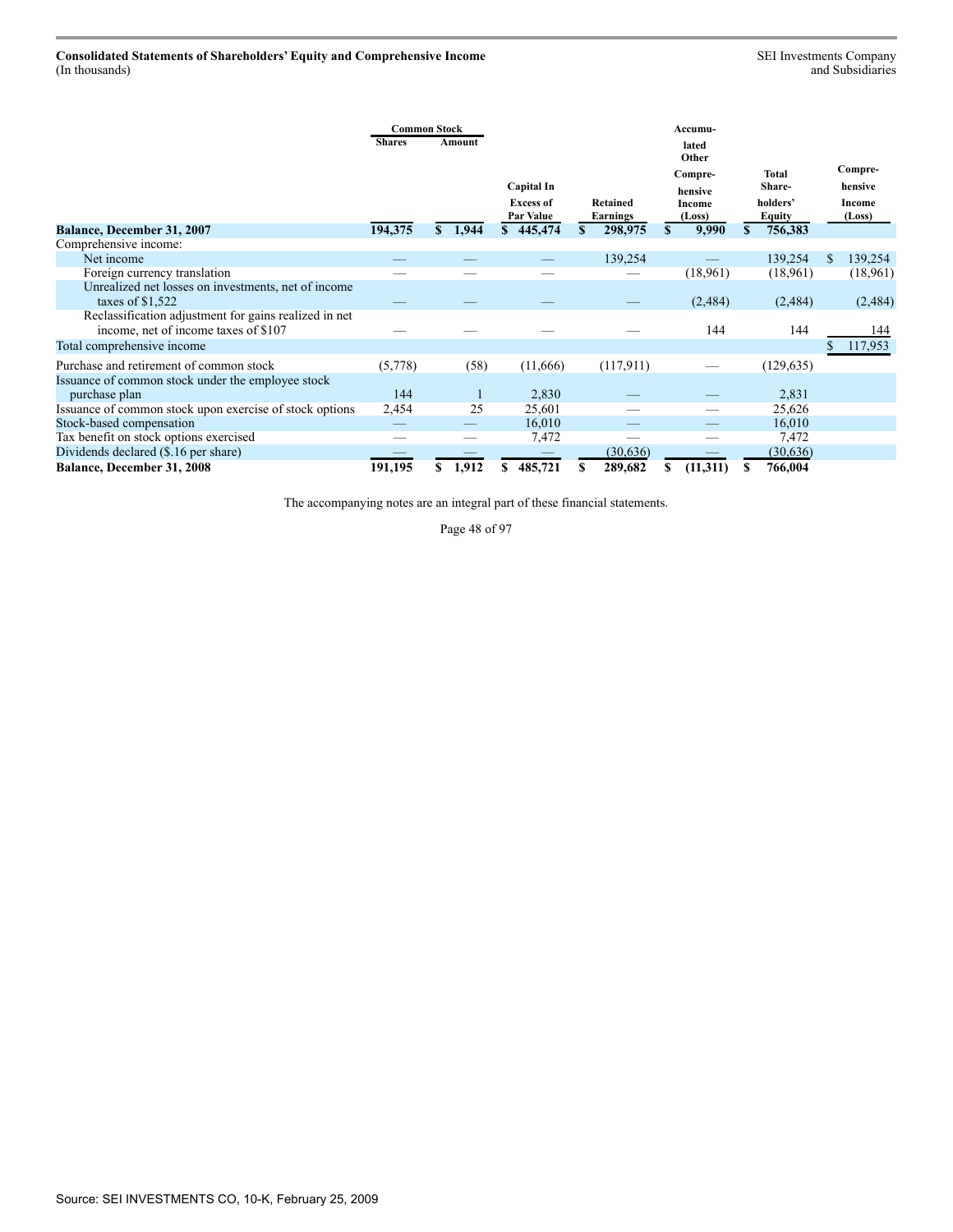|                                                                                               | <b>Common Stock</b> |              |        |                               |                             | Accumu-                     |   |                           |    |                    |
|-----------------------------------------------------------------------------------------------|---------------------|--------------|--------|-------------------------------|-----------------------------|-----------------------------|---|---------------------------|----|--------------------|
|                                                                                               | <b>Shares</b>       |              | Amount |                               |                             | lated<br>Other              |   |                           |    |                    |
|                                                                                               |                     |              |        | <b>Capital In</b>             |                             | Compre-                     |   | <b>Total</b><br>Share-    |    | Compre-<br>hensive |
|                                                                                               |                     |              |        | <b>Excess of</b><br>Par Value | <b>Retained</b><br>Earnings | hensive<br>Income<br>(Loss) |   | holders'<br><b>Equity</b> |    | Income<br>(Loss)   |
| <b>Balance, December 31, 2007</b>                                                             | 194,375             | $\mathbb{S}$ | 1,944  | \$445,474                     | 298,975                     | \$<br>9,990                 | S | 756,383                   |    |                    |
| Comprehensive income:                                                                         |                     |              |        |                               |                             |                             |   |                           |    |                    |
| Net income                                                                                    |                     |              |        |                               | 139,254                     |                             |   | 139,254                   | S. | 139,254            |
| Foreign currency translation                                                                  |                     |              |        |                               |                             | (18,961)                    |   | (18,961)                  |    | (18,961)           |
| Unrealized net losses on investments, net of income<br>taxes of $$1,522$                      |                     |              |        |                               |                             | (2,484)                     |   | (2, 484)                  |    | (2,484)            |
| Reclassification adjustment for gains realized in net<br>income, net of income taxes of \$107 |                     |              |        |                               |                             | 144                         |   | 144                       |    | 144                |
| Total comprehensive income                                                                    |                     |              |        |                               |                             |                             |   |                           | \$ | 117,953            |
| Purchase and retirement of common stock                                                       | (5,778)             |              | (58)   | (11,666)                      | (117,911)                   |                             |   | (129, 635)                |    |                    |
| Issuance of common stock under the employee stock<br>purchase plan                            | 144                 |              |        | 2,830                         |                             |                             |   | 2,831                     |    |                    |
| Issuance of common stock upon exercise of stock options                                       | 2,454               |              | 25     | 25,601                        |                             |                             |   | 25,626                    |    |                    |
| Stock-based compensation                                                                      |                     |              |        | 16,010                        |                             |                             |   | 16,010                    |    |                    |
| Tax benefit on stock options exercised                                                        |                     |              |        | 7,472                         |                             |                             |   | 7,472                     |    |                    |
| Dividends declared (\$.16 per share)                                                          |                     |              |        |                               | (30,636)                    |                             |   | (30, 636)                 |    |                    |
| <b>Balance, December 31, 2008</b>                                                             | 191,195             | S.           | 1,912  | 485,721                       | 289,682                     | (11,311)                    |   | 766,004                   |    |                    |

The accompanying notes are an integral part of these financial statements.

Page 48 of 97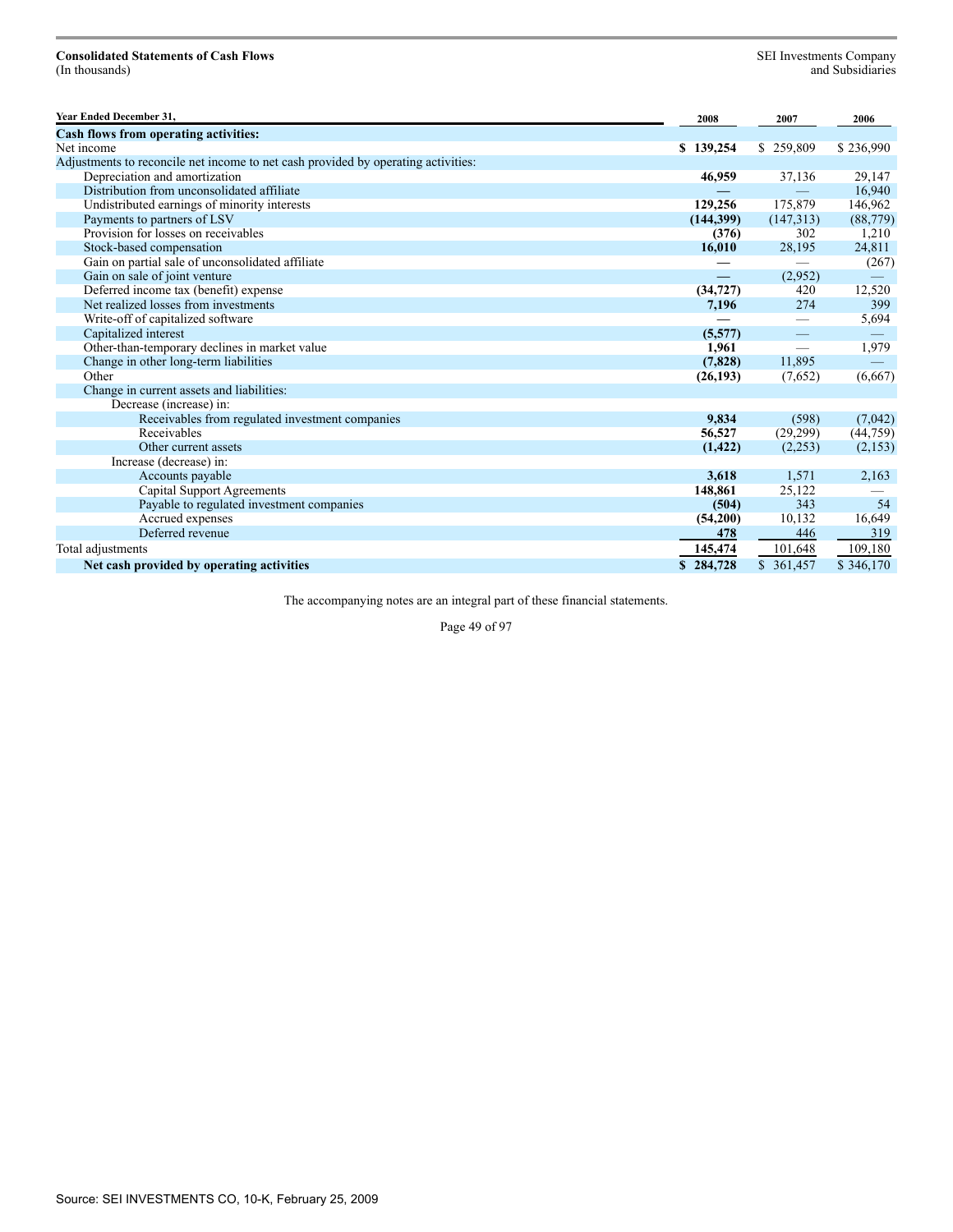<span id="page-55-0"></span>

| <b>Year Ended December 31,</b>                                                    | 2008       | 2007                     | 2006      |
|-----------------------------------------------------------------------------------|------------|--------------------------|-----------|
| Cash flows from operating activities:                                             |            |                          |           |
| Net income                                                                        | \$139,254  | \$259,809                | \$236,990 |
| Adjustments to reconcile net income to net cash provided by operating activities: |            |                          |           |
| Depreciation and amortization                                                     | 46,959     | 37,136                   | 29,147    |
| Distribution from unconsolidated affiliate                                        |            |                          | 16,940    |
| Undistributed earnings of minority interests                                      | 129,256    | 175,879                  | 146,962   |
| Payments to partners of LSV                                                       | (144, 399) | (147, 313)               | (88, 779) |
| Provision for losses on receivables                                               | (376)      | 302                      | 1,210     |
| Stock-based compensation                                                          | 16,010     | 28,195                   | 24,811    |
| Gain on partial sale of unconsolidated affiliate                                  |            |                          | (267)     |
| Gain on sale of joint venture                                                     |            | (2,952)                  |           |
| Deferred income tax (benefit) expense                                             | (34, 727)  | 420                      | 12,520    |
| Net realized losses from investments                                              | 7,196      | 274                      | 399       |
| Write-off of capitalized software                                                 |            | $\overline{\phantom{0}}$ | 5,694     |
| Capitalized interest                                                              | (5,577)    |                          |           |
| Other-than-temporary declines in market value                                     | 1,961      | $\frac{1}{1}$            | 1,979     |
| Change in other long-term liabilities                                             | (7,828)    | 11,895                   |           |
| Other                                                                             | (26, 193)  | (7,652)                  | (6,667)   |
| Change in current assets and liabilities:                                         |            |                          |           |
| Decrease (increase) in:                                                           |            |                          |           |
| Receivables from regulated investment companies                                   | 9,834      | (598)                    | (7,042)   |
| Receivables                                                                       | 56,527     | (29,299)                 | (44, 759) |
| Other current assets                                                              | (1, 422)   | (2,253)                  | (2,153)   |
| Increase (decrease) in:                                                           |            |                          |           |
| Accounts payable                                                                  | 3,618      | 1,571                    | 2,163     |
| Capital Support Agreements                                                        | 148,861    | 25,122                   |           |
| Payable to regulated investment companies                                         | (504)      | 343                      | 54        |
| Accrued expenses                                                                  | (54,200)   | 10,132                   | 16,649    |
| Deferred revenue                                                                  | 478        | 446                      | 319       |
| Total adjustments                                                                 | 145,474    | 101,648                  | 109,180   |
| Net cash provided by operating activities                                         | \$284,728  | \$ 361,457               | \$346,170 |

The accompanying notes are an integral part of these financial statements.

Page 49 of 97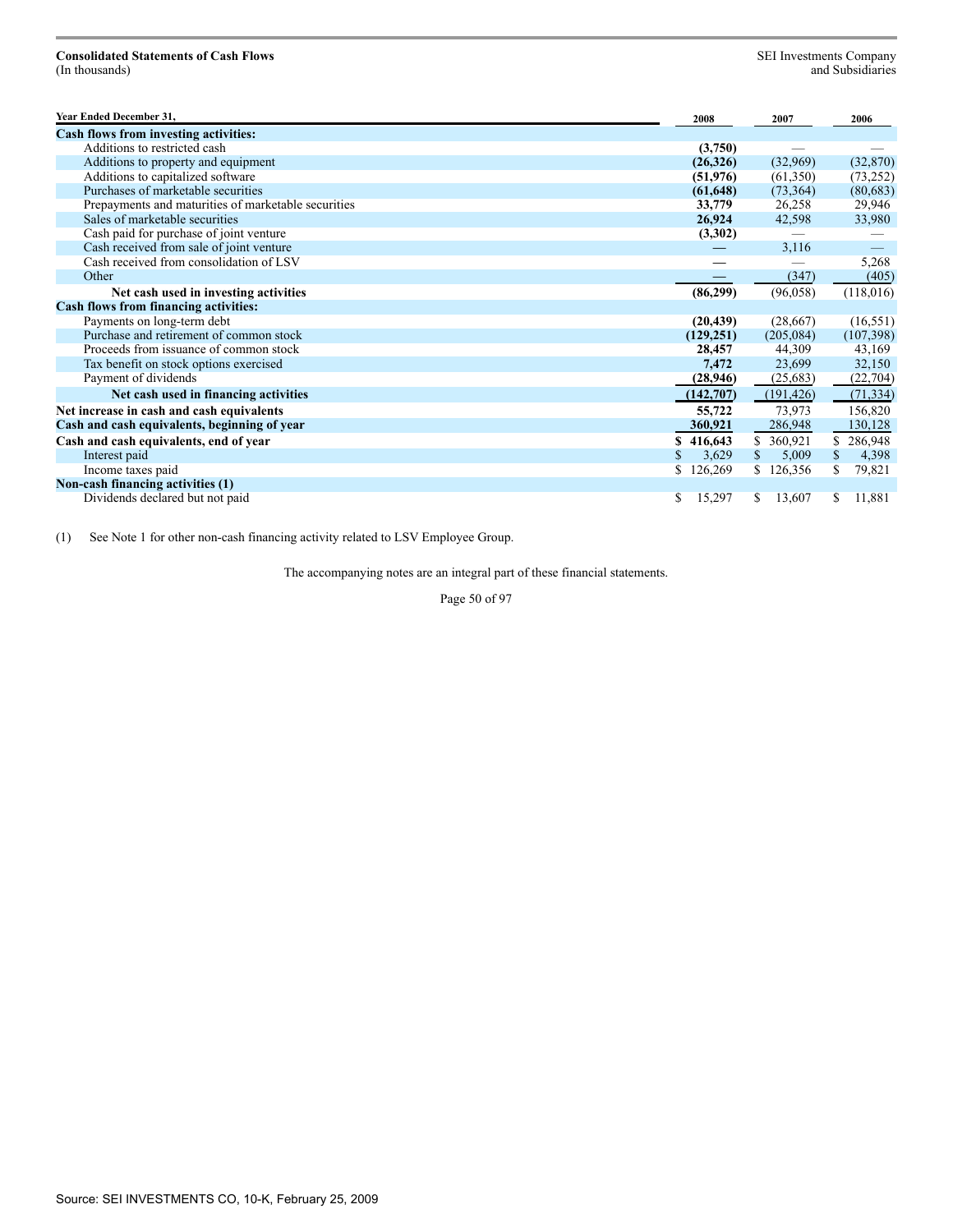# **Consolidated Statements of Cash Flows** (In thousands)

| <b>Year Ended December 31,</b>                      | 2008           | 2007                     | 2006          |
|-----------------------------------------------------|----------------|--------------------------|---------------|
| <b>Cash flows from investing activities:</b>        |                |                          |               |
| Additions to restricted cash                        | (3,750)        |                          |               |
| Additions to property and equipment                 | (26,326)       | (32,969)                 | (32, 870)     |
| Additions to capitalized software                   | (51, 976)      | (61,350)                 | (73,252)      |
| Purchases of marketable securities                  | (61, 648)      | (73,364)                 | (80, 683)     |
| Prepayments and maturities of marketable securities | 33,779         | 26,258                   | 29,946        |
| Sales of marketable securities                      | 26,924         | 42,598                   | 33,980        |
| Cash paid for purchase of joint venture             | (3,302)        |                          |               |
| Cash received from sale of joint venture            |                | 3,116                    |               |
| Cash received from consolidation of LSV             |                |                          | 5,268         |
| Other                                               |                | (347)                    | (405)         |
| Net cash used in investing activities               | (86,299)       | (96,058)                 | (118,016)     |
| <b>Cash flows from financing activities:</b>        |                |                          |               |
| Payments on long-term debt                          | (20, 439)      | (28,667)                 | (16, 551)     |
| Purchase and retirement of common stock             | (129, 251)     | (205, 084)               | (107, 398)    |
| Proceeds from issuance of common stock              | 28,457         | 44,309                   | 43,169        |
| Tax benefit on stock options exercised              | 7,472          | 23,699                   | 32,150        |
| Payment of dividends                                | (28,946)       | (25, 683)                | (22, 704)     |
| Net cash used in financing activities               | (142,707)      | (191, 426)               | (71, 334)     |
| Net increase in cash and cash equivalents           | 55,722         | 73,973                   | 156,820       |
| Cash and cash equivalents, beginning of year        | 360,921        | 286,948                  | 130,128       |
| Cash and cash equivalents, end of year              | 416,643<br>\$  | 360,921<br><sup>\$</sup> | 286,948<br>S. |
| Interest paid                                       | 3,629          | \$<br>5,009              | \$<br>4,398   |
| Income taxes paid                                   | \$.<br>126,269 | S.<br>126,356            | \$<br>79,821  |
| Non-cash financing activities (1)                   |                |                          |               |
| Dividends declared but not paid                     | \$<br>15,297   | 13,607<br>S              | \$<br>11,881  |

(1) See Note 1 for other non-cash financing activity related to LSV Employee Group.

The accompanying notes are an integral part of these financial statements.

Page 50 of 97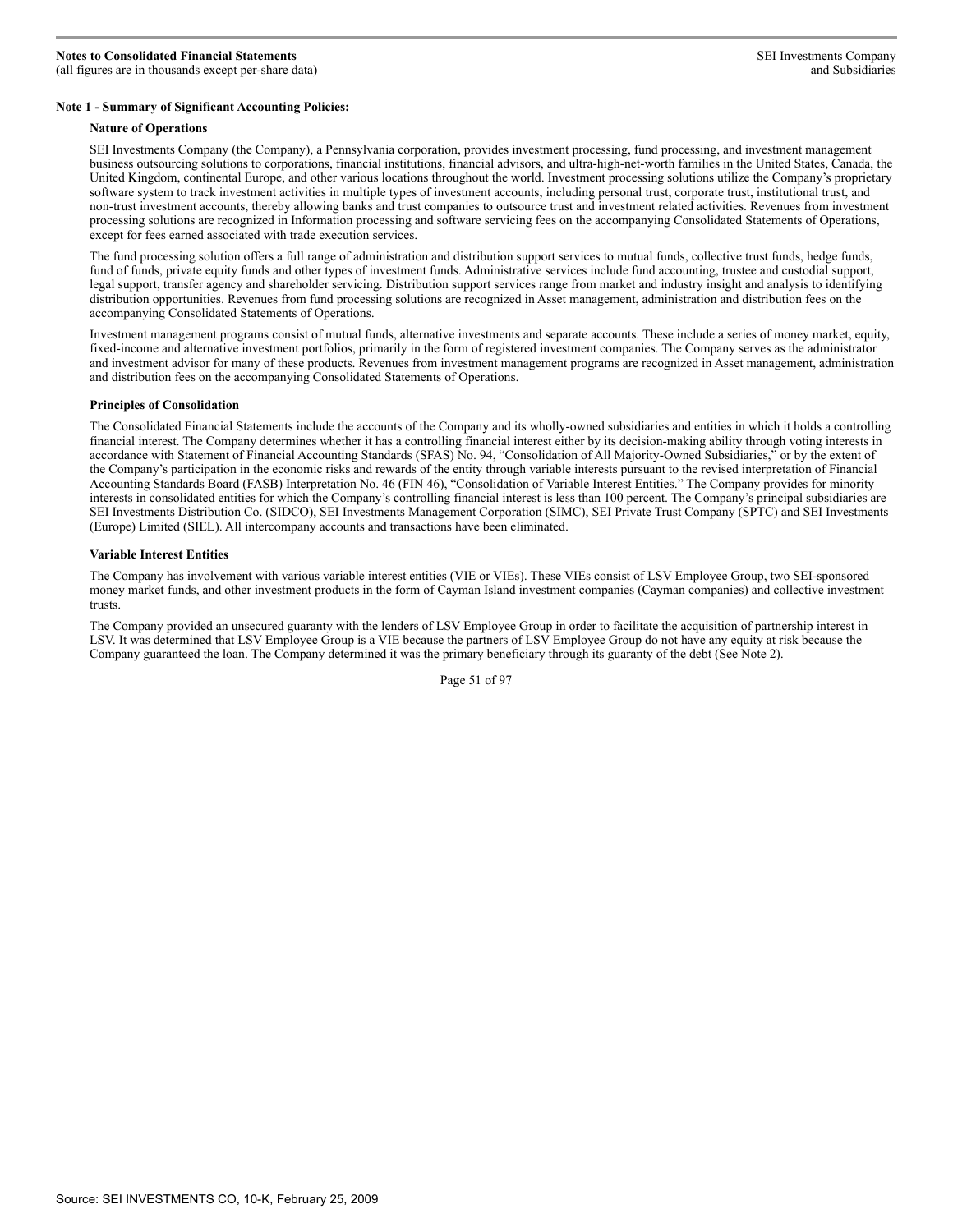# <span id="page-57-0"></span>(all figures are in thousands except per-share data)

#### **Note 1 - Summary of Significant Accounting Policies:**

#### **Nature of Operations**

SEI Investments Company (the Company), a Pennsylvania corporation, provides investment processing, fund processing, and investment management business outsourcing solutions to corporations, financial institutions, financial advisors, and ultra-high-net-worth families in the United States, Canada, the United Kingdom, continental Europe, and other various locations throughout the world. Investment processing solutions utilize the Company's proprietary software system to track investment activities in multiple types of investment accounts, including personal trust, corporate trust, institutional trust, and non-trust investment accounts, thereby allowing banks and trust companies to outsource trust and investment related activities. Revenues from investment processing solutions are recognized in Information processing and software servicing fees on the accompanying Consolidated Statements of Operations, except for fees earned associated with trade execution services.

The fund processing solution offers a full range of administration and distribution support services to mutual funds, collective trust funds, hedge funds, fund of funds, private equity funds and other types of investment funds. Administrative services include fund accounting, trustee and custodial support, legal support, transfer agency and shareholder servicing. Distribution support services range from market and industry insight and analysis to identifying distribution opportunities. Revenues from fund processing solutions are recognized in Asset management, administration and distribution fees on the accompanying Consolidated Statements of Operations.

Investment management programs consist of mutual funds, alternative investments and separate accounts. These include a series of money market, equity, fixed-income and alternative investment portfolios, primarily in the form of registered investment companies. The Company serves as the administrator and investment advisor for many of these products. Revenues from investment management programs are recognized in Asset management, administration and distribution fees on the accompanying Consolidated Statements of Operations.

# **Principles of Consolidation**

The Consolidated Financial Statements include the accounts of the Company and its wholly-owned subsidiaries and entities in which it holds a controlling financial interest. The Company determines whether it has a controlling financial interest either by its decision-making ability through voting interests in accordance with Statement of Financial Accounting Standards (SFAS) No. 94, "Consolidation of All Majority-Owned Subsidiaries," or by the extent of the Company's participation in the economic risks and rewards of the entity through variable interests pursuant to the revised interpretation of Financial Accounting Standards Board (FASB) Interpretation No. 46 (FIN 46), "Consolidation of Variable Interest Entities." The Company provides for minority interests in consolidated entities for which the Company's controlling financial interest is less than 100 percent. The Company's principal subsidiaries are SEI Investments Distribution Co. (SIDCO), SEI Investments Management Corporation (SIMC), SEI Private Trust Company (SPTC) and SEI Investments (Europe) Limited (SIEL). All intercompany accounts and transactions have been eliminated.

# **Variable Interest Entities**

The Company has involvement with various variable interest entities (VIE or VIEs). These VIEs consist of LSV Employee Group, two SEI-sponsored money market funds, and other investment products in the form of Cayman Island investment companies (Cayman companies) and collective investment trusts.

The Company provided an unsecured guaranty with the lenders of LSV Employee Group in order to facilitate the acquisition of partnership interest in LSV. It was determined that LSV Employee Group is a VIE because the partners of LSV Employee Group do not have any equity at risk because the Company guaranteed the loan. The Company determined it was the primary beneficiary through its guaranty of the debt (See Note 2).

Page 51 of 97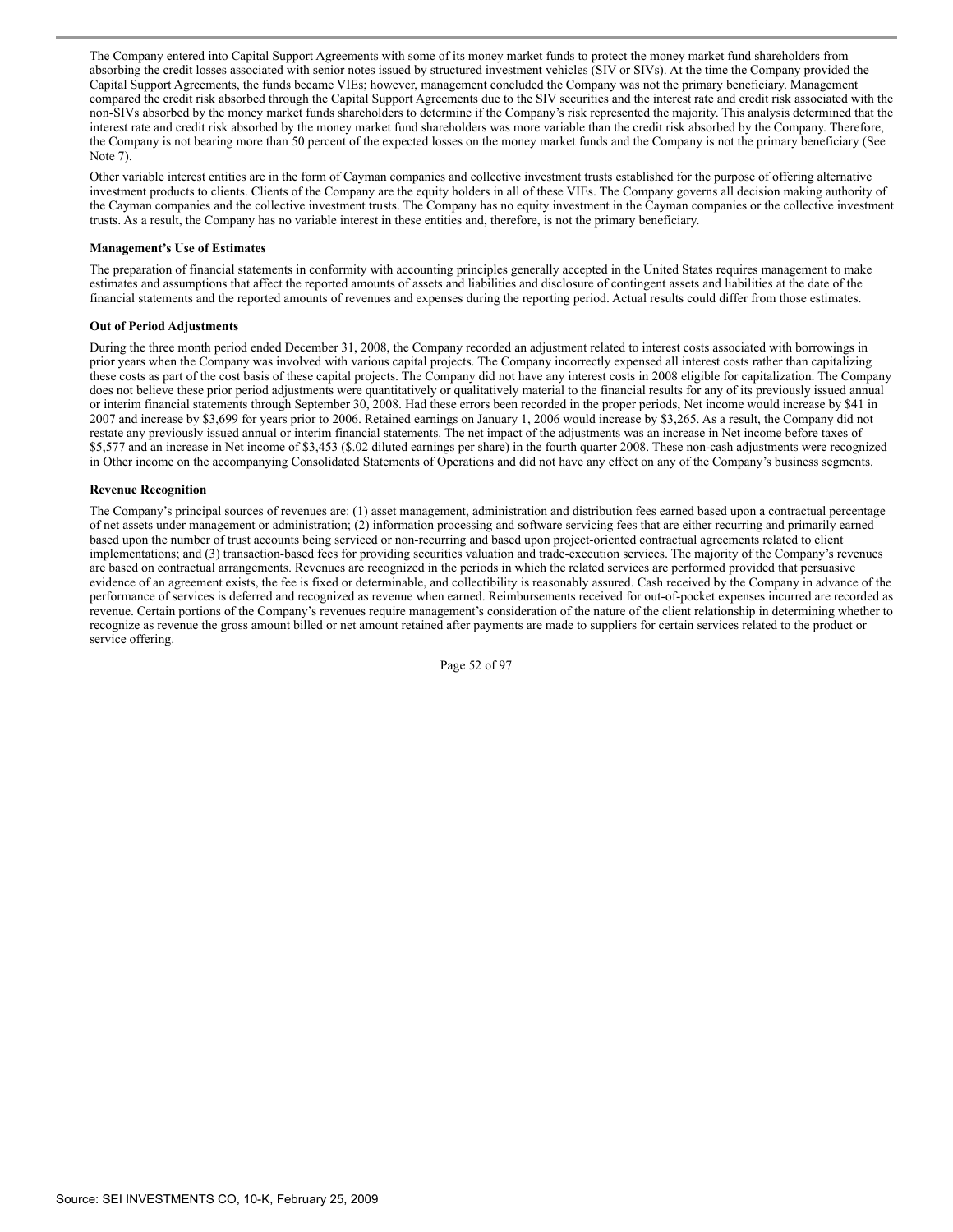The Company entered into Capital Support Agreements with some of its money market funds to protect the money market fund shareholders from absorbing the credit losses associated with senior notes issued by structured investment vehicles (SIV or SIVs). At the time the Company provided the Capital Support Agreements, the funds became VIEs; however, management concluded the Company was not the primary beneficiary. Management compared the credit risk absorbed through the Capital Support Agreements due to the SIV securities and the interest rate and credit risk associated with the non-SIVs absorbed by the money market funds shareholders to determine if the Company's risk represented the majority. This analysis determined that the interest rate and credit risk absorbed by the money market fund shareholders was more variable than the credit risk absorbed by the Company. Therefore, the Company is not bearing more than 50 percent of the expected losses on the money market funds and the Company is not the primary beneficiary (See Note 7).

Other variable interest entities are in the form of Cayman companies and collective investment trusts established for the purpose of offering alternative investment products to clients. Clients of the Company are the equity holders in all of these VIEs. The Company governs all decision making authority of the Cayman companies and the collective investment trusts. The Company has no equity investment in the Cayman companies or the collective investment trusts. As a result, the Company has no variable interest in these entities and, therefore, is not the primary beneficiary.

#### **Management's Use of Estimates**

The preparation of financial statements in conformity with accounting principles generally accepted in the United States requires management to make estimates and assumptions that affect the reported amounts of assets and liabilities and disclosure of contingent assets and liabilities at the date of the financial statements and the reported amounts of revenues and expenses during the reporting period. Actual results could differ from those estimates.

# **Out of Period Adjustments**

During the three month period ended December 31, 2008, the Company recorded an adjustment related to interest costs associated with borrowings in prior years when the Company was involved with various capital projects. The Company incorrectly expensed all interest costs rather than capitalizing these costs as part of the cost basis of these capital projects. The Company did not have any interest costs in 2008 eligible for capitalization. The Company does not believe these prior period adjustments were quantitatively or qualitatively material to the financial results for any of its previously issued annual or interim financial statements through September 30, 2008. Had these errors been recorded in the proper periods, Net income would increase by \$41 in 2007 and increase by \$3,699 for years prior to 2006. Retained earnings on January 1, 2006 would increase by \$3,265. As a result, the Company did not restate any previously issued annual or interim financial statements. The net impact of the adjustments was an increase in Net income before taxes of \$5,577 and an increase in Net income of \$3,453 (\$.02 diluted earnings per share) in the fourth quarter 2008. These non-cash adjustments were recognized in Other income on the accompanying Consolidated Statements of Operations and did not have any effect on any of the Company's business segments.

#### **Revenue Recognition**

The Company's principal sources of revenues are: (1) asset management, administration and distribution fees earned based upon a contractual percentage of net assets under management or administration; (2) information processing and software servicing fees that are either recurring and primarily earned based upon the number of trust accounts being serviced or non-recurring and based upon project-oriented contractual agreements related to client implementations; and (3) transaction-based fees for providing securities valuation and trade-execution services. The majority of the Company's revenues are based on contractual arrangements. Revenues are recognized in the periods in which the related services are performed provided that persuasive evidence of an agreement exists, the fee is fixed or determinable, and collectibility is reasonably assured. Cash received by the Company in advance of the performance of services is deferred and recognized as revenue when earned. Reimbursements received for out-of-pocket expenses incurred are recorded as revenue. Certain portions of the Company's revenues require management's consideration of the nature of the client relationship in determining whether to recognize as revenue the gross amount billed or net amount retained after payments are made to suppliers for certain services related to the product or service offering.

Page 52 of 97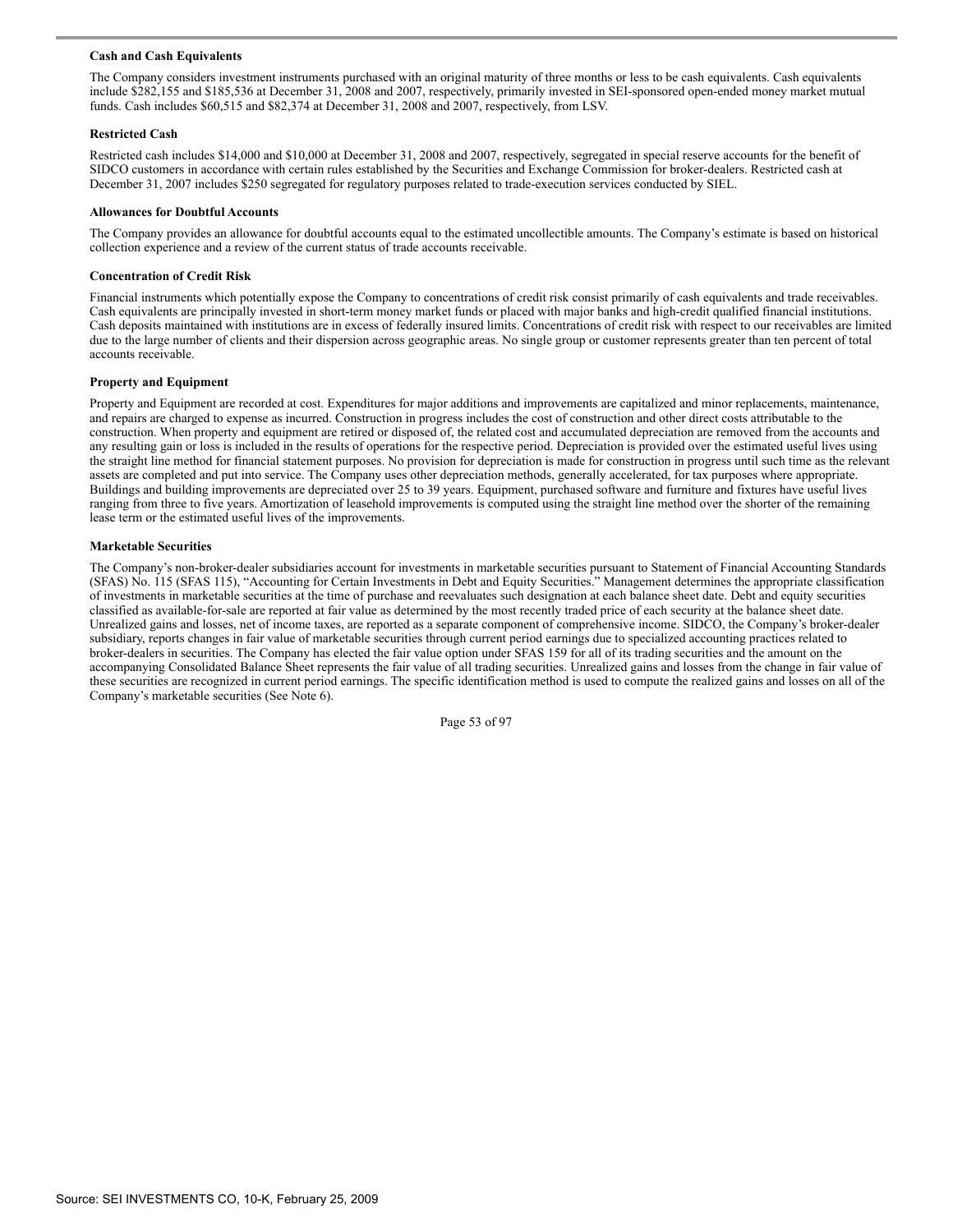# **Cash and Cash Equivalents**

The Company considers investment instruments purchased with an original maturity of three months or less to be cash equivalents. Cash equivalents include \$282,155 and \$185,536 at December 31, 2008 and 2007, respectively, primarily invested in SEI-sponsored open-ended money market mutual funds. Cash includes \$60,515 and \$82,374 at December 31, 2008 and 2007, respectively, from LSV.

## **Restricted Cash**

Restricted cash includes \$14,000 and \$10,000 at December 31, 2008 and 2007, respectively, segregated in special reserve accounts for the benefit of SIDCO customers in accordance with certain rules established by the Securities and Exchange Commission for broker-dealers. Restricted cash at December 31, 2007 includes \$250 segregated for regulatory purposes related to trade-execution services conducted by SIEL.

#### **Allowances for Doubtful Accounts**

The Company provides an allowance for doubtful accounts equal to the estimated uncollectible amounts. The Company's estimate is based on historical collection experience and a review of the current status of trade accounts receivable.

# **Concentration of Credit Risk**

Financial instruments which potentially expose the Company to concentrations of credit risk consist primarily of cash equivalents and trade receivables. Cash equivalents are principally invested in short-term money market funds or placed with major banks and high-credit qualified financial institutions. Cash deposits maintained with institutions are in excess of federally insured limits. Concentrations of credit risk with respect to our receivables are limited due to the large number of clients and their dispersion across geographic areas. No single group or customer represents greater than ten percent of total accounts receivable.

# **Property and Equipment**

Property and Equipment are recorded at cost. Expenditures for major additions and improvements are capitalized and minor replacements, maintenance, and repairs are charged to expense as incurred. Construction in progress includes the cost of construction and other direct costs attributable to the construction. When property and equipment are retired or disposed of, the related cost and accumulated depreciation are removed from the accounts and any resulting gain or loss is included in the results of operations for the respective period. Depreciation is provided over the estimated useful lives using the straight line method for financial statement purposes. No provision for depreciation is made for construction in progress until such time as the relevant assets are completed and put into service. The Company uses other depreciation methods, generally accelerated, for tax purposes where appropriate. Buildings and building improvements are depreciated over 25 to 39 years. Equipment, purchased software and furniture and fixtures have useful lives ranging from three to five years. Amortization of leasehold improvements is computed using the straight line method over the shorter of the remaining lease term or the estimated useful lives of the improvements.

# **Marketable Securities**

The Company's non-broker-dealer subsidiaries account for investments in marketable securities pursuant to Statement of Financial Accounting Standards (SFAS) No. 115 (SFAS 115), "Accounting for Certain Investments in Debt and Equity Securities." Management determines the appropriate classification of investments in marketable securities at the time of purchase and reevaluates such designation at each balance sheet date. Debt and equity securities classified as available-for-sale are reported at fair value as determined by the most recently traded price of each security at the balance sheet date. Unrealized gains and losses, net of income taxes, are reported as a separate component of comprehensive income. SIDCO, the Company's broker-dealer subsidiary, reports changes in fair value of marketable securities through current period earnings due to specialized accounting practices related to broker-dealers in securities. The Company has elected the fair value option under SFAS 159 for all of its trading securities and the amount on the accompanying Consolidated Balance Sheet represents the fair value of all trading securities. Unrealized gains and losses from the change in fair value of these securities are recognized in current period earnings. The specific identification method is used to compute the realized gains and losses on all of the Company's marketable securities (See Note 6).

Page 53 of 97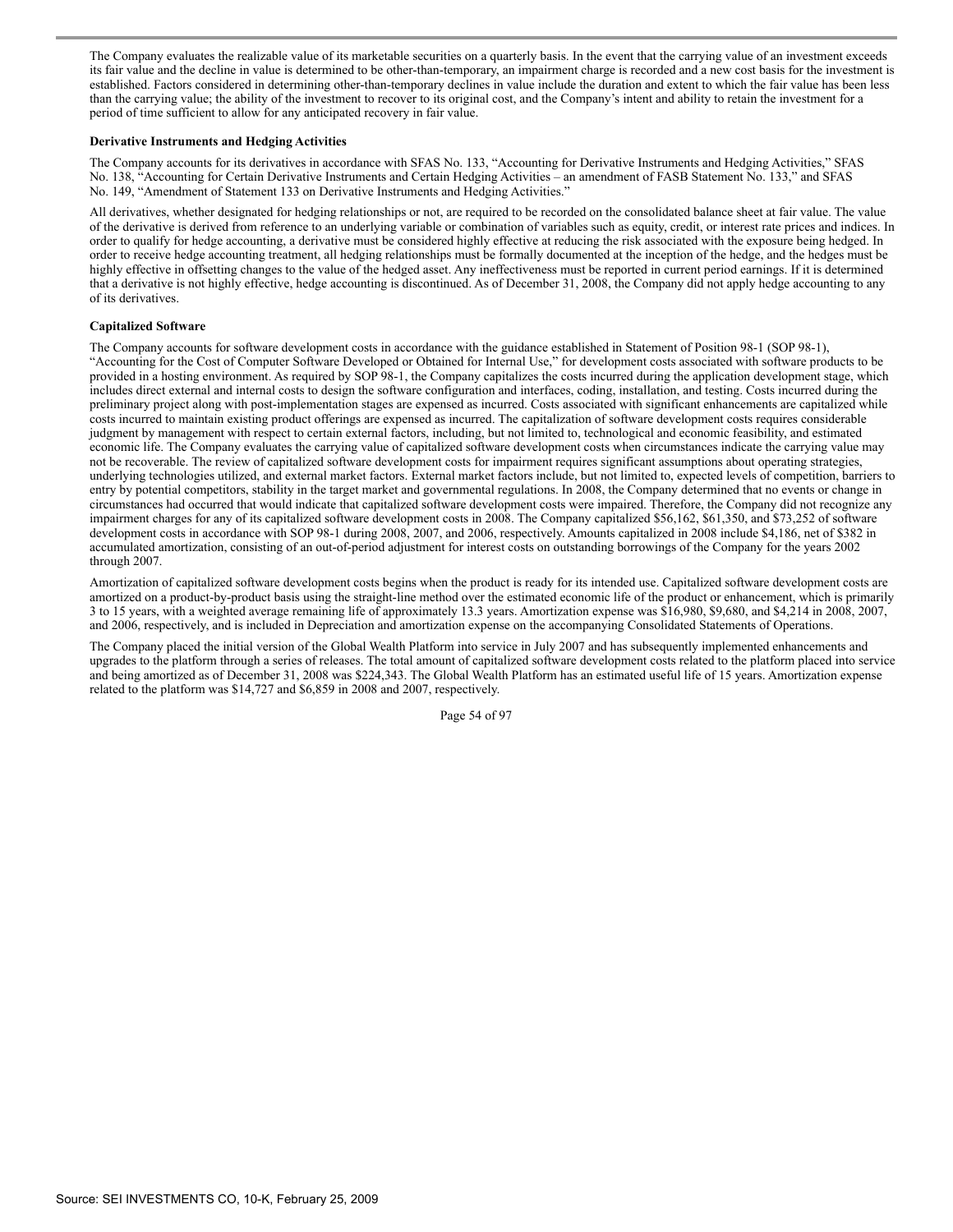The Company evaluates the realizable value of its marketable securities on a quarterly basis. In the event that the carrying value of an investment exceeds its fair value and the decline in value is determined to be other-than-temporary, an impairment charge is recorded and a new cost basis for the investment is established. Factors considered in determining other-than-temporary declines in value include the duration and extent to which the fair value has been less than the carrying value; the ability of the investment to recover to its original cost, and the Company's intent and ability to retain the investment for a period of time sufficient to allow for any anticipated recovery in fair value.

# **Derivative Instruments and Hedging Activities**

The Company accounts for its derivatives in accordance with SFAS No. 133, "Accounting for Derivative Instruments and Hedging Activities," SFAS No. 138, "Accounting for Certain Derivative Instruments and Certain Hedging Activities – an amendment of FASB Statement No. 133," and SFAS No. 149, "Amendment of Statement 133 on Derivative Instruments and Hedging Activities."

All derivatives, whether designated for hedging relationships or not, are required to be recorded on the consolidated balance sheet at fair value. The value of the derivative is derived from reference to an underlying variable or combination of variables such as equity, credit, or interest rate prices and indices. In order to qualify for hedge accounting, a derivative must be considered highly effective at reducing the risk associated with the exposure being hedged. In order to receive hedge accounting treatment, all hedging relationships must be formally documented at the inception of the hedge, and the hedges must be highly effective in offsetting changes to the value of the hedged asset. Any ineffectiveness must be reported in current period earnings. If it is determined that a derivative is not highly effective, hedge accounting is discontinued. As of December 31, 2008, the Company did not apply hedge accounting to any of its derivatives.

# **Capitalized Software**

The Company accounts for software development costs in accordance with the guidance established in Statement of Position 98-1 (SOP 98-1), "Accounting for the Cost of Computer Software Developed or Obtained for Internal Use," for development costs associated with software products to be provided in a hosting environment. As required by SOP 98-1, the Company capitalizes the costs incurred during the application development stage, which includes direct external and internal costs to design the software configuration and interfaces, coding, installation, and testing. Costs incurred during the preliminary project along with post-implementation stages are expensed as incurred. Costs associated with significant enhancements are capitalized while costs incurred to maintain existing product offerings are expensed as incurred. The capitalization of software development costs requires considerable judgment by management with respect to certain external factors, including, but not limited to, technological and economic feasibility, and estimated economic life. The Company evaluates the carrying value of capitalized software development costs when circumstances indicate the carrying value may not be recoverable. The review of capitalized software development costs for impairment requires significant assumptions about operating strategies, underlying technologies utilized, and external market factors. External market factors include, but not limited to, expected levels of competition, barriers to entry by potential competitors, stability in the target market and governmental regulations. In 2008, the Company determined that no events or change in circumstances had occurred that would indicate that capitalized software development costs were impaired. Therefore, the Company did not recognize any impairment charges for any of its capitalized software development costs in 2008. The Company capitalized \$56,162, \$61,350, and \$73,252 of software development costs in accordance with SOP 98-1 during 2008, 2007, and 2006, respectively. Amounts capitalized in 2008 include \$4,186, net of \$382 in accumulated amortization, consisting of an out-of-period adjustment for interest costs on outstanding borrowings of the Company for the years 2002 through 2007.

Amortization of capitalized software development costs begins when the product is ready for its intended use. Capitalized software development costs are amortized on a product-by-product basis using the straight-line method over the estimated economic life of the product or enhancement, which is primarily 3 to 15 years, with a weighted average remaining life of approximately 13.3 years. Amortization expense was \$16,980, \$9,680, and \$4,214 in 2008, 2007, and 2006, respectively, and is included in Depreciation and amortization expense on the accompanying Consolidated Statements of Operations.

The Company placed the initial version of the Global Wealth Platform into service in July 2007 and has subsequently implemented enhancements and upgrades to the platform through a series of releases. The total amount of capitalized software development costs related to the platform placed into service and being amortized as of December 31, 2008 was \$224,343. The Global Wealth Platform has an estimated useful life of 15 years. Amortization expense related to the platform was \$14,727 and \$6,859 in 2008 and 2007, respectively.

Page 54 of 97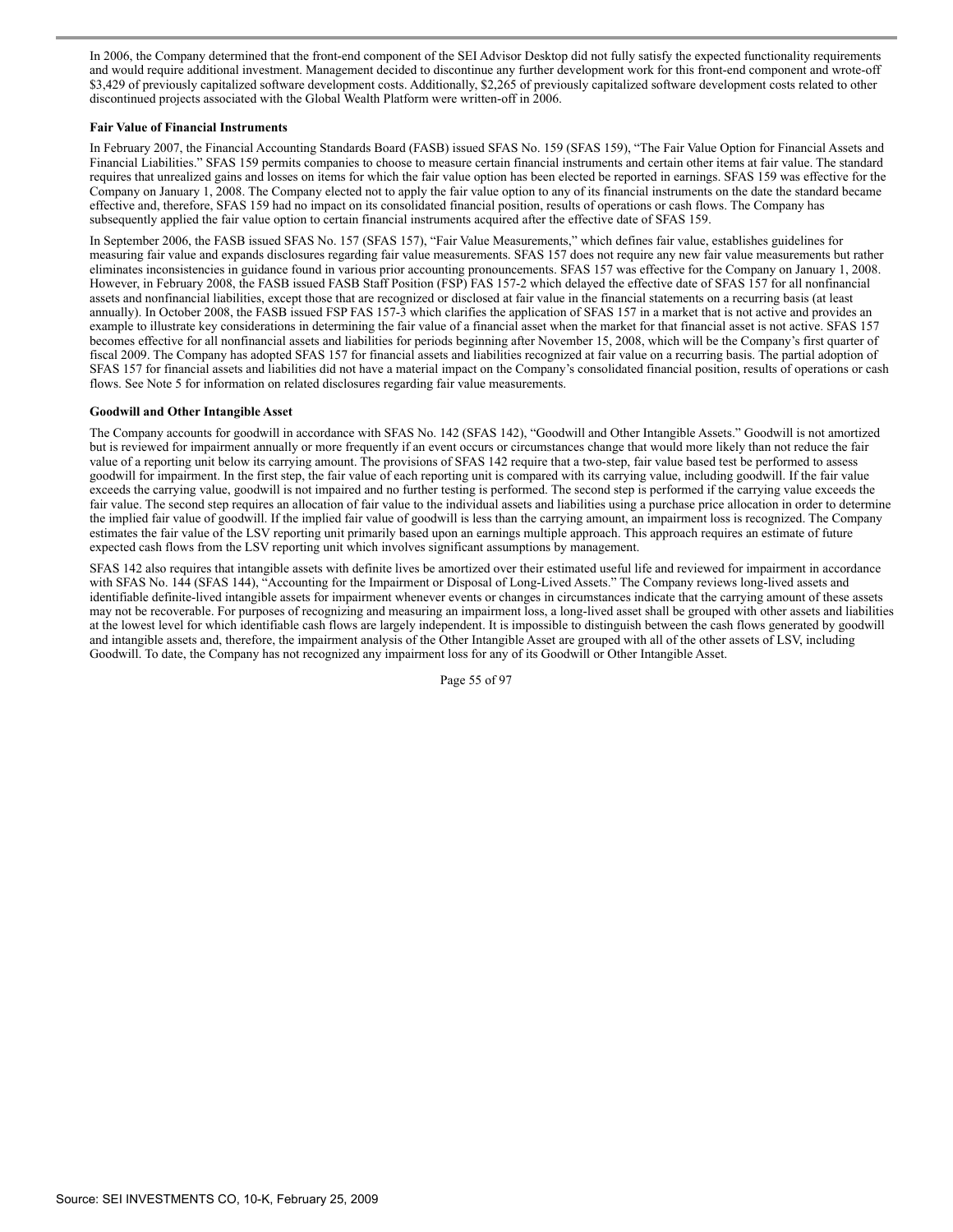In 2006, the Company determined that the front-end component of the SEI Advisor Desktop did not fully satisfy the expected functionality requirements and would require additional investment. Management decided to discontinue any further development work for this front-end component and wrote-off \$3,429 of previously capitalized software development costs. Additionally, \$2,265 of previously capitalized software development costs related to other discontinued projects associated with the Global Wealth Platform were written-off in 2006.

#### **Fair Value of Financial Instruments**

In February 2007, the Financial Accounting Standards Board (FASB) issued SFAS No. 159 (SFAS 159), "The Fair Value Option for Financial Assets and Financial Liabilities." SFAS 159 permits companies to choose to measure certain financial instruments and certain other items at fair value. The standard requires that unrealized gains and losses on items for which the fair value option has been elected be reported in earnings. SFAS 159 was effective for the Company on January 1, 2008. The Company elected not to apply the fair value option to any of its financial instruments on the date the standard became effective and, therefore, SFAS 159 had no impact on its consolidated financial position, results of operations or cash flows. The Company has subsequently applied the fair value option to certain financial instruments acquired after the effective date of SFAS 159.

In September 2006, the FASB issued SFAS No. 157 (SFAS 157), "Fair Value Measurements," which defines fair value, establishes guidelines for measuring fair value and expands disclosures regarding fair value measurements. SFAS 157 does not require any new fair value measurements but rather eliminates inconsistencies in guidance found in various prior accounting pronouncements. SFAS 157 was effective for the Company on January 1, 2008. However, in February 2008, the FASB issued FASB Staff Position (FSP) FAS 157-2 which delayed the effective date of SFAS 157 for all nonfinancial assets and nonfinancial liabilities, except those that are recognized or disclosed at fair value in the financial statements on a recurring basis (at least annually). In October 2008, the FASB issued FSP FAS 157-3 which clarifies the application of SFAS 157 in a market that is not active and provides an example to illustrate key considerations in determining the fair value of a financial asset when the market for that financial asset is not active. SFAS 157 becomes effective for all nonfinancial assets and liabilities for periods beginning after November 15, 2008, which will be the Company's first quarter of fiscal 2009. The Company has adopted SFAS 157 for financial assets and liabilities recognized at fair value on a recurring basis. The partial adoption of SFAS 157 for financial assets and liabilities did not have a material impact on the Company's consolidated financial position, results of operations or cash flows. See Note 5 for information on related disclosures regarding fair value measurements.

# **Goodwill and Other Intangible Asset**

The Company accounts for goodwill in accordance with SFAS No. 142 (SFAS 142), "Goodwill and Other Intangible Assets." Goodwill is not amortized but is reviewed for impairment annually or more frequently if an event occurs or circumstances change that would more likely than not reduce the fair value of a reporting unit below its carrying amount. The provisions of SFAS 142 require that a two-step, fair value based test be performed to assess goodwill for impairment. In the first step, the fair value of each reporting unit is compared with its carrying value, including goodwill. If the fair value exceeds the carrying value, goodwill is not impaired and no further testing is performed. The second step is performed if the carrying value exceeds the fair value. The second step requires an allocation of fair value to the individual assets and liabilities using a purchase price allocation in order to determine the implied fair value of goodwill. If the implied fair value of goodwill is less than the carrying amount, an impairment loss is recognized. The Company estimates the fair value of the LSV reporting unit primarily based upon an earnings multiple approach. This approach requires an estimate of future expected cash flows from the LSV reporting unit which involves significant assumptions by management.

SFAS 142 also requires that intangible assets with definite lives be amortized over their estimated useful life and reviewed for impairment in accordance with SFAS No. 144 (SFAS 144), "Accounting for the Impairment or Disposal of Long-Lived Assets." The Company reviews long-lived assets and identifiable definite-lived intangible assets for impairment whenever events or changes in circumstances indicate that the carrying amount of these assets may not be recoverable. For purposes of recognizing and measuring an impairment loss, a long-lived asset shall be grouped with other assets and liabilities at the lowest level for which identifiable cash flows are largely independent. It is impossible to distinguish between the cash flows generated by goodwill and intangible assets and, therefore, the impairment analysis of the Other Intangible Asset are grouped with all of the other assets of LSV, including Goodwill. To date, the Company has not recognized any impairment loss for any of its Goodwill or Other Intangible Asset.

Page 55 of 97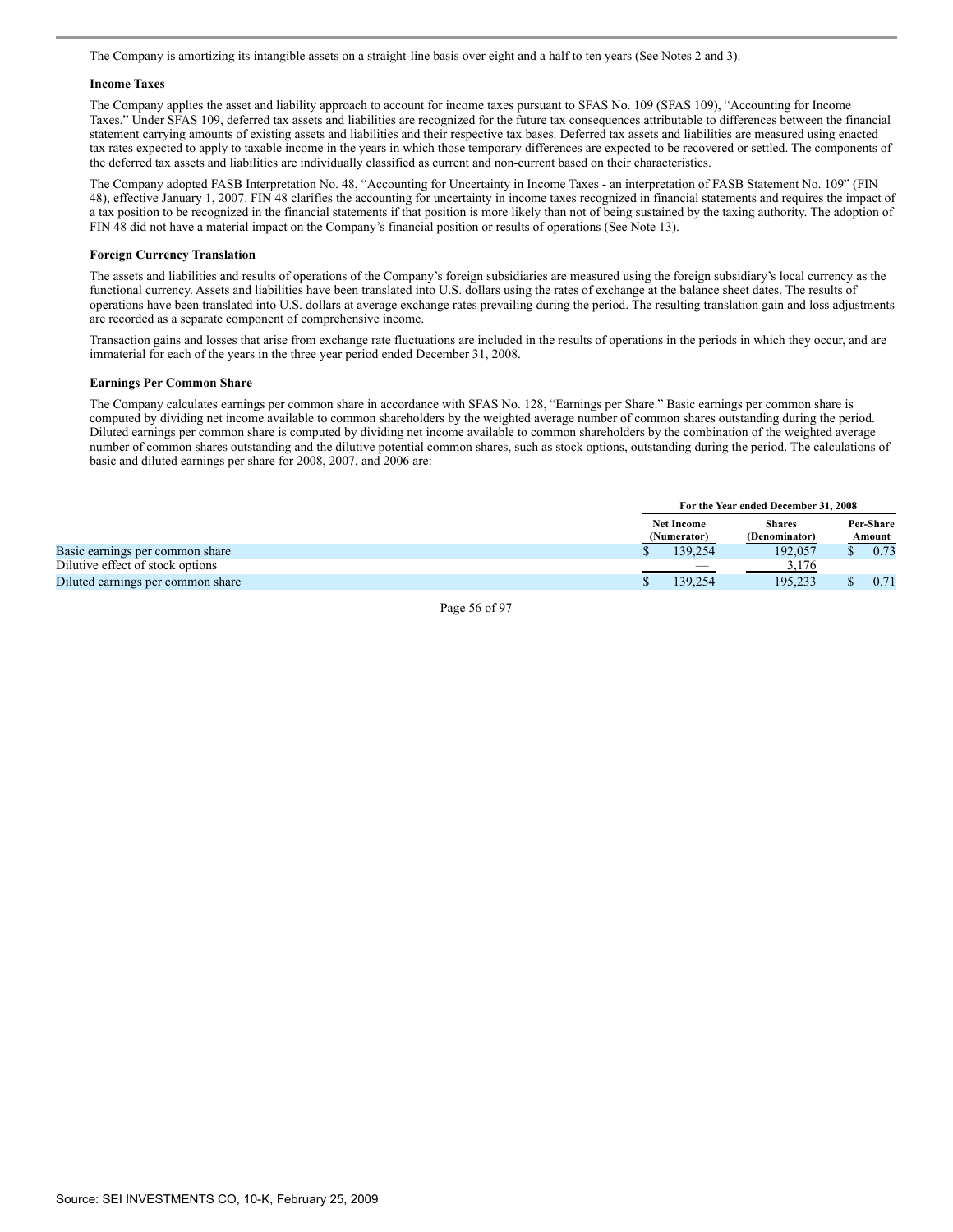The Company is amortizing its intangible assets on a straight-line basis over eight and a half to ten years (See Notes 2 and 3).

#### **Income Taxes**

The Company applies the asset and liability approach to account for income taxes pursuant to SFAS No. 109 (SFAS 109), "Accounting for Income Taxes." Under SFAS 109, deferred tax assets and liabilities are recognized for the future tax consequences attributable to differences between the financial statement carrying amounts of existing assets and liabilities and their respective tax bases. Deferred tax assets and liabilities are measured using enacted tax rates expected to apply to taxable income in the years in which those temporary differences are expected to be recovered or settled. The components of the deferred tax assets and liabilities are individually classified as current and non-current based on their characteristics.

The Company adopted FASB Interpretation No. 48, "Accounting for Uncertainty in Income Taxes - an interpretation of FASB Statement No. 109" (FIN 48), effective January 1, 2007. FIN 48 clarifies the accounting for uncertainty in income taxes recognized in financial statements and requires the impact of a tax position to be recognized in the financial statements if that position is more likely than not of being sustained by the taxing authority. The adoption of FIN 48 did not have a material impact on the Company's financial position or results of operations (See Note 13).

#### **Foreign Currency Translation**

The assets and liabilities and results of operations of the Company's foreign subsidiaries are measured using the foreign subsidiary's local currency as the functional currency. Assets and liabilities have been translated into U.S. dollars using the rates of exchange at the balance sheet dates. The results of operations have been translated into U.S. dollars at average exchange rates prevailing during the period. The resulting translation gain and loss adjustments are recorded as a separate component of comprehensive income.

Transaction gains and losses that arise from exchange rate fluctuations are included in the results of operations in the periods in which they occur, and are immaterial for each of the years in the three year period ended December 31, 2008.

#### **Earnings Per Common Share**

The Company calculates earnings per common share in accordance with SFAS No. 128, "Earnings per Share." Basic earnings per common share is computed by dividing net income available to common shareholders by the weighted average number of common shares outstanding during the period. Diluted earnings per common share is computed by dividing net income available to common shareholders by the combination of the weighted average number of common shares outstanding and the dilutive potential common shares, such as stock options, outstanding during the period. The calculations of basic and diluted earnings per share for 2008, 2007, and 2006 are:

|                                   | For the Year ended December 31, 2008 |                                |  |                     |  |
|-----------------------------------|--------------------------------------|--------------------------------|--|---------------------|--|
|                                   | <b>Net Income</b><br>(Numerator)     | <b>Shares</b><br>(Denominator) |  | Per-Share<br>Amount |  |
| Basic earnings per common share   | 139.254                              | 192,057                        |  | 0.73                |  |
| Dilutive effect of stock options  |                                      | 3.176                          |  |                     |  |
| Diluted earnings per common share | 139.254                              | 195.233                        |  | 0.71                |  |

Page 56 of 97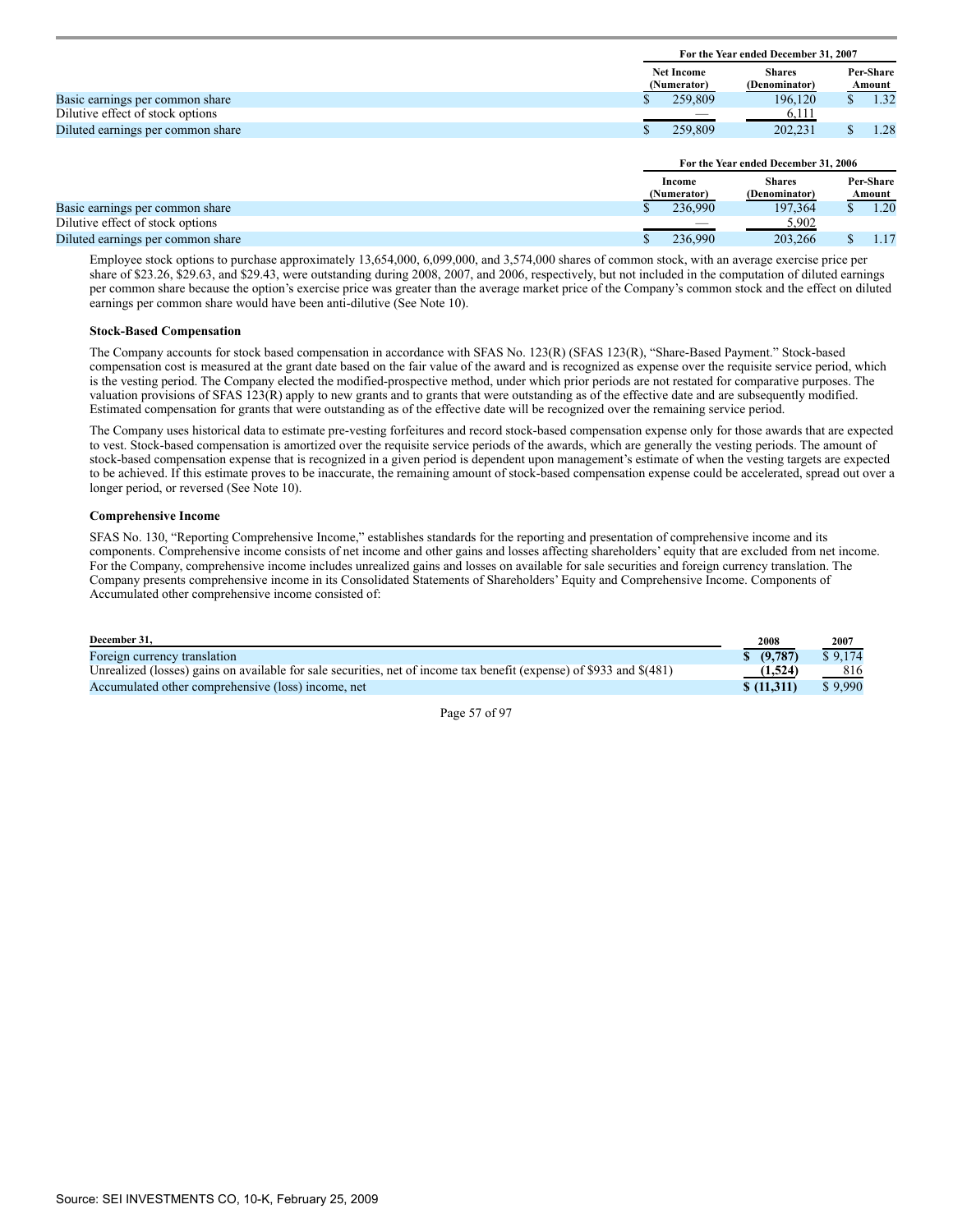|                                   |                                  | For the Year ended December 31, 2007 |                     |  |  |
|-----------------------------------|----------------------------------|--------------------------------------|---------------------|--|--|
|                                   | <b>Net Income</b><br>(Numerator) | <b>Shares</b><br>(Denominator)       | Per-Share<br>Amount |  |  |
| Basic earnings per common share   | 259,809                          | 196.120                              | 1.32                |  |  |
| Dilutive effect of stock options  |                                  | 6,111                                |                     |  |  |
| Diluted earnings per common share | 259,809                          | 202.231                              | 1.28                |  |  |
|                                   |                                  | For the Year ended December 31, 2006 |                     |  |  |
|                                   | Income<br>(Numerator)            | <b>Shares</b><br>(Denominator)       | Per-Share<br>Amount |  |  |
| Basic earnings per common share   | 236,990                          | 197,364                              | 1.20                |  |  |
| Dilutive effect of stock options  |                                  | 5,902                                |                     |  |  |
| Diluted earnings per common share | 236,990                          | 203.266                              | 1.17                |  |  |

Employee stock options to purchase approximately 13,654,000, 6,099,000, and 3,574,000 shares of common stock, with an average exercise price per share of \$23.26, \$29.63, and \$29.43, were outstanding during 2008, 2007, and 2006, respectively, but not included in the computation of diluted earnings per common share because the option's exercise price was greater than the average market price of the Company's common stock and the effect on diluted earnings per common share would have been anti-dilutive (See Note 10).

#### **Stock-Based Compensation**

The Company accounts for stock based compensation in accordance with SFAS No. 123(R) (SFAS 123(R), "Share-Based Payment." Stock-based compensation cost is measured at the grant date based on the fair value of the award and is recognized as expense over the requisite service period, which is the vesting period. The Company elected the modified-prospective method, under which prior periods are not restated for comparative purposes. The valuation provisions of SFAS 123(R) apply to new grants and to grants that were outstanding as of the effective date and are subsequently modified. Estimated compensation for grants that were outstanding as of the effective date will be recognized over the remaining service period.

The Company uses historical data to estimate pre-vesting forfeitures and record stock-based compensation expense only for those awards that are expected to vest. Stock-based compensation is amortized over the requisite service periods of the awards, which are generally the vesting periods. The amount of stock-based compensation expense that is recognized in a given period is dependent upon management's estimate of when the vesting targets are expected to be achieved. If this estimate proves to be inaccurate, the remaining amount of stock-based compensation expense could be accelerated, spread out over a longer period, or reversed (See Note 10).

#### **Comprehensive Income**

SFAS No. 130, "Reporting Comprehensive Income," establishes standards for the reporting and presentation of comprehensive income and its components. Comprehensive income consists of net income and other gains and losses affecting shareholders' equity that are excluded from net income. For the Company, comprehensive income includes unrealized gains and losses on available for sale securities and foreign currency translation. The Company presents comprehensive income in its Consolidated Statements of Shareholders' Equity and Comprehensive Income. Components of Accumulated other comprehensive income consisted of:

| December 31,                                                                                                         | 2008        | 2007    |
|----------------------------------------------------------------------------------------------------------------------|-------------|---------|
| Foreign currency translation                                                                                         | \$ (9.787)  | \$9,174 |
| Unrealized (losses) gains on available for sale securities, net of income tax benefit (expense) of \$933 and \$(481) | (1,524)     | 816     |
| Accumulated other comprehensive (loss) income, net                                                                   | \$ (11.311) | \$9.990 |

Page 57 of 97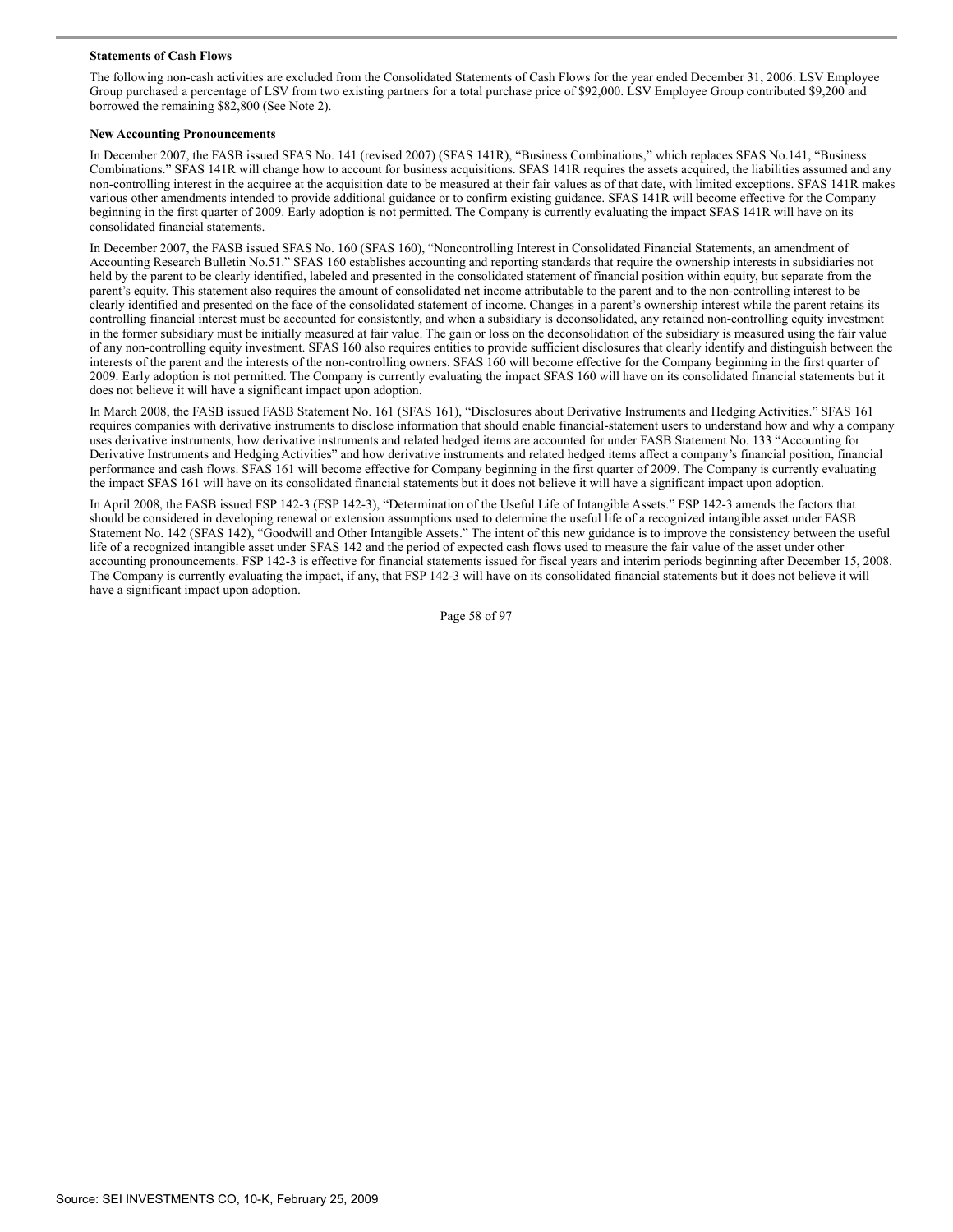#### **Statements of Cash Flows**

The following non-cash activities are excluded from the Consolidated Statements of Cash Flows for the year ended December 31, 2006: LSV Employee Group purchased a percentage of LSV from two existing partners for a total purchase price of \$92,000. LSV Employee Group contributed \$9,200 and borrowed the remaining \$82,800 (See Note 2).

# **New Accounting Pronouncements**

In December 2007, the FASB issued SFAS No. 141 (revised 2007) (SFAS 141R), "Business Combinations," which replaces SFAS No.141, "Business Combinations." SFAS 141R will change how to account for business acquisitions. SFAS 141R requires the assets acquired, the liabilities assumed and any non-controlling interest in the acquiree at the acquisition date to be measured at their fair values as of that date, with limited exceptions. SFAS 141R makes various other amendments intended to provide additional guidance or to confirm existing guidance. SFAS 141R will become effective for the Company beginning in the first quarter of 2009. Early adoption is not permitted. The Company is currently evaluating the impact SFAS 141R will have on its consolidated financial statements.

In December 2007, the FASB issued SFAS No. 160 (SFAS 160), "Noncontrolling Interest in Consolidated Financial Statements, an amendment of Accounting Research Bulletin No.51." SFAS 160 establishes accounting and reporting standards that require the ownership interests in subsidiaries not held by the parent to be clearly identified, labeled and presented in the consolidated statement of financial position within equity, but separate from the parent's equity. This statement also requires the amount of consolidated net income attributable to the parent and to the non-controlling interest to be clearly identified and presented on the face of the consolidated statement of income. Changes in a parent's ownership interest while the parent retains its controlling financial interest must be accounted for consistently, and when a subsidiary is deconsolidated, any retained non-controlling equity investment in the former subsidiary must be initially measured at fair value. The gain or loss on the deconsolidation of the subsidiary is measured using the fair value of any non-controlling equity investment. SFAS 160 also requires entities to provide sufficient disclosures that clearly identify and distinguish between the interests of the parent and the interests of the non-controlling owners. SFAS 160 will become effective for the Company beginning in the first quarter of 2009. Early adoption is not permitted. The Company is currently evaluating the impact SFAS 160 will have on its consolidated financial statements but it does not believe it will have a significant impact upon adoption.

In March 2008, the FASB issued FASB Statement No. 161 (SFAS 161), "Disclosures about Derivative Instruments and Hedging Activities." SFAS 161 requires companies with derivative instruments to disclose information that should enable financial-statement users to understand how and why a company uses derivative instruments, how derivative instruments and related hedged items are accounted for under FASB Statement No. 133 "Accounting for Derivative Instruments and Hedging Activities" and how derivative instruments and related hedged items affect a company's financial position, financial performance and cash flows. SFAS 161 will become effective for Company beginning in the first quarter of 2009. The Company is currently evaluating the impact SFAS 161 will have on its consolidated financial statements but it does not believe it will have a significant impact upon adoption.

In April 2008, the FASB issued FSP 142-3 (FSP 142-3), "Determination of the Useful Life of Intangible Assets." FSP 142-3 amends the factors that should be considered in developing renewal or extension assumptions used to determine the useful life of a recognized intangible asset under FASB Statement No. 142 (SFAS 142), "Goodwill and Other Intangible Assets." The intent of this new guidance is to improve the consistency between the useful life of a recognized intangible asset under SFAS 142 and the period of expected cash flows used to measure the fair value of the asset under other accounting pronouncements. FSP 142-3 is effective for financial statements issued for fiscal years and interim periods beginning after December 15, 2008. The Company is currently evaluating the impact, if any, that FSP 142-3 will have on its consolidated financial statements but it does not believe it will have a significant impact upon adoption.

Page 58 of 97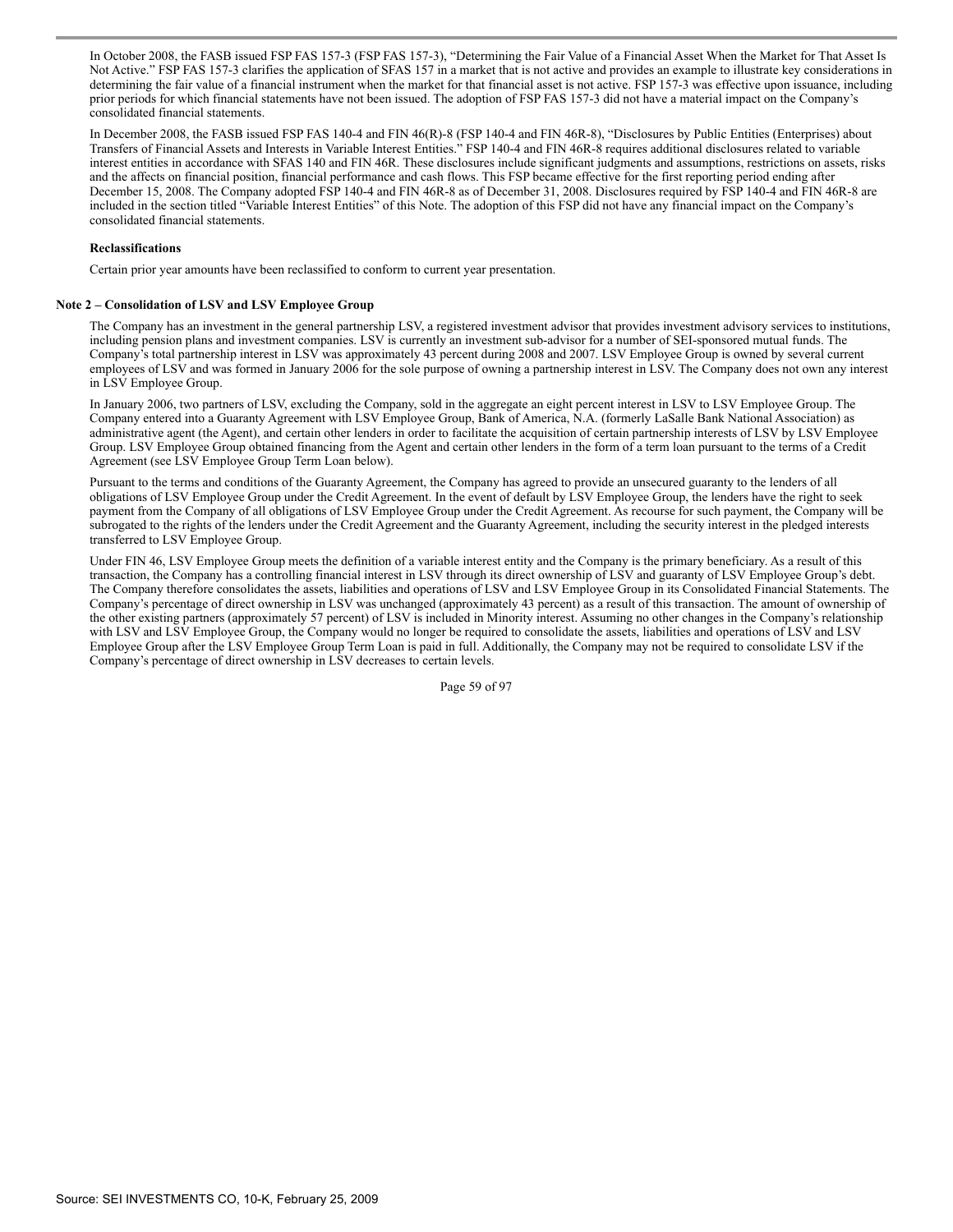In October 2008, the FASB issued FSP FAS 157-3 (FSP FAS 157-3), "Determining the Fair Value of a Financial Asset When the Market for That Asset Is Not Active." FSP FAS 157-3 clarifies the application of SFAS 157 in a market that is not active and provides an example to illustrate key considerations in determining the fair value of a financial instrument when the market for that financial asset is not active. FSP 157-3 was effective upon issuance, including prior periods for which financial statements have not been issued. The adoption of FSP FAS 157-3 did not have a material impact on the Company's consolidated financial statements.

In December 2008, the FASB issued FSP FAS 140-4 and FIN 46(R)-8 (FSP 140-4 and FIN 46R-8), "Disclosures by Public Entities (Enterprises) about Transfers of Financial Assets and Interests in Variable Interest Entities." FSP 140-4 and FIN 46R-8 requires additional disclosures related to variable interest entities in accordance with SFAS 140 and FIN 46R. These disclosures include significant judgments and assumptions, restrictions on assets, risks and the affects on financial position, financial performance and cash flows. This FSP became effective for the first reporting period ending after December 15, 2008. The Company adopted FSP 140-4 and FIN 46R-8 as of December 31, 2008. Disclosures required by FSP 140-4 and FIN 46R-8 are included in the section titled "Variable Interest Entities" of this Note. The adoption of this FSP did not have any financial impact on the Company's consolidated financial statements.

# **Reclassifications**

Certain prior year amounts have been reclassified to conform to current year presentation.

#### **Note 2 – Consolidation of LSV and LSV Employee Group**

The Company has an investment in the general partnership LSV, a registered investment advisor that provides investment advisory services to institutions, including pension plans and investment companies. LSV is currently an investment sub-advisor for a number of SEI-sponsored mutual funds. The Company's total partnership interest in LSV was approximately 43 percent during 2008 and 2007. LSV Employee Group is owned by several current employees of LSV and was formed in January 2006 for the sole purpose of owning a partnership interest in LSV. The Company does not own any interest in LSV Employee Group.

In January 2006, two partners of LSV, excluding the Company, sold in the aggregate an eight percent interest in LSV to LSV Employee Group. The Company entered into a Guaranty Agreement with LSV Employee Group, Bank of America, N.A. (formerly LaSalle Bank National Association) as administrative agent (the Agent), and certain other lenders in order to facilitate the acquisition of certain partnership interests of LSV by LSV Employee Group. LSV Employee Group obtained financing from the Agent and certain other lenders in the form of a term loan pursuant to the terms of a Credit Agreement (see LSV Employee Group Term Loan below).

Pursuant to the terms and conditions of the Guaranty Agreement, the Company has agreed to provide an unsecured guaranty to the lenders of all obligations of LSV Employee Group under the Credit Agreement. In the event of default by LSV Employee Group, the lenders have the right to seek payment from the Company of all obligations of LSV Employee Group under the Credit Agreement. As recourse for such payment, the Company will be subrogated to the rights of the lenders under the Credit Agreement and the Guaranty Agreement, including the security interest in the pledged interests transferred to LSV Employee Group.

Under FIN 46, LSV Employee Group meets the definition of a variable interest entity and the Company is the primary beneficiary. As a result of this transaction, the Company has a controlling financial interest in LSV through its direct ownership of LSV and guaranty of LSV Employee Group's debt. The Company therefore consolidates the assets, liabilities and operations of LSV and LSV Employee Group in its Consolidated Financial Statements. The Company's percentage of direct ownership in LSV was unchanged (approximately 43 percent) as a result of this transaction. The amount of ownership of the other existing partners (approximately 57 percent) of LSV is included in Minority interest. Assuming no other changes in the Company's relationship with LSV and LSV Employee Group, the Company would no longer be required to consolidate the assets, liabilities and operations of LSV and LSV Employee Group after the LSV Employee Group Term Loan is paid in full. Additionally, the Company may not be required to consolidate LSV if the Company's percentage of direct ownership in LSV decreases to certain levels.

Page 59 of 97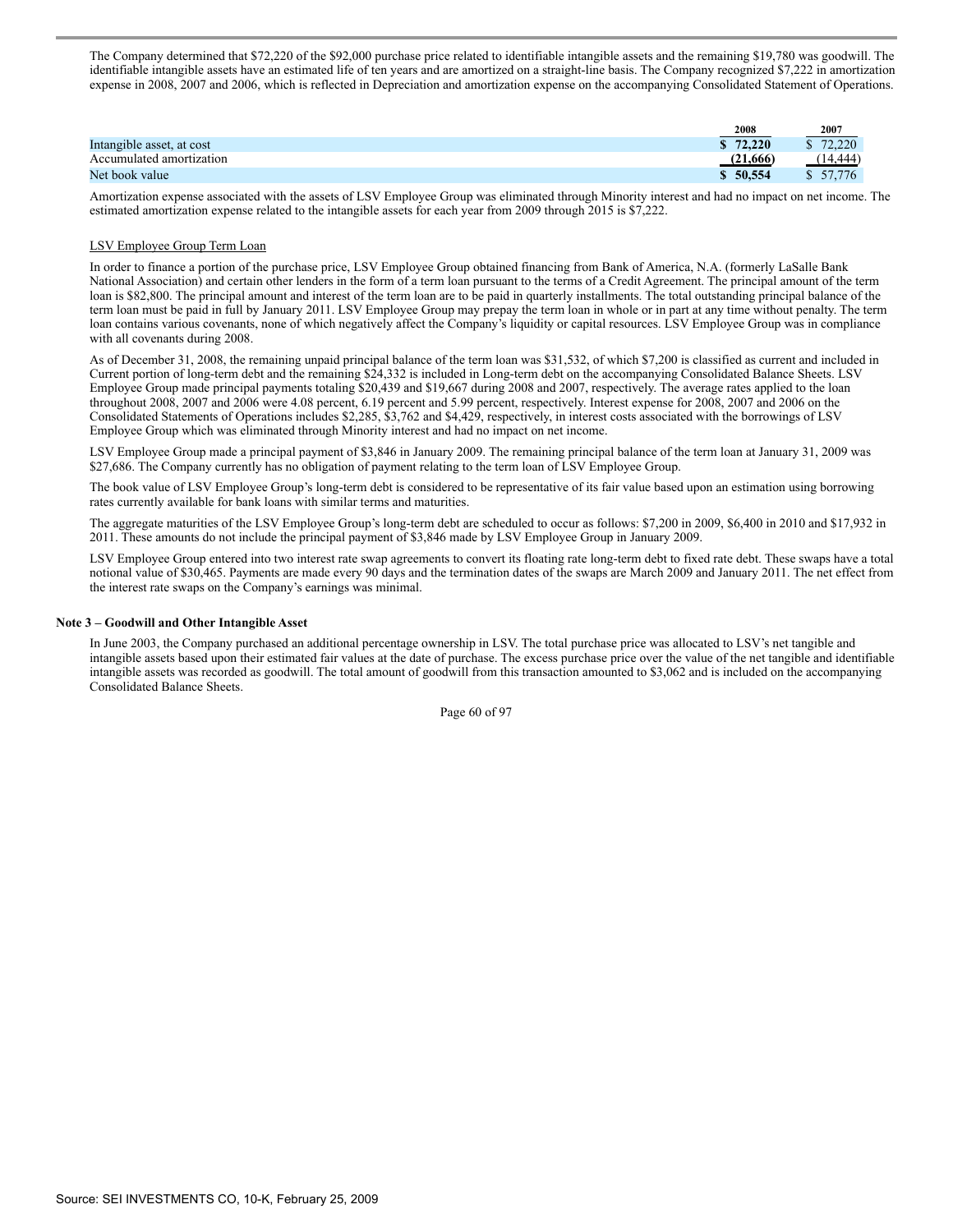The Company determined that \$72,220 of the \$92,000 purchase price related to identifiable intangible assets and the remaining \$19,780 was goodwill. The identifiable intangible assets have an estimated life of ten years and are amortized on a straight-line basis. The Company recognized \$7,222 in amortization expense in 2008, 2007 and 2006, which is reflected in Depreciation and amortization expense on the accompanying Consolidated Statement of Operations.

|                           | 2008     | 2007      |
|---------------------------|----------|-----------|
| Intangible asset, at cost | \$72.220 | \$72.220  |
| Accumulated amortization  | (21,666) | (14, 444) |
| Net book value            | \$50.554 | \$ 57,776 |

Amortization expense associated with the assets of LSV Employee Group was eliminated through Minority interest and had no impact on net income. The estimated amortization expense related to the intangible assets for each year from 2009 through 2015 is \$7,222.

# LSV Employee Group Term Loan

In order to finance a portion of the purchase price, LSV Employee Group obtained financing from Bank of America, N.A. (formerly LaSalle Bank National Association) and certain other lenders in the form of a term loan pursuant to the terms of a Credit Agreement. The principal amount of the term loan is \$82,800. The principal amount and interest of the term loan are to be paid in quarterly installments. The total outstanding principal balance of the term loan must be paid in full by January 2011. LSV Employee Group may prepay the term loan in whole or in part at any time without penalty. The term loan contains various covenants, none of which negatively affect the Company's liquidity or capital resources. LSV Employee Group was in compliance with all covenants during 2008.

As of December 31, 2008, the remaining unpaid principal balance of the term loan was \$31,532, of which \$7,200 is classified as current and included in Current portion of long-term debt and the remaining \$24,332 is included in Long-term debt on the accompanying Consolidated Balance Sheets. LSV Employee Group made principal payments totaling \$20,439 and \$19,667 during 2008 and 2007, respectively. The average rates applied to the loan throughout 2008, 2007 and 2006 were 4.08 percent, 6.19 percent and 5.99 percent, respectively. Interest expense for 2008, 2007 and 2006 on the Consolidated Statements of Operations includes \$2,285, \$3,762 and \$4,429, respectively, in interest costs associated with the borrowings of LSV Employee Group which was eliminated through Minority interest and had no impact on net income.

LSV Employee Group made a principal payment of \$3,846 in January 2009. The remaining principal balance of the term loan at January 31, 2009 was \$27,686. The Company currently has no obligation of payment relating to the term loan of LSV Employee Group.

The book value of LSV Employee Group's long-term debt is considered to be representative of its fair value based upon an estimation using borrowing rates currently available for bank loans with similar terms and maturities.

The aggregate maturities of the LSV Employee Group's long-term debt are scheduled to occur as follows: \$7,200 in 2009, \$6,400 in 2010 and \$17,932 in 2011. These amounts do not include the principal payment of \$3,846 made by LSV Employee Group in January 2009.

LSV Employee Group entered into two interest rate swap agreements to convert its floating rate long-term debt to fixed rate debt. These swaps have a total notional value of \$30,465. Payments are made every 90 days and the termination dates of the swaps are March 2009 and January 2011. The net effect from the interest rate swaps on the Company's earnings was minimal.

#### **Note 3 – Goodwill and Other Intangible Asset**

In June 2003, the Company purchased an additional percentage ownership in LSV. The total purchase price was allocated to LSV's net tangible and intangible assets based upon their estimated fair values at the date of purchase. The excess purchase price over the value of the net tangible and identifiable intangible assets was recorded as goodwill. The total amount of goodwill from this transaction amounted to \$3,062 and is included on the accompanying Consolidated Balance Sheets.

Page 60 of 97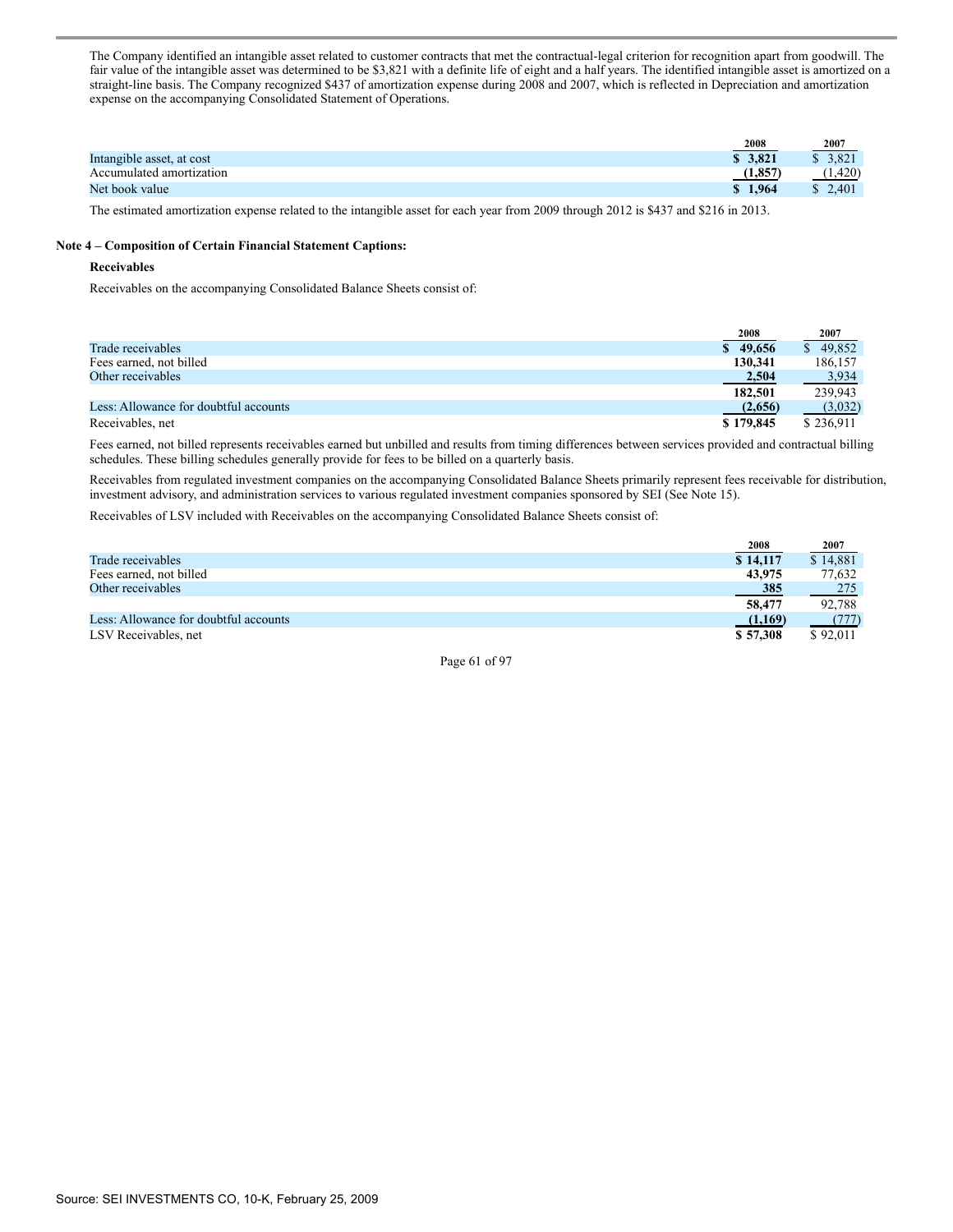The Company identified an intangible asset related to customer contracts that met the contractual-legal criterion for recognition apart from goodwill. The fair value of the intangible asset was determined to be \$3,821 with a definite life of eight and a half years. The identified intangible asset is amortized on a straight-line basis. The Company recognized \$437 of amortization expense during 2008 and 2007, which is reflected in Depreciation and amortization expense on the accompanying Consolidated Statement of Operations.

|                           | 2008     | 2007     |
|---------------------------|----------|----------|
| Intangible asset, at cost | \$ 3.821 | \$3,821  |
| Accumulated amortization  | (1, 857) | (1, 420) |
| Net book value            | \$1.964  | \$2,401  |

The estimated amortization expense related to the intangible asset for each year from 2009 through 2012 is \$437 and \$216 in 2013.

#### **Note 4 – Composition of Certain Financial Statement Captions:**

# **Receivables**

Receivables on the accompanying Consolidated Balance Sheets consist of:

|                                       | 2008      | 2007      |
|---------------------------------------|-----------|-----------|
| Trade receivables                     | \$49,656  | 49.852    |
| Fees earned, not billed               | 130.341   | 186.157   |
| Other receivables                     | 2,504     | 3,934     |
|                                       | 182,501   | 239.943   |
| Less: Allowance for doubtful accounts | (2,656)   | (3,032)   |
| Receivables, net                      | \$179,845 | \$236.911 |

Fees earned, not billed represents receivables earned but unbilled and results from timing differences between services provided and contractual billing schedules. These billing schedules generally provide for fees to be billed on a quarterly basis.

Receivables from regulated investment companies on the accompanying Consolidated Balance Sheets primarily represent fees receivable for distribution, investment advisory, and administration services to various regulated investment companies sponsored by SEI (See Note 15).

Receivables of LSV included with Receivables on the accompanying Consolidated Balance Sheets consist of:

|                                       | 2008     | 2007     |
|---------------------------------------|----------|----------|
| Trade receivables                     | \$14,117 | \$14,881 |
| Fees earned, not billed               | 43,975   | 77,632   |
| Other receivables                     | $-385$   | 275      |
|                                       | 58,477   | 92,788   |
| Less: Allowance for doubtful accounts | (1,169)  |          |
| LSV Receivables, net                  | \$57,308 | \$92.011 |

Page 61 of 97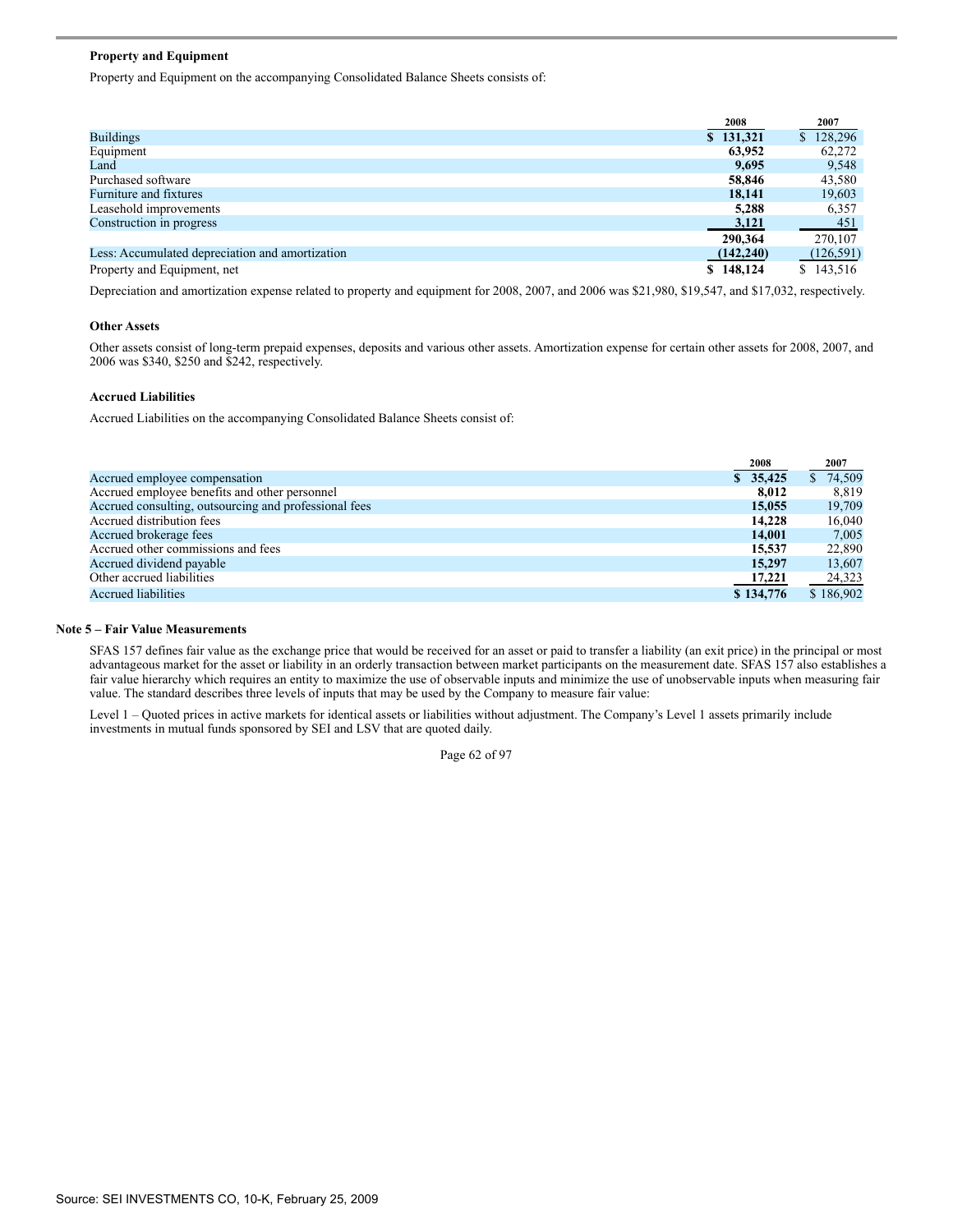# **Property and Equipment**

Property and Equipment on the accompanying Consolidated Balance Sheets consists of:

|                                                 | 2008      | 2007      |
|-------------------------------------------------|-----------|-----------|
| <b>Buildings</b>                                | \$131,321 | 128,296   |
| Equipment                                       | 63,952    | 62,272    |
| Land                                            | 9.695     | 9.548     |
| Purchased software                              | 58,846    | 43,580    |
| Furniture and fixtures                          | 18,141    | 19,603    |
| Leasehold improvements                          | 5,288     | 6,357     |
| Construction in progress                        | 3,121     | 451       |
|                                                 | 290.364   | 270.107   |
| Less: Accumulated depreciation and amortization | (142,240) | (126,591) |
| Property and Equipment, net                     | \$148,124 | \$143,516 |

Depreciation and amortization expense related to property and equipment for 2008, 2007, and 2006 was \$21,980, \$19,547, and \$17,032, respectively.

# **Other Assets**

Other assets consist of long-term prepaid expenses, deposits and various other assets. Amortization expense for certain other assets for 2008, 2007, and 2006 was \$340, \$250 and \$242, respectively.

# **Accrued Liabilities**

Accrued Liabilities on the accompanying Consolidated Balance Sheets consist of:

|                                                       | 2008      | 2007      |
|-------------------------------------------------------|-----------|-----------|
| Accrued employee compensation                         | \$35,425  | \$ 74,509 |
| Accrued employee benefits and other personnel         | 8,012     | 8,819     |
| Accrued consulting, outsourcing and professional fees | 15,055    | 19,709    |
| Accrued distribution fees                             | 14.228    | 16,040    |
| Accrued brokerage fees                                | 14.001    | 7,005     |
| Accrued other commissions and fees                    | 15.537    | 22,890    |
| Accrued dividend payable                              | 15,297    | 13,607    |
| Other accrued liabilities                             | 17,221    | 24,323    |
| <b>Accrued liabilities</b>                            | \$134,776 | \$186,902 |

#### **Note 5 – Fair Value Measurements**

SFAS 157 defines fair value as the exchange price that would be received for an asset or paid to transfer a liability (an exit price) in the principal or most advantageous market for the asset or liability in an orderly transaction between market participants on the measurement date. SFAS 157 also establishes a fair value hierarchy which requires an entity to maximize the use of observable inputs and minimize the use of unobservable inputs when measuring fair value. The standard describes three levels of inputs that may be used by the Company to measure fair value:

Level 1 – Quoted prices in active markets for identical assets or liabilities without adjustment. The Company's Level 1 assets primarily include investments in mutual funds sponsored by SEI and LSV that are quoted daily.

Page 62 of 97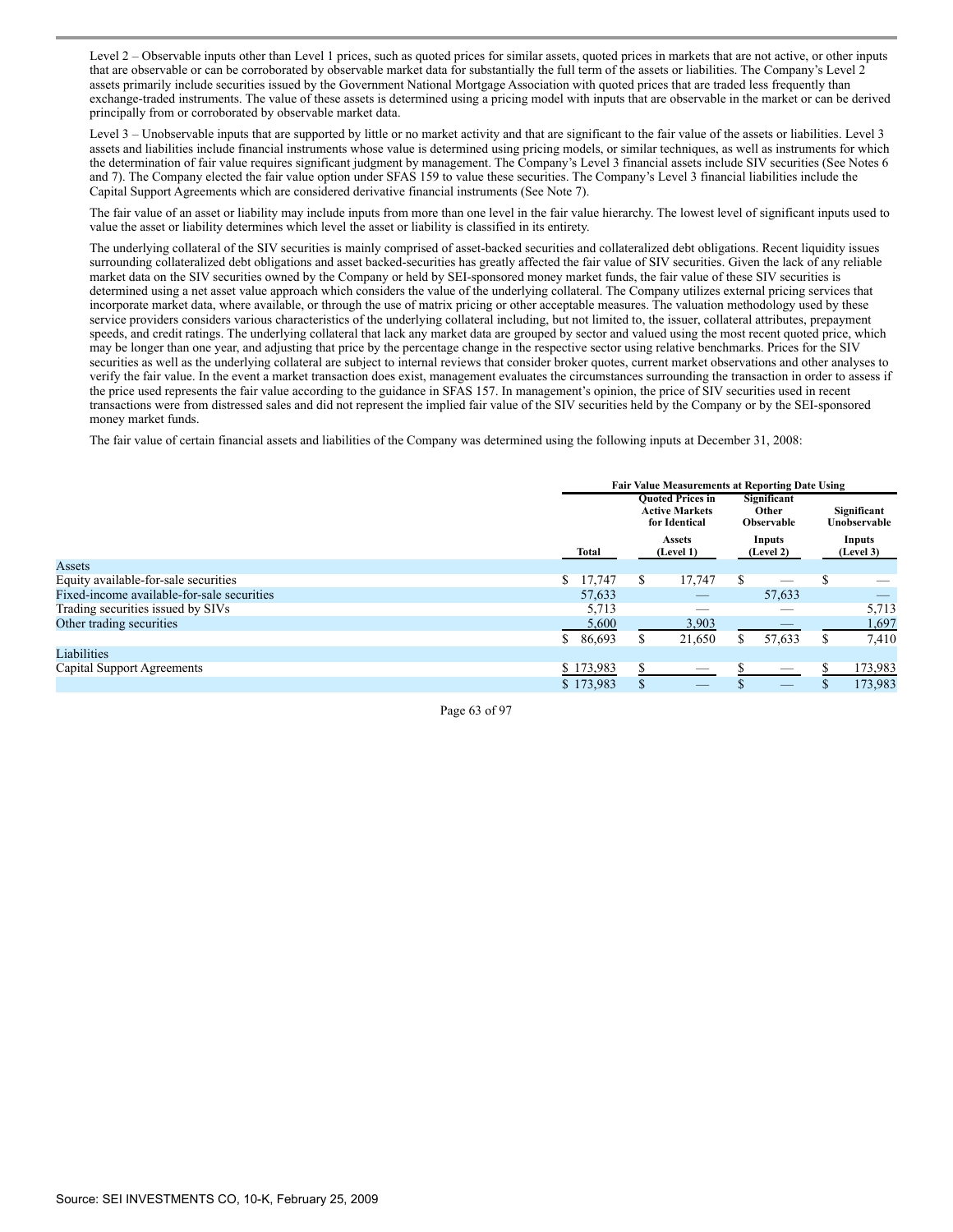Level 2 – Observable inputs other than Level 1 prices, such as quoted prices for similar assets, quoted prices in markets that are not active, or other inputs that are observable or can be corroborated by observable market data for substantially the full term of the assets or liabilities. The Company's Level 2 assets primarily include securities issued by the Government National Mortgage Association with quoted prices that are traded less frequently than exchange-traded instruments. The value of these assets is determined using a pricing model with inputs that are observable in the market or can be derived principally from or corroborated by observable market data.

Level 3 – Unobservable inputs that are supported by little or no market activity and that are significant to the fair value of the assets or liabilities. Level 3 assets and liabilities include financial instruments whose value is determined using pricing models, or similar techniques, as well as instruments for which the determination of fair value requires significant judgment by management. The Company's Level 3 financial assets include SIV securities (See Notes 6 and 7). The Company elected the fair value option under SFAS 159 to value these securities. The Company's Level 3 financial liabilities include the Capital Support Agreements which are considered derivative financial instruments (See Note 7).

The fair value of an asset or liability may include inputs from more than one level in the fair value hierarchy. The lowest level of significant inputs used to value the asset or liability determines which level the asset or liability is classified in its entirety.

The underlying collateral of the SIV securities is mainly comprised of asset-backed securities and collateralized debt obligations. Recent liquidity issues surrounding collateralized debt obligations and asset backed-securities has greatly affected the fair value of SIV securities. Given the lack of any reliable market data on the SIV securities owned by the Company or held by SEI-sponsored money market funds, the fair value of these SIV securities is determined using a net asset value approach which considers the value of the underlying collateral. The Company utilizes external pricing services that incorporate market data, where available, or through the use of matrix pricing or other acceptable measures. The valuation methodology used by these service providers considers various characteristics of the underlying collateral including, but not limited to, the issuer, collateral attributes, prepayment speeds, and credit ratings. The underlying collateral that lack any market data are grouped by sector and valued using the most recent quoted price, which may be longer than one year, and adjusting that price by the percentage change in the respective sector using relative benchmarks. Prices for the SIV securities as well as the underlying collateral are subject to internal reviews that consider broker quotes, current market observations and other analyses to verify the fair value. In the event a market transaction does exist, management evaluates the circumstances surrounding the transaction in order to assess if the price used represents the fair value according to the guidance in SFAS 157. In management's opinion, the price of SIV securities used in recent transactions were from distressed sales and did not represent the implied fair value of the SIV securities held by the Company or by the SEI-sponsored money market funds.

The fair value of certain financial assets and liabilities of the Company was determined using the following inputs at December 31, 2008:

|                                            |              | <b>Fair Value Measurements at Reporting Date Using</b>            |                            |                                           |                     |    |                             |
|--------------------------------------------|--------------|-------------------------------------------------------------------|----------------------------|-------------------------------------------|---------------------|----|-----------------------------|
|                                            |              | <b>Ouoted Prices in</b><br><b>Active Markets</b><br>for Identical |                            | Significant<br>Other<br><b>Observable</b> |                     |    | Significant<br>Unobservable |
|                                            | Total        |                                                                   | <b>Assets</b><br>(Level 1) |                                           | Inputs<br>(Level 2) |    | Inputs<br>(Level 3)         |
| Assets                                     |              |                                                                   |                            |                                           |                     |    |                             |
| Equity available-for-sale securities       | 17,747<br>\$ | S                                                                 | 17,747                     | S.                                        |                     |    |                             |
| Fixed-income available-for-sale securities | 57,633       |                                                                   |                            |                                           | 57,633              |    |                             |
| Trading securities issued by SIVs          | 5,713        |                                                                   |                            |                                           |                     |    | 5,713                       |
| Other trading securities                   | 5,600        |                                                                   | 3,903                      |                                           |                     |    | 1.697                       |
|                                            | 86,693<br>\$ | S                                                                 | 21,650                     | S.                                        | 57,633              | S. | 7,410                       |
| Liabilities                                |              |                                                                   |                            |                                           |                     |    |                             |
| Capital Support Agreements                 | \$173,983    |                                                                   |                            |                                           |                     |    | 173,983                     |
|                                            | \$173,983    | S                                                                 |                            |                                           |                     |    | 173,983                     |

Page 63 of 97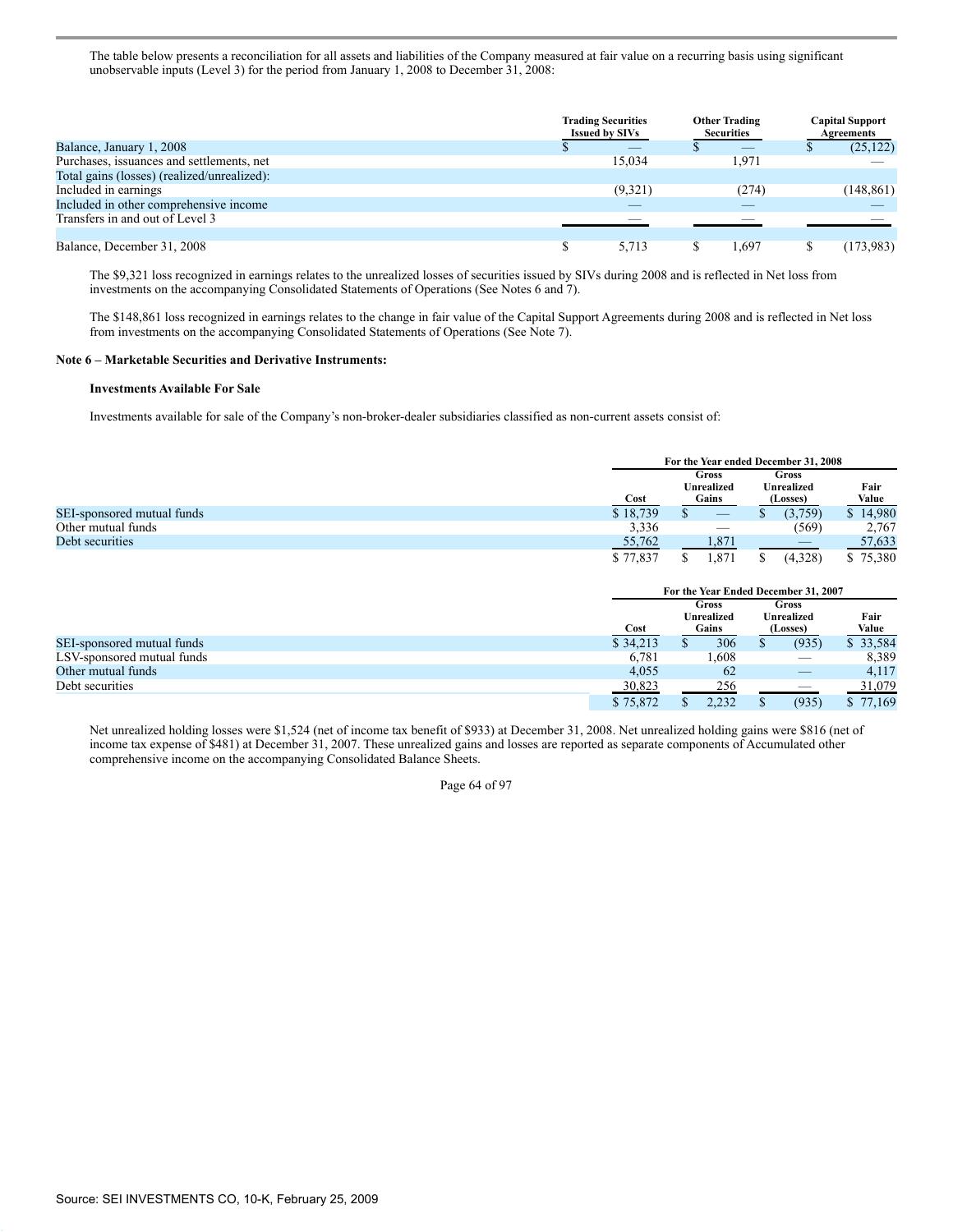The table below presents a reconciliation for all assets and liabilities of the Company measured at fair value on a recurring basis using significant unobservable inputs (Level 3) for the period from January 1, 2008 to December 31, 2008:

|                                             |  | <b>Other Trading</b><br><b>Securities</b> |  | <b>Trading Securities</b><br><b>Issued by SIVs</b> |  |            |  | <b>Capital Support</b><br>Agreements |
|---------------------------------------------|--|-------------------------------------------|--|----------------------------------------------------|--|------------|--|--------------------------------------|
| Balance, January 1, 2008                    |  |                                           |  |                                                    |  | (25, 122)  |  |                                      |
| Purchases, issuances and settlements, net   |  | 15,034                                    |  | .971                                               |  |            |  |                                      |
| Total gains (losses) (realized/unrealized): |  |                                           |  |                                                    |  |            |  |                                      |
| Included in earnings                        |  | (9,321)                                   |  | (274)                                              |  | (148, 861) |  |                                      |
| Included in other comprehensive income      |  |                                           |  |                                                    |  |            |  |                                      |
| Transfers in and out of Level 3             |  |                                           |  |                                                    |  |            |  |                                      |
|                                             |  |                                           |  |                                                    |  |            |  |                                      |
| Balance, December 31, 2008                  |  | 5.713                                     |  | . 697                                              |  | (173.983)  |  |                                      |

The \$9,321 loss recognized in earnings relates to the unrealized losses of securities issued by SIVs during 2008 and is reflected in Net loss from investments on the accompanying Consolidated Statements of Operations (See Notes 6 and 7).

The \$148,861 loss recognized in earnings relates to the change in fair value of the Capital Support Agreements during 2008 and is reflected in Net loss from investments on the accompanying Consolidated Statements of Operations (See Note 7).

#### **Note 6 – Marketable Securities and Derivative Instruments:**

#### **Investments Available For Sale**

Investments available for sale of the Company's non-broker-dealer subsidiaries classified as non-current assets consist of:

|                            |          | For the Year ended December 31, 2008 |                            |        |  |  |
|----------------------------|----------|--------------------------------------|----------------------------|--------|--|--|
|                            |          | Gross<br><b>Unrealized</b>           | <b>Gross</b><br>Unrealized | Fair   |  |  |
|                            | Cost     | Gains                                | (Losses)                   | Value  |  |  |
| SEI-sponsored mutual funds | \$18,739 |                                      | (3,759)                    | 14,980 |  |  |
| Other mutual funds         | 3,336    |                                      | (569)                      | 2.767  |  |  |
| Debt securities            | 55,762   | 1,87                                 |                            | 57,633 |  |  |
|                            | \$77.837 | .871                                 | (4,328)                    | 75,380 |  |  |

|                            |          | For the Year Ended December 31, 2007       |                                               |               |  |  |
|----------------------------|----------|--------------------------------------------|-----------------------------------------------|---------------|--|--|
|                            | Cost     | <b>Gross</b><br><b>Unrealized</b><br>Gains | <b>Gross</b><br><b>Unrealized</b><br>(Losses) | Fair<br>Value |  |  |
| SEI-sponsored mutual funds | \$34,213 | 306                                        | (935)                                         | \$33,584      |  |  |
| LSV-sponsored mutual funds | 6,781    | 1,608                                      | $\overline{\phantom{a}}$                      | 8,389         |  |  |
| Other mutual funds         | 4.055    | 62                                         |                                               | 4.117         |  |  |
| Debt securities            | 30,823   | 256                                        |                                               | 31,079        |  |  |
|                            | \$75,872 |                                            | (935)                                         | \$77,169      |  |  |

Net unrealized holding losses were \$1,524 (net of income tax benefit of \$933) at December 31, 2008. Net unrealized holding gains were \$816 (net of income tax expense of \$481) at December 31, 2007. These unrealized gains and losses are reported as separate components of Accumulated other comprehensive income on the accompanying Consolidated Balance Sheets.

Page 64 of 97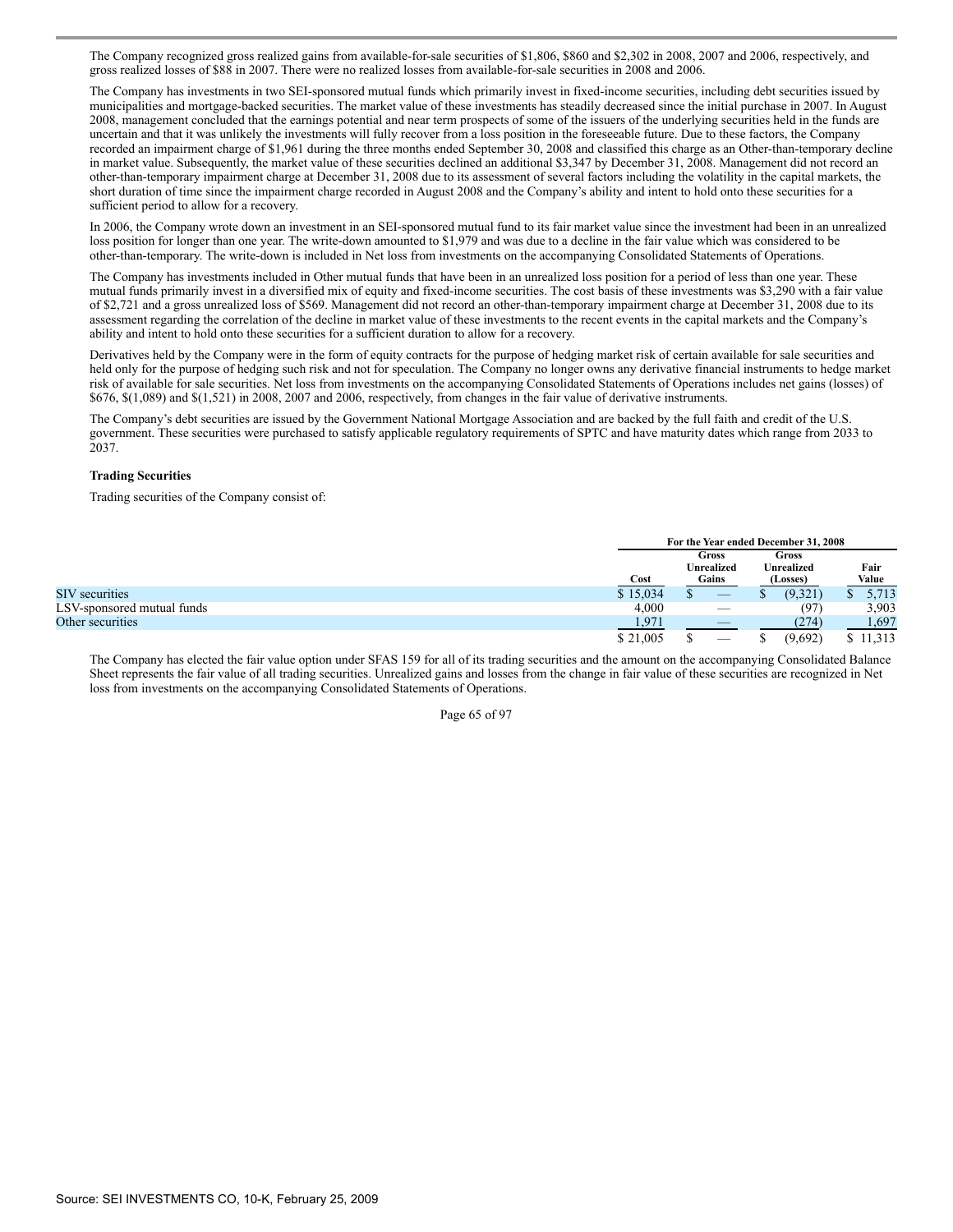The Company recognized gross realized gains from available-for-sale securities of \$1,806, \$860 and \$2,302 in 2008, 2007 and 2006, respectively, and gross realized losses of \$88 in 2007. There were no realized losses from available-for-sale securities in 2008 and 2006.

The Company has investments in two SEI-sponsored mutual funds which primarily invest in fixed-income securities, including debt securities issued by municipalities and mortgage-backed securities. The market value of these investments has steadily decreased since the initial purchase in 2007. In August 2008, management concluded that the earnings potential and near term prospects of some of the issuers of the underlying securities held in the funds are uncertain and that it was unlikely the investments will fully recover from a loss position in the foreseeable future. Due to these factors, the Company recorded an impairment charge of \$1,961 during the three months ended September 30, 2008 and classified this charge as an Other-than-temporary decline in market value. Subsequently, the market value of these securities declined an additional \$3,347 by December 31, 2008. Management did not record an other-than-temporary impairment charge at December 31, 2008 due to its assessment of several factors including the volatility in the capital markets, the short duration of time since the impairment charge recorded in August 2008 and the Company's ability and intent to hold onto these securities for a sufficient period to allow for a recovery.

In 2006, the Company wrote down an investment in an SEI-sponsored mutual fund to its fair market value since the investment had been in an unrealized loss position for longer than one year. The write-down amounted to \$1,979 and was due to a decline in the fair value which was considered to be other-than-temporary. The write-down is included in Net loss from investments on the accompanying Consolidated Statements of Operations.

The Company has investments included in Other mutual funds that have been in an unrealized loss position for a period of less than one year. These mutual funds primarily invest in a diversified mix of equity and fixed-income securities. The cost basis of these investments was \$3,290 with a fair value of \$2,721 and a gross unrealized loss of \$569. Management did not record an other-than-temporary impairment charge at December 31, 2008 due to its assessment regarding the correlation of the decline in market value of these investments to the recent events in the capital markets and the Company's ability and intent to hold onto these securities for a sufficient duration to allow for a recovery.

Derivatives held by the Company were in the form of equity contracts for the purpose of hedging market risk of certain available for sale securities and held only for the purpose of hedging such risk and not for speculation. The Company no longer owns any derivative financial instruments to hedge market risk of available for sale securities. Net loss from investments on the accompanying Consolidated Statements of Operations includes net gains (losses) of \$676, \$(1,089) and \$(1,521) in 2008, 2007 and 2006, respectively, from changes in the fair value of derivative instruments.

The Company's debt securities are issued by the Government National Mortgage Association and are backed by the full faith and credit of the U.S. government. These securities were purchased to satisfy applicable regulatory requirements of SPTC and have maturity dates which range from 2033 to 2037.

# **Trading Securities**

Trading securities of the Company consist of:

|                            |          | For the Year ended December 31, 2008                 |              |               |  |  |
|----------------------------|----------|------------------------------------------------------|--------------|---------------|--|--|
|                            |          | Gross                                                | <b>Gross</b> |               |  |  |
|                            | Cost     | Unrealized<br><b>Unrealized</b><br>Gains<br>(Losses) |              | Fair<br>Value |  |  |
| SIV securities             | \$15,034 |                                                      | (9,321)      | 5,713         |  |  |
| LSV-sponsored mutual funds | 4,000    |                                                      | (97)         | 3,903         |  |  |
| Other securities           | 1,97'    |                                                      | (274)        | .,697         |  |  |
|                            | \$21,005 |                                                      | (9,692)      | 1.313         |  |  |

The Company has elected the fair value option under SFAS 159 for all of its trading securities and the amount on the accompanying Consolidated Balance Sheet represents the fair value of all trading securities. Unrealized gains and losses from the change in fair value of these securities are recognized in Net loss from investments on the accompanying Consolidated Statements of Operations.

Page 65 of 97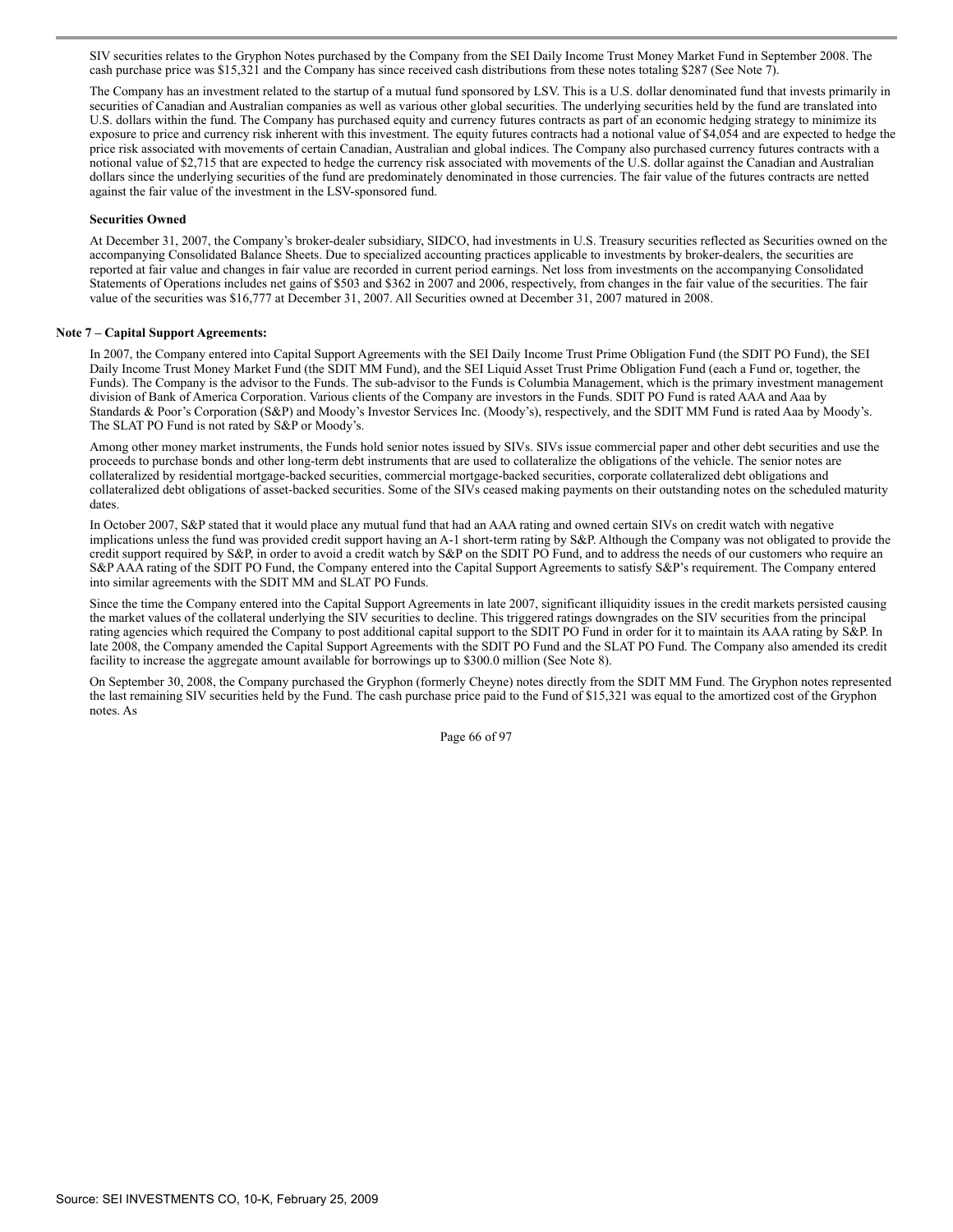SIV securities relates to the Gryphon Notes purchased by the Company from the SEI Daily Income Trust Money Market Fund in September 2008. The cash purchase price was \$15,321 and the Company has since received cash distributions from these notes totaling \$287 (See Note 7).

The Company has an investment related to the startup of a mutual fund sponsored by LSV. This is a U.S. dollar denominated fund that invests primarily in securities of Canadian and Australian companies as well as various other global securities. The underlying securities held by the fund are translated into U.S. dollars within the fund. The Company has purchased equity and currency futures contracts as part of an economic hedging strategy to minimize its exposure to price and currency risk inherent with this investment. The equity futures contracts had a notional value of \$4,054 and are expected to hedge the price risk associated with movements of certain Canadian, Australian and global indices. The Company also purchased currency futures contracts with a notional value of \$2,715 that are expected to hedge the currency risk associated with movements of the U.S. dollar against the Canadian and Australian dollars since the underlying securities of the fund are predominately denominated in those currencies. The fair value of the futures contracts are netted against the fair value of the investment in the LSV-sponsored fund.

## **Securities Owned**

At December 31, 2007, the Company's broker-dealer subsidiary, SIDCO, had investments in U.S. Treasury securities reflected as Securities owned on the accompanying Consolidated Balance Sheets. Due to specialized accounting practices applicable to investments by broker-dealers, the securities are reported at fair value and changes in fair value are recorded in current period earnings. Net loss from investments on the accompanying Consolidated Statements of Operations includes net gains of \$503 and \$362 in 2007 and 2006, respectively, from changes in the fair value of the securities. The fair value of the securities was \$16,777 at December 31, 2007. All Securities owned at December 31, 2007 matured in 2008.

#### **Note 7 – Capital Support Agreements:**

In 2007, the Company entered into Capital Support Agreements with the SEI Daily Income Trust Prime Obligation Fund (the SDIT PO Fund), the SEI Daily Income Trust Money Market Fund (the SDIT MM Fund), and the SEI Liquid Asset Trust Prime Obligation Fund (each a Fund or, together, the Funds). The Company is the advisor to the Funds. The sub-advisor to the Funds is Columbia Management, which is the primary investment management division of Bank of America Corporation. Various clients of the Company are investors in the Funds. SDIT PO Fund is rated AAA and Aaa by Standards & Poor's Corporation (S&P) and Moody's Investor Services Inc. (Moody's), respectively, and the SDIT MM Fund is rated Aaa by Moody's. The SLAT PO Fund is not rated by S&P or Moody's.

Among other money market instruments, the Funds hold senior notes issued by SIVs. SIVs issue commercial paper and other debt securities and use the proceeds to purchase bonds and other long-term debt instruments that are used to collateralize the obligations of the vehicle. The senior notes are collateralized by residential mortgage-backed securities, commercial mortgage-backed securities, corporate collateralized debt obligations and collateralized debt obligations of asset-backed securities. Some of the SIVs ceased making payments on their outstanding notes on the scheduled maturity dates.

In October 2007, S&P stated that it would place any mutual fund that had an AAA rating and owned certain SIVs on credit watch with negative implications unless the fund was provided credit support having an A-1 short-term rating by S&P. Although the Company was not obligated to provide the credit support required by S&P, in order to avoid a credit watch by S&P on the SDIT PO Fund, and to address the needs of our customers who require an S&P AAA rating of the SDIT PO Fund, the Company entered into the Capital Support Agreements to satisfy S&P's requirement. The Company entered into similar agreements with the SDIT MM and SLAT PO Funds.

Since the time the Company entered into the Capital Support Agreements in late 2007, significant illiquidity issues in the credit markets persisted causing the market values of the collateral underlying the SIV securities to decline. This triggered ratings downgrades on the SIV securities from the principal rating agencies which required the Company to post additional capital support to the SDIT PO Fund in order for it to maintain its AAA rating by S&P. In late 2008, the Company amended the Capital Support Agreements with the SDIT PO Fund and the SLAT PO Fund. The Company also amended its credit facility to increase the aggregate amount available for borrowings up to \$300.0 million (See Note 8).

On September 30, 2008, the Company purchased the Gryphon (formerly Cheyne) notes directly from the SDIT MM Fund. The Gryphon notes represented the last remaining SIV securities held by the Fund. The cash purchase price paid to the Fund of \$15,321 was equal to the amortized cost of the Gryphon notes. As

Page 66 of 97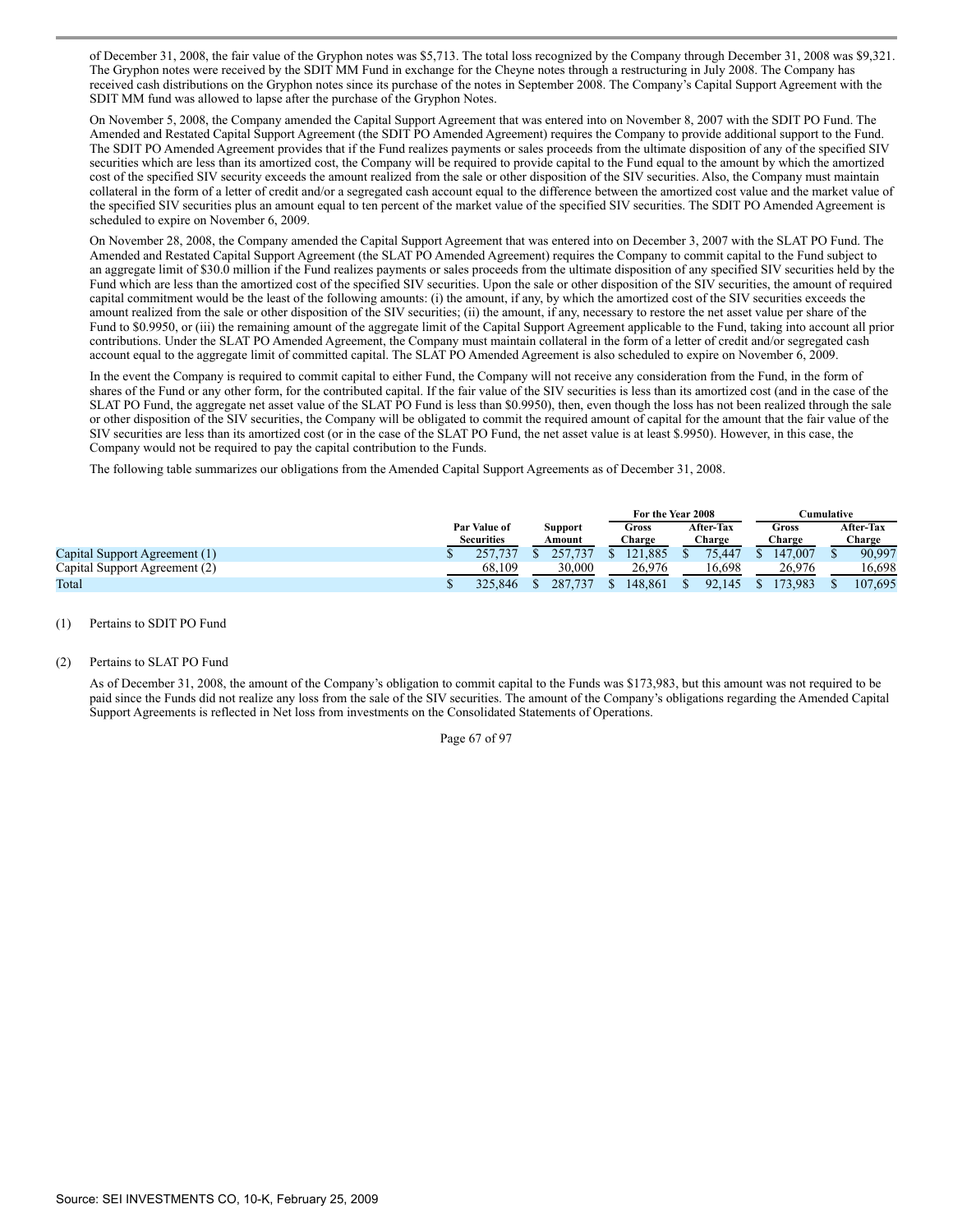of December 31, 2008, the fair value of the Gryphon notes was \$5,713. The total loss recognized by the Company through December 31, 2008 was \$9,321. The Gryphon notes were received by the SDIT MM Fund in exchange for the Cheyne notes through a restructuring in July 2008. The Company has received cash distributions on the Gryphon notes since its purchase of the notes in September 2008. The Company's Capital Support Agreement with the SDIT MM fund was allowed to lapse after the purchase of the Gryphon Notes.

On November 5, 2008, the Company amended the Capital Support Agreement that was entered into on November 8, 2007 with the SDIT PO Fund. The Amended and Restated Capital Support Agreement (the SDIT PO Amended Agreement) requires the Company to provide additional support to the Fund. The SDIT PO Amended Agreement provides that if the Fund realizes payments or sales proceeds from the ultimate disposition of any of the specified SIV securities which are less than its amortized cost, the Company will be required to provide capital to the Fund equal to the amount by which the amortized cost of the specified SIV security exceeds the amount realized from the sale or other disposition of the SIV securities. Also, the Company must maintain collateral in the form of a letter of credit and/or a segregated cash account equal to the difference between the amortized cost value and the market value of the specified SIV securities plus an amount equal to ten percent of the market value of the specified SIV securities. The SDIT PO Amended Agreement is scheduled to expire on November 6, 2009.

On November 28, 2008, the Company amended the Capital Support Agreement that was entered into on December 3, 2007 with the SLAT PO Fund. The Amended and Restated Capital Support Agreement (the SLAT PO Amended Agreement) requires the Company to commit capital to the Fund subject to an aggregate limit of \$30.0 million if the Fund realizes payments or sales proceeds from the ultimate disposition of any specified SIV securities held by the Fund which are less than the amortized cost of the specified SIV securities. Upon the sale or other disposition of the SIV securities, the amount of required capital commitment would be the least of the following amounts: (i) the amount, if any, by which the amortized cost of the SIV securities exceeds the amount realized from the sale or other disposition of the SIV securities; (ii) the amount, if any, necessary to restore the net asset value per share of the Fund to \$0.9950, or (iii) the remaining amount of the aggregate limit of the Capital Support Agreement applicable to the Fund, taking into account all prior contributions. Under the SLAT PO Amended Agreement, the Company must maintain collateral in the form of a letter of credit and/or segregated cash account equal to the aggregate limit of committed capital. The SLAT PO Amended Agreement is also scheduled to expire on November 6, 2009.

In the event the Company is required to commit capital to either Fund, the Company will not receive any consideration from the Fund, in the form of shares of the Fund or any other form, for the contributed capital. If the fair value of the SIV securities is less than its amortized cost (and in the case of the SLAT PO Fund, the aggregate net asset value of the SLAT PO Fund is less than \$0.9950), then, even though the loss has not been realized through the sale or other disposition of the SIV securities, the Company will be obligated to commit the required amount of capital for the amount that the fair value of the SIV securities are less than its amortized cost (or in the case of the SLAT PO Fund, the net asset value is at least \$.9950). However, in this case, the Company would not be required to pay the capital contribution to the Funds.

The following table summarizes our obligations from the Amended Capital Support Agreements as of December 31, 2008.

|                               |  |                                   | For the Year 2008 |                        |                     | <b>Cumulative</b>      |  |                            |
|-------------------------------|--|-----------------------------------|-------------------|------------------------|---------------------|------------------------|--|----------------------------|
|                               |  | Par Value of<br><b>Securities</b> | Support<br>Amount | Gross<br><b>Charge</b> | After-Tax<br>Charge | Gross<br><b>Charge</b> |  | After-Tax<br><b>Charge</b> |
| Capital Support Agreement (1) |  | 257,737                           | 257,737           | 121.885                | 75.447              | 147,007                |  | 90.997                     |
| Capital Support Agreement (2) |  | 68.109                            | 30.000            | 26,976                 | 16.698              | 26.976                 |  | 16.698                     |
| Total                         |  | 325.846                           | .737<br>287.      | 148.861                | 92.145              | /3.983                 |  | 107.695                    |

#### (1) Pertains to SDIT PO Fund

#### (2) Pertains to SLAT PO Fund

As of December 31, 2008, the amount of the Company's obligation to commit capital to the Funds was \$173,983, but this amount was not required to be paid since the Funds did not realize any loss from the sale of the SIV securities. The amount of the Company's obligations regarding the Amended Capital Support Agreements is reflected in Net loss from investments on the Consolidated Statements of Operations.

Page 67 of 97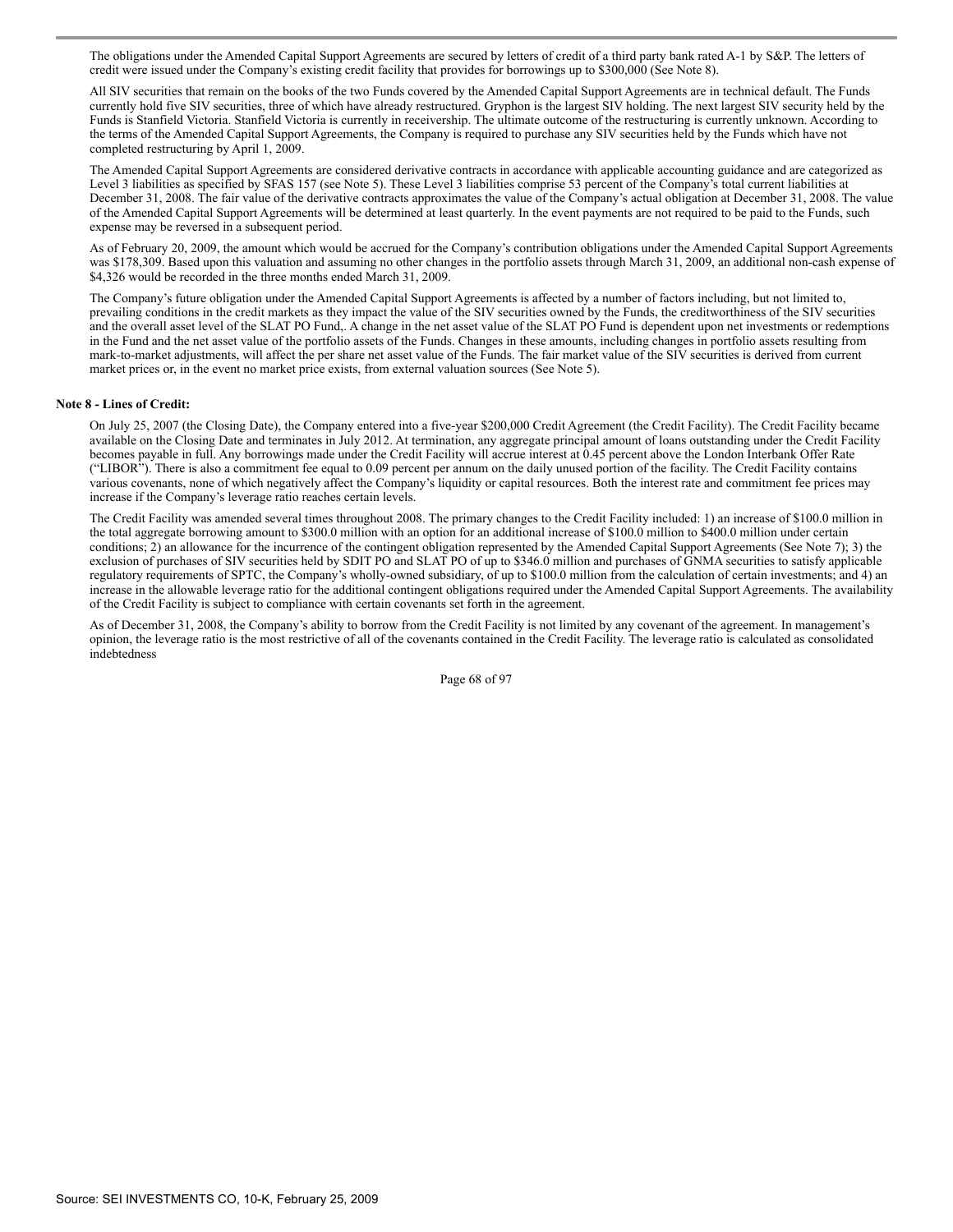The obligations under the Amended Capital Support Agreements are secured by letters of credit of a third party bank rated A-1 by S&P. The letters of credit were issued under the Company's existing credit facility that provides for borrowings up to \$300,000 (See Note 8).

All SIV securities that remain on the books of the two Funds covered by the Amended Capital Support Agreements are in technical default. The Funds currently hold five SIV securities, three of which have already restructured. Gryphon is the largest SIV holding. The next largest SIV security held by the Funds is Stanfield Victoria. Stanfield Victoria is currently in receivership. The ultimate outcome of the restructuring is currently unknown. According to the terms of the Amended Capital Support Agreements, the Company is required to purchase any SIV securities held by the Funds which have not completed restructuring by April 1, 2009.

The Amended Capital Support Agreements are considered derivative contracts in accordance with applicable accounting guidance and are categorized as Level 3 liabilities as specified by SFAS 157 (see Note 5). These Level 3 liabilities comprise 53 percent of the Company's total current liabilities at December 31, 2008. The fair value of the derivative contracts approximates the value of the Company's actual obligation at December 31, 2008. The value of the Amended Capital Support Agreements will be determined at least quarterly. In the event payments are not required to be paid to the Funds, such expense may be reversed in a subsequent period.

As of February 20, 2009, the amount which would be accrued for the Company's contribution obligations under the Amended Capital Support Agreements was \$178,309. Based upon this valuation and assuming no other changes in the portfolio assets through March 31, 2009, an additional non-cash expense of \$4,326 would be recorded in the three months ended March 31, 2009.

The Company's future obligation under the Amended Capital Support Agreements is affected by a number of factors including, but not limited to, prevailing conditions in the credit markets as they impact the value of the SIV securities owned by the Funds, the creditworthiness of the SIV securities and the overall asset level of the SLAT PO Fund,. A change in the net asset value of the SLAT PO Fund is dependent upon net investments or redemptions in the Fund and the net asset value of the portfolio assets of the Funds. Changes in these amounts, including changes in portfolio assets resulting from mark-to-market adjustments, will affect the per share net asset value of the Funds. The fair market value of the SIV securities is derived from current market prices or, in the event no market price exists, from external valuation sources (See Note 5).

## **Note 8 - Lines of Credit:**

On July 25, 2007 (the Closing Date), the Company entered into a five-year \$200,000 Credit Agreement (the Credit Facility). The Credit Facility became available on the Closing Date and terminates in July 2012. At termination, any aggregate principal amount of loans outstanding under the Credit Facility becomes payable in full. Any borrowings made under the Credit Facility will accrue interest at 0.45 percent above the London Interbank Offer Rate ("LIBOR"). There is also a commitment fee equal to 0.09 percent per annum on the daily unused portion of the facility. The Credit Facility contains various covenants, none of which negatively affect the Company's liquidity or capital resources. Both the interest rate and commitment fee prices may increase if the Company's leverage ratio reaches certain levels.

The Credit Facility was amended several times throughout 2008. The primary changes to the Credit Facility included: 1) an increase of \$100.0 million in the total aggregate borrowing amount to \$300.0 million with an option for an additional increase of \$100.0 million to \$400.0 million under certain conditions; 2) an allowance for the incurrence of the contingent obligation represented by the Amended Capital Support Agreements (See Note 7); 3) the exclusion of purchases of SIV securities held by SDIT PO and SLAT PO of up to \$346.0 million and purchases of GNMA securities to satisfy applicable regulatory requirements of SPTC, the Company's wholly-owned subsidiary, of up to \$100.0 million from the calculation of certain investments; and 4) an increase in the allowable leverage ratio for the additional contingent obligations required under the Amended Capital Support Agreements. The availability of the Credit Facility is subject to compliance with certain covenants set forth in the agreement.

As of December 31, 2008, the Company's ability to borrow from the Credit Facility is not limited by any covenant of the agreement. In management's opinion, the leverage ratio is the most restrictive of all of the covenants contained in the Credit Facility. The leverage ratio is calculated as consolidated indebtedness

Page 68 of 97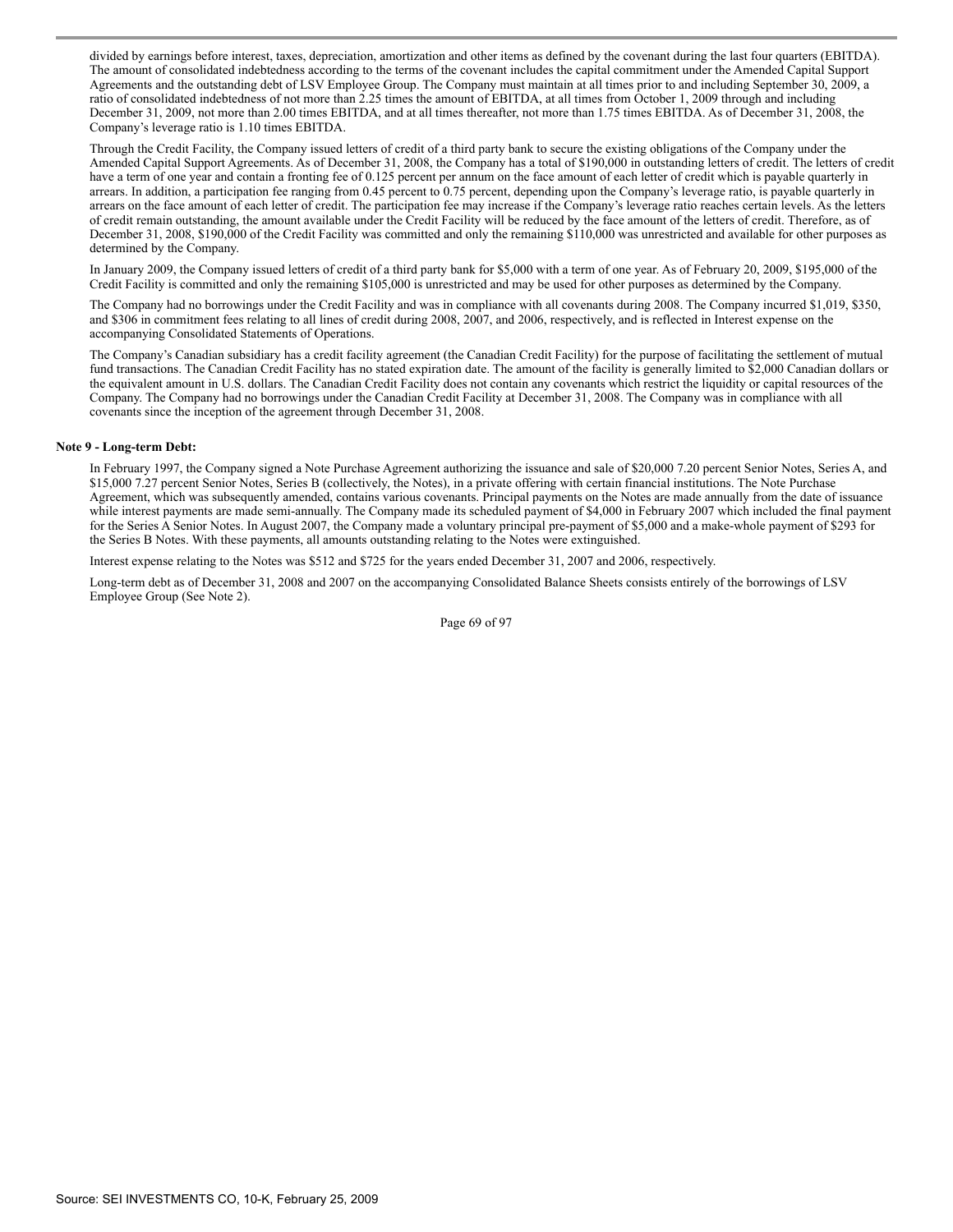divided by earnings before interest, taxes, depreciation, amortization and other items as defined by the covenant during the last four quarters (EBITDA). The amount of consolidated indebtedness according to the terms of the covenant includes the capital commitment under the Amended Capital Support Agreements and the outstanding debt of LSV Employee Group. The Company must maintain at all times prior to and including September 30, 2009, a ratio of consolidated indebtedness of not more than 2.25 times the amount of EBITDA, at all times from October 1, 2009 through and including December 31, 2009, not more than 2.00 times EBITDA, and at all times thereafter, not more than 1.75 times EBITDA. As of December 31, 2008, the Company's leverage ratio is 1.10 times EBITDA.

Through the Credit Facility, the Company issued letters of credit of a third party bank to secure the existing obligations of the Company under the Amended Capital Support Agreements. As of December 31, 2008, the Company has a total of \$190,000 in outstanding letters of credit. The letters of credit have a term of one year and contain a fronting fee of 0.125 percent per annum on the face amount of each letter of credit which is payable quarterly in arrears. In addition, a participation fee ranging from 0.45 percent to 0.75 percent, depending upon the Company's leverage ratio, is payable quarterly in arrears on the face amount of each letter of credit. The participation fee may increase if the Company's leverage ratio reaches certain levels. As the letters of credit remain outstanding, the amount available under the Credit Facility will be reduced by the face amount of the letters of credit. Therefore, as of December 31, 2008, \$190,000 of the Credit Facility was committed and only the remaining \$110,000 was unrestricted and available for other purposes as determined by the Company.

In January 2009, the Company issued letters of credit of a third party bank for \$5,000 with a term of one year. As of February 20, 2009, \$195,000 of the Credit Facility is committed and only the remaining \$105,000 is unrestricted and may be used for other purposes as determined by the Company.

The Company had no borrowings under the Credit Facility and was in compliance with all covenants during 2008. The Company incurred \$1,019, \$350, and \$306 in commitment fees relating to all lines of credit during 2008, 2007, and 2006, respectively, and is reflected in Interest expense on the accompanying Consolidated Statements of Operations.

The Company's Canadian subsidiary has a credit facility agreement (the Canadian Credit Facility) for the purpose of facilitating the settlement of mutual fund transactions. The Canadian Credit Facility has no stated expiration date. The amount of the facility is generally limited to \$2,000 Canadian dollars or the equivalent amount in U.S. dollars. The Canadian Credit Facility does not contain any covenants which restrict the liquidity or capital resources of the Company. The Company had no borrowings under the Canadian Credit Facility at December 31, 2008. The Company was in compliance with all covenants since the inception of the agreement through December 31, 2008.

## **Note 9 - Long-term Debt:**

In February 1997, the Company signed a Note Purchase Agreement authorizing the issuance and sale of \$20,000 7.20 percent Senior Notes, Series A, and \$15,000 7.27 percent Senior Notes, Series B (collectively, the Notes), in a private offering with certain financial institutions. The Note Purchase Agreement, which was subsequently amended, contains various covenants. Principal payments on the Notes are made annually from the date of issuance while interest payments are made semi-annually. The Company made its scheduled payment of \$4,000 in February 2007 which included the final payment for the Series A Senior Notes. In August 2007, the Company made a voluntary principal pre-payment of \$5,000 and a make-whole payment of \$293 for the Series B Notes. With these payments, all amounts outstanding relating to the Notes were extinguished.

Interest expense relating to the Notes was \$512 and \$725 for the years ended December 31, 2007 and 2006, respectively.

Long-term debt as of December 31, 2008 and 2007 on the accompanying Consolidated Balance Sheets consists entirely of the borrowings of LSV Employee Group (See Note 2).

Page 69 of 97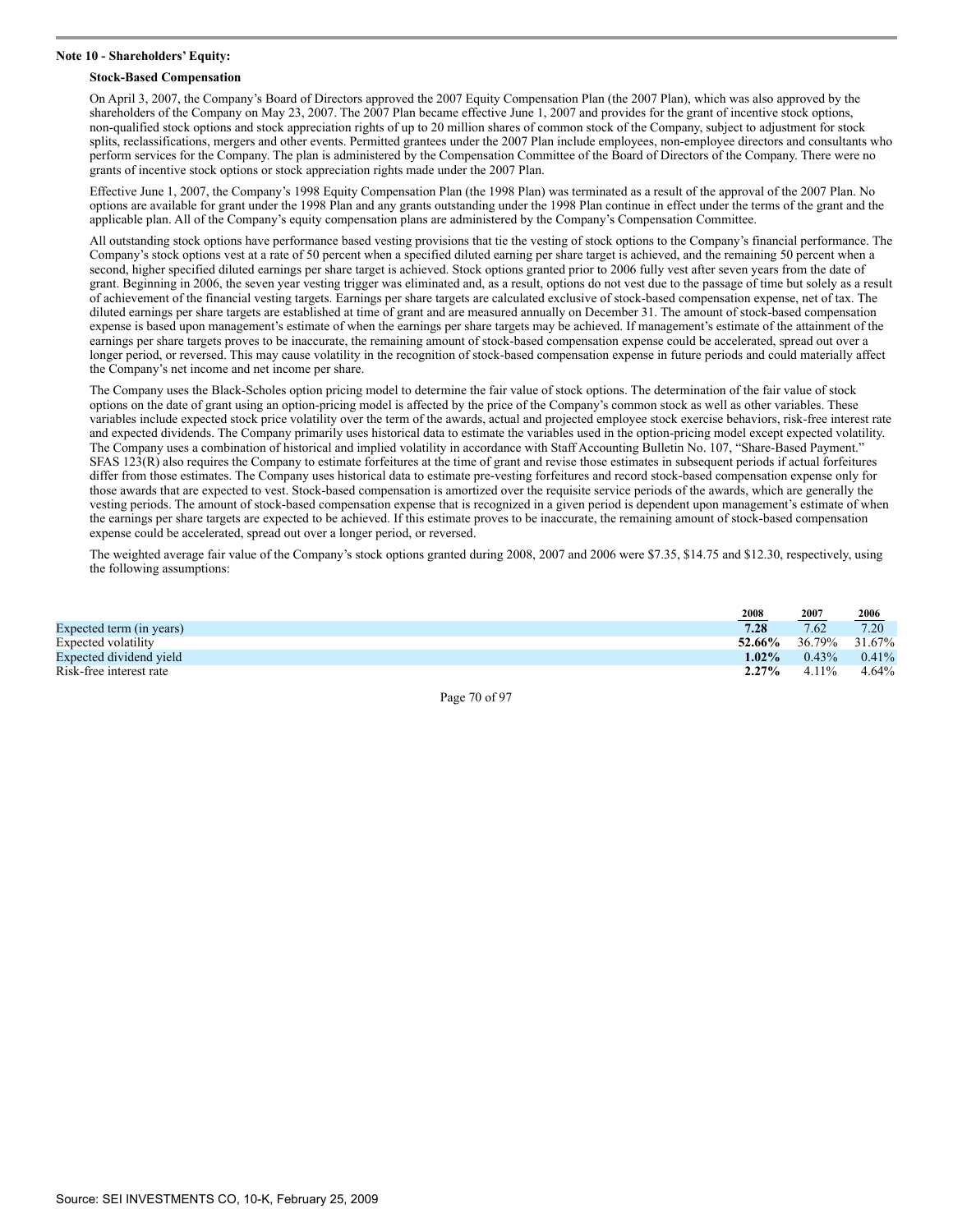## **Note 10 - Shareholders' Equity:**

## **Stock-Based Compensation**

On April 3, 2007, the Company's Board of Directors approved the 2007 Equity Compensation Plan (the 2007 Plan), which was also approved by the shareholders of the Company on May 23, 2007. The 2007 Plan became effective June 1, 2007 and provides for the grant of incentive stock options, non-qualified stock options and stock appreciation rights of up to 20 million shares of common stock of the Company, subject to adjustment for stock splits, reclassifications, mergers and other events. Permitted grantees under the 2007 Plan include employees, non-employee directors and consultants who perform services for the Company. The plan is administered by the Compensation Committee of the Board of Directors of the Company. There were no grants of incentive stock options or stock appreciation rights made under the 2007 Plan.

Effective June 1, 2007, the Company's 1998 Equity Compensation Plan (the 1998 Plan) was terminated as a result of the approval of the 2007 Plan. No options are available for grant under the 1998 Plan and any grants outstanding under the 1998 Plan continue in effect under the terms of the grant and the applicable plan. All of the Company's equity compensation plans are administered by the Company's Compensation Committee.

All outstanding stock options have performance based vesting provisions that tie the vesting of stock options to the Company's financial performance. The Company's stock options vest at a rate of 50 percent when a specified diluted earning per share target is achieved, and the remaining 50 percent when a second, higher specified diluted earnings per share target is achieved. Stock options granted prior to 2006 fully vest after seven years from the date of grant. Beginning in 2006, the seven year vesting trigger was eliminated and, as a result, options do not vest due to the passage of time but solely as a result of achievement of the financial vesting targets. Earnings per share targets are calculated exclusive of stock-based compensation expense, net of tax. The diluted earnings per share targets are established at time of grant and are measured annually on December 31. The amount of stock-based compensation expense is based upon management's estimate of when the earnings per share targets may be achieved. If management's estimate of the attainment of the earnings per share targets proves to be inaccurate, the remaining amount of stock-based compensation expense could be accelerated, spread out over a longer period, or reversed. This may cause volatility in the recognition of stock-based compensation expense in future periods and could materially affect the Company's net income and net income per share.

The Company uses the Black-Scholes option pricing model to determine the fair value of stock options. The determination of the fair value of stock options on the date of grant using an option-pricing model is affected by the price of the Company's common stock as well as other variables. These variables include expected stock price volatility over the term of the awards, actual and projected employee stock exercise behaviors, risk-free interest rate and expected dividends. The Company primarily uses historical data to estimate the variables used in the option-pricing model except expected volatility. The Company uses a combination of historical and implied volatility in accordance with Staff Accounting Bulletin No. 107, "Share-Based Payment." SFAS 123(R) also requires the Company to estimate forfeitures at the time of grant and revise those estimates in subsequent periods if actual forfeitures differ from those estimates. The Company uses historical data to estimate pre-vesting forfeitures and record stock-based compensation expense only for those awards that are expected to vest. Stock-based compensation is amortized over the requisite service periods of the awards, which are generally the vesting periods. The amount of stock-based compensation expense that is recognized in a given period is dependent upon management's estimate of when the earnings per share targets are expected to be achieved. If this estimate proves to be inaccurate, the remaining amount of stock-based compensation expense could be accelerated, spread out over a longer period, or reversed.

The weighted average fair value of the Company's stock options granted during 2008, 2007 and 2006 were \$7.35, \$14.75 and \$12.30, respectively, using the following assumptions:

|                          | 2008     | 2007     | 2006   |
|--------------------------|----------|----------|--------|
| Expected term (in years) | 7.28     | 7.62     | 7.20   |
| Expected volatility      | 52.66%   | 36.79%   | 31.67% |
| Expected dividend yield  | $1.02\%$ | $0.43\%$ | 0.41%  |
| Risk-free interest rate  | 2.27%    | $4.11\%$ | 4.64%  |

Page 70 of 97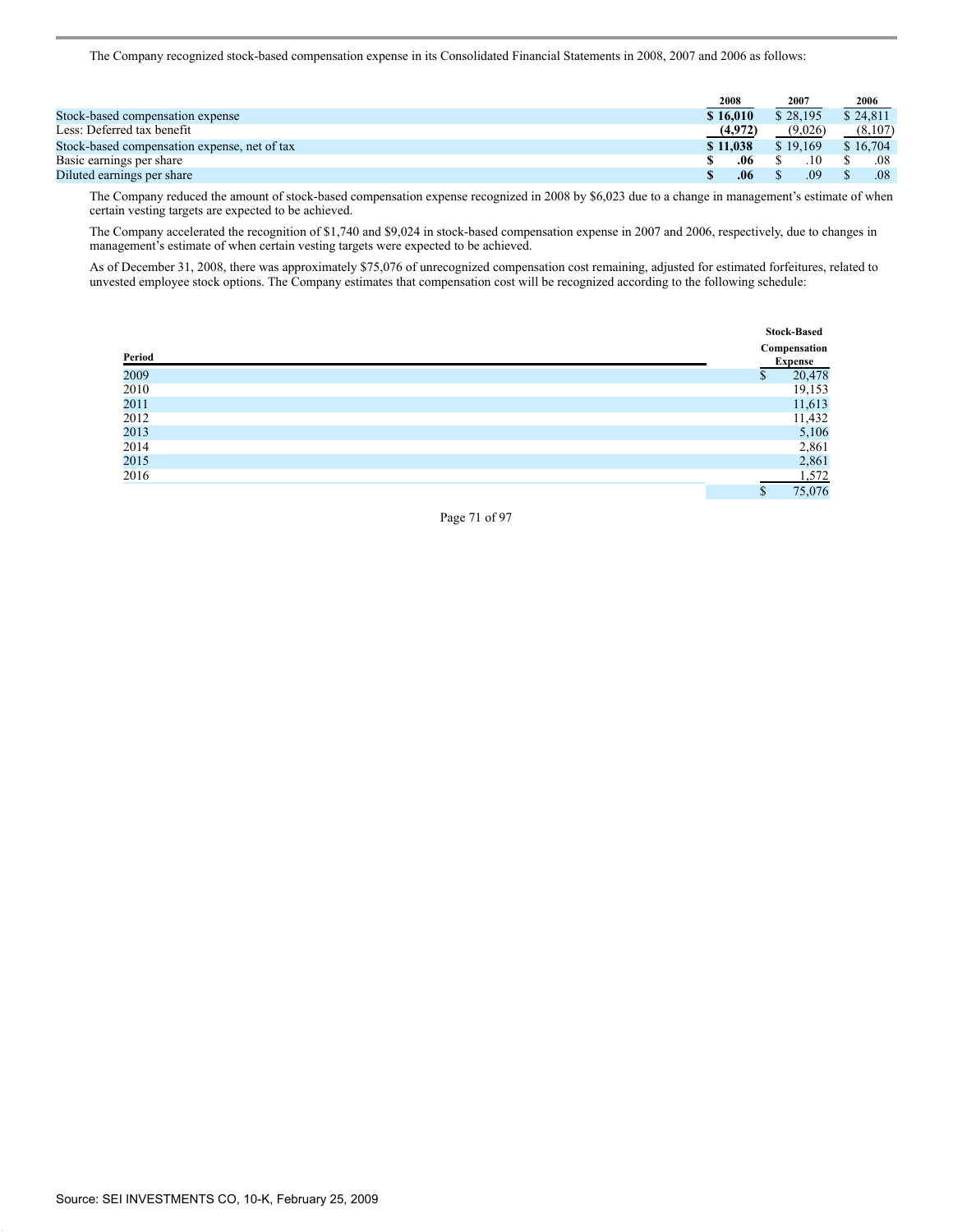The Company recognized stock-based compensation expense in its Consolidated Financial Statements in 2008, 2007 and 2006 as follows:

|                                              | 2008     |     | 2007     | 2006     |
|----------------------------------------------|----------|-----|----------|----------|
| Stock-based compensation expense             | \$16,010 |     | \$28.195 | \$24.811 |
| Less: Deferred tax benefit                   | (4,972)  |     | (9,026)  | (8,107)  |
| Stock-based compensation expense, net of tax | \$11,038 |     | \$19,169 | \$16.704 |
| Basic earnings per share                     |          | .06 | 10       | .08      |
| Diluted earnings per share                   |          | .06 | .09      | .08      |

The Company reduced the amount of stock-based compensation expense recognized in 2008 by \$6,023 due to a change in management's estimate of when certain vesting targets are expected to be achieved.

The Company accelerated the recognition of \$1,740 and \$9,024 in stock-based compensation expense in 2007 and 2006, respectively, due to changes in management's estimate of when certain vesting targets were expected to be achieved.

As of December 31, 2008, there was approximately \$75,076 of unrecognized compensation cost remaining, adjusted for estimated forfeitures, related to unvested employee stock options. The Company estimates that compensation cost will be recognized according to the following schedule:

|              | <b>Stock-Based</b>                         |
|--------------|--------------------------------------------|
| Period       | Compensation<br>Expense                    |
| 2009         | 20,478<br>S                                |
| 2010         | 19,153                                     |
| 2011         | 11,613                                     |
| 2012         |                                            |
| 2013<br>2014 |                                            |
|              |                                            |
| 2015         |                                            |
| 2016         | 11,432<br>5,106<br>2,861<br>2,861<br>1,572 |
|              | 75,076<br>Φ<br>Φ                           |

Page 71 of 97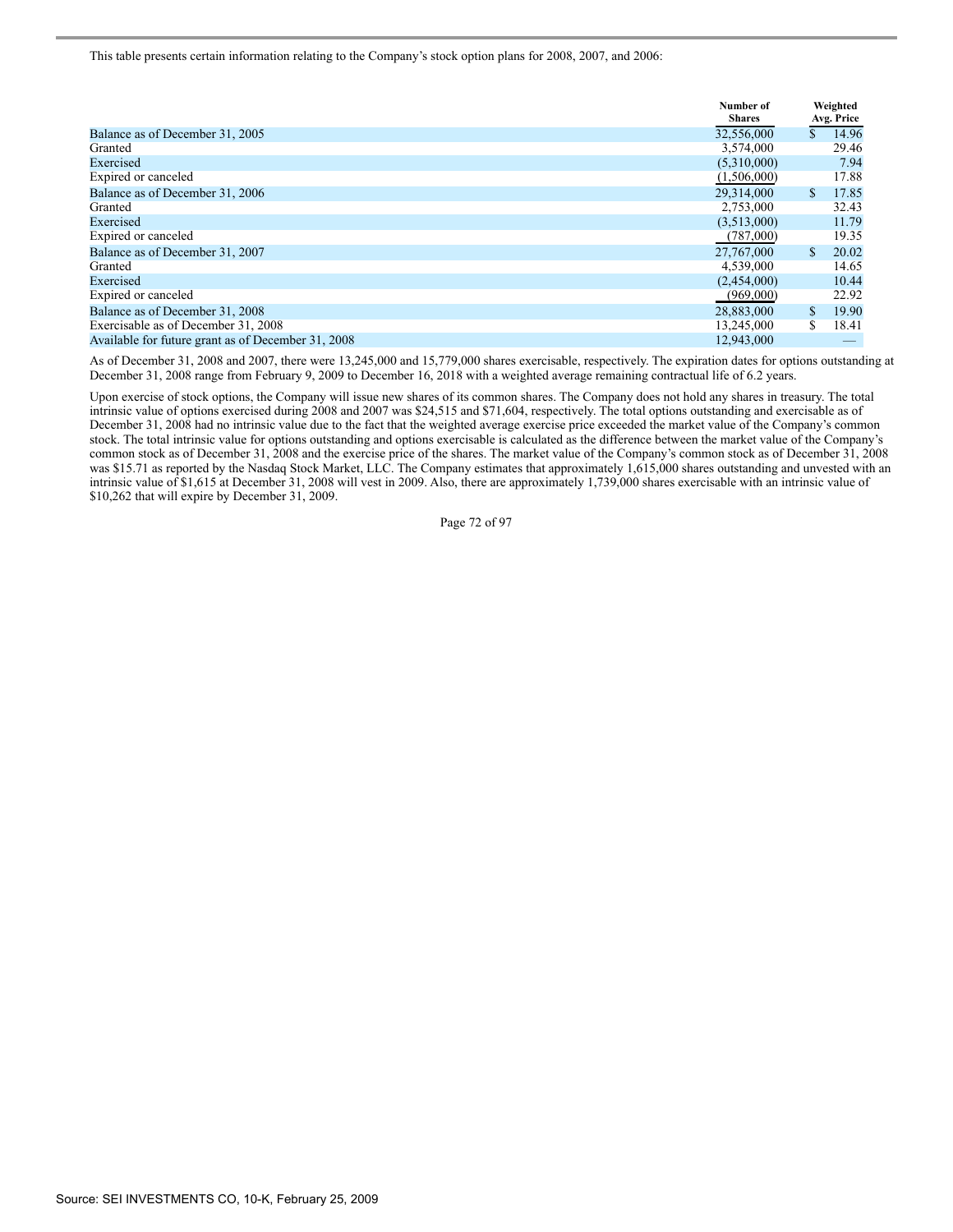This table presents certain information relating to the Company's stock option plans for 2008, 2007, and 2006:

|                                                    | Number of<br><b>Shares</b> |     | Weighted<br>Avg. Price |
|----------------------------------------------------|----------------------------|-----|------------------------|
| Balance as of December 31, 2005                    | 32,556,000                 | \$  | 14.96                  |
| Granted                                            | 3,574,000                  |     | 29.46                  |
| Exercised                                          | (5,310,000)                |     | 7.94                   |
| Expired or canceled                                | (1,506,000)                |     | 17.88                  |
| Balance as of December 31, 2006                    | 29.314,000                 | \$. | 17.85                  |
| Granted                                            | 2,753,000                  |     | 32.43                  |
| Exercised                                          | (3,513,000)                |     | 11.79                  |
| Expired or canceled                                | (787,000)                  |     | 19.35                  |
| Balance as of December 31, 2007                    | 27,767,000                 |     | 20.02                  |
| Granted                                            | 4,539,000                  |     | 14.65                  |
| Exercised                                          | (2,454,000)                |     | 10.44                  |
| Expired or canceled                                | (969,000)                  |     | 22.92                  |
| Balance as of December 31, 2008                    | 28,883,000                 | \$  | 19.90                  |
| Exercisable as of December 31, 2008                | 13,245,000                 | S   | 18.41                  |
| Available for future grant as of December 31, 2008 | 12,943,000                 |     |                        |

As of December 31, 2008 and 2007, there were 13,245,000 and 15,779,000 shares exercisable, respectively. The expiration dates for options outstanding at December 31, 2008 range from February 9, 2009 to December 16, 2018 with a weighted average remaining contractual life of 6.2 years.

Upon exercise of stock options, the Company will issue new shares of its common shares. The Company does not hold any shares in treasury. The total intrinsic value of options exercised during 2008 and 2007 was \$24,515 and \$71,604, respectively. The total options outstanding and exercisable as of December 31, 2008 had no intrinsic value due to the fact that the weighted average exercise price exceeded the market value of the Company's common stock. The total intrinsic value for options outstanding and options exercisable is calculated as the difference between the market value of the Company's common stock as of December 31, 2008 and the exercise price of the shares. The market value of the Company's common stock as of December 31, 2008 was \$15.71 as reported by the Nasdaq Stock Market, LLC. The Company estimates that approximately 1,615,000 shares outstanding and unvested with an intrinsic value of \$1,615 at December 31, 2008 will vest in 2009. Also, there are approximately 1,739,000 shares exercisable with an intrinsic value of \$10,262 that will expire by December 31, 2009.

Page 72 of 97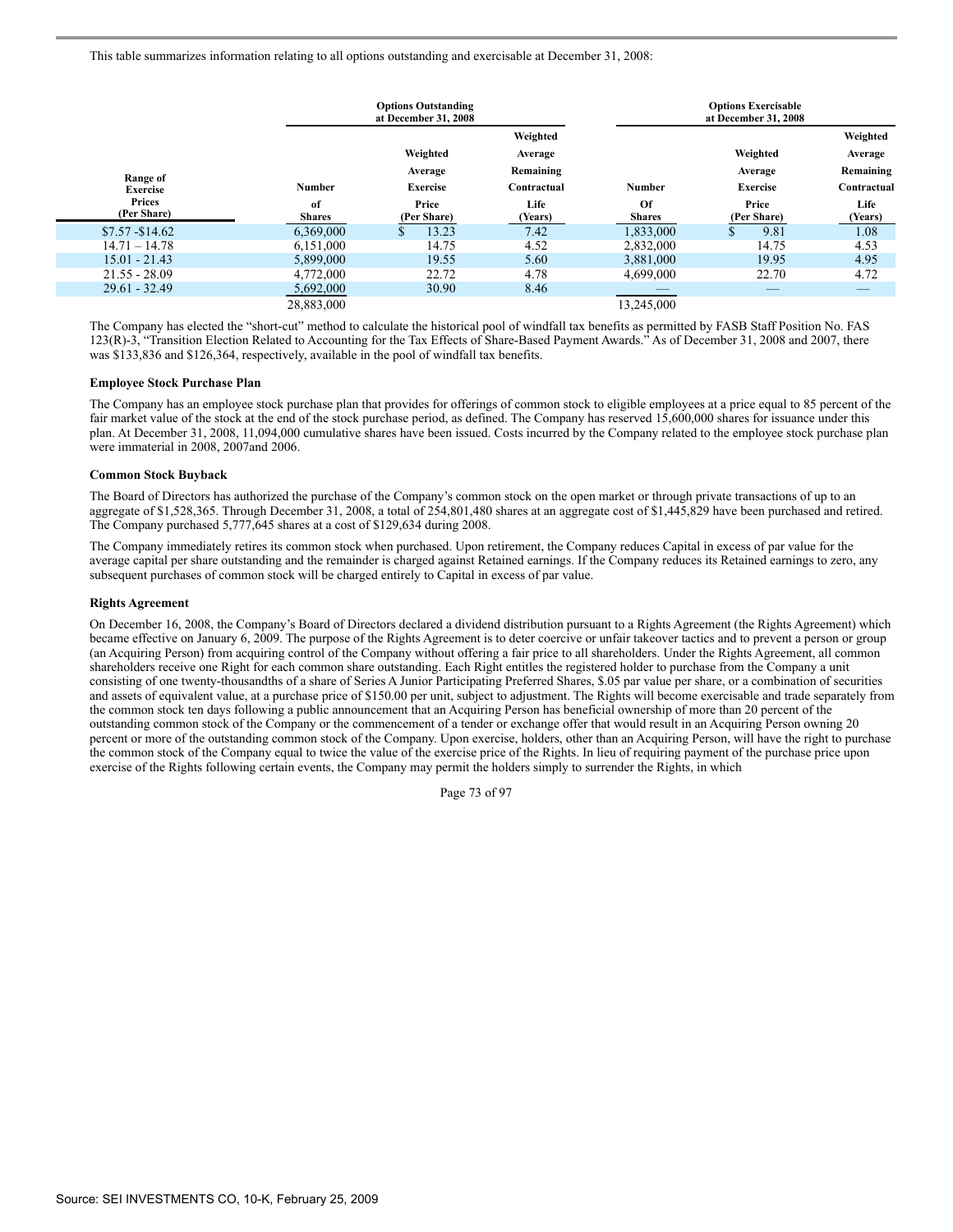This table summarizes information relating to all options outstanding and exercisable at December 31, 2008:

|                              |                     | <b>Options Outstanding</b><br>at December 31, 2008 |                 |                     | <b>Options Exercisable</b><br>at December 31, 2008 |                 |
|------------------------------|---------------------|----------------------------------------------------|-----------------|---------------------|----------------------------------------------------|-----------------|
|                              |                     |                                                    | Weighted        |                     |                                                    | Weighted        |
|                              |                     | Weighted                                           | Average         |                     | Weighted                                           | Average         |
| Range of                     |                     | Average                                            | Remaining       |                     | Average                                            | Remaining       |
| <b>Exercise</b>              | <b>Number</b>       | <b>Exercise</b>                                    | Contractual     | <b>Number</b>       | <b>Exercise</b>                                    | Contractual     |
| <b>Prices</b><br>(Per Share) | of<br><b>Shares</b> | Price<br>(Per Share)                               | Life<br>(Years) | Of<br><b>Shares</b> | Price<br>(Per Share)                               | Life<br>(Years) |
| $$7.57 - $14.62$             | 6,369,000           | 13.23                                              | 7.42            | 1,833,000           | 9.81                                               | 1.08            |
| $14.71 - 14.78$              | 6.151.000           | 14.75                                              | 4.52            | 2,832,000           | 14.75                                              | 4.53            |
| $15.01 - 21.43$              | 5,899,000           | 19.55                                              | 5.60            | 3,881,000           | 19.95                                              | 4.95            |
| $21.55 - 28.09$              | 4.772.000           | 22.72                                              | 4.78            | 4,699,000           | 22.70                                              | 4.72            |
| $29.61 - 32.49$              | 5,692,000           | 30.90                                              | 8.46            |                     |                                                    |                 |
|                              | 28,883,000          |                                                    |                 | 13.245.000          |                                                    |                 |

The Company has elected the "short-cut" method to calculate the historical pool of windfall tax benefits as permitted by FASB Staff Position No. FAS 123(R)-3, "Transition Election Related to Accounting for the Tax Effects of Share-Based Payment Awards." As of December 31, 2008 and 2007, there was \$133,836 and \$126,364, respectively, available in the pool of windfall tax benefits.

## **Employee Stock Purchase Plan**

The Company has an employee stock purchase plan that provides for offerings of common stock to eligible employees at a price equal to 85 percent of the fair market value of the stock at the end of the stock purchase period, as defined. The Company has reserved 15,600,000 shares for issuance under this plan. At December 31, 2008, 11,094,000 cumulative shares have been issued. Costs incurred by the Company related to the employee stock purchase plan were immaterial in 2008, 2007and 2006.

## **Common Stock Buyback**

The Board of Directors has authorized the purchase of the Company's common stock on the open market or through private transactions of up to an aggregate of \$1,528,365. Through December 31, 2008, a total of 254,801,480 shares at an aggregate cost of \$1,445,829 have been purchased and retired. The Company purchased 5,777,645 shares at a cost of \$129,634 during 2008.

The Company immediately retires its common stock when purchased. Upon retirement, the Company reduces Capital in excess of par value for the average capital per share outstanding and the remainder is charged against Retained earnings. If the Company reduces its Retained earnings to zero, any subsequent purchases of common stock will be charged entirely to Capital in excess of par value.

## **Rights Agreement**

On December 16, 2008, the Company's Board of Directors declared a dividend distribution pursuant to a Rights Agreement (the Rights Agreement) which became effective on January 6, 2009. The purpose of the Rights Agreement is to deter coercive or unfair takeover tactics and to prevent a person or group (an Acquiring Person) from acquiring control of the Company without offering a fair price to all shareholders. Under the Rights Agreement, all common shareholders receive one Right for each common share outstanding. Each Right entitles the registered holder to purchase from the Company a unit consisting of one twenty-thousandths of a share of Series A Junior Participating Preferred Shares, \$.05 par value per share, or a combination of securities and assets of equivalent value, at a purchase price of \$150.00 per unit, subject to adjustment. The Rights will become exercisable and trade separately from the common stock ten days following a public announcement that an Acquiring Person has beneficial ownership of more than 20 percent of the outstanding common stock of the Company or the commencement of a tender or exchange offer that would result in an Acquiring Person owning 20 percent or more of the outstanding common stock of the Company. Upon exercise, holders, other than an Acquiring Person, will have the right to purchase the common stock of the Company equal to twice the value of the exercise price of the Rights. In lieu of requiring payment of the purchase price upon exercise of the Rights following certain events, the Company may permit the holders simply to surrender the Rights, in which

Page 73 of 97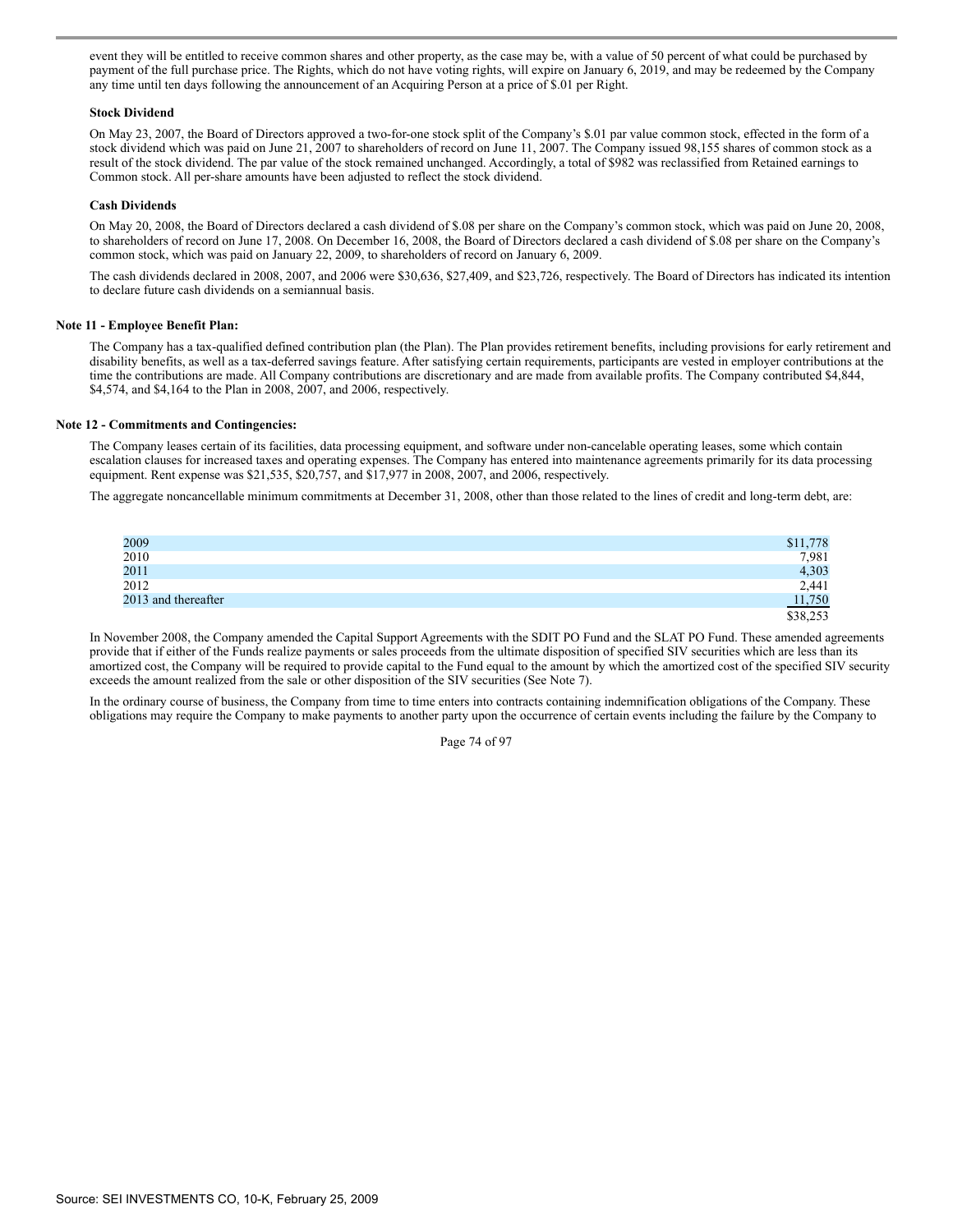event they will be entitled to receive common shares and other property, as the case may be, with a value of 50 percent of what could be purchased by payment of the full purchase price. The Rights, which do not have voting rights, will expire on January 6, 2019, and may be redeemed by the Company any time until ten days following the announcement of an Acquiring Person at a price of \$.01 per Right.

## **Stock Dividend**

On May 23, 2007, the Board of Directors approved a two-for-one stock split of the Company's \$.01 par value common stock, effected in the form of a stock dividend which was paid on June 21, 2007 to shareholders of record on June 11, 2007. The Company issued 98,155 shares of common stock as a result of the stock dividend. The par value of the stock remained unchanged. Accordingly, a total of \$982 was reclassified from Retained earnings to Common stock. All per-share amounts have been adjusted to reflect the stock dividend.

#### **Cash Dividends**

On May 20, 2008, the Board of Directors declared a cash dividend of \$.08 per share on the Company's common stock, which was paid on June 20, 2008, to shareholders of record on June 17, 2008. On December 16, 2008, the Board of Directors declared a cash dividend of \$.08 per share on the Company's common stock, which was paid on January 22, 2009, to shareholders of record on January 6, 2009.

The cash dividends declared in 2008, 2007, and 2006 were \$30,636, \$27,409, and \$23,726, respectively. The Board of Directors has indicated its intention to declare future cash dividends on a semiannual basis.

#### **Note 11 - Employee Benefit Plan:**

The Company has a tax-qualified defined contribution plan (the Plan). The Plan provides retirement benefits, including provisions for early retirement and disability benefits, as well as a tax-deferred savings feature. After satisfying certain requirements, participants are vested in employer contributions at the time the contributions are made. All Company contributions are discretionary and are made from available profits. The Company contributed \$4,844, \$4,574, and \$4,164 to the Plan in 2008, 2007, and 2006, respectively.

#### **Note 12 - Commitments and Contingencies:**

The Company leases certain of its facilities, data processing equipment, and software under non-cancelable operating leases, some which contain escalation clauses for increased taxes and operating expenses. The Company has entered into maintenance agreements primarily for its data processing equipment. Rent expense was \$21,535, \$20,757, and \$17,977 in 2008, 2007, and 2006, respectively.

The aggregate noncancellable minimum commitments at December 31, 2008, other than those related to the lines of credit and long-term debt, are:

| 2009                | 1,778    |
|---------------------|----------|
| 2010                | 7,981    |
| 2011                | 4,303    |
| 2012                | 2,441    |
| 2013 and thereafter | 11,750   |
|                     | \$38.253 |

In November 2008, the Company amended the Capital Support Agreements with the SDIT PO Fund and the SLAT PO Fund. These amended agreements provide that if either of the Funds realize payments or sales proceeds from the ultimate disposition of specified SIV securities which are less than its amortized cost, the Company will be required to provide capital to the Fund equal to the amount by which the amortized cost of the specified SIV security exceeds the amount realized from the sale or other disposition of the SIV securities (See Note 7).

In the ordinary course of business, the Company from time to time enters into contracts containing indemnification obligations of the Company. These obligations may require the Company to make payments to another party upon the occurrence of certain events including the failure by the Company to

Page 74 of 97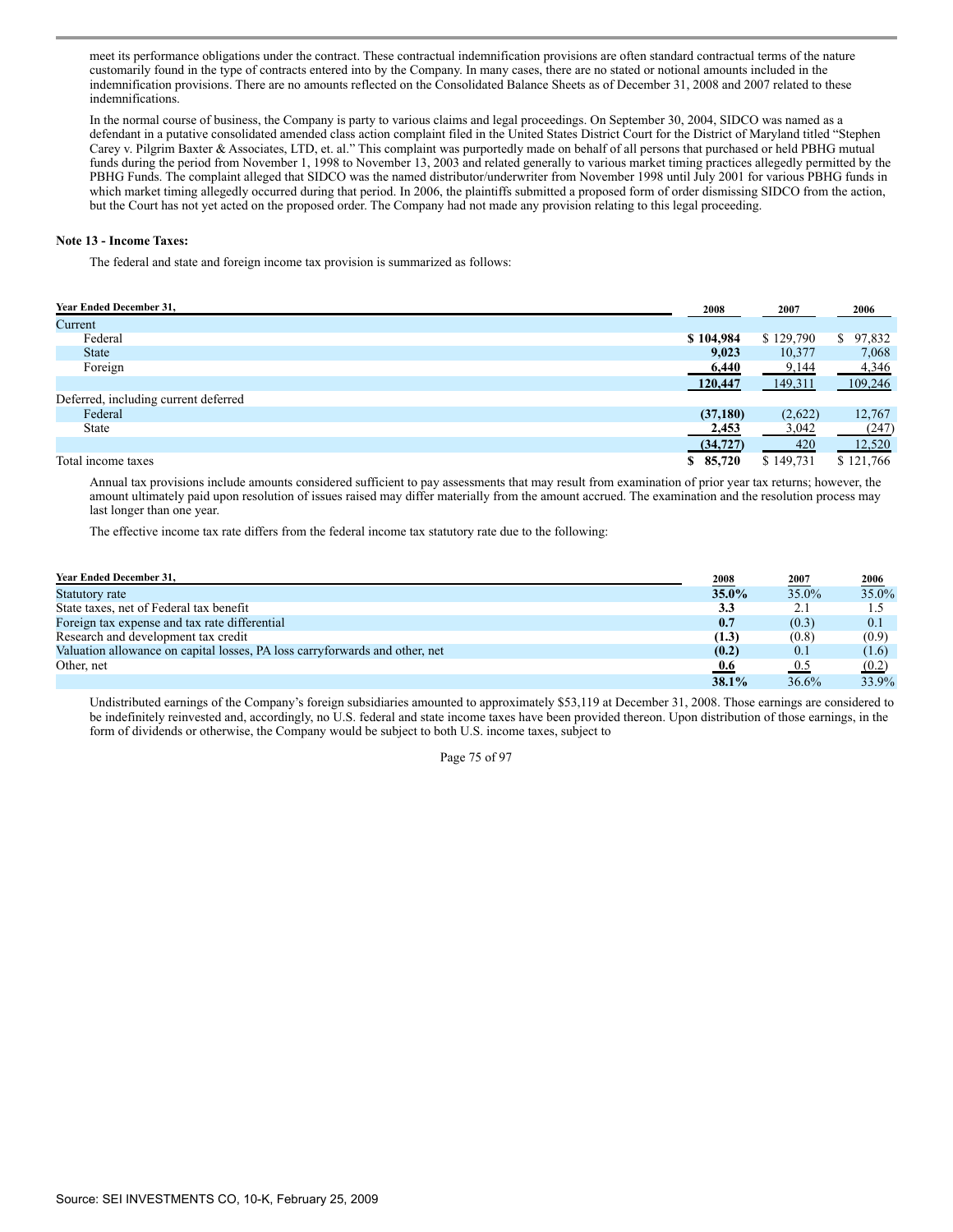meet its performance obligations under the contract. These contractual indemnification provisions are often standard contractual terms of the nature customarily found in the type of contracts entered into by the Company. In many cases, there are no stated or notional amounts included in the indemnification provisions. There are no amounts reflected on the Consolidated Balance Sheets as of December 31, 2008 and 2007 related to these indemnifications.

In the normal course of business, the Company is party to various claims and legal proceedings. On September 30, 2004, SIDCO was named as a defendant in a putative consolidated amended class action complaint filed in the United States District Court for the District of Maryland titled "Stephen Carey v. Pilgrim Baxter & Associates, LTD, et. al." This complaint was purportedly made on behalf of all persons that purchased or held PBHG mutual funds during the period from November 1, 1998 to November 13, 2003 and related generally to various market timing practices allegedly permitted by the PBHG Funds. The complaint alleged that SIDCO was the named distributor/underwriter from November 1998 until July 2001 for various PBHG funds in which market timing allegedly occurred during that period. In 2006, the plaintiffs submitted a proposed form of order dismissing SIDCO from the action, but the Court has not yet acted on the proposed order. The Company had not made any provision relating to this legal proceeding.

## **Note 13 - Income Taxes:**

The federal and state and foreign income tax provision is summarized as follows:

| <b>Year Ended December 31,</b>       | 2008      | 2007      | 2006         |
|--------------------------------------|-----------|-----------|--------------|
| Current                              |           |           |              |
| Federal                              | \$104,984 | \$129,790 | 97,832<br>S. |
| <b>State</b>                         | 9,023     | 10,377    | 7,068        |
| Foreign                              | 6,440     | 9,144     | 4,346        |
|                                      | 120,447   | 149,311   | 109,246      |
| Deferred, including current deferred |           |           |              |
| Federal                              | (37,180)  | (2,622)   | 12,767       |
| <b>State</b>                         | 2,453     | 3,042     | (247)        |
|                                      | (34, 727) | 420       | 12,520       |
| Total income taxes                   | \$8,720   | \$149,731 | \$121,766    |

Annual tax provisions include amounts considered sufficient to pay assessments that may result from examination of prior year tax returns; however, the amount ultimately paid upon resolution of issues raised may differ materially from the amount accrued. The examination and the resolution process may last longer than one year.

The effective income tax rate differs from the federal income tax statutory rate due to the following:

| Year Ended December 31,                                                     | 2008     | 2007  | 2006  |
|-----------------------------------------------------------------------------|----------|-------|-------|
| Statutory rate                                                              | $35.0\%$ | 35.0% | 35.0% |
| State taxes, net of Federal tax benefit                                     | 3.3      | 2.1   |       |
| Foreign tax expense and tax rate differential                               | 0.7      | (0.3) | 0.1   |
| Research and development tax credit                                         | (1.3)    | (0.8) | (0.9) |
| Valuation allowance on capital losses, PA loss carryforwards and other, net | (0.2)    | 0.1   | (1.6) |
| Other, net                                                                  | 0.6      | 0.5   | (0.2) |
|                                                                             | 38.1%    | 36.6% | 33.9% |

Undistributed earnings of the Company's foreign subsidiaries amounted to approximately \$53,119 at December 31, 2008. Those earnings are considered to be indefinitely reinvested and, accordingly, no U.S. federal and state income taxes have been provided thereon. Upon distribution of those earnings, in the form of dividends or otherwise, the Company would be subject to both U.S. income taxes, subject to

Page 75 of 97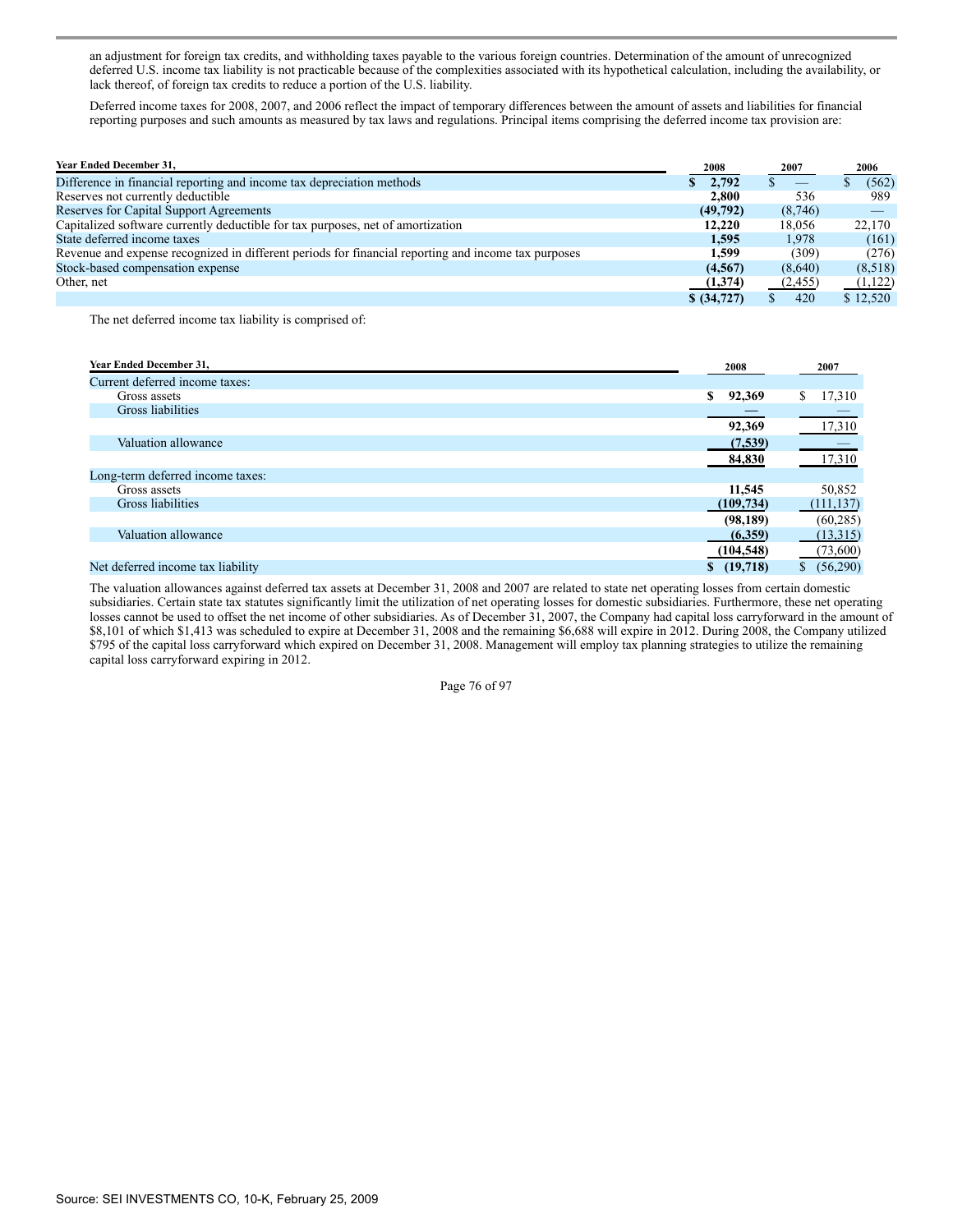an adjustment for foreign tax credits, and withholding taxes payable to the various foreign countries. Determination of the amount of unrecognized deferred U.S. income tax liability is not practicable because of the complexities associated with its hypothetical calculation, including the availability, or lack thereof, of foreign tax credits to reduce a portion of the U.S. liability.

Deferred income taxes for 2008, 2007, and 2006 reflect the impact of temporary differences between the amount of assets and liabilities for financial reporting purposes and such amounts as measured by tax laws and regulations. Principal items comprising the deferred income tax provision are:

| <b>Year Ended December 31,</b>                                                                      | 2008        | 2007    | 2006     |
|-----------------------------------------------------------------------------------------------------|-------------|---------|----------|
| Difference in financial reporting and income tax depreciation methods                               | 2.792       |         | (562)    |
| Reserves not currently deductible                                                                   | 2.800       | 536     | 989      |
| Reserves for Capital Support Agreements                                                             | (49,792)    | (8,746) |          |
| Capitalized software currently deductible for tax purposes, net of amortization                     | 12,220      | 18.056  | 22,170   |
| State deferred income taxes                                                                         | 1.595       | 1.978   | (161)    |
| Revenue and expense recognized in different periods for financial reporting and income tax purposes | 1.599       | (309)   | (276)    |
| Stock-based compensation expense                                                                    | (4,567)     | (8,640) | (8,518)  |
| Other, net                                                                                          | (1,374)     | (2,455) | (1,122)  |
|                                                                                                     | \$ (34,727) | 420     | \$12.520 |

The net deferred income tax liability is comprised of:

| <b>Year Ended December 31.</b>    | 2008        | 2007         |
|-----------------------------------|-------------|--------------|
| Current deferred income taxes:    |             |              |
| Gross assets                      | 92,369<br>S | 17,310<br>\$ |
| Gross liabilities                 |             |              |
|                                   | 92,369      | 17,310       |
| Valuation allowance               | (7,539)     | $\sim$ $-$   |
|                                   | 84,830      | 17,310       |
| Long-term deferred income taxes:  |             |              |
| Gross assets                      | 11,545      | 50,852       |
| Gross liabilities                 | (109, 734)  | (111, 137)   |
|                                   | (98, 189)   | (60, 285)    |
| Valuation allowance               | (6,359)     | (13,315)     |
|                                   | (104, 548)  | (73,600)     |
| Net deferred income tax liability | \$(19,718)  | (56,290)     |

The valuation allowances against deferred tax assets at December 31, 2008 and 2007 are related to state net operating losses from certain domestic subsidiaries. Certain state tax statutes significantly limit the utilization of net operating losses for domestic subsidiaries. Furthermore, these net operating losses cannot be used to offset the net income of other subsidiaries. As of December 31, 2007, the Company had capital loss carryforward in the amount of \$8,101 of which \$1,413 was scheduled to expire at December 31, 2008 and the remaining \$6,688 will expire in 2012. During 2008, the Company utilized \$795 of the capital loss carryforward which expired on December 31, 2008. Management will employ tax planning strategies to utilize the remaining capital loss carryforward expiring in 2012.

Page 76 of 97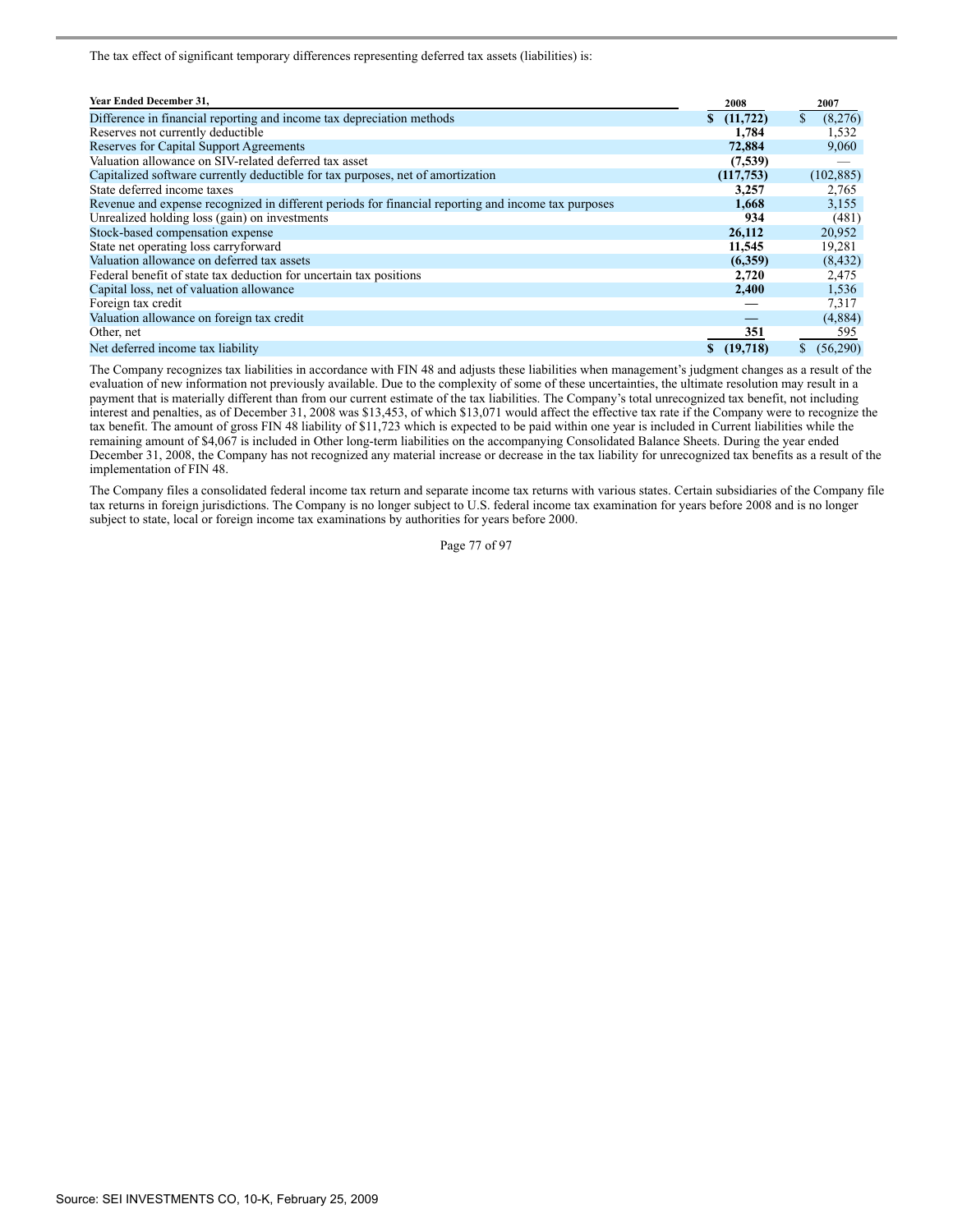The tax effect of significant temporary differences representing deferred tax assets (liabilities) is:

| <b>Year Ended December 31.</b>                                                                      | 2008       | 2007       |
|-----------------------------------------------------------------------------------------------------|------------|------------|
| Difference in financial reporting and income tax depreciation methods                               | \$(11,722) | (8,276)    |
| Reserves not currently deductible                                                                   | 1.784      | 1,532      |
| Reserves for Capital Support Agreements                                                             | 72,884     | 9,060      |
| Valuation allowance on SIV-related deferred tax asset                                               | (7,539)    |            |
| Capitalized software currently deductible for tax purposes, net of amortization                     | (117,753)  | (102, 885) |
| State deferred income taxes                                                                         | 3,257      | 2,765      |
| Revenue and expense recognized in different periods for financial reporting and income tax purposes | 1,668      | 3,155      |
| Unrealized holding loss (gain) on investments                                                       | 934        | (481)      |
| Stock-based compensation expense                                                                    | 26,112     | 20,952     |
| State net operating loss carryforward                                                               | 11,545     | 19,281     |
| Valuation allowance on deferred tax assets                                                          | (6,359)    | (8, 432)   |
| Federal benefit of state tax deduction for uncertain tax positions                                  | 2,720      | 2,475      |
| Capital loss, net of valuation allowance                                                            | 2,400      | 1,536      |
| Foreign tax credit                                                                                  |            | 7,317      |
| Valuation allowance on foreign tax credit                                                           |            | (4,884)    |
| Other, net                                                                                          | 351        | 595        |
| Net deferred income tax liability                                                                   | (19,718)   | (56,290)   |

The Company recognizes tax liabilities in accordance with FIN 48 and adjusts these liabilities when management's judgment changes as a result of the evaluation of new information not previously available. Due to the complexity of some of these uncertainties, the ultimate resolution may result in a payment that is materially different than from our current estimate of the tax liabilities. The Company's total unrecognized tax benefit, not including interest and penalties, as of December 31, 2008 was \$13,453, of which \$13,071 would affect the effective tax rate if the Company were to recognize the tax benefit. The amount of gross FIN 48 liability of \$11,723 which is expected to be paid within one year is included in Current liabilities while the remaining amount of \$4,067 is included in Other long-term liabilities on the accompanying Consolidated Balance Sheets. During the year ended December 31, 2008, the Company has not recognized any material increase or decrease in the tax liability for unrecognized tax benefits as a result of the implementation of FIN 48.

The Company files a consolidated federal income tax return and separate income tax returns with various states. Certain subsidiaries of the Company file tax returns in foreign jurisdictions. The Company is no longer subject to U.S. federal income tax examination for years before 2008 and is no longer subject to state, local or foreign income tax examinations by authorities for years before 2000.

Page 77 of 97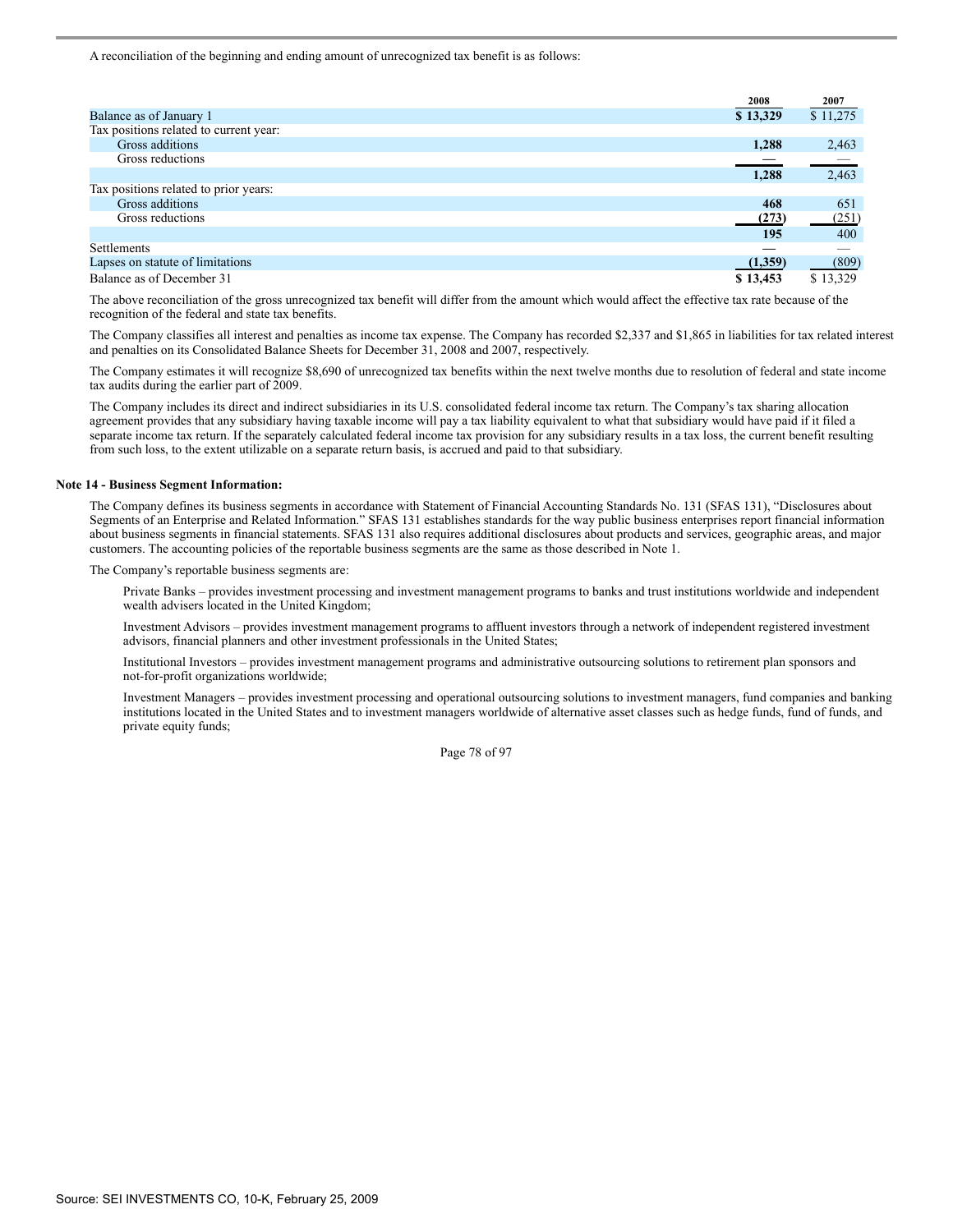A reconciliation of the beginning and ending amount of unrecognized tax benefit is as follows:

|                                        | 2008     | 2007     |
|----------------------------------------|----------|----------|
| Balance as of January 1                | \$13,329 | \$11,275 |
| Tax positions related to current year: |          |          |
| Gross additions                        | 1,288    | 2,463    |
| Gross reductions                       |          |          |
|                                        | 1,288    | 2,463    |
| Tax positions related to prior years:  |          |          |
| Gross additions                        | 468      | 651      |
| Gross reductions                       | (273)    | (251)    |
|                                        | 195      | 400      |
| Settlements                            |          |          |
| Lapses on statute of limitations       | (1,359)  | (809)    |
| Balance as of December 31              | \$13,453 | \$13,329 |

The above reconciliation of the gross unrecognized tax benefit will differ from the amount which would affect the effective tax rate because of the recognition of the federal and state tax benefits.

The Company classifies all interest and penalties as income tax expense. The Company has recorded \$2,337 and \$1,865 in liabilities for tax related interest and penalties on its Consolidated Balance Sheets for December 31, 2008 and 2007, respectively.

The Company estimates it will recognize \$8,690 of unrecognized tax benefits within the next twelve months due to resolution of federal and state income tax audits during the earlier part of 2009.

The Company includes its direct and indirect subsidiaries in its U.S. consolidated federal income tax return. The Company's tax sharing allocation agreement provides that any subsidiary having taxable income will pay a tax liability equivalent to what that subsidiary would have paid if it filed a separate income tax return. If the separately calculated federal income tax provision for any subsidiary results in a tax loss, the current benefit resulting from such loss, to the extent utilizable on a separate return basis, is accrued and paid to that subsidiary.

#### **Note 14 - Business Segment Information:**

The Company defines its business segments in accordance with Statement of Financial Accounting Standards No. 131 (SFAS 131), "Disclosures about Segments of an Enterprise and Related Information." SFAS 131 establishes standards for the way public business enterprises report financial information about business segments in financial statements. SFAS 131 also requires additional disclosures about products and services, geographic areas, and major customers. The accounting policies of the reportable business segments are the same as those described in Note 1.

The Company's reportable business segments are:

Private Banks – provides investment processing and investment management programs to banks and trust institutions worldwide and independent wealth advisers located in the United Kingdom;

Investment Advisors – provides investment management programs to affluent investors through a network of independent registered investment advisors, financial planners and other investment professionals in the United States;

Institutional Investors – provides investment management programs and administrative outsourcing solutions to retirement plan sponsors and not-for-profit organizations worldwide;

Investment Managers – provides investment processing and operational outsourcing solutions to investment managers, fund companies and banking institutions located in the United States and to investment managers worldwide of alternative asset classes such as hedge funds, fund of funds, and private equity funds;

Page 78 of 97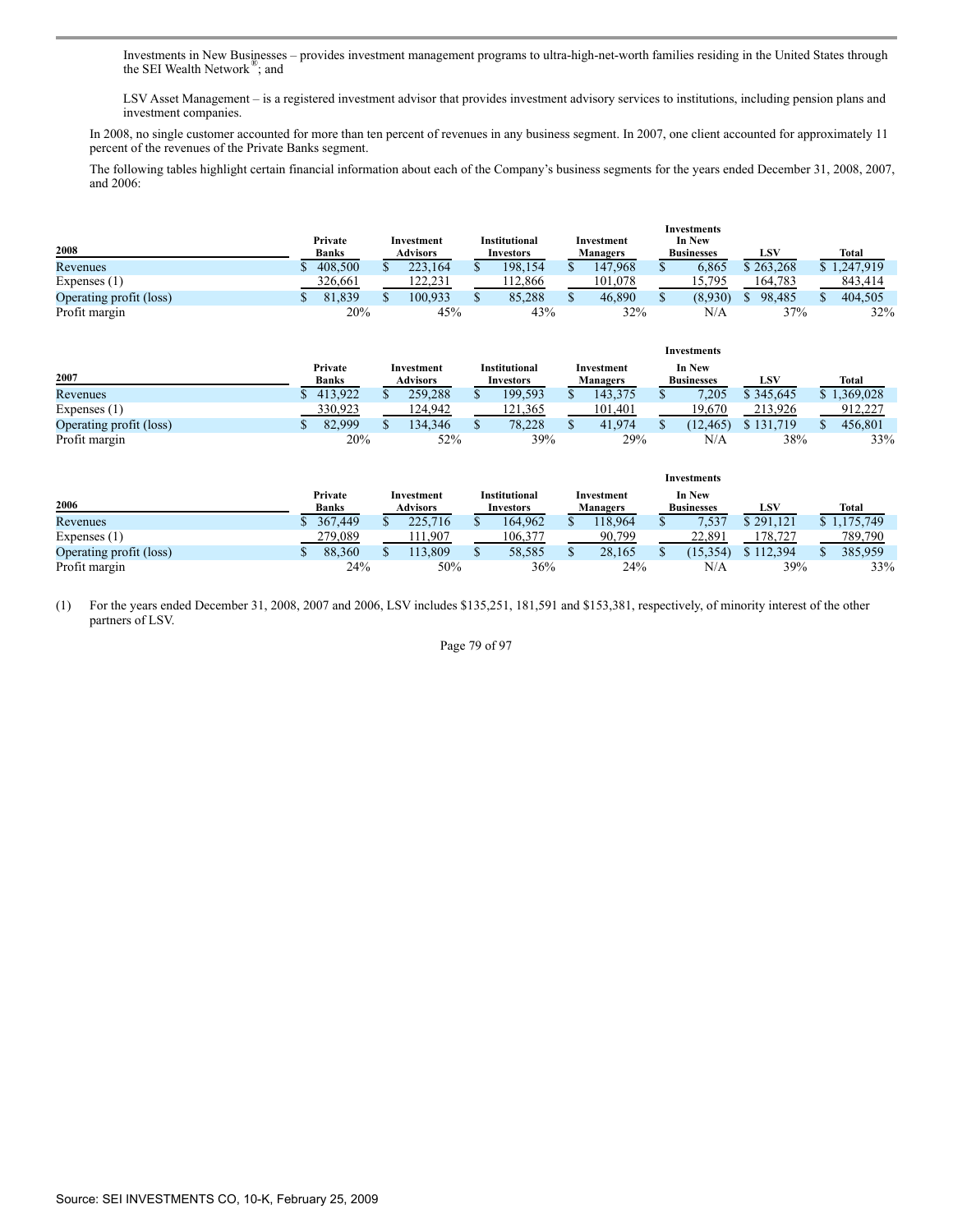Investments in New Businesses – provides investment management programs to ultra-high-net-worth families residing in the United States through the SEI Wealth Network<sup>®</sup>; and

LSV Asset Management – is a registered investment advisor that provides investment advisory services to institutions, including pension plans and investment companies.

In 2008, no single customer accounted for more than ten percent of revenues in any business segment. In 2007, one client accounted for approximately 11 percent of the revenues of the Private Banks segment.

The following tables highlight certain financial information about each of the Company's business segments for the years ended December 31, 2008, 2007, and 2006:

| 2008                    | Private<br><b>Banks</b> | Investment<br>Advisors | Institutional<br>Investors | Investment<br>Managers | Investments<br>In New<br><b>Businesses</b> | LSV       | <b>Total</b> |
|-------------------------|-------------------------|------------------------|----------------------------|------------------------|--------------------------------------------|-----------|--------------|
| Revenues                | 408,500                 | 223.164                | 198.154                    | 147.968                | 6.865                                      | \$263,268 | 1.247.919    |
| Expenses $(1)$          | 326,661                 | !22.231                | '12,866                    | 101,078                | 15.795                                     | 164.783   | 843,414      |
| Operating profit (loss) | 81,839                  | 100.933                | 85.288                     | 46.890                 | (8.930)                                    | 98.485    | 404.505      |
| Profit margin           | 20%                     | 45%                    | 43%                        | 32%                    | N/A                                        | 37%       | 32%          |

|                         |                  |                        | mvesuments |                            |  |                        |  |                             |           |  |          |
|-------------------------|------------------|------------------------|------------|----------------------------|--|------------------------|--|-----------------------------|-----------|--|----------|
| 2007                    | Private<br>Banks | Investment<br>Advisors |            | Institutional<br>Investors |  | Investment<br>Managers |  | In New<br><b>Businesses</b> | LSV       |  | Total    |
| Revenues                | 413.922          | 259,288                |            | 199.593                    |  | 143.375                |  | 7.205                       | \$345,645 |  | .369.028 |
|                         |                  |                        |            |                            |  |                        |  |                             |           |  |          |
| Expenses $(1)$          | 330,923          | 124.942                |            | 121,365                    |  | 101,401                |  | 19,670                      | 213,926   |  | 912,227  |
| Operating profit (loss) | 82.999           | 34.346                 |            | 78.228                     |  | 41.974                 |  | (12.465)                    | \$131.719 |  | 456.801  |
| Profit margin           | 20%              | 52%                    |            | 39%                        |  | 29%                    |  | N/A                         | 38%       |  | 33%      |

**Investments**

|                         |                         |                        | Investments                       |  |                               |  |                             |            |  |              |  |
|-------------------------|-------------------------|------------------------|-----------------------------------|--|-------------------------------|--|-----------------------------|------------|--|--------------|--|
| 2006                    | Private<br><b>Banks</b> | Investment<br>Advisors | <b>Institutional</b><br>Investors |  | Investment<br><b>Managers</b> |  | In New<br><b>Businesses</b> | <b>LSV</b> |  | <b>Total</b> |  |
| Revenues                | 367,449                 | 225,716                | 164.962                           |  | 18.964                        |  | 7,537                       | \$291.121  |  | .175.749     |  |
| Expenses $(1)$          | 279,089                 | 11.907                 | 106,377                           |  | 90,799                        |  | 22.891                      | 178.727    |  | 789,790      |  |
| Operating profit (loss) | 88.360                  | 13.809                 | 58.585                            |  | 28.165                        |  | (15, 354)                   | 112.394    |  | 385,959      |  |
| Profit margin           | 24%                     | 50%                    | 36%                               |  | 24%                           |  | N/A                         | 39%        |  | 33%          |  |

(1) For the years ended December 31, 2008, 2007 and 2006, LSV includes \$135,251, 181,591 and \$153,381, respectively, of minority interest of the other partners of LSV.

Page 79 of 97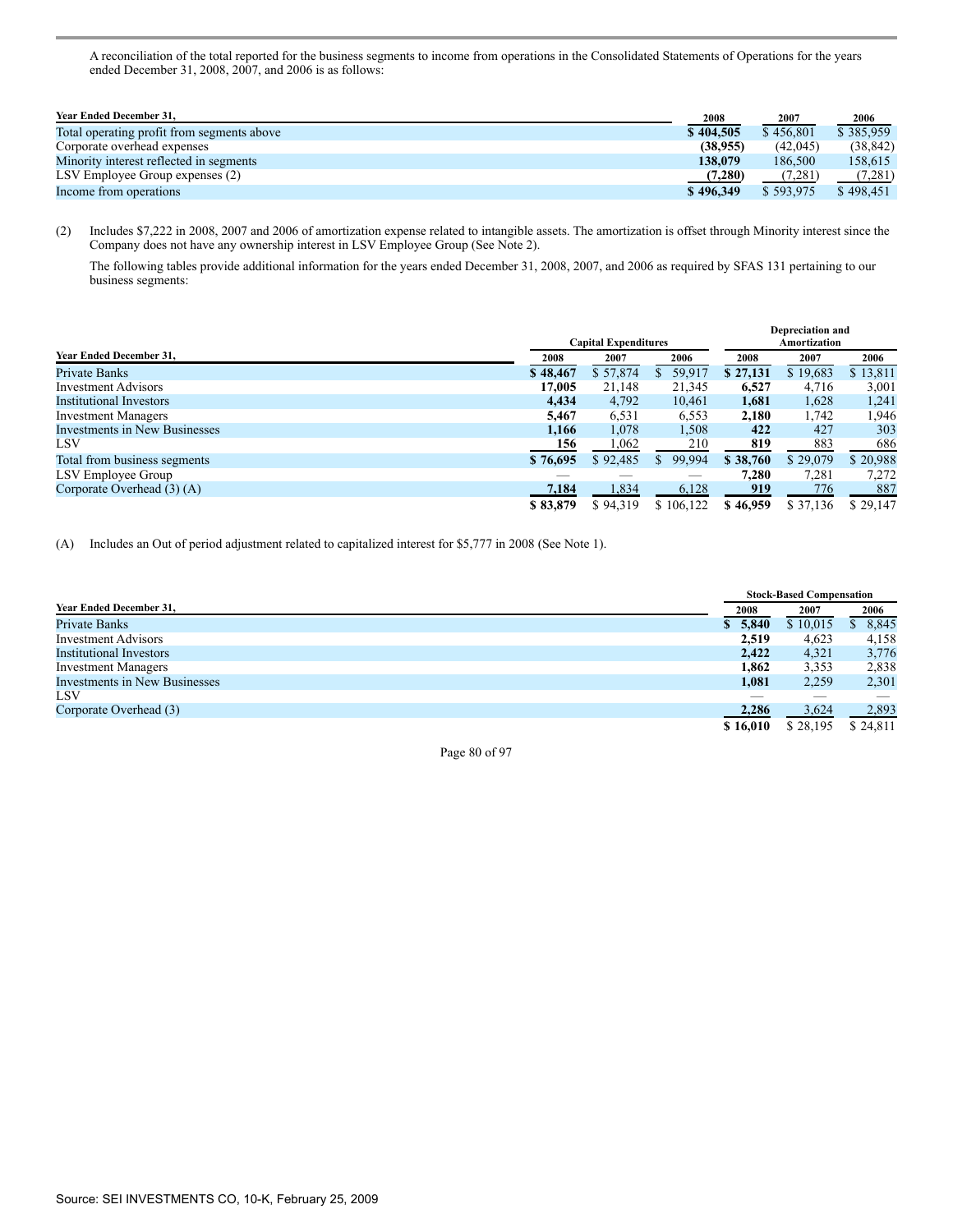A reconciliation of the total reported for the business segments to income from operations in the Consolidated Statements of Operations for the years ended December 31, 2008, 2007, and 2006 is as follows:

| <b>Year Ended December 31.</b>             | 2008      | 2007      | 2006      |
|--------------------------------------------|-----------|-----------|-----------|
| Total operating profit from segments above | \$404,505 | \$456.801 | \$385.959 |
| Corporate overhead expenses                | (38.955)  | (42.045)  | (38, 842) |
| Minority interest reflected in segments    | 138,079   | 186.500   | 158.615   |
| LSV Employee Group expenses (2)            | (7,280)   | (7,281)   | (7,281)   |
| Income from operations                     | \$496.349 | \$593.975 | \$498.451 |

(2) Includes \$7,222 in 2008, 2007 and 2006 of amortization expense related to intangible assets. The amortization is offset through Minority interest since the Company does not have any ownership interest in LSV Employee Group (See Note 2).

The following tables provide additional information for the years ended December 31, 2008, 2007, and 2006 as required by SFAS 131 pertaining to our business segments:

|                                      |          | <b>Capital Expenditures</b> |           |          |          |          |  |  |
|--------------------------------------|----------|-----------------------------|-----------|----------|----------|----------|--|--|
| <b>Year Ended December 31,</b>       | 2008     | 2007                        | 2006      | 2008     | 2007     | 2006     |  |  |
| Private Banks                        | \$48,467 | \$57,874                    | 59,917    | \$27,131 | \$19,683 | \$13,811 |  |  |
| <b>Investment Advisors</b>           | 17.005   | 21,148                      | 21,345    | 6,527    | 4,716    | 3,001    |  |  |
| <b>Institutional Investors</b>       | 4,434    | 4,792                       | 10,461    | 1,681    | 1,628    | 1,241    |  |  |
| <b>Investment Managers</b>           | 5.467    | 6,531                       | 6,553     | 2,180    | 1,742    | 1,946    |  |  |
| <b>Investments in New Businesses</b> | 1.166    | 1,078                       | 1,508     | 422      | 427      | 303      |  |  |
| LSV                                  | 156      | 1,062                       | 210       | 819      | 883      | 686      |  |  |
| Total from business segments         | \$76,695 | \$92,485                    | 99,994    | \$38,760 | \$29,079 | \$20,988 |  |  |
| LSV Employee Group                   |          |                             |           | 7.280    | 7,281    | 7,272    |  |  |
| Corporate Overhead $(3)$ (A)         | 7,184    | 1,834                       | 6,128     | 919      | 776      | 887      |  |  |
|                                      | \$83,879 | \$94,319                    | \$106.122 | \$46,959 | \$37,136 | \$29.147 |  |  |

(A) Includes an Out of period adjustment related to capitalized interest for \$5,777 in 2008 (See Note 1).

|                                      |          | <b>Stock-Based Compensation</b> |          |
|--------------------------------------|----------|---------------------------------|----------|
| <b>Year Ended December 31,</b>       | 2008     | 2007                            | 2006     |
| <b>Private Banks</b>                 | \$5,840  | \$10,015                        | 8,845    |
| <b>Investment Advisors</b>           | 2,519    | 4,623                           | 4,158    |
| <b>Institutional Investors</b>       | 2,422    | 4,321                           | 3,776    |
| <b>Investment Managers</b>           | 1,862    | 3,353                           | 2,838    |
| <b>Investments in New Businesses</b> | 1,081    | 2,259                           | 2,301    |
| LSV                                  |          |                                 |          |
| Corporate Overhead (3)               | 2,286    | 3,624                           | 2,893    |
|                                      | \$16,010 | \$28,195                        | \$24,811 |

Page 80 of 97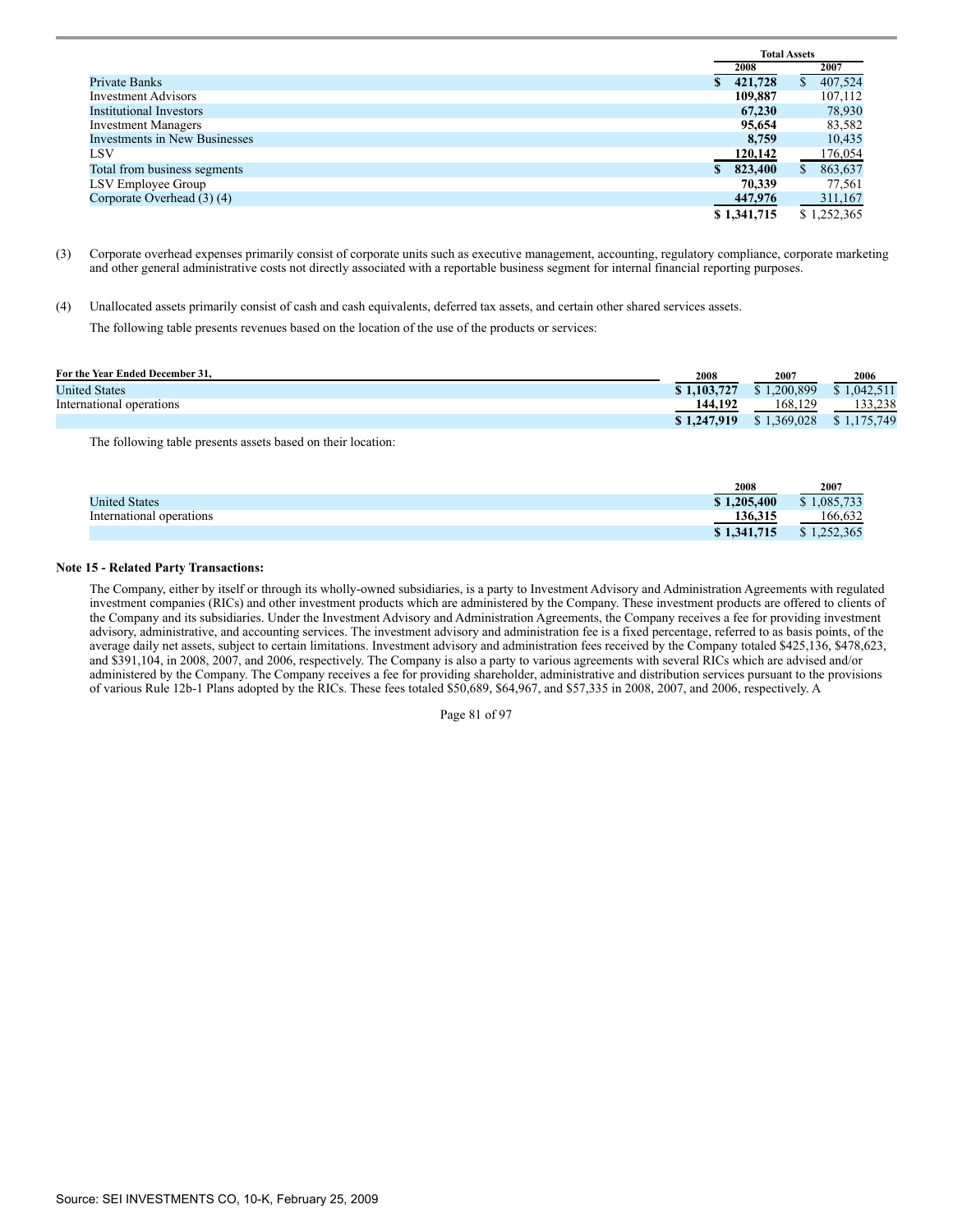|                                      | <b>Total Assets</b> |    |             |  |  |
|--------------------------------------|---------------------|----|-------------|--|--|
|                                      | 2008                |    | 2007        |  |  |
| <b>Private Banks</b>                 | 421,728             | S. | 407,524     |  |  |
| <b>Investment Advisors</b>           | 109,887             |    | 107,112     |  |  |
| <b>Institutional Investors</b>       | 67,230              |    | 78,930      |  |  |
| <b>Investment Managers</b>           | 95,654              |    | 83,582      |  |  |
| <b>Investments in New Businesses</b> | 8.759               |    | 10,435      |  |  |
| LSV                                  | 120,142             |    | 176,054     |  |  |
| Total from business segments         | 823,400             | S. | 863,637     |  |  |
| LSV Employee Group                   | 70,339              |    | 77,561      |  |  |
| Corporate Overhead (3) (4)           | 447,976             |    | 311,167     |  |  |
|                                      | \$1,341,715         |    | \$1,252,365 |  |  |

(3) Corporate overhead expenses primarily consist of corporate units such as executive management, accounting, regulatory compliance, corporate marketing and other general administrative costs not directly associated with a reportable business segment for internal financial reporting purposes.

(4) Unallocated assets primarily consist of cash and cash equivalents, deferred tax assets, and certain other shared services assets.

The following table presents revenues based on the location of the use of the products or services:

| For the Year Ended December 31. | 2008        | 2007      | 2006            |
|---------------------------------|-------------|-----------|-----------------|
| <b>United States</b>            | \$1,103,727 | .200.899  | .042.511<br>ሮ 1 |
| International operations        | 144,192     | 168.129   | 133,238         |
|                                 | \$1,247,919 | 1,369,028 | 175,749<br>\$1  |

The following table presents assets based on their location:

|                          | 2008        | 2007        |
|--------------------------|-------------|-------------|
| <b>United States</b>     | \$1,205,400 | \$1,085,733 |
| International operations | 136,315     | 166.632     |
|                          | \$1,341,715 | \$1,252,365 |

## **Note 15 - Related Party Transactions:**

The Company, either by itself or through its wholly-owned subsidiaries, is a party to Investment Advisory and Administration Agreements with regulated investment companies (RICs) and other investment products which are administered by the Company. These investment products are offered to clients of the Company and its subsidiaries. Under the Investment Advisory and Administration Agreements, the Company receives a fee for providing investment advisory, administrative, and accounting services. The investment advisory and administration fee is a fixed percentage, referred to as basis points, of the average daily net assets, subject to certain limitations. Investment advisory and administration fees received by the Company totaled \$425,136, \$478,623, and \$391,104, in 2008, 2007, and 2006, respectively. The Company is also a party to various agreements with several RICs which are advised and/or administered by the Company. The Company receives a fee for providing shareholder, administrative and distribution services pursuant to the provisions of various Rule 12b-1 Plans adopted by the RICs. These fees totaled \$50,689, \$64,967, and \$57,335 in 2008, 2007, and 2006, respectively. A

Page 81 of 97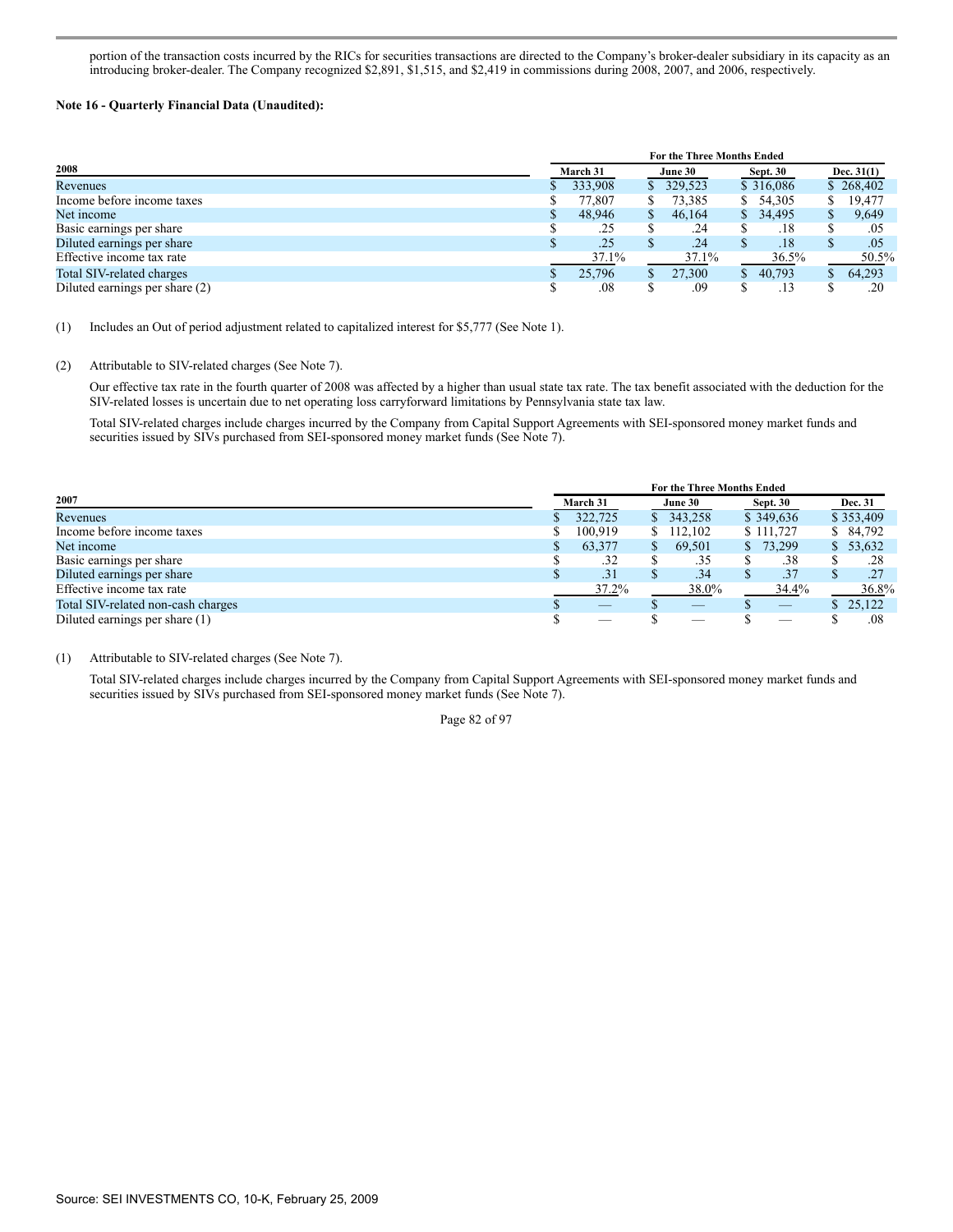portion of the transaction costs incurred by the RICs for securities transactions are directed to the Company's broker-dealer subsidiary in its capacity as an introducing broker-dealer. The Company recognized \$2,891, \$1,515, and \$2,419 in commissions during 2008, 2007, and 2006, respectively.

## **Note 16 - Quarterly Financial Data (Unaudited):**

|                                | <b>For the Three Months Ended</b> |          |    |           |                 |            |    |              |  |  |
|--------------------------------|-----------------------------------|----------|----|-----------|-----------------|------------|----|--------------|--|--|
| 2008                           |                                   | March 31 |    | June 30   | <b>Sept. 30</b> |            |    | Dec. $31(1)$ |  |  |
| Revenues                       |                                   | 333,908  |    | \$329,523 |                 | \$ 316,086 |    | \$268,402    |  |  |
| Income before income taxes     |                                   | 77,807   |    | 73,385    |                 | \$54,305   |    | 19,477       |  |  |
| Net income                     |                                   | 48,946   | S. | 46,164    |                 | \$34,495   |    | 9,649        |  |  |
| Basic earnings per share       |                                   | .25      |    | .24       |                 | .18        |    | .05          |  |  |
| Diluted earnings per share     | \$                                | .25      |    | .24       |                 | .18        |    | .05          |  |  |
| Effective income tax rate      |                                   | 37.1%    |    | 37.1%     |                 | 36.5%      |    | 50.5%        |  |  |
| Total SIV-related charges      |                                   | 25,796   |    | 27,300    | <sup>\$</sup>   | 40.793     | S. | 64,293       |  |  |
| Diluted earnings per share (2) |                                   | .08      |    | .09       |                 |            |    | .20          |  |  |

(1) Includes an Out of period adjustment related to capitalized interest for \$5,777 (See Note 1).

## (2) Attributable to SIV-related charges (See Note 7).

Our effective tax rate in the fourth quarter of 2008 was affected by a higher than usual state tax rate. The tax benefit associated with the deduction for the SIV-related losses is uncertain due to net operating loss carryforward limitations by Pennsylvania state tax law.

Total SIV-related charges include charges incurred by the Company from Capital Support Agreements with SEI-sponsored money market funds and securities issued by SIVs purchased from SEI-sponsored money market funds (See Note 7).

|                                    | <b>For the Three Months Ended</b> |         |    |           |                 |           |  |           |  |  |
|------------------------------------|-----------------------------------|---------|----|-----------|-----------------|-----------|--|-----------|--|--|
| 2007                               | March 31                          |         |    | June 30   | <b>Sept. 30</b> |           |  | Dec. 31   |  |  |
| Revenues                           |                                   | 322,725 |    | \$343,258 |                 | \$349,636 |  | \$353,409 |  |  |
| Income before income taxes         |                                   | 100,919 |    | \$112,102 |                 | \$111,727 |  | \$84,792  |  |  |
| Net income                         |                                   | 63,377  | \$ | 69,501    |                 | \$73,299  |  | \$53,632  |  |  |
| Basic earnings per share           |                                   | .32     |    | .35       |                 | .38       |  | .28       |  |  |
| Diluted earnings per share         |                                   | .31     |    | .34       |                 | .37       |  | .27       |  |  |
| Effective income tax rate          |                                   | 37.2%   |    | 38.0%     |                 | 34.4%     |  | 36.8%     |  |  |
| Total SIV-related non-cash charges |                                   |         |    |           |                 |           |  | \$25.122  |  |  |
| Diluted earnings per share (1)     |                                   |         |    |           |                 |           |  | .08       |  |  |

# (1) Attributable to SIV-related charges (See Note 7).

Total SIV-related charges include charges incurred by the Company from Capital Support Agreements with SEI-sponsored money market funds and securities issued by SIVs purchased from SEI-sponsored money market funds (See Note 7).

Page 82 of 97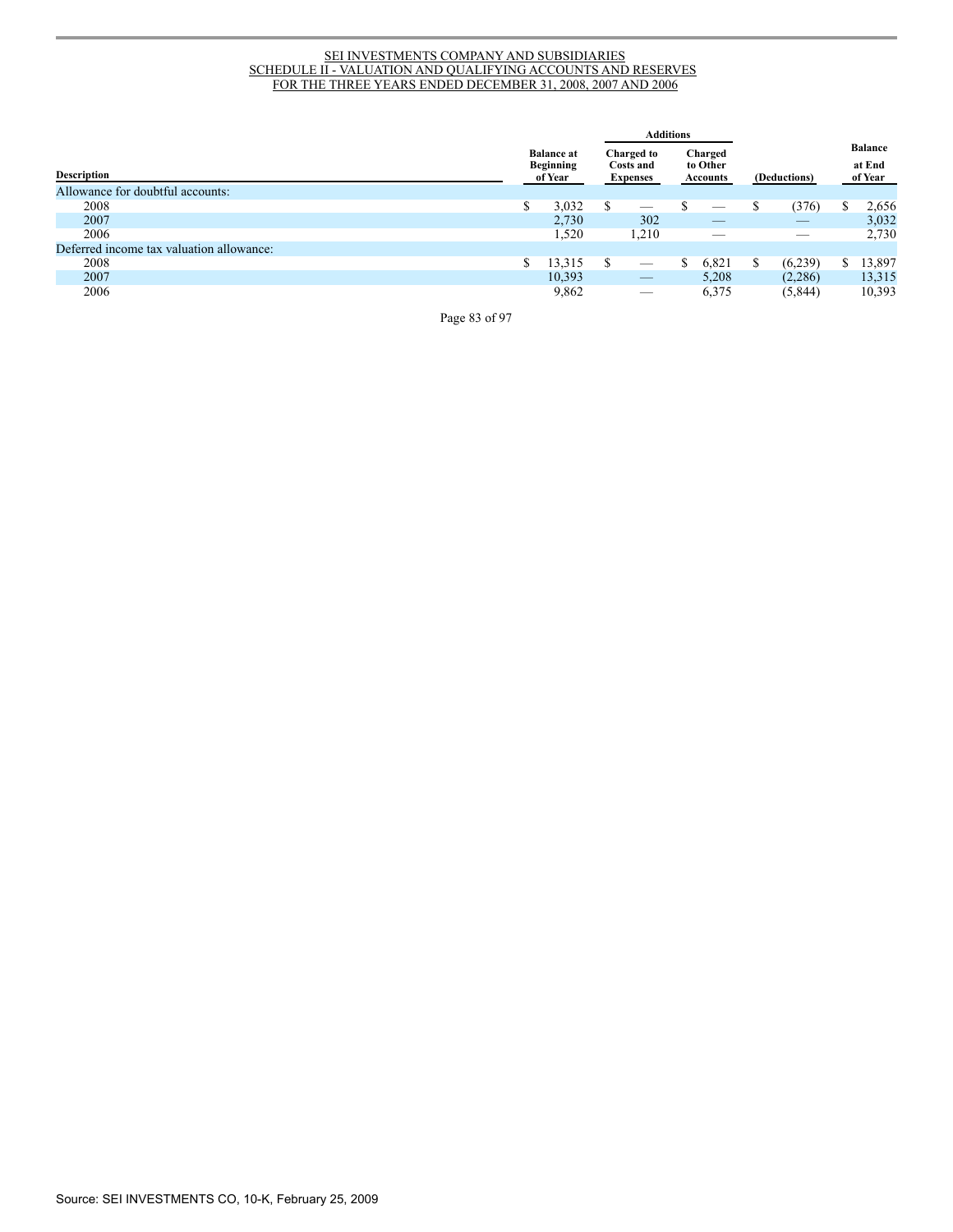## SEI INVESTMENTS COMPANY AND SUBSIDIARIES SCHEDULE II - VALUATION AND QUALIFYING ACCOUNTS AND RESERVES FOR THE THREE YEARS ENDED DECEMBER 31, 2008, 2007 AND 2006

<span id="page-89-0"></span>

|                                          | <b>Additions</b>                                 |    |                                                   |                                 |   |              |    |                                     |
|------------------------------------------|--------------------------------------------------|----|---------------------------------------------------|---------------------------------|---|--------------|----|-------------------------------------|
| <b>Description</b>                       | <b>Balance</b> at<br><b>Beginning</b><br>of Year |    | <b>Charged to</b><br>Costs and<br><b>Expenses</b> | Charged<br>to Other<br>Accounts |   | (Deductions) |    | <b>Balance</b><br>at End<br>of Year |
| Allowance for doubtful accounts:         |                                                  |    |                                                   |                                 |   |              |    |                                     |
| 2008                                     | 3,032                                            | ъ. |                                                   |                                 |   | (376)        | S  | 2,656                               |
| 2007                                     | 2,730                                            |    | 302                                               |                                 |   | $\sim$       |    | 3,032                               |
| 2006                                     | 1,520                                            |    | 1,210                                             |                                 |   |              |    | 2,730                               |
| Deferred income tax valuation allowance: |                                                  |    |                                                   |                                 |   |              |    |                                     |
| 2008                                     | 13,315                                           |    |                                                   | 6,821                           | S | (6,239)      | S. | 13,897                              |
| 2007                                     | 10,393                                           |    | $\overline{\phantom{a}}$                          | 5,208                           |   | (2,286)      |    | 13,315                              |
| 2006                                     | 9,862                                            |    |                                                   | 6,375                           |   | (5, 844)     |    | 10,393                              |

Page 83 of 97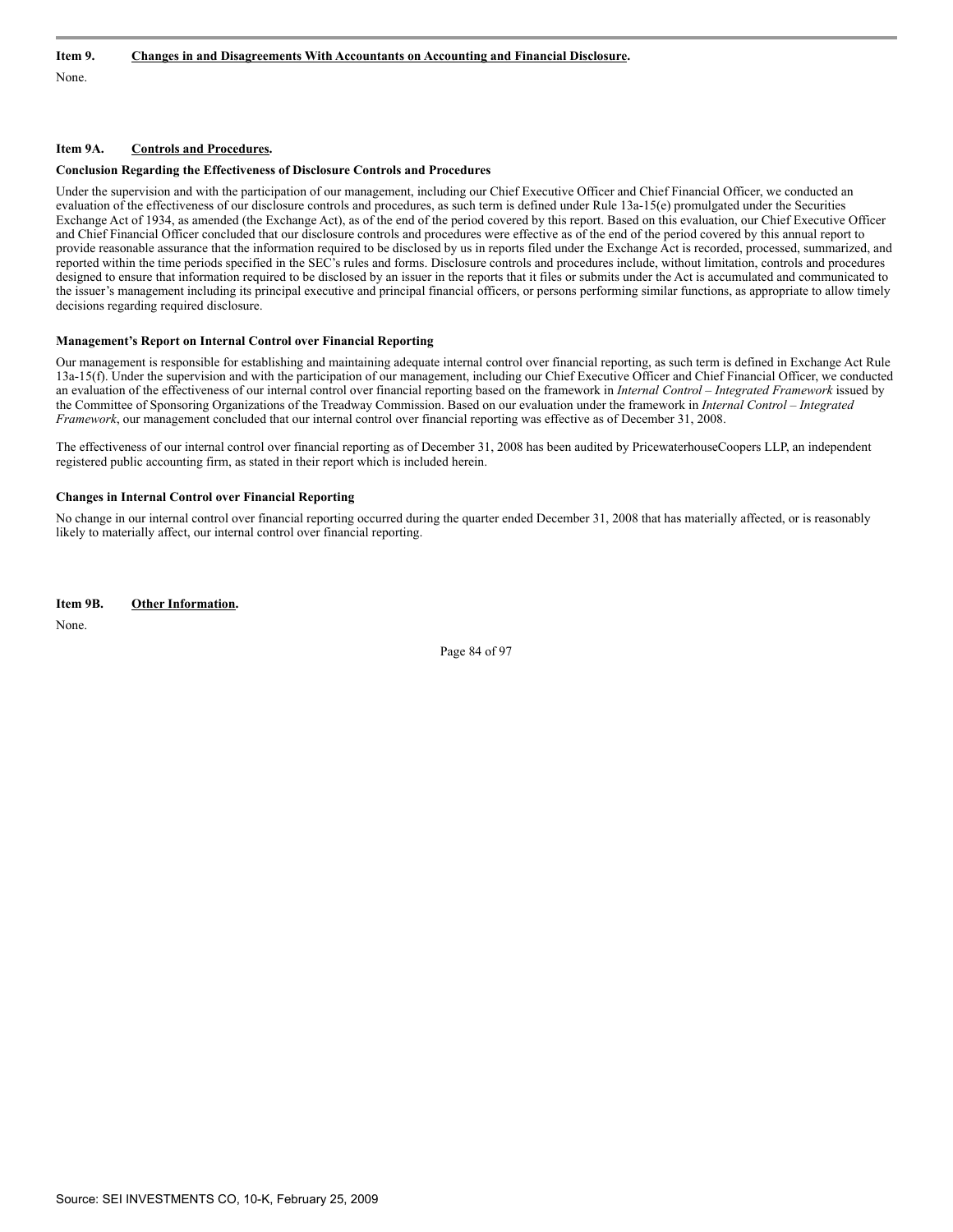None.

# **Item 9A. Controls and Procedures.**

#### **Conclusion Regarding the Effectiveness of Disclosure Controls and Procedures**

Under the supervision and with the participation of our management, including our Chief Executive Officer and Chief Financial Officer, we conducted an evaluation of the effectiveness of our disclosure controls and procedures, as such term is defined under Rule 13a-15(e) promulgated under the Securities Exchange Act of 1934, as amended (the Exchange Act), as of the end of the period covered by this report. Based on this evaluation, our Chief Executive Officer and Chief Financial Officer concluded that our disclosure controls and procedures were effective as of the end of the period covered by this annual report to provide reasonable assurance that the information required to be disclosed by us in reports filed under the Exchange Act is recorded, processed, summarized, and reported within the time periods specified in the SEC's rules and forms. Disclosure controls and procedures include, without limitation, controls and procedures designed to ensure that information required to be disclosed by an issuer in the reports that it files or submits under the Act is accumulated and communicated to the issuer's management including its principal executive and principal financial officers, or persons performing similar functions, as appropriate to allow timely decisions regarding required disclosure.

#### **Management's Report on Internal Control over Financial Reporting**

Our management is responsible for establishing and maintaining adequate internal control over financial reporting, as such term is defined in Exchange Act Rule 13a-15(f). Under the supervision and with the participation of our management, including our Chief Executive Officer and Chief Financial Officer, we conducted an evaluation of the effectiveness of our internal control over financial reporting based on the framework in *Internal Control – Integrated Framework* issued by the Committee of Sponsoring Organizations of the Treadway Commission. Based on our evaluation under the framework in *Internal Control – Integrated Framework*, our management concluded that our internal control over financial reporting was effective as of December 31, 2008.

The effectiveness of our internal control over financial reporting as of December 31, 2008 has been audited by PricewaterhouseCoopers LLP, an independent registered public accounting firm, as stated in their report which is included herein.

#### **Changes in Internal Control over Financial Reporting**

No change in our internal control over financial reporting occurred during the quarter ended December 31, 2008 that has materially affected, or is reasonably likely to materially affect, our internal control over financial reporting.

**Item 9B. Other Information.**

None.

Page 84 of 97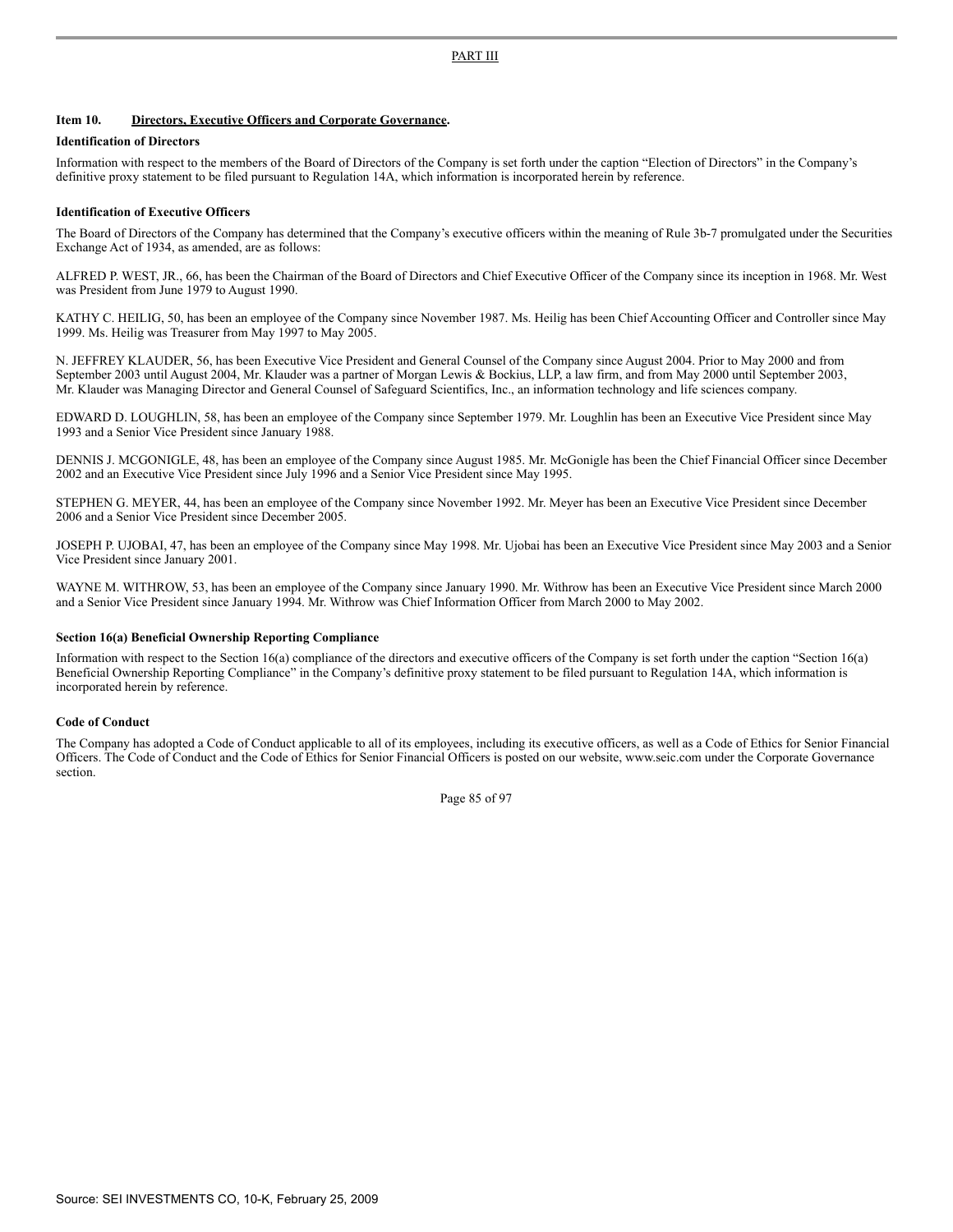# PART III

## **Item 10. Directors, Executive Officers and Corporate Governance.**

#### **Identification of Directors**

Information with respect to the members of the Board of Directors of the Company is set forth under the caption "Election of Directors" in the Company's definitive proxy statement to be filed pursuant to Regulation 14A, which information is incorporated herein by reference.

## **Identification of Executive Officers**

The Board of Directors of the Company has determined that the Company's executive officers within the meaning of Rule 3b-7 promulgated under the Securities Exchange Act of 1934, as amended, are as follows:

ALFRED P. WEST, JR., 66, has been the Chairman of the Board of Directors and Chief Executive Officer of the Company since its inception in 1968. Mr. West was President from June 1979 to August 1990.

KATHY C. HEILIG, 50, has been an employee of the Company since November 1987. Ms. Heilig has been Chief Accounting Officer and Controller since May 1999. Ms. Heilig was Treasurer from May 1997 to May 2005.

N. JEFFREY KLAUDER, 56, has been Executive Vice President and General Counsel of the Company since August 2004. Prior to May 2000 and from September 2003 until August 2004, Mr. Klauder was a partner of Morgan Lewis & Bockius, LLP, a law firm, and from May 2000 until September 2003, Mr. Klauder was Managing Director and General Counsel of Safeguard Scientifics, Inc., an information technology and life sciences company.

EDWARD D. LOUGHLIN, 58, has been an employee of the Company since September 1979. Mr. Loughlin has been an Executive Vice President since May 1993 and a Senior Vice President since January 1988.

DENNIS J. MCGONIGLE, 48, has been an employee of the Company since August 1985. Mr. McGonigle has been the Chief Financial Officer since December 2002 and an Executive Vice President since July 1996 and a Senior Vice President since May 1995.

STEPHEN G. MEYER, 44, has been an employee of the Company since November 1992. Mr. Meyer has been an Executive Vice President since December 2006 and a Senior Vice President since December 2005.

JOSEPH P. UJOBAI, 47, has been an employee of the Company since May 1998. Mr. Ujobai has been an Executive Vice President since May 2003 and a Senior Vice President since January 2001.

WAYNE M. WITHROW, 53, has been an employee of the Company since January 1990. Mr. Withrow has been an Executive Vice President since March 2000 and a Senior Vice President since January 1994. Mr. Withrow was Chief Information Officer from March 2000 to May 2002.

## **Section 16(a) Beneficial Ownership Reporting Compliance**

Information with respect to the Section 16(a) compliance of the directors and executive officers of the Company is set forth under the caption "Section 16(a) Beneficial Ownership Reporting Compliance" in the Company's definitive proxy statement to be filed pursuant to Regulation 14A, which information is incorporated herein by reference.

#### **Code of Conduct**

The Company has adopted a Code of Conduct applicable to all of its employees, including its executive officers, as well as a Code of Ethics for Senior Financial Officers. The Code of Conduct and the Code of Ethics for Senior Financial Officers is posted on our website, www.seic.com under the Corporate Governance section.

Page 85 of 97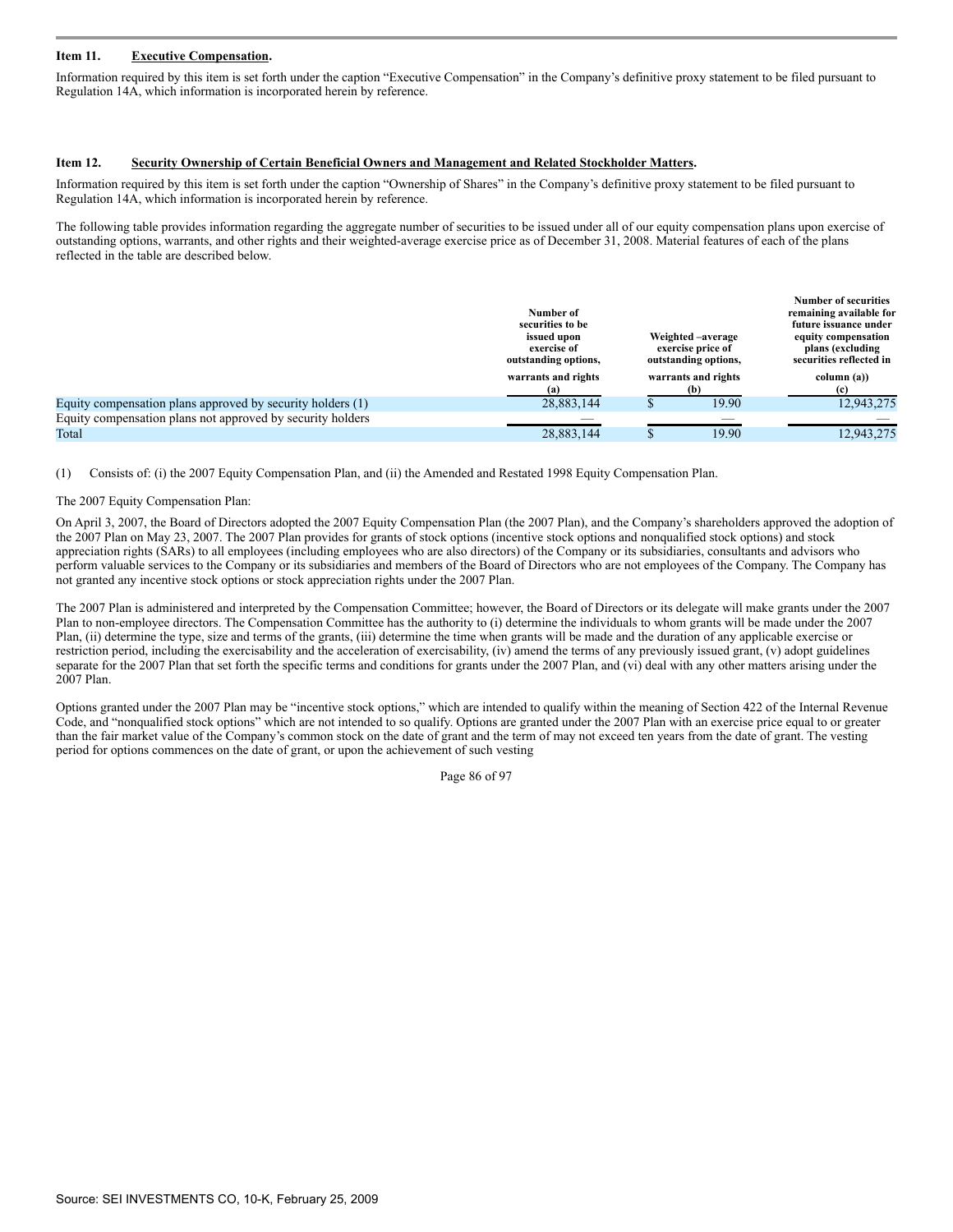## **Item 11. Executive Compensation.**

Information required by this item is set forth under the caption "Executive Compensation" in the Company's definitive proxy statement to be filed pursuant to Regulation 14A, which information is incorporated herein by reference.

## **Item 12. Security Ownership of Certain Beneficial Owners and Management and Related Stockholder Matters.**

Information required by this item is set forth under the caption "Ownership of Shares" in the Company's definitive proxy statement to be filed pursuant to Regulation 14A, which information is incorporated herein by reference.

The following table provides information regarding the aggregate number of securities to be issued under all of our equity compensation plans upon exercise of outstanding options, warrants, and other rights and their weighted-average exercise price as of December 31, 2008. Material features of each of the plans reflected in the table are described below.

|                                                            | Number of<br>securities to be<br>issued upon<br>exercise of<br>outstanding options, |  | Weighted –average<br>exercise price of<br>outstanding options, | <b>Number of securities</b><br>remaining available for<br>future issuance under<br>equity compensation<br>plans (excluding<br>securities reflected in |  |
|------------------------------------------------------------|-------------------------------------------------------------------------------------|--|----------------------------------------------------------------|-------------------------------------------------------------------------------------------------------------------------------------------------------|--|
|                                                            | warrants and rights<br>(a)                                                          |  | warrants and rights<br>(h                                      | column (a))<br>$\left( \mathbf{c} \right)$                                                                                                            |  |
| Equity compensation plans approved by security holders (1) | 28,883,144                                                                          |  | 19.90                                                          | 12,943,275                                                                                                                                            |  |
| Equity compensation plans not approved by security holders |                                                                                     |  |                                                                |                                                                                                                                                       |  |
| Total                                                      | 28.883.144                                                                          |  | 19.90                                                          | 12.943.275                                                                                                                                            |  |

(1) Consists of: (i) the 2007 Equity Compensation Plan, and (ii) the Amended and Restated 1998 Equity Compensation Plan.

## The 2007 Equity Compensation Plan:

On April 3, 2007, the Board of Directors adopted the 2007 Equity Compensation Plan (the 2007 Plan), and the Company's shareholders approved the adoption of the 2007 Plan on May 23, 2007. The 2007 Plan provides for grants of stock options (incentive stock options and nonqualified stock options) and stock appreciation rights (SARs) to all employees (including employees who are also directors) of the Company or its subsidiaries, consultants and advisors who perform valuable services to the Company or its subsidiaries and members of the Board of Directors who are not employees of the Company. The Company has not granted any incentive stock options or stock appreciation rights under the 2007 Plan.

The 2007 Plan is administered and interpreted by the Compensation Committee; however, the Board of Directors or its delegate will make grants under the 2007 Plan to non-employee directors. The Compensation Committee has the authority to (i) determine the individuals to whom grants will be made under the 2007 Plan, (ii) determine the type, size and terms of the grants, (iii) determine the time when grants will be made and the duration of any applicable exercise or restriction period, including the exercisability and the acceleration of exercisability, (iv) amend the terms of any previously issued grant, (v) adopt guidelines separate for the 2007 Plan that set forth the specific terms and conditions for grants under the 2007 Plan, and (vi) deal with any other matters arising under the 2007 Plan.

Options granted under the 2007 Plan may be "incentive stock options," which are intended to qualify within the meaning of Section 422 of the Internal Revenue Code, and "nonqualified stock options" which are not intended to so qualify. Options are granted under the 2007 Plan with an exercise price equal to or greater than the fair market value of the Company's common stock on the date of grant and the term of may not exceed ten years from the date of grant. The vesting period for options commences on the date of grant, or upon the achievement of such vesting

Page 86 of 97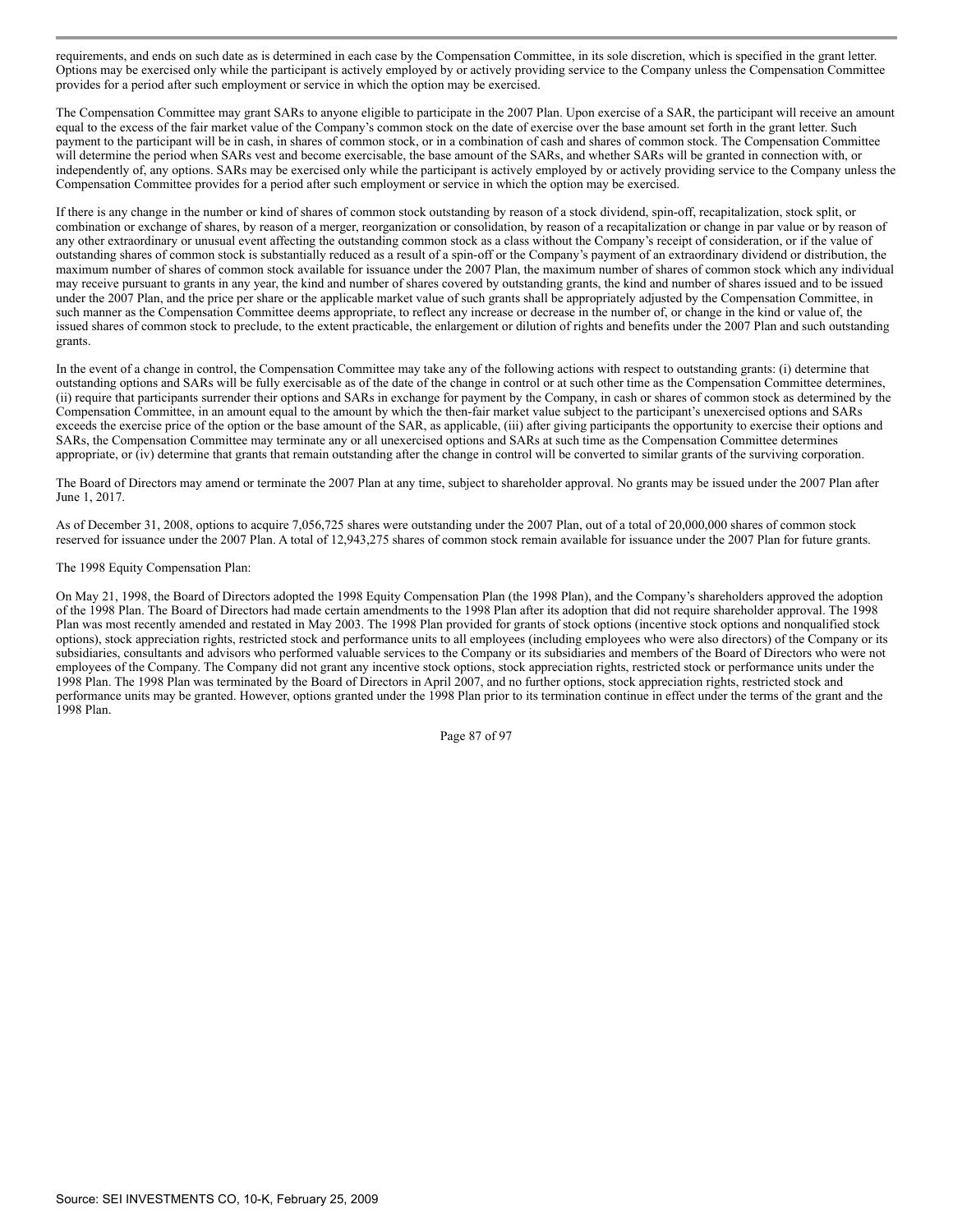requirements, and ends on such date as is determined in each case by the Compensation Committee, in its sole discretion, which is specified in the grant letter. Options may be exercised only while the participant is actively employed by or actively providing service to the Company unless the Compensation Committee provides for a period after such employment or service in which the option may be exercised.

The Compensation Committee may grant SARs to anyone eligible to participate in the 2007 Plan. Upon exercise of a SAR, the participant will receive an amount equal to the excess of the fair market value of the Company's common stock on the date of exercise over the base amount set forth in the grant letter. Such payment to the participant will be in cash, in shares of common stock, or in a combination of cash and shares of common stock. The Compensation Committee will determine the period when SARs vest and become exercisable, the base amount of the SARs, and whether SARs will be granted in connection with, or independently of, any options. SARs may be exercised only while the participant is actively employed by or actively providing service to the Company unless the Compensation Committee provides for a period after such employment or service in which the option may be exercised.

If there is any change in the number or kind of shares of common stock outstanding by reason of a stock dividend, spin-off, recapitalization, stock split, or combination or exchange of shares, by reason of a merger, reorganization or consolidation, by reason of a recapitalization or change in par value or by reason of any other extraordinary or unusual event affecting the outstanding common stock as a class without the Company's receipt of consideration, or if the value of outstanding shares of common stock is substantially reduced as a result of a spin-off or the Company's payment of an extraordinary dividend or distribution, the maximum number of shares of common stock available for issuance under the 2007 Plan, the maximum number of shares of common stock which any individual may receive pursuant to grants in any year, the kind and number of shares covered by outstanding grants, the kind and number of shares issued and to be issued under the 2007 Plan, and the price per share or the applicable market value of such grants shall be appropriately adjusted by the Compensation Committee, in such manner as the Compensation Committee deems appropriate, to reflect any increase or decrease in the number of, or change in the kind or value of, the issued shares of common stock to preclude, to the extent practicable, the enlargement or dilution of rights and benefits under the 2007 Plan and such outstanding grants.

In the event of a change in control, the Compensation Committee may take any of the following actions with respect to outstanding grants: (i) determine that outstanding options and SARs will be fully exercisable as of the date of the change in control or at such other time as the Compensation Committee determines, (ii) require that participants surrender their options and SARs in exchange for payment by the Company, in cash or shares of common stock as determined by the Compensation Committee, in an amount equal to the amount by which the then-fair market value subject to the participant's unexercised options and SARs exceeds the exercise price of the option or the base amount of the SAR, as applicable, (iii) after giving participants the opportunity to exercise their options and SARs, the Compensation Committee may terminate any or all unexercised options and SARs at such time as the Compensation Committee determines appropriate, or (iv) determine that grants that remain outstanding after the change in control will be converted to similar grants of the surviving corporation.

The Board of Directors may amend or terminate the 2007 Plan at any time, subject to shareholder approval. No grants may be issued under the 2007 Plan after June 1, 2017.

As of December 31, 2008, options to acquire 7,056,725 shares were outstanding under the 2007 Plan, out of a total of 20,000,000 shares of common stock reserved for issuance under the 2007 Plan. A total of 12,943,275 shares of common stock remain available for issuance under the 2007 Plan for future grants.

## The 1998 Equity Compensation Plan:

On May 21, 1998, the Board of Directors adopted the 1998 Equity Compensation Plan (the 1998 Plan), and the Company's shareholders approved the adoption of the 1998 Plan. The Board of Directors had made certain amendments to the 1998 Plan after its adoption that did not require shareholder approval. The 1998 Plan was most recently amended and restated in May 2003. The 1998 Plan provided for grants of stock options (incentive stock options and nonqualified stock options), stock appreciation rights, restricted stock and performance units to all employees (including employees who were also directors) of the Company or its subsidiaries, consultants and advisors who performed valuable services to the Company or its subsidiaries and members of the Board of Directors who were not employees of the Company. The Company did not grant any incentive stock options, stock appreciation rights, restricted stock or performance units under the 1998 Plan. The 1998 Plan was terminated by the Board of Directors in April 2007, and no further options, stock appreciation rights, restricted stock and performance units may be granted. However, options granted under the 1998 Plan prior to its termination continue in effect under the terms of the grant and the 1998 Plan.

Page 87 of 97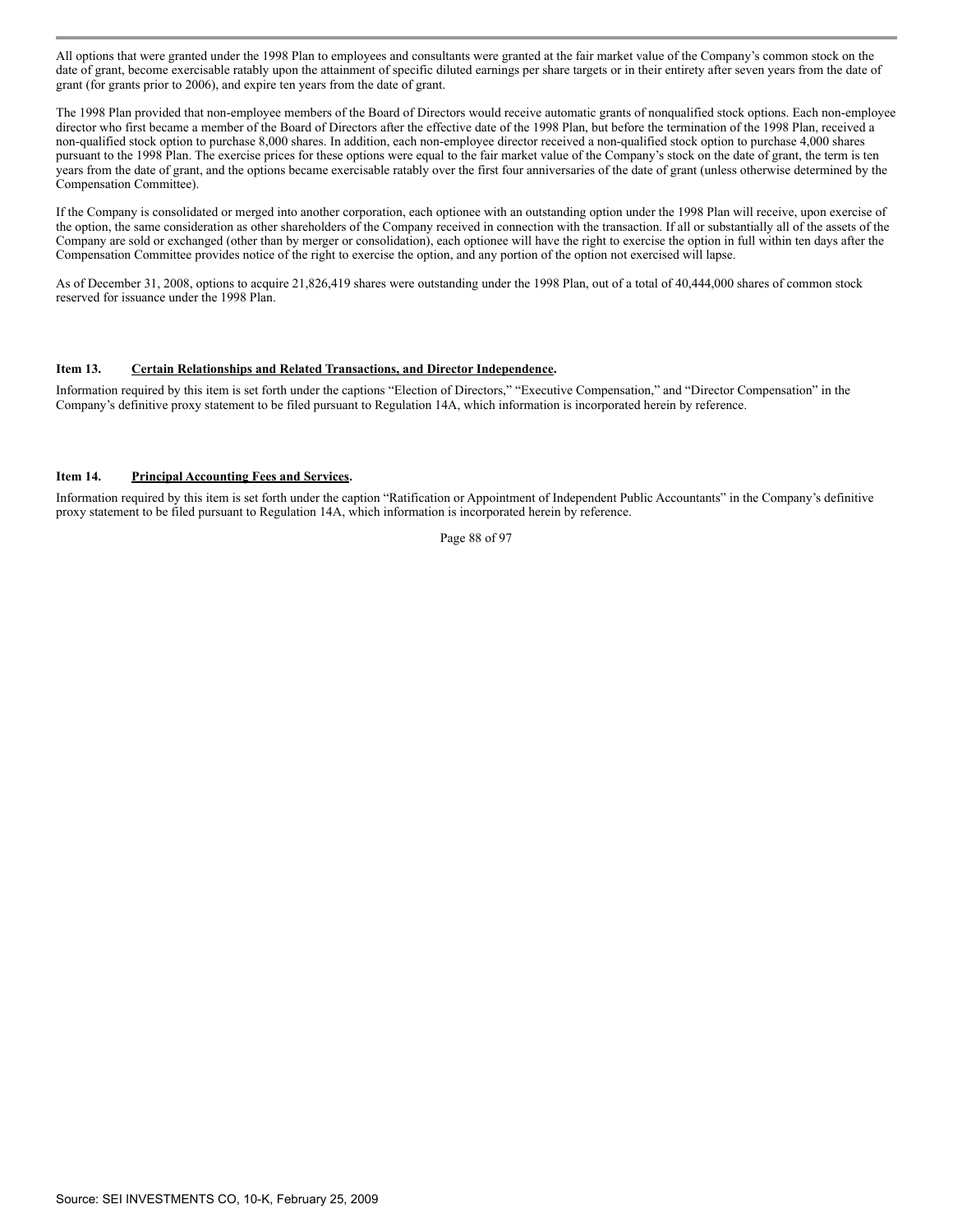All options that were granted under the 1998 Plan to employees and consultants were granted at the fair market value of the Company's common stock on the date of grant, become exercisable ratably upon the attainment of specific diluted earnings per share targets or in their entirety after seven years from the date of grant (for grants prior to 2006), and expire ten years from the date of grant.

The 1998 Plan provided that non-employee members of the Board of Directors would receive automatic grants of nonqualified stock options. Each non-employee director who first became a member of the Board of Directors after the effective date of the 1998 Plan, but before the termination of the 1998 Plan, received a non-qualified stock option to purchase 8,000 shares. In addition, each non-employee director received a non-qualified stock option to purchase 4,000 shares pursuant to the 1998 Plan. The exercise prices for these options were equal to the fair market value of the Company's stock on the date of grant, the term is ten years from the date of grant, and the options became exercisable ratably over the first four anniversaries of the date of grant (unless otherwise determined by the Compensation Committee).

If the Company is consolidated or merged into another corporation, each optionee with an outstanding option under the 1998 Plan will receive, upon exercise of the option, the same consideration as other shareholders of the Company received in connection with the transaction. If all or substantially all of the assets of the Company are sold or exchanged (other than by merger or consolidation), each optionee will have the right to exercise the option in full within ten days after the Compensation Committee provides notice of the right to exercise the option, and any portion of the option not exercised will lapse.

As of December 31, 2008, options to acquire 21,826,419 shares were outstanding under the 1998 Plan, out of a total of 40,444,000 shares of common stock reserved for issuance under the 1998 Plan.

## **Item 13. Certain Relationships and Related Transactions, and Director Independence.**

Information required by this item is set forth under the captions "Election of Directors," "Executive Compensation," and "Director Compensation" in the Company's definitive proxy statement to be filed pursuant to Regulation 14A, which information is incorporated herein by reference.

## **Item 14. Principal Accounting Fees and Services.**

Information required by this item is set forth under the caption "Ratification or Appointment of Independent Public Accountants" in the Company's definitive proxy statement to be filed pursuant to Regulation 14A, which information is incorporated herein by reference.

Page 88 of 97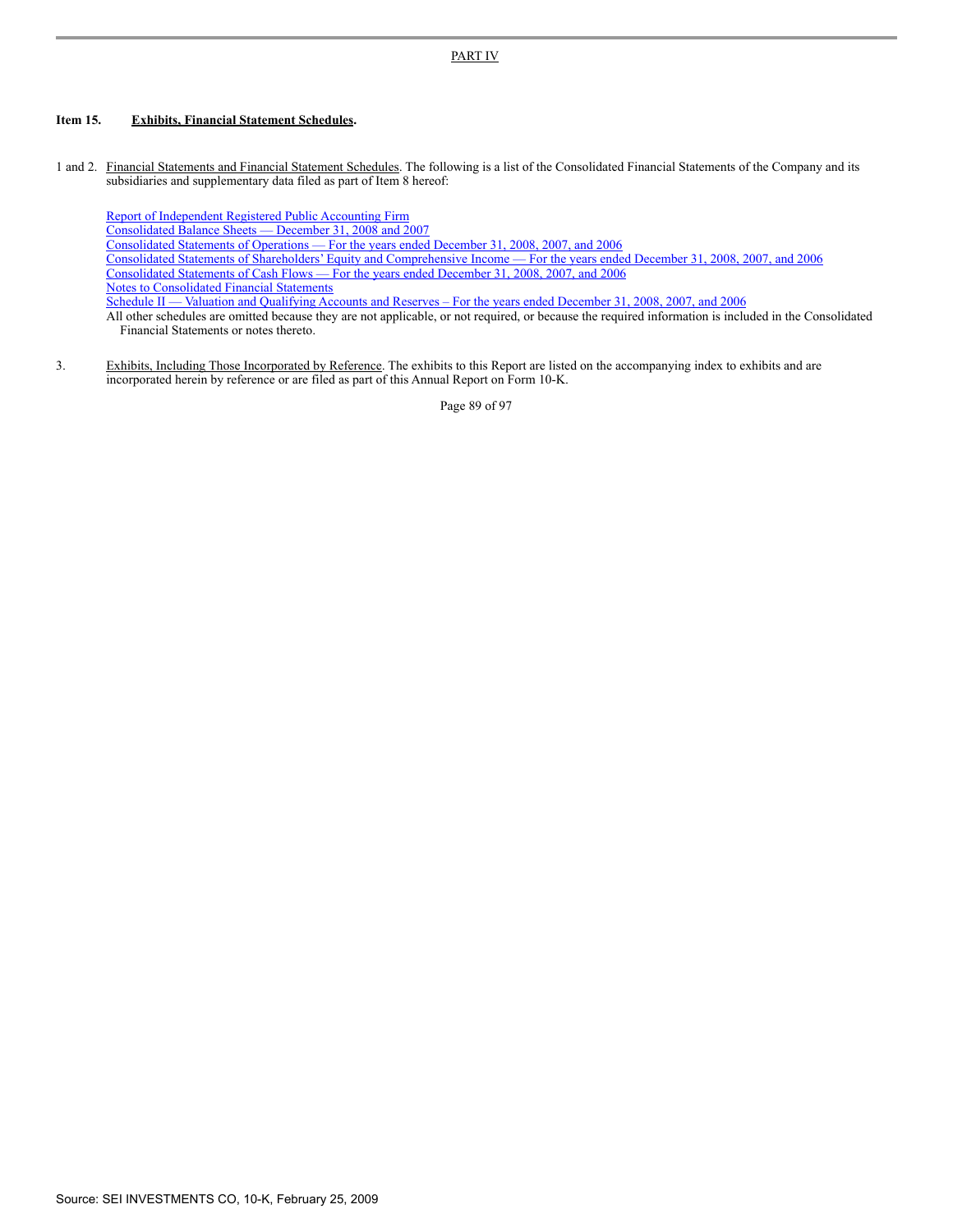# **Item 15. Exhibits, Financial Statement Schedules.**

1 and 2. **Financial Statements and Financial Statement Schedules**. The following is a list of the Consolidated Financial Statements of the Company and its subsidiaries and supplementary data filed as part of Item 8 hereof:

 [Report of Independent Registered Public Accounting Firm](#page-49-0) [Consolidated Balance Sheets — December 31, 2008 and 2007](#page-50-0) [Consolidated Statements of Operations — For the years ended December 31, 2008, 2007, and 2006](#page-52-0) [Consolidated Statements of Shareholders' Equity and Comprehensive Income — For the years ended December 31, 2008, 2007, and 2006](#page-53-0) [Consolidated Statements of Cash Flows — For the years ended December 31, 2008, 2007, and 2006](#page-55-0) [Notes to Consolidated Financial Statements](#page-57-0) [Schedule II — Valuation and Qualifying Accounts and Reserves – For the years ended December 31, 2008, 2007, and 2006](#page-89-0) All other schedules are omitted because they are not applicable, or not required, or because the required information is included in the Consolidated Financial Statements or notes thereto.

3. Exhibits, Including Those Incorporated by Reference. The exhibits to this Report are listed on the accompanying index to exhibits and are incorporated herein by reference or are filed as part of this Annual Report on Form 10-K.

Page 89 of 97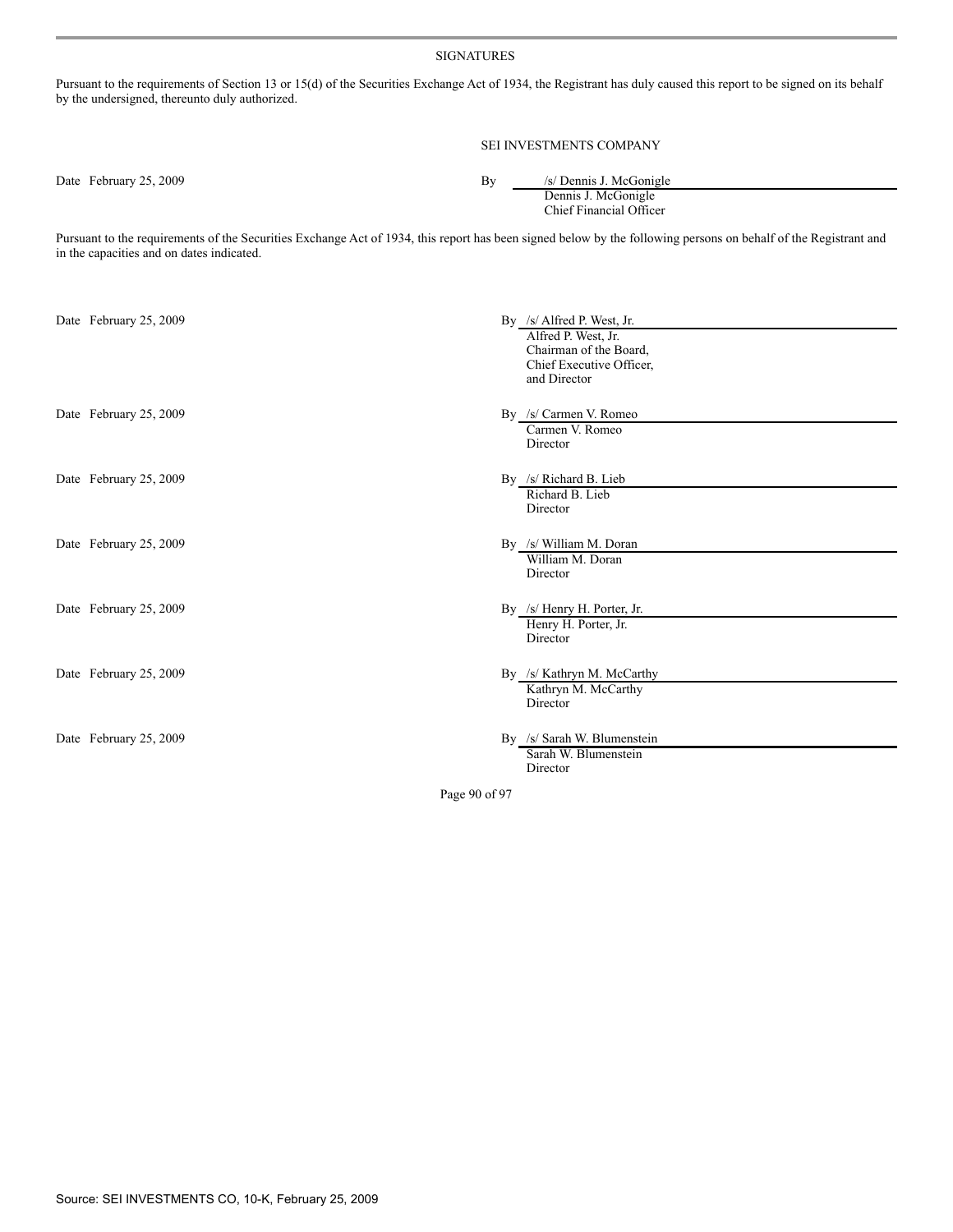#### SIGNATURES

Pursuant to the requirements of Section 13 or 15(d) of the Securities Exchange Act of 1934, the Registrant has duly caused this report to be signed on its behalf by the undersigned, thereunto duly authorized.

SEI INVESTMENTS COMPANY Date February 25, 2009 By /s/ Dennis J. McGonigle Dennis J. McGonigle Chief Financial Officer Pursuant to the requirements of the Securities Exchange Act of 1934, this report has been signed below by the following persons on behalf of the Registrant and in the capacities and on dates indicated. Date February 25, 2009 By /s/ Alfred P. West, Jr. Alfred P. West, Jr. Chairman of the Board, Chief Executive Officer, and Director Date February 25, 2009 By /s/ Carmen V. Romeo Carmen V. Romeo Director Date February 25, 2009 By /s/ Richard B. Lieb Richard B. Lieb Director Date February 25, 2009 By /s/ William M. Doran William M. Doran Director Date February 25, 2009 By /s/ Henry H. Porter, Jr. Henry H. Porter, Jr. Director Date February 25, 2009 By /s/ Kathryn M. McCarthy Kathryn M. McCarthy Director Date February 25, 2009 By /s/ Sarah W. Blumenstein Sarah W. Blumenstein Director

Page 90 of 97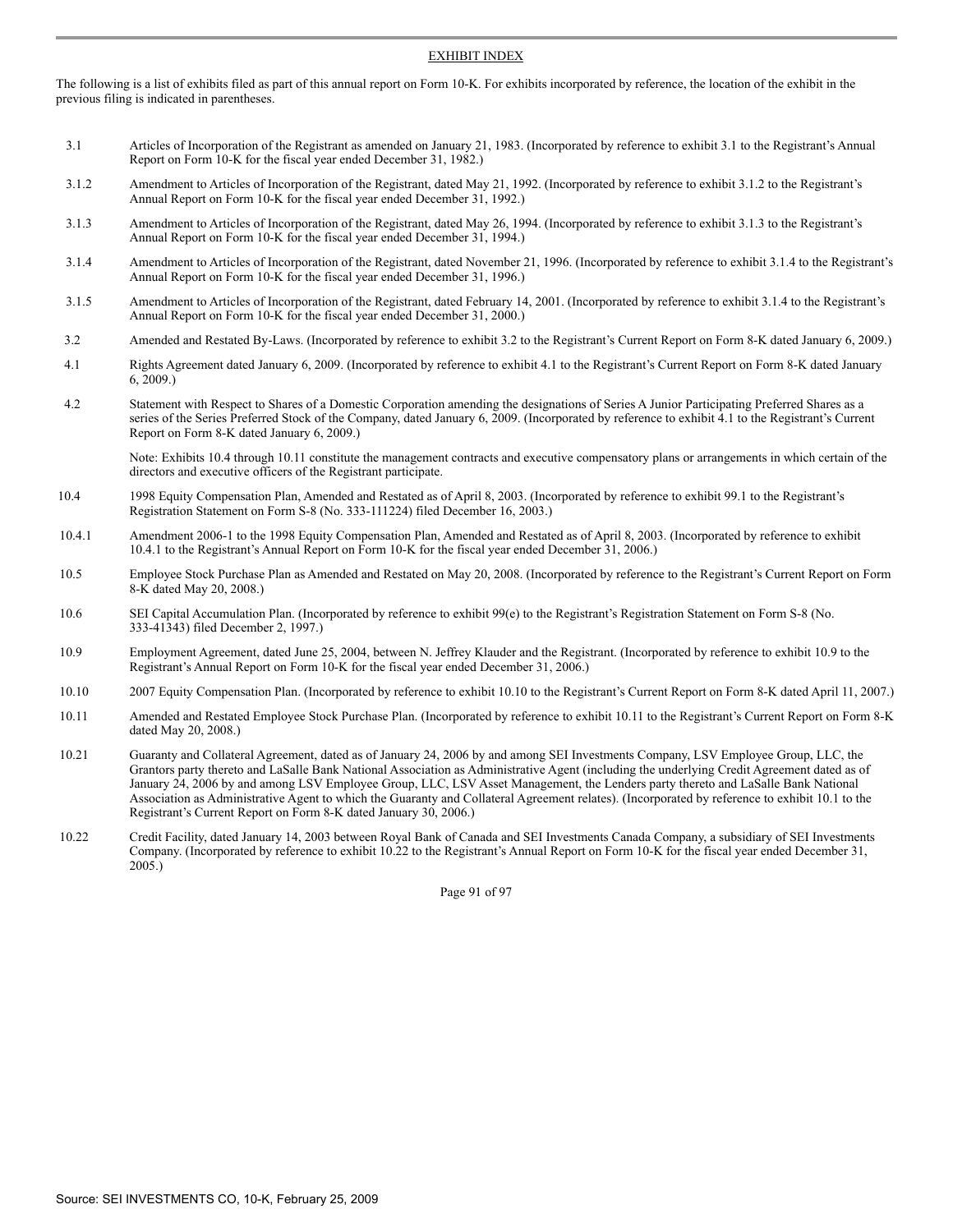## EXHIBIT INDEX

The following is a list of exhibits filed as part of this annual report on Form 10-K. For exhibits incorporated by reference, the location of the exhibit in the previous filing is indicated in parentheses.

- 3.1 Articles of Incorporation of the Registrant as amended on January 21, 1983. (Incorporated by reference to exhibit 3.1 to the Registrant's Annual Report on Form 10-K for the fiscal year ended December 31, 1982.)
- 3.1.2 Amendment to Articles of Incorporation of the Registrant, dated May 21, 1992. (Incorporated by reference to exhibit 3.1.2 to the Registrant's Annual Report on Form 10-K for the fiscal year ended December 31, 1992.)
- 3.1.3 Amendment to Articles of Incorporation of the Registrant, dated May 26, 1994. (Incorporated by reference to exhibit 3.1.3 to the Registrant's Annual Report on Form 10-K for the fiscal year ended December 31, 1994.)
- 3.1.4 Amendment to Articles of Incorporation of the Registrant, dated November 21, 1996. (Incorporated by reference to exhibit 3.1.4 to the Registrant's Annual Report on Form 10-K for the fiscal year ended December 31, 1996.)
- 3.1.5 Amendment to Articles of Incorporation of the Registrant, dated February 14, 2001. (Incorporated by reference to exhibit 3.1.4 to the Registrant's Annual Report on Form 10-K for the fiscal year ended December 31, 2000.)
- 3.2 Amended and Restated By-Laws. (Incorporated by reference to exhibit 3.2 to the Registrant's Current Report on Form 8-K dated January 6, 2009.)
- 4.1 Rights Agreement dated January 6, 2009. (Incorporated by reference to exhibit 4.1 to the Registrant's Current Report on Form 8-K dated January 6, 2009.)
- 4.2 Statement with Respect to Shares of a Domestic Corporation amending the designations of Series A Junior Participating Preferred Shares as a series of the Series Preferred Stock of the Company, dated January 6, 2009. (Incorporated by reference to exhibit 4.1 to the Registrant's Current Report on Form 8-K dated January 6, 2009.)

Note: Exhibits 10.4 through 10.11 constitute the management contracts and executive compensatory plans or arrangements in which certain of the directors and executive officers of the Registrant participate.

- 10.4 1998 Equity Compensation Plan, Amended and Restated as of April 8, 2003. (Incorporated by reference to exhibit 99.1 to the Registrant's Registration Statement on Form S-8 (No. 333-111224) filed December 16, 2003.)
- 10.4.1 Amendment 2006-1 to the 1998 Equity Compensation Plan, Amended and Restated as of April 8, 2003. (Incorporated by reference to exhibit 10.4.1 to the Registrant's Annual Report on Form 10-K for the fiscal year ended December 31, 2006.)
- 10.5 Employee Stock Purchase Plan as Amended and Restated on May 20, 2008. (Incorporated by reference to the Registrant's Current Report on Form 8-K dated May 20, 2008.)
- 10.6 SEI Capital Accumulation Plan. (Incorporated by reference to exhibit 99(e) to the Registrant's Registration Statement on Form S-8 (No. 333-41343) filed December 2, 1997.)
- 10.9 Employment Agreement, dated June 25, 2004, between N. Jeffrey Klauder and the Registrant. (Incorporated by reference to exhibit 10.9 to the Registrant's Annual Report on Form 10-K for the fiscal year ended December 31, 2006.)
- 10.10 2007 Equity Compensation Plan. (Incorporated by reference to exhibit 10.10 to the Registrant's Current Report on Form 8-K dated April 11, 2007.)
- 10.11 Amended and Restated Employee Stock Purchase Plan. (Incorporated by reference to exhibit 10.11 to the Registrant's Current Report on Form 8-K dated May 20, 2008.)
- 10.21 Guaranty and Collateral Agreement, dated as of January 24, 2006 by and among SEI Investments Company, LSV Employee Group, LLC, the Grantors party thereto and LaSalle Bank National Association as Administrative Agent (including the underlying Credit Agreement dated as of January 24, 2006 by and among LSV Employee Group, LLC, LSV Asset Management, the Lenders party thereto and LaSalle Bank National Association as Administrative Agent to which the Guaranty and Collateral Agreement relates). (Incorporated by reference to exhibit 10.1 to the Registrant's Current Report on Form 8-K dated January 30, 2006.)
- 10.22 Credit Facility, dated January 14, 2003 between Royal Bank of Canada and SEI Investments Canada Company, a subsidiary of SEI Investments Company. (Incorporated by reference to exhibit 10.22 to the Registrant's Annual Report on Form 10-K for the fiscal year ended December 31, 2005.)

Page 91 of 97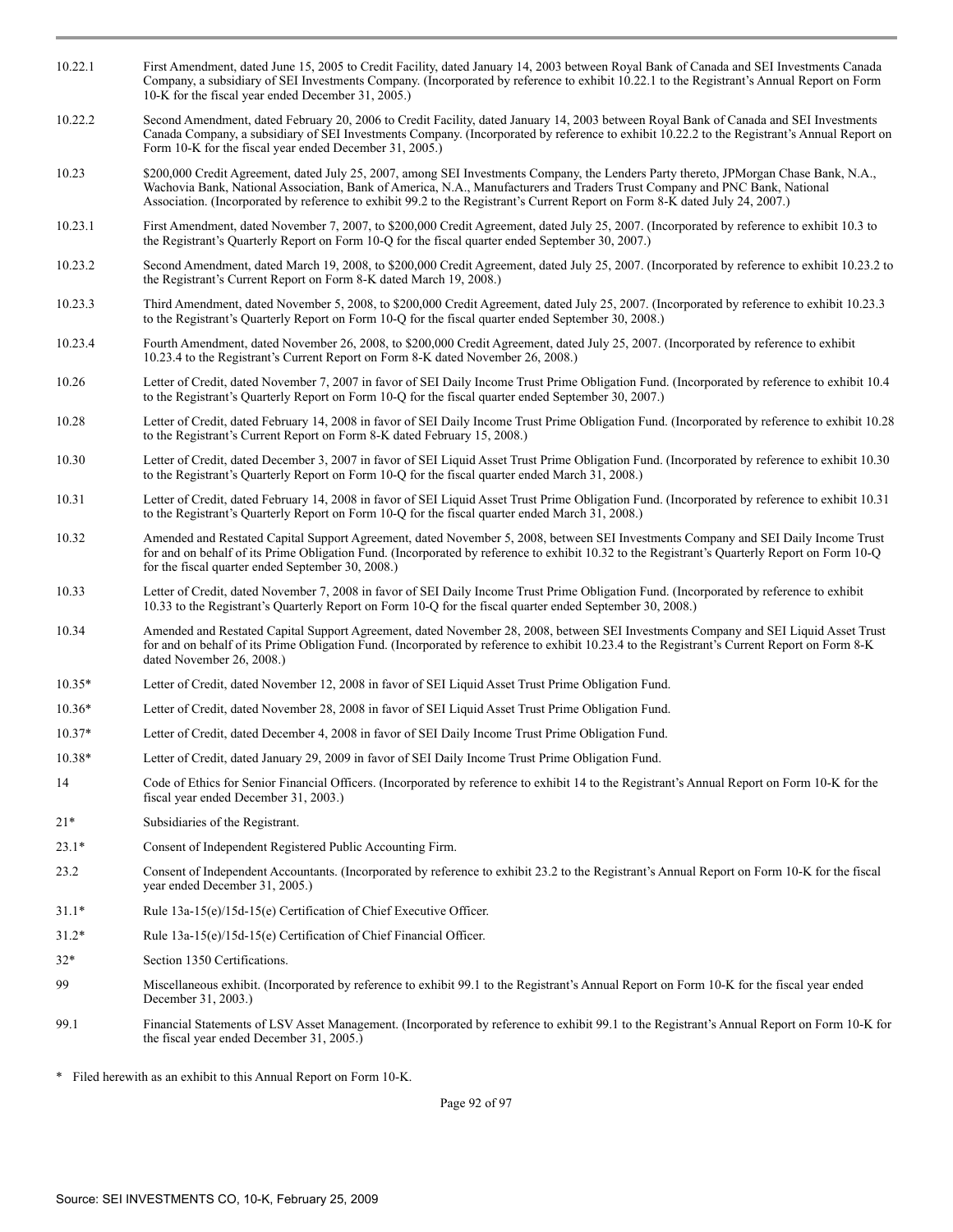- 10.22.1 First Amendment, dated June 15, 2005 to Credit Facility, dated January 14, 2003 between Royal Bank of Canada and SEI Investments Canada Company, a subsidiary of SEI Investments Company. (Incorporated by reference to exhibit 10.22.1 to the Registrant's Annual Report on Form 10-K for the fiscal year ended December 31, 2005.)
- 10.22.2 Second Amendment, dated February 20, 2006 to Credit Facility, dated January 14, 2003 between Royal Bank of Canada and SEI Investments Canada Company, a subsidiary of SEI Investments Company. (Incorporated by reference to exhibit 10.22.2 to the Registrant's Annual Report on Form 10-K for the fiscal year ended December 31, 2005.)
- 10.23 \$200,000 Credit Agreement, dated July 25, 2007, among SEI Investments Company, the Lenders Party thereto, JPMorgan Chase Bank, N.A., Wachovia Bank, National Association, Bank of America, N.A., Manufacturers and Traders Trust Company and PNC Bank, National Association. (Incorporated by reference to exhibit 99.2 to the Registrant's Current Report on Form 8-K dated July 24, 2007.)
- 10.23.1 First Amendment, dated November 7, 2007, to \$200,000 Credit Agreement, dated July 25, 2007. (Incorporated by reference to exhibit 10.3 to the Registrant's Quarterly Report on Form 10-Q for the fiscal quarter ended September 30, 2007.)
- 10.23.2 Second Amendment, dated March 19, 2008, to \$200,000 Credit Agreement, dated July 25, 2007. (Incorporated by reference to exhibit 10.23.2 to the Registrant's Current Report on Form 8-K dated March 19, 2008.)
- 10.23.3 Third Amendment, dated November 5, 2008, to \$200,000 Credit Agreement, dated July 25, 2007. (Incorporated by reference to exhibit 10.23.3 to the Registrant's Quarterly Report on Form 10-Q for the fiscal quarter ended September 30, 2008.)
- 10.23.4 Fourth Amendment, dated November 26, 2008, to \$200,000 Credit Agreement, dated July 25, 2007. (Incorporated by reference to exhibit 10.23.4 to the Registrant's Current Report on Form 8-K dated November 26, 2008.)
- 10.26 Letter of Credit, dated November 7, 2007 in favor of SEI Daily Income Trust Prime Obligation Fund. (Incorporated by reference to exhibit 10.4 to the Registrant's Quarterly Report on Form 10-Q for the fiscal quarter ended September 30, 2007.)
- 10.28 Letter of Credit, dated February 14, 2008 in favor of SEI Daily Income Trust Prime Obligation Fund. (Incorporated by reference to exhibit 10.28 to the Registrant's Current Report on Form 8-K dated February 15, 2008.)
- 10.30 Letter of Credit, dated December 3, 2007 in favor of SEI Liquid Asset Trust Prime Obligation Fund. (Incorporated by reference to exhibit 10.30 to the Registrant's Quarterly Report on Form 10-Q for the fiscal quarter ended March 31, 2008.)
- 10.31 Letter of Credit, dated February 14, 2008 in favor of SEI Liquid Asset Trust Prime Obligation Fund. (Incorporated by reference to exhibit 10.31 to the Registrant's Quarterly Report on Form 10-Q for the fiscal quarter ended March 31, 2008.)
- 10.32 Amended and Restated Capital Support Agreement, dated November 5, 2008, between SEI Investments Company and SEI Daily Income Trust for and on behalf of its Prime Obligation Fund. (Incorporated by reference to exhibit 10.32 to the Registrant's Quarterly Report on Form 10-Q for the fiscal quarter ended September 30, 2008.)
- 10.33 Letter of Credit, dated November 7, 2008 in favor of SEI Daily Income Trust Prime Obligation Fund. (Incorporated by reference to exhibit 10.33 to the Registrant's Quarterly Report on Form 10-Q for the fiscal quarter ended September 30, 2008.)
- 10.34 Amended and Restated Capital Support Agreement, dated November 28, 2008, between SEI Investments Company and SEI Liquid Asset Trust for and on behalf of its Prime Obligation Fund. (Incorporated by reference to exhibit 10.23.4 to the Registrant's Current Report on Form 8-K dated November 26, 2008.)
- 10.35\* Letter of Credit, dated November 12, 2008 in favor of SEI Liquid Asset Trust Prime Obligation Fund.
- 10.36\* Letter of Credit, dated November 28, 2008 in favor of SEI Liquid Asset Trust Prime Obligation Fund.
- 10.37\* Letter of Credit, dated December 4, 2008 in favor of SEI Daily Income Trust Prime Obligation Fund.
- 10.38\* Letter of Credit, dated January 29, 2009 in favor of SEI Daily Income Trust Prime Obligation Fund.
- 14 Code of Ethics for Senior Financial Officers. (Incorporated by reference to exhibit 14 to the Registrant's Annual Report on Form 10-K for the fiscal year ended December 31, 2003.)
- 21\* Subsidiaries of the Registrant.
- 23.1\* Consent of Independent Registered Public Accounting Firm.
- 23.2 Consent of Independent Accountants. (Incorporated by reference to exhibit 23.2 to the Registrant's Annual Report on Form 10-K for the fiscal year ended December 31, 2005.)
- 31.1\* Rule 13a-15(e)/15d-15(e) Certification of Chief Executive Officer.
- 31.2\* Rule 13a-15(e)/15d-15(e) Certification of Chief Financial Officer.
- 32\* Section 1350 Certifications.
- 99 Miscellaneous exhibit. (Incorporated by reference to exhibit 99.1 to the Registrant's Annual Report on Form 10-K for the fiscal year ended December 31, 2003.)
- 99.1 Financial Statements of LSV Asset Management. (Incorporated by reference to exhibit 99.1 to the Registrant's Annual Report on Form 10-K for the fiscal year ended December 31, 2005.)
- \* Filed herewith as an exhibit to this Annual Report on Form 10-K.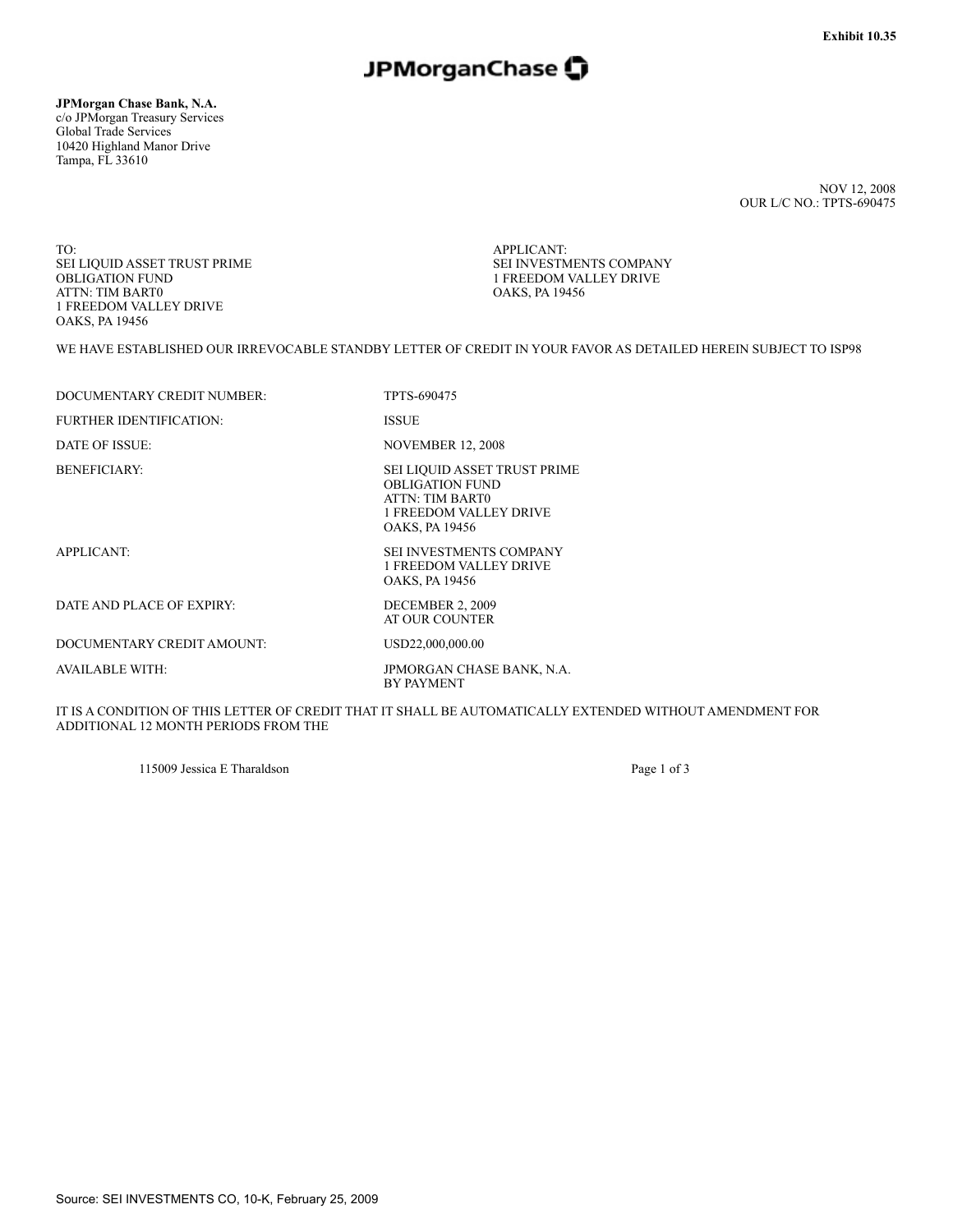# JPMorganChase **O**

#### **JPMorgan Chase Bank, N.A.** c/o JPMorgan Treasury Services Global Trade Services 10420 Highland Manor Drive Tampa, FL 33610

NOV 12, 2008 OUR L/C NO.: TPTS-690475

TO:<br>
SEI LIOUID ASSET TRUST PRIME<br>
SEI INVESTMENTS COMPANY SEI LIQUID ASSET TRUST PRIME<br>OBLIGATION FUND ATTN: TIM BART0 1 FREEDOM VALLEY DRIVE OAKS, PA 19456

1 FREEDOM VALLEY DRIVE<br>OAKS, PA 19456

WE HAVE ESTABLISHED OUR IRREVOCABLE STANDBY LETTER OF CREDIT IN YOUR FAVOR AS DETAILED HEREIN SUBJECT TO ISP98

DOCUMENTARY CREDIT NUMBER: TPTS-690475 FURTHER IDENTIFICATION: **ISSUE** DATE OF ISSUE: NOVEMBER 12, 2008 BENEFICIARY: SEI LIQUID ASSET TRUST PRIME OBLIGATION FUND ATTN: TIM BART0 1 FREEDOM VALLEY DRIVE OAKS, PA 19456 APPLICANT: SEI INVESTMENTS COMPANY 1 FREEDOM VALLEY DRIVE OAKS, PA 19456 DATE AND PLACE OF EXPIRY: DECEMBER 2, 2009 AT OUR COUNTER DOCUMENTARY CREDIT AMOUNT: USD22,000,000.00 AVAILABLE WITH: JPMORGAN CHASE BANK, N.A. BY PAYMENT IT IS A CONDITION OF THIS LETTER OF CREDIT THAT IT SHALL BE AUTOMATICALLY EXTENDED WITHOUT AMENDMENT FOR

ADDITIONAL 12 MONTH PERIODS FROM THE

115009 Jessica E Tharaldson Page 1 of 3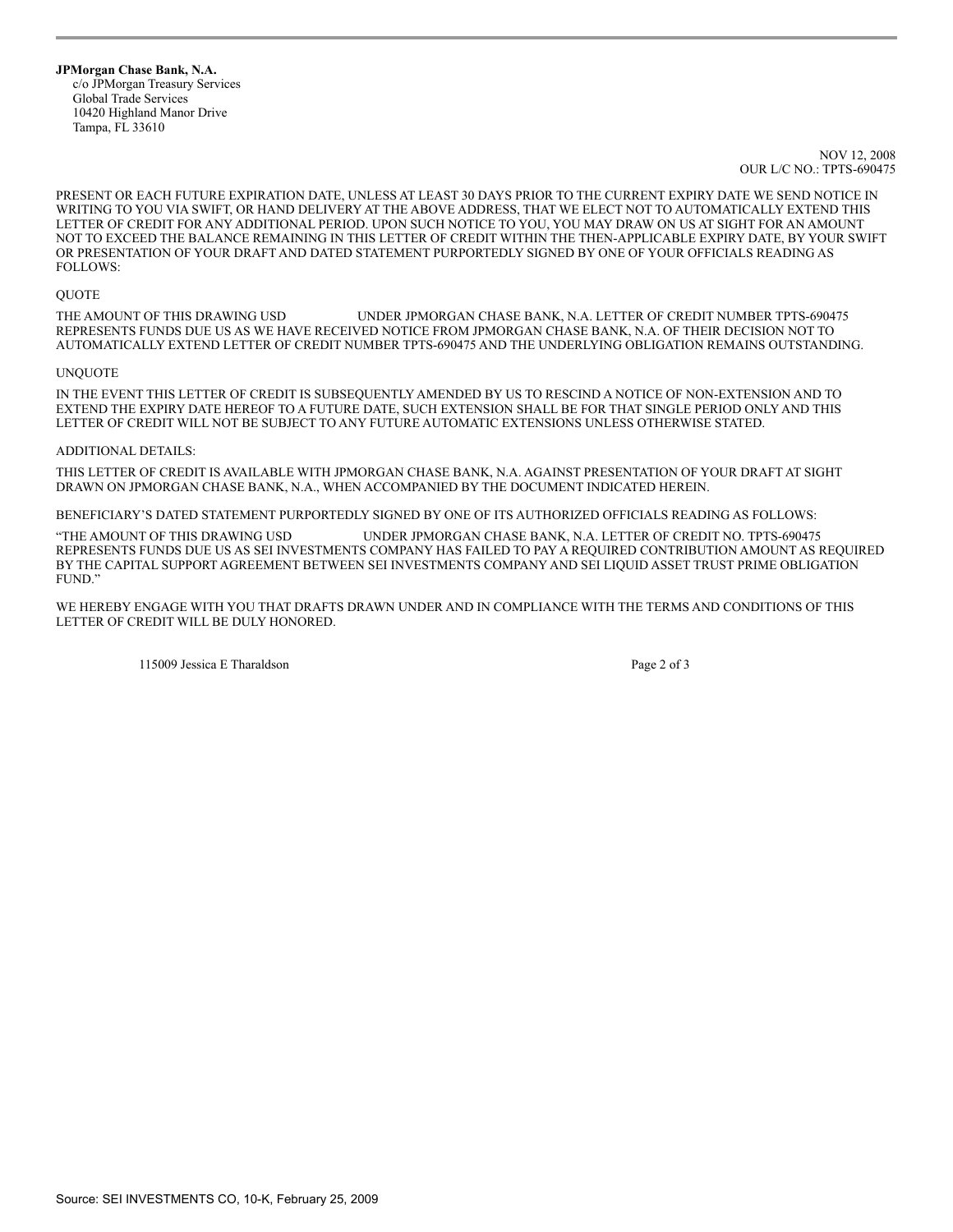#### NOV 12, 2008 OUR L/C NO.: TPTS-690475

PRESENT OR EACH FUTURE EXPIRATION DATE, UNLESS AT LEAST 30 DAYS PRIOR TO THE CURRENT EXPIRY DATE WE SEND NOTICE IN WRITING TO YOU VIA SWIFT, OR HAND DELIVERY AT THE ABOVE ADDRESS, THAT WE ELECT NOT TO AUTOMATICALLY EXTEND THIS LETTER OF CREDIT FOR ANY ADDITIONAL PERIOD. UPON SUCH NOTICE TO YOU, YOU MAY DRAW ON US AT SIGHT FOR AN AMOUNT NOT TO EXCEED THE BALANCE REMAINING IN THIS LETTER OF CREDIT WITHIN THE THEN-APPLICABLE EXPIRY DATE, BY YOUR SWIFT OR PRESENTATION OF YOUR DRAFT AND DATED STATEMENT PURPORTEDLY SIGNED BY ONE OF YOUR OFFICIALS READING AS FOLLOWS:

#### QUOTE

THE AMOUNT OF THIS DRAWING USD UNDER JPMORGAN CHASE BANK, N.A. LETTER OF CREDIT NUMBER TPTS-690475 REPRESENTS FUNDS DUE US AS WE HAVE RECEIVED NOTICE FROM JPMORGAN CHASE BANK, N.A. OF THEIR DECISION NOT TO AUTOMATICALLY EXTEND LETTER OF CREDIT NUMBER TPTS-690475 AND THE UNDERLYING OBLIGATION REMAINS OUTSTANDING.

#### UNQUOTE

IN THE EVENT THIS LETTER OF CREDIT IS SUBSEQUENTLY AMENDED BY US TO RESCIND A NOTICE OF NON-EXTENSION AND TO EXTEND THE EXPIRY DATE HEREOF TO A FUTURE DATE, SUCH EXTENSION SHALL BE FOR THAT SINGLE PERIOD ONLY AND THIS LETTER OF CREDIT WILL NOT BE SUBJECT TO ANY FUTURE AUTOMATIC EXTENSIONS UNLESS OTHERWISE STATED.

#### ADDITIONAL DETAILS:

THIS LETTER OF CREDIT IS AVAILABLE WITH JPMORGAN CHASE BANK, N.A. AGAINST PRESENTATION OF YOUR DRAFT AT SIGHT DRAWN ON JPMORGAN CHASE BANK, N.A., WHEN ACCOMPANIED BY THE DOCUMENT INDICATED HEREIN.

BENEFICIARY'S DATED STATEMENT PURPORTEDLY SIGNED BY ONE OF ITS AUTHORIZED OFFICIALS READING AS FOLLOWS:

"THE AMOUNT OF THIS DRAWING USD UNDER JPMORGAN CHASE BANK, N.A. LETTER OF CREDIT NO. TPTS-690475 REPRESENTS FUNDS DUE US AS SEI INVESTMENTS COMPANY HAS FAILED TO PAY A REQUIRED CONTRIBUTION AMOUNT AS REQUIRED BY THE CAPITAL SUPPORT AGREEMENT BETWEEN SEI INVESTMENTS COMPANY AND SEI LIQUID ASSET TRUST PRIME OBLIGATION FUND<sup>"</sup>

WE HEREBY ENGAGE WITH YOU THAT DRAFTS DRAWN UNDER AND IN COMPLIANCE WITH THE TERMS AND CONDITIONS OF THIS LETTER OF CREDIT WILL BE DULY HONORED.

115009 Jessica E Tharaldson Page 2 of 3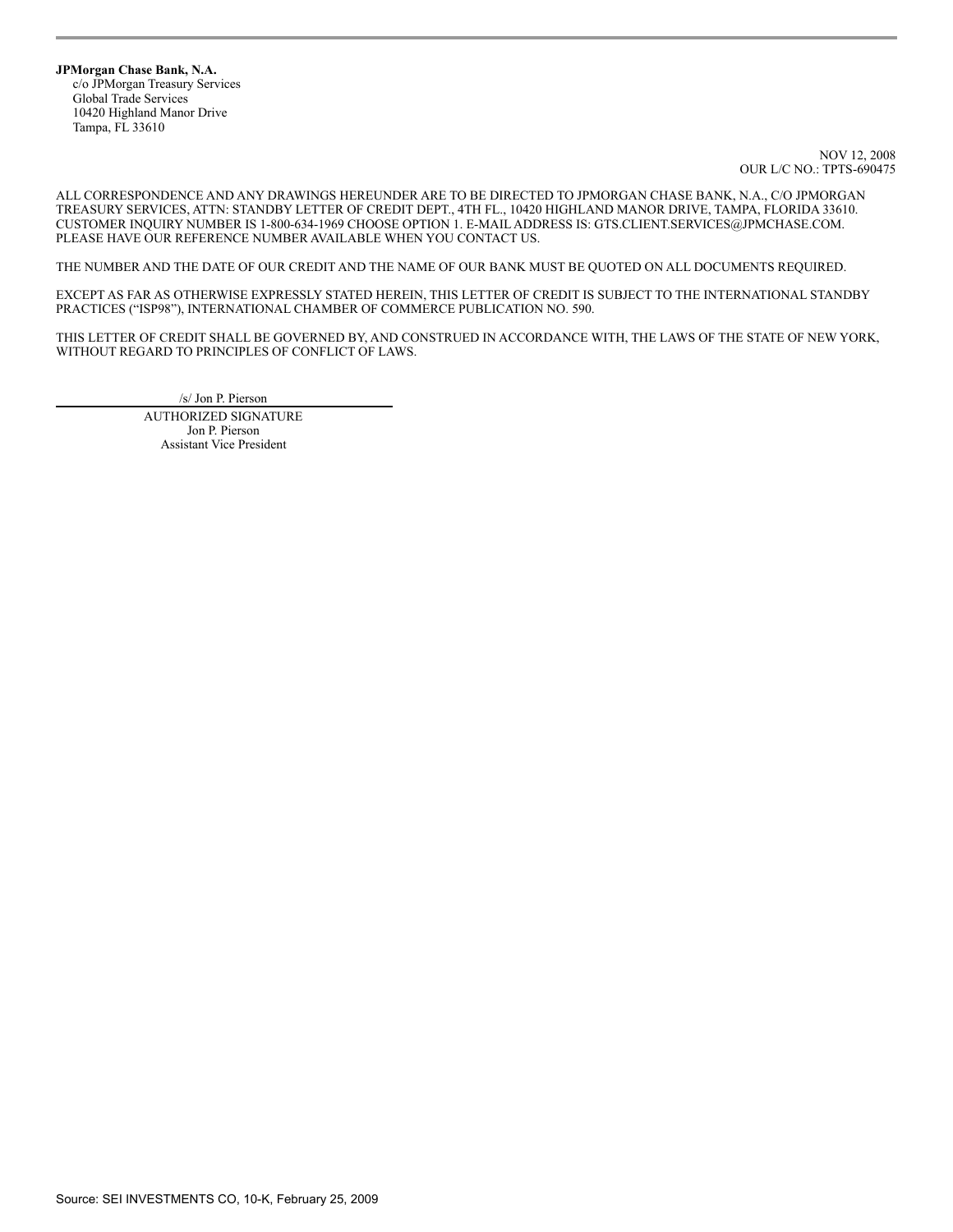> NOV 12, 2008 OUR L/C NO.: TPTS-690475

ALL CORRESPONDENCE AND ANY DRAWINGS HEREUNDER ARE TO BE DIRECTED TO JPMORGAN CHASE BANK, N.A., C/O JPMORGAN TREASURY SERVICES, ATTN: STANDBY LETTER OF CREDIT DEPT., 4TH FL., 10420 HIGHLAND MANOR DRIVE, TAMPA, FLORIDA 33610. CUSTOMER INQUIRY NUMBER IS 1-800-634-1969 CHOOSE OPTION 1. E-MAIL ADDRESS IS: GTS.CLIENT.SERVICES@JPMCHASE.COM. PLEASE HAVE OUR REFERENCE NUMBER AVAILABLE WHEN YOU CONTACT US.

THE NUMBER AND THE DATE OF OUR CREDIT AND THE NAME OF OUR BANK MUST BE QUOTED ON ALL DOCUMENTS REQUIRED.

EXCEPT AS FAR AS OTHERWISE EXPRESSLY STATED HEREIN, THIS LETTER OF CREDIT IS SUBJECT TO THE INTERNATIONAL STANDBY PRACTICES ("ISP98"), INTERNATIONAL CHAMBER OF COMMERCE PUBLICATION NO. 590.

THIS LETTER OF CREDIT SHALL BE GOVERNED BY, AND CONSTRUED IN ACCORDANCE WITH, THE LAWS OF THE STATE OF NEW YORK, WITHOUT REGARD TO PRINCIPLES OF CONFLICT OF LAWS.

/s/ Jon P. Pierson

AUTHORIZED SIGNATURE Jon P. Pierson Assistant Vice President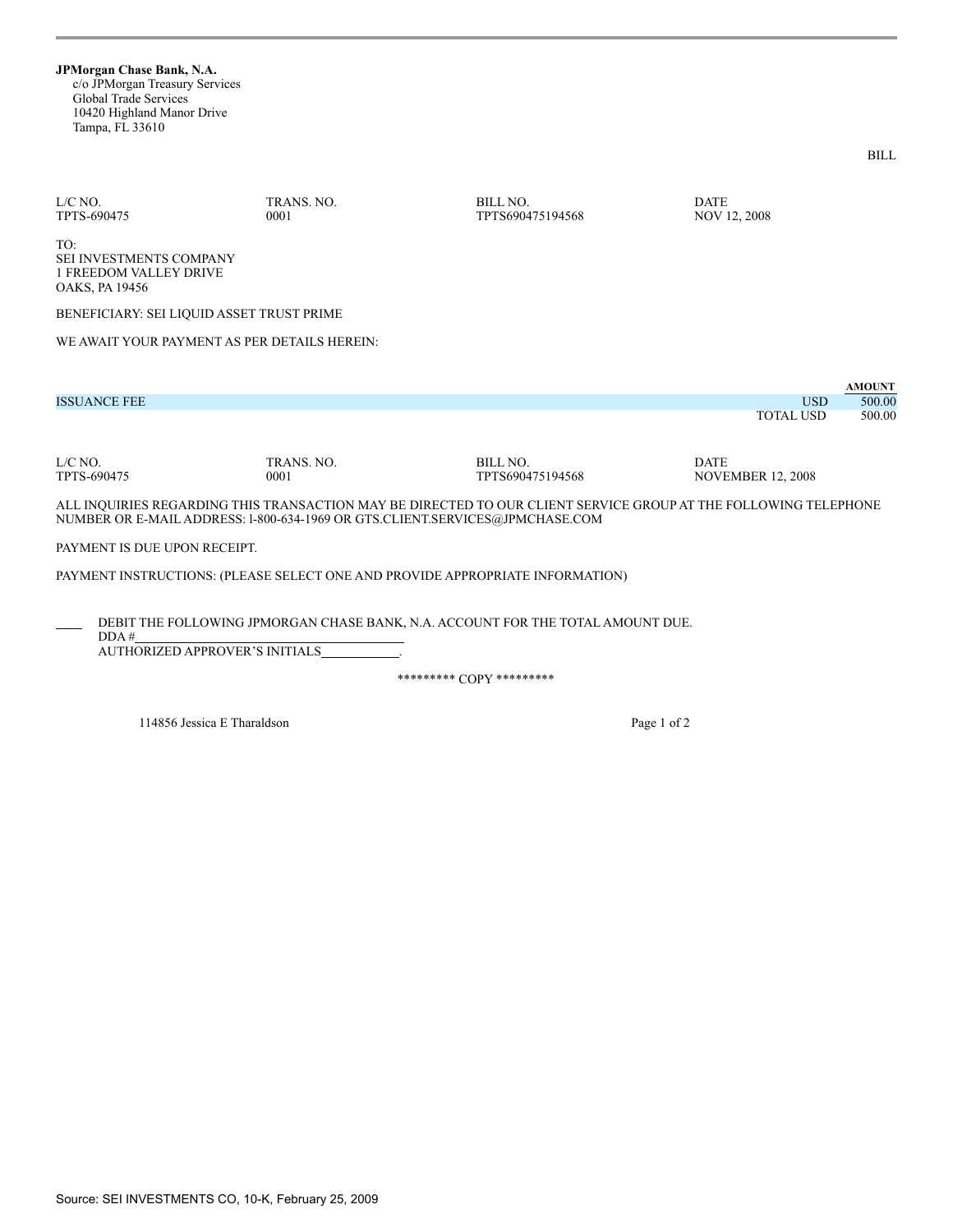| $L/C$ NO.<br>TPTS-690475                                                                                                                                                                        | TRANS, NO.<br>0001 | BILL NO.<br>TPTS690475194568 | <b>DATE</b><br>NOV 12, 2008             |                         |  |  |
|-------------------------------------------------------------------------------------------------------------------------------------------------------------------------------------------------|--------------------|------------------------------|-----------------------------------------|-------------------------|--|--|
| TO:<br>SEI INVESTMENTS COMPANY<br>1 FREEDOM VALLEY DRIVE<br>OAKS, PA 19456                                                                                                                      |                    |                              |                                         |                         |  |  |
| BENEFICIARY: SEI LIQUID ASSET TRUST PRIME                                                                                                                                                       |                    |                              |                                         |                         |  |  |
| WE AWAIT YOUR PAYMENT AS PER DETAILS HEREIN:                                                                                                                                                    |                    |                              |                                         |                         |  |  |
|                                                                                                                                                                                                 |                    |                              |                                         |                         |  |  |
| <b>ISSUANCE FEE</b>                                                                                                                                                                             |                    |                              | <b>USD</b>                              | <b>AMOUNT</b><br>500.00 |  |  |
|                                                                                                                                                                                                 |                    |                              | <b>TOTAL USD</b>                        | 500.00                  |  |  |
|                                                                                                                                                                                                 |                    |                              |                                         |                         |  |  |
| $L/C$ NO.<br>TPTS-690475                                                                                                                                                                        | TRANS, NO.<br>0001 | BILL NO.<br>TPTS690475194568 | <b>DATE</b><br><b>NOVEMBER 12, 2008</b> |                         |  |  |
| ALL INQUIRIES REGARDING THIS TRANSACTION MAY BE DIRECTED TO OUR CLIENT SERVICE GROUP AT THE FOLLOWING TELEPHONE<br>NUMBER OR E-MAIL ADDRESS: 1-800-634-1969 OR GTS.CLIENT.SERVICES@JPMCHASE.COM |                    |                              |                                         |                         |  |  |
| PAYMENT IS DUE UPON RECEIPT.                                                                                                                                                                    |                    |                              |                                         |                         |  |  |
| PAYMENT INSTRUCTIONS: (PLEASE SELECT ONE AND PROVIDE APPROPRIATE INFORMATION)                                                                                                                   |                    |                              |                                         |                         |  |  |
| DEBIT THE FOLLOWING JPMORGAN CHASE BANK, N.A. ACCOUNT FOR THE TOTAL AMOUNT DUE.<br>DDA#<br><b>AUTHORIZED APPROVER'S INITIALS</b>                                                                |                    |                              |                                         |                         |  |  |

\*\*\*\*\*\*\*\*\* COPY \*\*\*\*\*\*\*\*\*

114856 Jessica E Tharaldson Page 1 of 2

Source: SEI INVESTMENTS CO, 10-K, February 25, 2009

BILL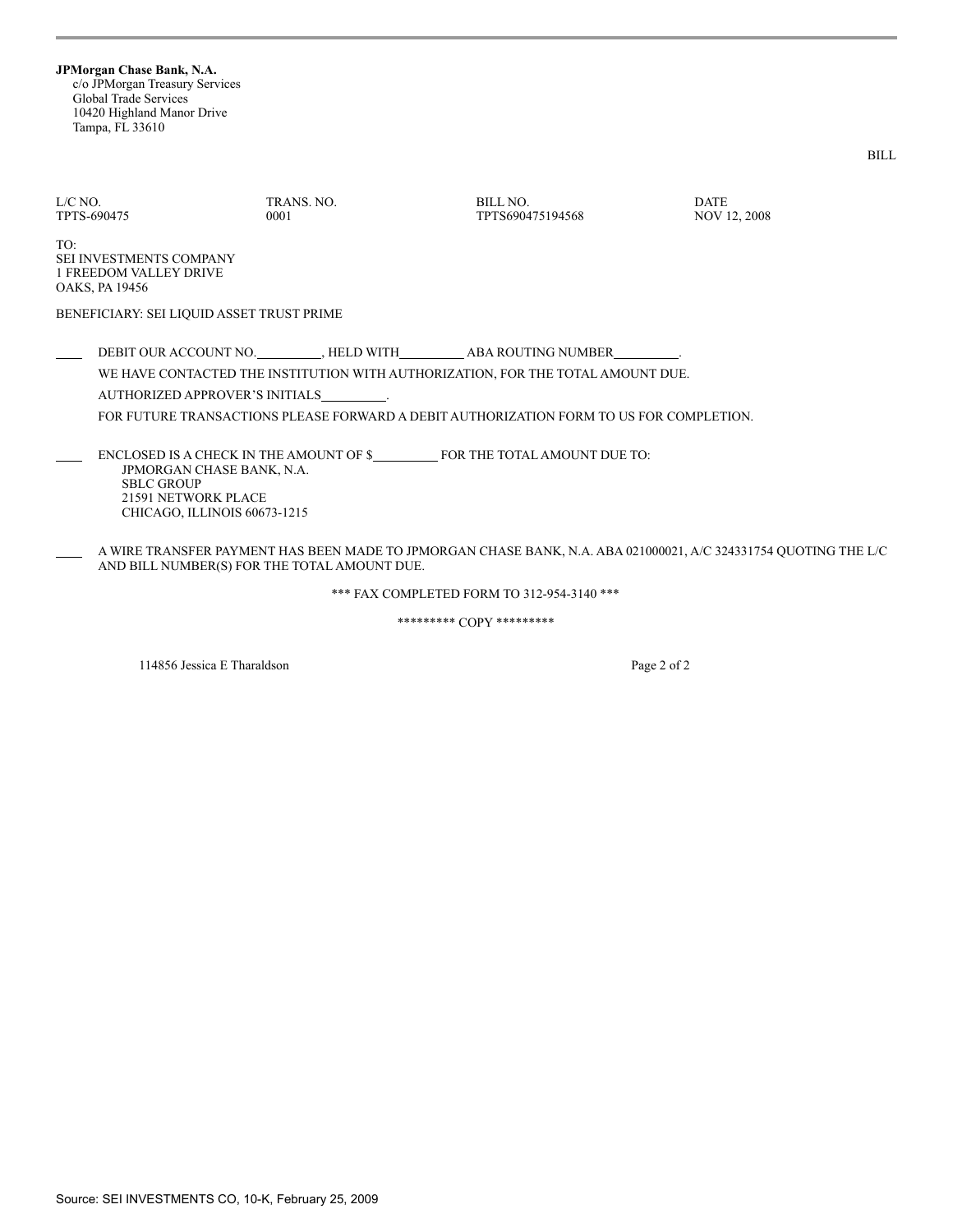| $L/C$ NO.<br>TPTS-690475 | TRANS, NO.<br>0001                                                                                    | BILL NO.<br>TPTS690475194568                                                                                                                                                                                                                                                                               | <b>DATE</b><br>NOV 12, 2008 |
|--------------------------|-------------------------------------------------------------------------------------------------------|------------------------------------------------------------------------------------------------------------------------------------------------------------------------------------------------------------------------------------------------------------------------------------------------------------|-----------------------------|
| TO:<br>OAKS, PA 19456    | <b>SEI INVESTMENTS COMPANY</b><br>1 FREEDOM VALLEY DRIVE                                              |                                                                                                                                                                                                                                                                                                            |                             |
|                          | BENEFICIARY: SEI LIQUID ASSET TRUST PRIME                                                             |                                                                                                                                                                                                                                                                                                            |                             |
|                          | AUTHORIZED APPROVER'S INITIALS                                                                        | DEBIT OUR ACCOUNT NO. HELD WITH ABA ROUTING NUMBER .<br>WE HAVE CONTACTED THE INSTITUTION WITH AUTHORIZATION, FOR THE TOTAL AMOUNT DUE.<br>FOR FUTURE TRANSACTIONS PLEASE FORWARD A DEBIT AUTHORIZATION FORM TO US FOR COMPLETION.<br>ENCLOSED IS A CHECK IN THE AMOUNT OF \$ FOR THE TOTAL AMOUNT DUE TO: |                             |
|                          | JPMORGAN CHASE BANK, N.A.<br><b>SBLC GROUP</b><br>21591 NETWORK PLACE<br>CHICAGO, ILLINOIS 60673-1215 |                                                                                                                                                                                                                                                                                                            |                             |

 A WIRE TRANSFER PAYMENT HAS BEEN MADE TO JPMORGAN CHASE BANK, N.A. ABA 021000021, A/C 324331754 QUOTING THE L/C AND BILL NUMBER(S) FOR THE TOTAL AMOUNT DUE.

\*\*\* FAX COMPLETED FORM TO 312-954-3140 \*\*\*

\*\*\*\*\*\*\*\*\* COPY \*\*\*\*\*\*\*\*\*

114856 Jessica E Tharaldson Page 2 of 2

BILL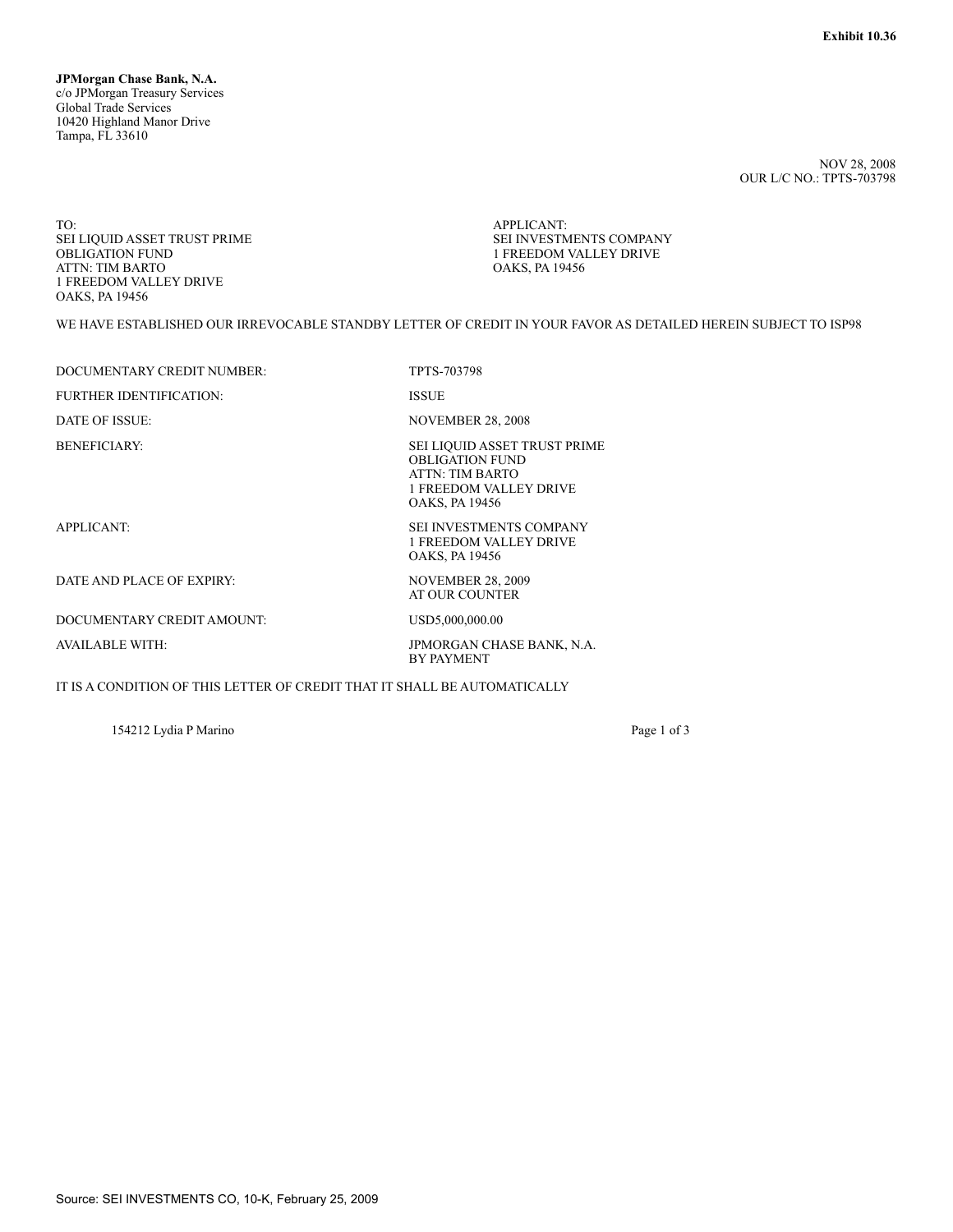> NOV 28, 2008 OUR L/C NO.: TPTS-703798

TO: APPLICANT: SEI LIQUID ASSET TRUST PRIME OBLIGATION FUND ATTN: TIM BARTO 1 FREEDOM VALLEY DRIVE OAKS, PA 19456

1 FREEDOM VALLEY DRIVE<br>OAKS, PA 19456

WE HAVE ESTABLISHED OUR IRREVOCABLE STANDBY LETTER OF CREDIT IN YOUR FAVOR AS DETAILED HEREIN SUBJECT TO ISP98

| DOCUMENTARY CREDIT NUMBER: | <b>TPTS-703798</b>                                                                                                           |
|----------------------------|------------------------------------------------------------------------------------------------------------------------------|
| FURTHER IDENTIFICATION:    | <b>ISSUE</b>                                                                                                                 |
| DATE OF ISSUE:             | <b>NOVEMBER 28, 2008</b>                                                                                                     |
| <b>BENEFICIARY:</b>        | SEI LIQUID ASSET TRUST PRIME<br><b>OBLIGATION FUND</b><br><b>ATTN: TIM BARTO</b><br>1 FREEDOM VALLEY DRIVE<br>OAKS, PA 19456 |
| <b>APPLICANT:</b>          | <b>SEI INVESTMENTS COMPANY</b><br>1 FREEDOM VALLEY DRIVE<br>OAKS, PA 19456                                                   |
| DATE AND PLACE OF EXPIRY:  | <b>NOVEMBER 28, 2009</b><br>AT OUR COUNTER                                                                                   |
| DOCUMENTARY CREDIT AMOUNT: | USD5,000,000.00                                                                                                              |
| AVAILABLE WITH:            | JPMORGAN CHASE BANK, N.A.<br><b>BY PAYMENT</b>                                                                               |
|                            |                                                                                                                              |

IT IS A CONDITION OF THIS LETTER OF CREDIT THAT IT SHALL BE AUTOMATICALLY

154212 Lydia P Marino Page 1 of 3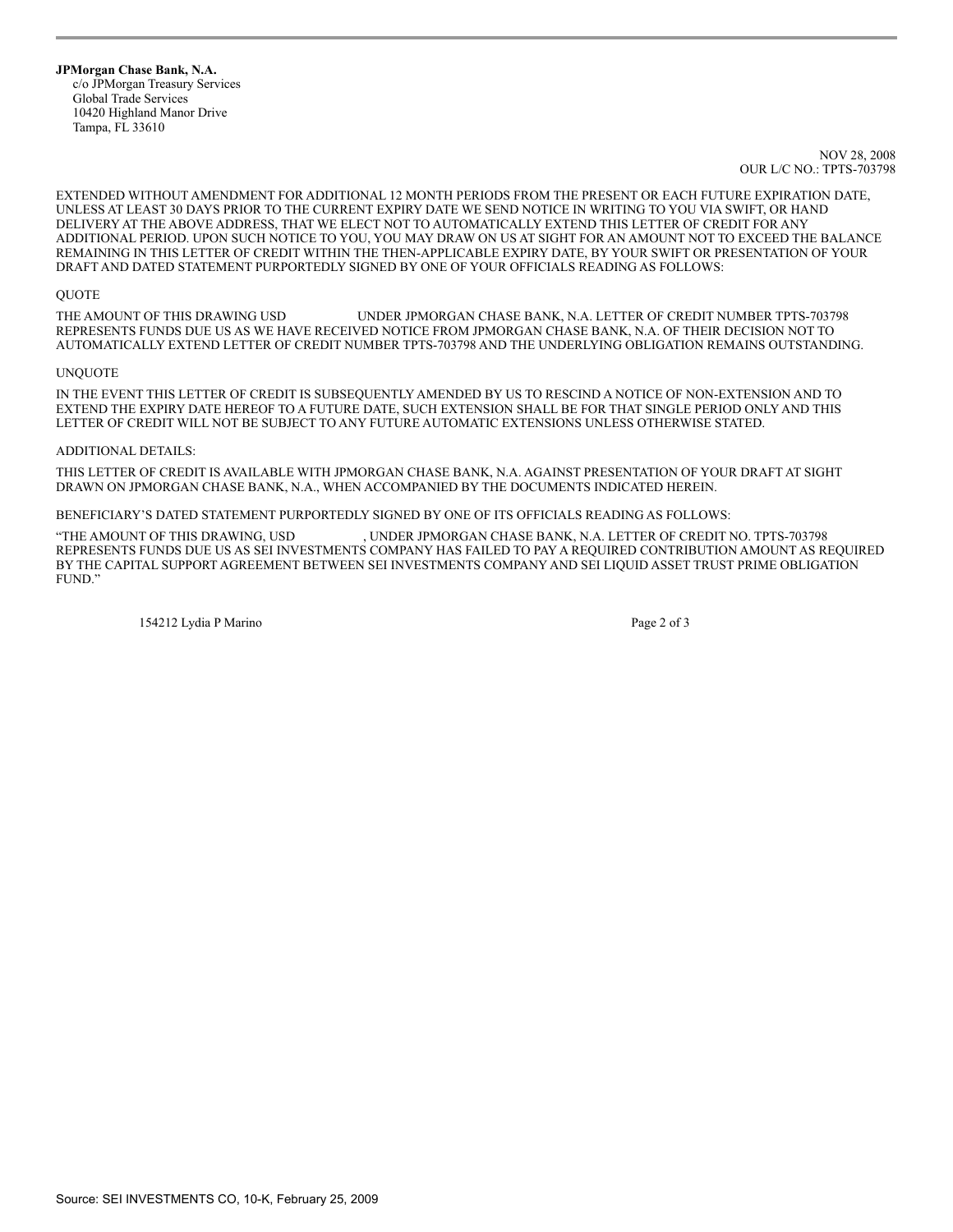#### NOV 28, 2008 OUR L/C NO.: TPTS-703798

EXTENDED WITHOUT AMENDMENT FOR ADDITIONAL 12 MONTH PERIODS FROM THE PRESENT OR EACH FUTURE EXPIRATION DATE, UNLESS AT LEAST 30 DAYS PRIOR TO THE CURRENT EXPIRY DATE WE SEND NOTICE IN WRITING TO YOU VIA SWIFT, OR HAND DELIVERY AT THE ABOVE ADDRESS, THAT WE ELECT NOT TO AUTOMATICALLY EXTEND THIS LETTER OF CREDIT FOR ANY ADDITIONAL PERIOD. UPON SUCH NOTICE TO YOU, YOU MAY DRAW ON US AT SIGHT FOR AN AMOUNT NOT TO EXCEED THE BALANCE REMAINING IN THIS LETTER OF CREDIT WITHIN THE THEN-APPLICABLE EXPIRY DATE, BY YOUR SWIFT OR PRESENTATION OF YOUR DRAFT AND DATED STATEMENT PURPORTEDLY SIGNED BY ONE OF YOUR OFFICIALS READING AS FOLLOWS:

#### QUOTE

THE AMOUNT OF THIS DRAWING USD UNDER JPMORGAN CHASE BANK, N.A. LETTER OF CREDIT NUMBER TPTS-703798 REPRESENTS FUNDS DUE US AS WE HAVE RECEIVED NOTICE FROM JPMORGAN CHASE BANK, N.A. OF THEIR DECISION NOT TO AUTOMATICALLY EXTEND LETTER OF CREDIT NUMBER TPTS-703798 AND THE UNDERLYING OBLIGATION REMAINS OUTSTANDING.

#### UNQUOTE

IN THE EVENT THIS LETTER OF CREDIT IS SUBSEQUENTLY AMENDED BY US TO RESCIND A NOTICE OF NON-EXTENSION AND TO EXTEND THE EXPIRY DATE HEREOF TO A FUTURE DATE, SUCH EXTENSION SHALL BE FOR THAT SINGLE PERIOD ONLY AND THIS LETTER OF CREDIT WILL NOT BE SUBJECT TO ANY FUTURE AUTOMATIC EXTENSIONS UNLESS OTHERWISE STATED.

#### ADDITIONAL DETAILS:

THIS LETTER OF CREDIT IS AVAILABLE WITH JPMORGAN CHASE BANK, N.A. AGAINST PRESENTATION OF YOUR DRAFT AT SIGHT DRAWN ON JPMORGAN CHASE BANK, N.A., WHEN ACCOMPANIED BY THE DOCUMENTS INDICATED HEREIN.

BENEFICIARY'S DATED STATEMENT PURPORTEDLY SIGNED BY ONE OF ITS OFFICIALS READING AS FOLLOWS:

"THE AMOUNT OF THIS DRAWING, USD , UNDER JPMORGAN CHASE BANK, N.A. LETTER OF CREDIT NO. TPTS-703798 REPRESENTS FUNDS DUE US AS SEI INVESTMENTS COMPANY HAS FAILED TO PAY A REQUIRED CONTRIBUTION AMOUNT AS REQUIRED BY THE CAPITAL SUPPORT AGREEMENT BETWEEN SEI INVESTMENTS COMPANY AND SEI LIQUID ASSET TRUST PRIME OBLIGATION FUND."

154212 Lydia P Marino Page 2 of 3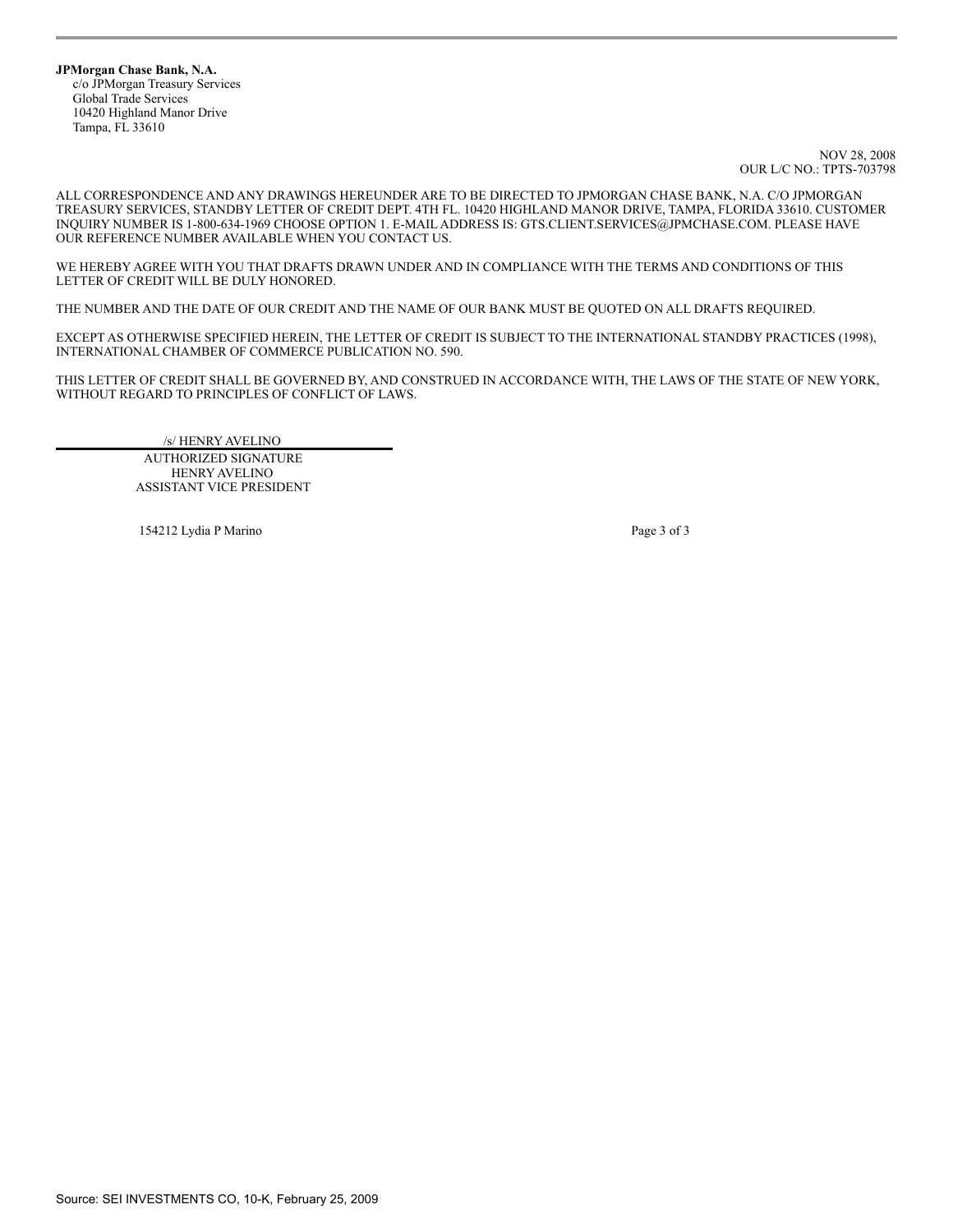> NOV 28, 2008 OUR L/C NO.: TPTS-703798

ALL CORRESPONDENCE AND ANY DRAWINGS HEREUNDER ARE TO BE DIRECTED TO JPMORGAN CHASE BANK, N.A. C/O JPMORGAN TREASURY SERVICES, STANDBY LETTER OF CREDIT DEPT. 4TH FL. 10420 HIGHLAND MANOR DRIVE, TAMPA, FLORIDA 33610. CUSTOMER INQUIRY NUMBER IS 1-800-634-1969 CHOOSE OPTION 1. E-MAIL ADDRESS IS: GTS.CLIENT.SERVICES@JPMCHASE.COM. PLEASE HAVE OUR REFERENCE NUMBER AVAILABLE WHEN YOU CONTACT US.

WE HEREBY AGREE WITH YOU THAT DRAFTS DRAWN UNDER AND IN COMPLIANCE WITH THE TERMS AND CONDITIONS OF THIS LETTER OF CREDIT WILL BE DULY HONORED.

THE NUMBER AND THE DATE OF OUR CREDIT AND THE NAME OF OUR BANK MUST BE QUOTED ON ALL DRAFTS REQUIRED.

EXCEPT AS OTHERWISE SPECIFIED HEREIN, THE LETTER OF CREDIT IS SUBJECT TO THE INTERNATIONAL STANDBY PRACTICES (1998), INTERNATIONAL CHAMBER OF COMMERCE PUBLICATION NO. 590.

THIS LETTER OF CREDIT SHALL BE GOVERNED BY, AND CONSTRUED IN ACCORDANCE WITH, THE LAWS OF THE STATE OF NEW YORK, WITHOUT REGARD TO PRINCIPLES OF CONFLICT OF LAWS.

/s/ HENRY AVELINO

AUTHORIZED SIGNATURE HENRY AVELINO ASSISTANT VICE PRESIDENT

154212 Lydia P Marino Page 3 of 3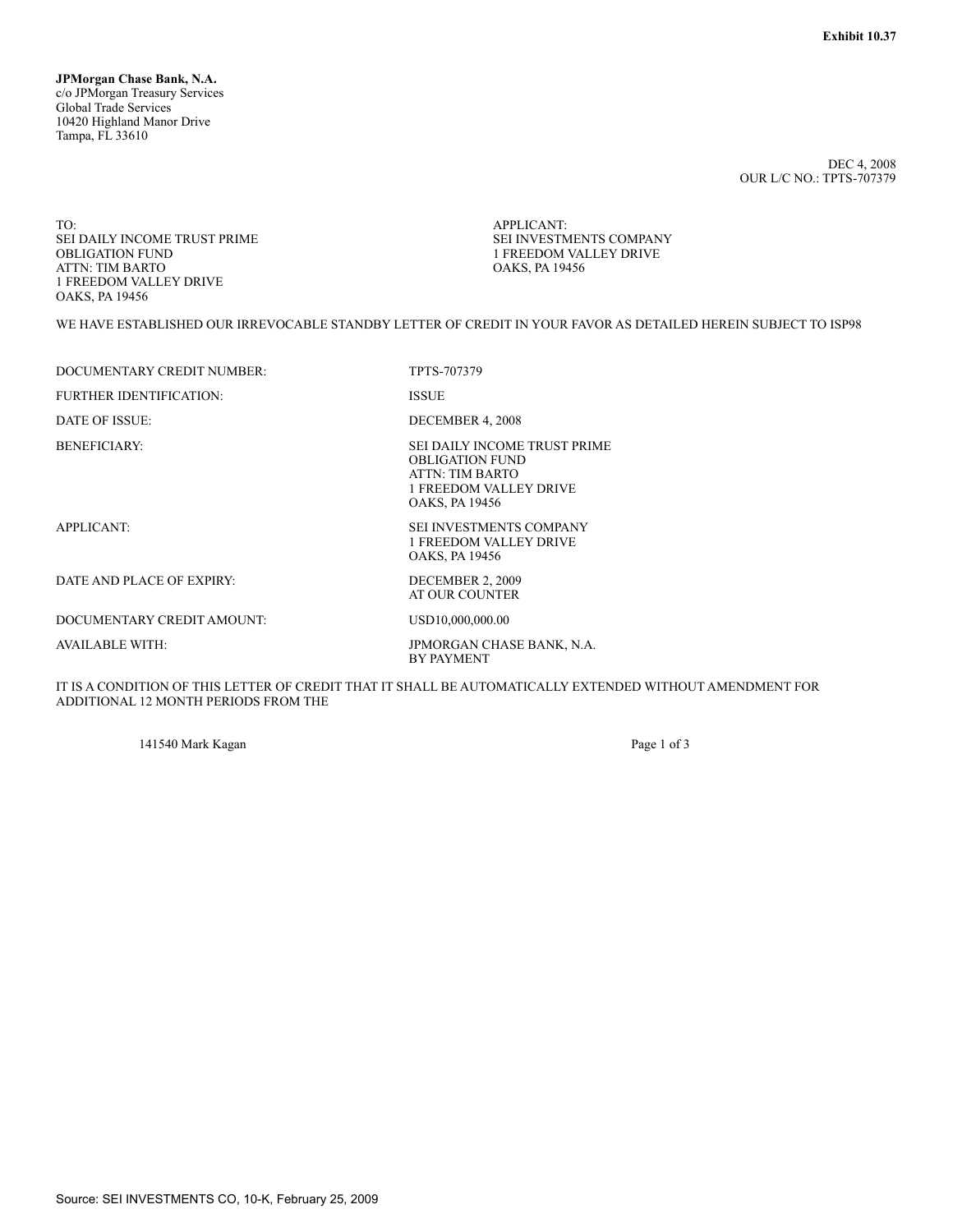> DEC 4, 2008 OUR L/C NO.: TPTS-707379

TO: APPLICANT: SEI DAILY INCOME TRUST PRIME OBLIGATION FUND ATTN: TIM BARTO 1 FREEDOM VALLEY DRIVE OAKS, PA 19456

1 FREEDOM VALLEY DRIVE<br>OAKS, PA 19456

WE HAVE ESTABLISHED OUR IRREVOCABLE STANDBY LETTER OF CREDIT IN YOUR FAVOR AS DETAILED HEREIN SUBJECT TO ISP98

| DOCUMENTARY CREDIT NUMBER: | TPTS-707379                                                                                                                         |
|----------------------------|-------------------------------------------------------------------------------------------------------------------------------------|
| FURTHER IDENTIFICATION:    | <b>ISSUE</b>                                                                                                                        |
| DATE OF ISSUE:             | DECEMBER 4, 2008                                                                                                                    |
| <b>BENEFICIARY:</b>        | <b>SEI DAILY INCOME TRUST PRIME</b><br><b>OBLIGATION FUND</b><br><b>ATTN: TIM BARTO</b><br>1 FREEDOM VALLEY DRIVE<br>OAKS, PA 19456 |
| <b>APPLICANT:</b>          | SEI INVESTMENTS COMPANY<br>1 FREEDOM VALLEY DRIVE<br>OAKS, PA 19456                                                                 |
| DATE AND PLACE OF EXPIRY:  | DECEMBER 2, 2009<br>AT OUR COUNTER                                                                                                  |
| DOCUMENTARY CREDIT AMOUNT: | USD10,000,000.00                                                                                                                    |
| <b>AVAILABLE WITH:</b>     | JPMORGAN CHASE BANK, N.A.<br><b>BY PAYMENT</b>                                                                                      |
|                            |                                                                                                                                     |

IT IS A CONDITION OF THIS LETTER OF CREDIT THAT IT SHALL BE AUTOMATICALLY EXTENDED WITHOUT AMENDMENT FOR ADDITIONAL 12 MONTH PERIODS FROM THE

141540 Mark Kagan Page 1 of 3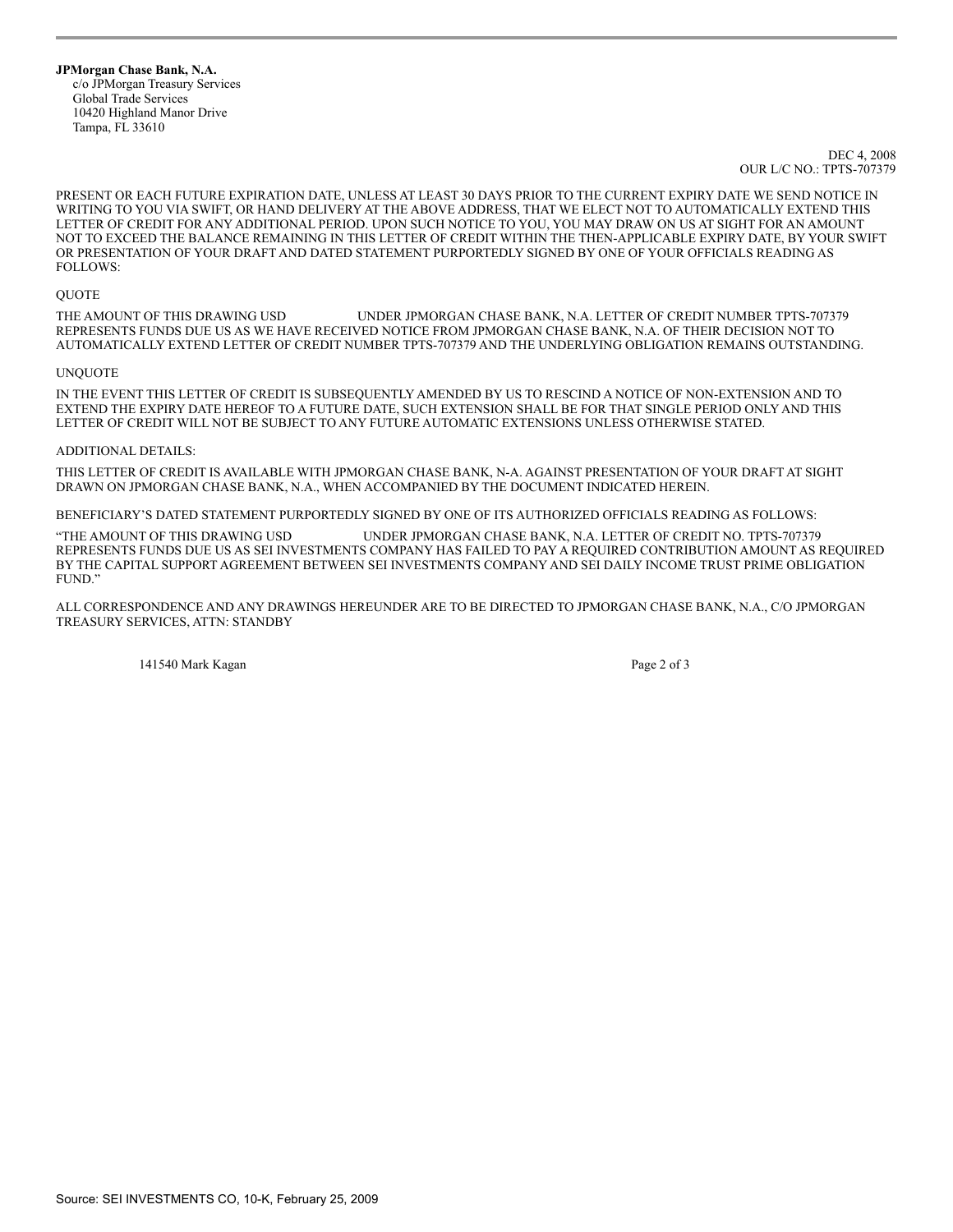## DEC 4, 2008 OUR L/C NO.: TPTS-707379

PRESENT OR EACH FUTURE EXPIRATION DATE, UNLESS AT LEAST 30 DAYS PRIOR TO THE CURRENT EXPIRY DATE WE SEND NOTICE IN WRITING TO YOU VIA SWIFT, OR HAND DELIVERY AT THE ABOVE ADDRESS, THAT WE ELECT NOT TO AUTOMATICALLY EXTEND THIS LETTER OF CREDIT FOR ANY ADDITIONAL PERIOD. UPON SUCH NOTICE TO YOU, YOU MAY DRAW ON US AT SIGHT FOR AN AMOUNT NOT TO EXCEED THE BALANCE REMAINING IN THIS LETTER OF CREDIT WITHIN THE THEN-APPLICABLE EXPIRY DATE, BY YOUR SWIFT OR PRESENTATION OF YOUR DRAFT AND DATED STATEMENT PURPORTEDLY SIGNED BY ONE OF YOUR OFFICIALS READING AS FOLLOWS:

## QUOTE

THE AMOUNT OF THIS DRAWING USD UNDER JPMORGAN CHASE BANK, N.A. LETTER OF CREDIT NUMBER TPTS-707379 REPRESENTS FUNDS DUE US AS WE HAVE RECEIVED NOTICE FROM JPMORGAN CHASE BANK, N.A. OF THEIR DECISION NOT TO AUTOMATICALLY EXTEND LETTER OF CREDIT NUMBER TPTS-707379 AND THE UNDERLYING OBLIGATION REMAINS OUTSTANDING.

## UNQUOTE

IN THE EVENT THIS LETTER OF CREDIT IS SUBSEQUENTLY AMENDED BY US TO RESCIND A NOTICE OF NON-EXTENSION AND TO EXTEND THE EXPIRY DATE HEREOF TO A FUTURE DATE, SUCH EXTENSION SHALL BE FOR THAT SINGLE PERIOD ONLY AND THIS LETTER OF CREDIT WILL NOT BE SUBJECT TO ANY FUTURE AUTOMATIC EXTENSIONS UNLESS OTHERWISE STATED.

## ADDITIONAL DETAILS:

THIS LETTER OF CREDIT IS AVAILABLE WITH JPMORGAN CHASE BANK, N-A. AGAINST PRESENTATION OF YOUR DRAFT AT SIGHT DRAWN ON JPMORGAN CHASE BANK, N.A., WHEN ACCOMPANIED BY THE DOCUMENT INDICATED HEREIN.

BENEFICIARY'S DATED STATEMENT PURPORTEDLY SIGNED BY ONE OF ITS AUTHORIZED OFFICIALS READING AS FOLLOWS:

"THE AMOUNT OF THIS DRAWING USD UNDER JPMORGAN CHASE BANK, N.A. LETTER OF CREDIT NO. TPTS-707379 REPRESENTS FUNDS DUE US AS SEI INVESTMENTS COMPANY HAS FAILED TO PAY A REQUIRED CONTRIBUTION AMOUNT AS REQUIRED BY THE CAPITAL SUPPORT AGREEMENT BETWEEN SEI INVESTMENTS COMPANY AND SEI DAILY INCOME TRUST PRIME OBLIGATION FUND<sup>"</sup>

ALL CORRESPONDENCE AND ANY DRAWINGS HEREUNDER ARE TO BE DIRECTED TO JPMORGAN CHASE BANK, N.A., C/O JPMORGAN TREASURY SERVICES, ATTN: STANDBY

141540 Mark Kagan Page 2 of 3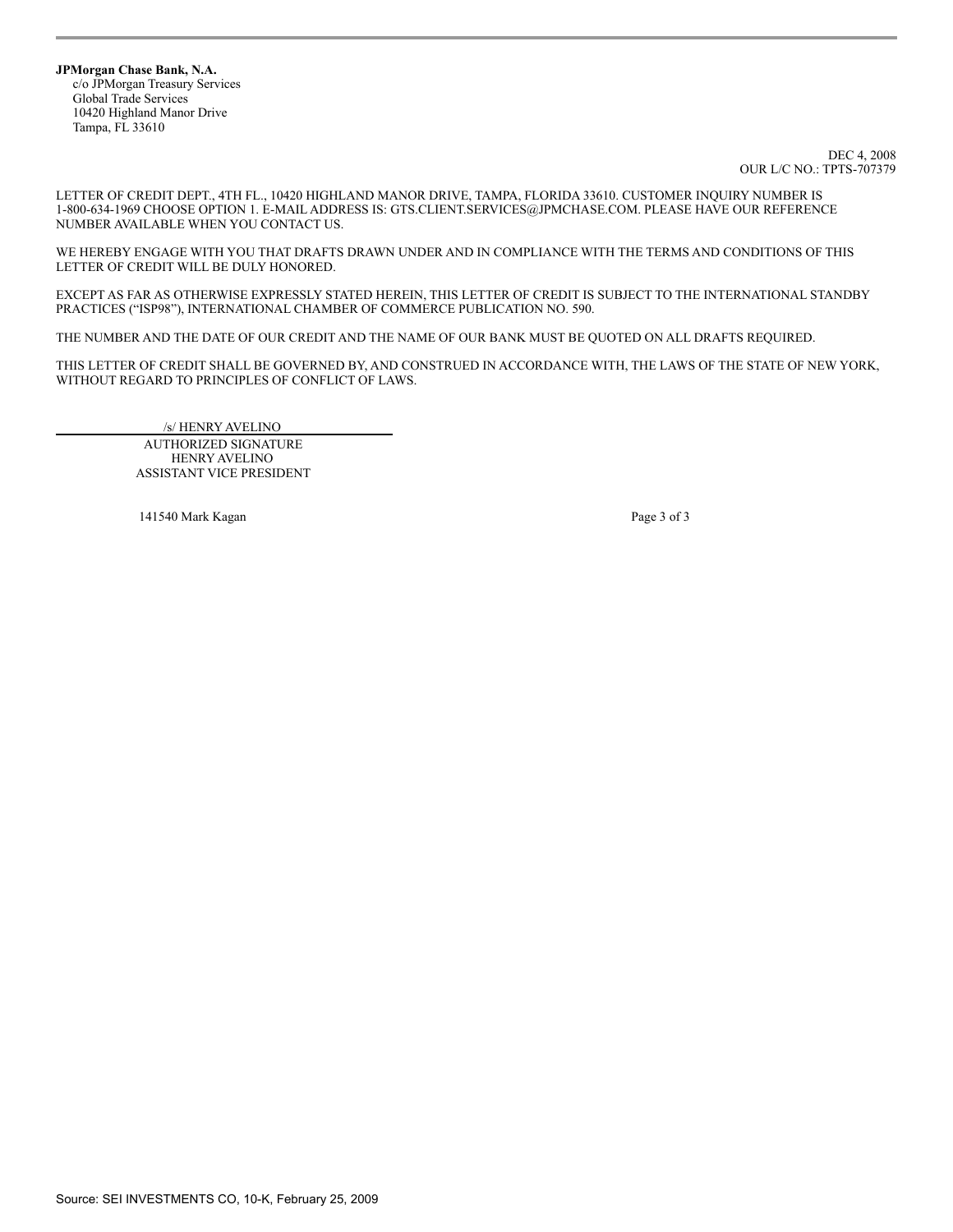> DEC 4, 2008 OUR L/C NO.: TPTS-707379

LETTER OF CREDIT DEPT., 4TH FL., 10420 HIGHLAND MANOR DRIVE, TAMPA, FLORIDA 33610. CUSTOMER INQUIRY NUMBER IS 1-800-634-1969 CHOOSE OPTION 1. E-MAIL ADDRESS IS: GTS.CLIENT.SERVICES@JPMCHASE.COM. PLEASE HAVE OUR REFERENCE NUMBER AVAILABLE WHEN YOU CONTACT US.

WE HEREBY ENGAGE WITH YOU THAT DRAFTS DRAWN UNDER AND IN COMPLIANCE WITH THE TERMS AND CONDITIONS OF THIS LETTER OF CREDIT WILL BE DULY HONORED.

EXCEPT AS FAR AS OTHERWISE EXPRESSLY STATED HEREIN, THIS LETTER OF CREDIT IS SUBJECT TO THE INTERNATIONAL STANDBY PRACTICES ("ISP98"), INTERNATIONAL CHAMBER OF COMMERCE PUBLICATION NO. 590.

THE NUMBER AND THE DATE OF OUR CREDIT AND THE NAME OF OUR BANK MUST BE QUOTED ON ALL DRAFTS REQUIRED.

THIS LETTER OF CREDIT SHALL BE GOVERNED BY, AND CONSTRUED IN ACCORDANCE WITH, THE LAWS OF THE STATE OF NEW YORK, WITHOUT REGARD TO PRINCIPLES OF CONFLICT OF LAWS.

/s/ HENRY AVELINO AUTHORIZED SIGNATURE HENRY AVELINO ASSISTANT VICE PRESIDENT

141540 Mark Kagan Page 3 of 3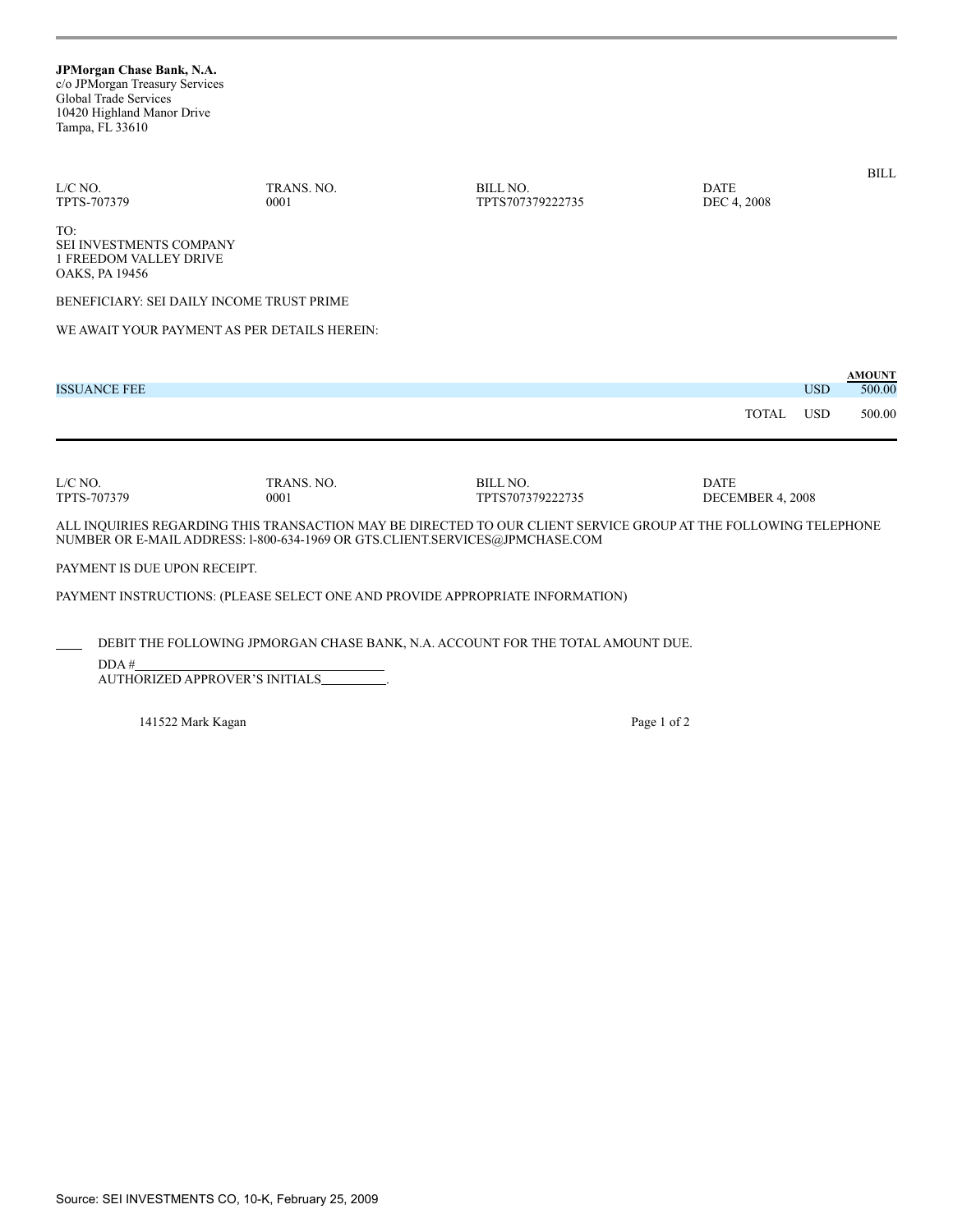| $L/C$ NO.<br>TPTS-707379                                                                                                                                                                        | TRANS, NO.<br>0001 | <b>BILL NO.</b><br>TPTS707379222735 | <b>DATE</b><br>DEC 4, 2008      |            | BILL                    |  |  |
|-------------------------------------------------------------------------------------------------------------------------------------------------------------------------------------------------|--------------------|-------------------------------------|---------------------------------|------------|-------------------------|--|--|
| TO:<br>SEI INVESTMENTS COMPANY<br><b>1 FREEDOM VALLEY DRIVE</b><br><b>OAKS, PA 19456</b>                                                                                                        |                    |                                     |                                 |            |                         |  |  |
| BENEFICIARY: SEI DAILY INCOME TRUST PRIME                                                                                                                                                       |                    |                                     |                                 |            |                         |  |  |
| WE AWAIT YOUR PAYMENT AS PER DETAILS HEREIN:                                                                                                                                                    |                    |                                     |                                 |            |                         |  |  |
|                                                                                                                                                                                                 |                    |                                     |                                 |            |                         |  |  |
| <b>ISSUANCE FEE</b>                                                                                                                                                                             |                    |                                     |                                 | <b>USD</b> | <b>AMOUNT</b><br>500.00 |  |  |
|                                                                                                                                                                                                 |                    |                                     | <b>TOTAL</b>                    | <b>USD</b> | 500.00                  |  |  |
|                                                                                                                                                                                                 |                    |                                     |                                 |            |                         |  |  |
| $L/C$ NO.<br>TPTS-707379                                                                                                                                                                        | TRANS, NO.<br>0001 | BILL NO.<br>TPTS707379222735        | <b>DATE</b><br>DECEMBER 4, 2008 |            |                         |  |  |
| ALL INQUIRIES REGARDING THIS TRANSACTION MAY BE DIRECTED TO OUR CLIENT SERVICE GROUP AT THE FOLLOWING TELEPHONE<br>NUMBER OR E-MAIL ADDRESS: 1-800-634-1969 OR GTS.CLIENT.SERVICES@JPMCHASE.COM |                    |                                     |                                 |            |                         |  |  |
| PAYMENT IS DUE UPON RECEIPT.                                                                                                                                                                    |                    |                                     |                                 |            |                         |  |  |
| PAYMENT INSTRUCTIONS: (PLEASE SELECT ONE AND PROVIDE APPROPRIATE INFORMATION)                                                                                                                   |                    |                                     |                                 |            |                         |  |  |
|                                                                                                                                                                                                 |                    |                                     |                                 |            |                         |  |  |

DEBIT THE FOLLOWING JPMORGAN CHASE BANK, N.A. ACCOUNT FOR THE TOTAL AMOUNT DUE.

DDA # AUTHORIZED APPROVER'S INITIALS .

141522 Mark Kagan Page 1 of 2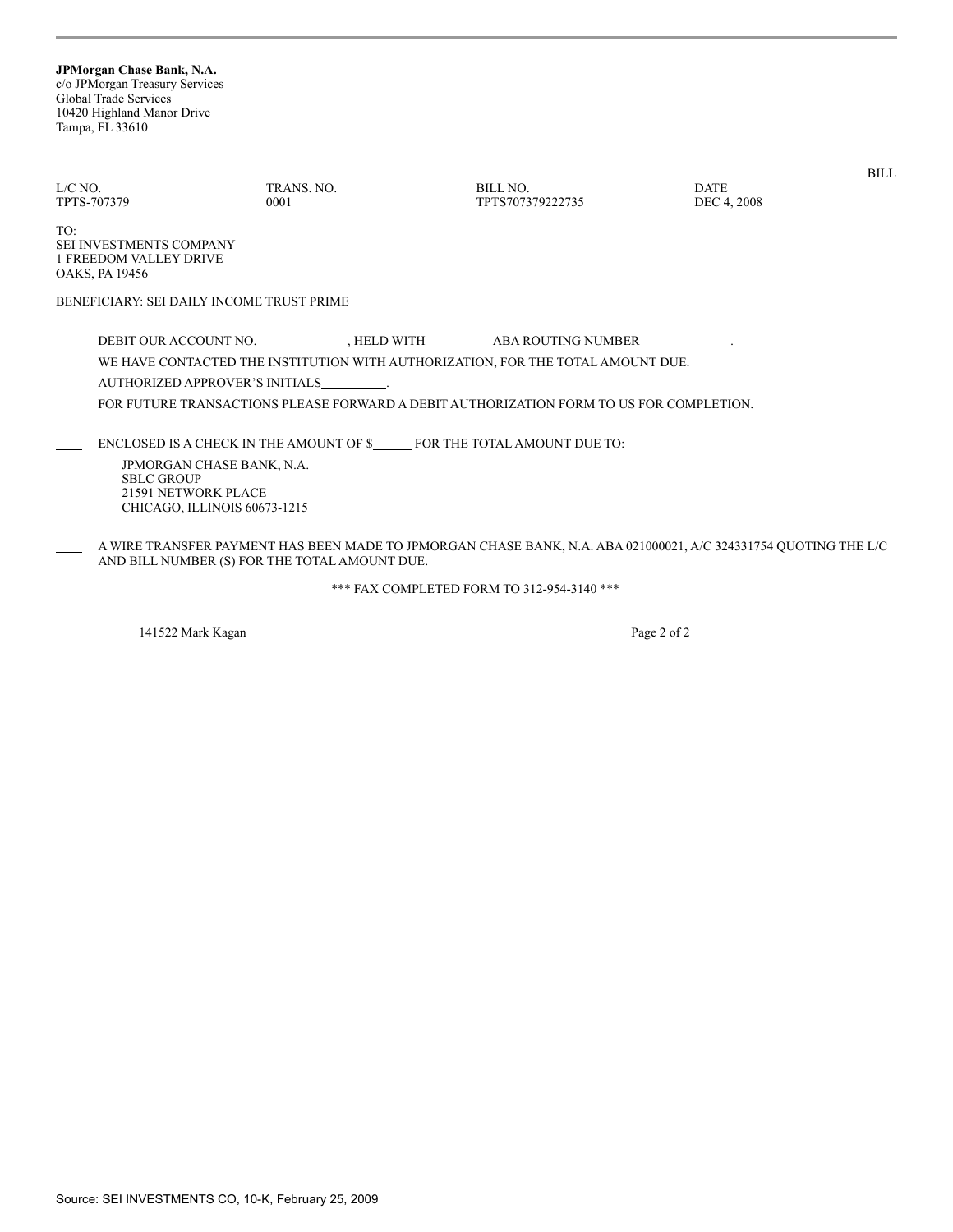|                          |                                                                                                       |                                               |                                                                                                                                                                                                                                    |                            | <b>BIL</b> |
|--------------------------|-------------------------------------------------------------------------------------------------------|-----------------------------------------------|------------------------------------------------------------------------------------------------------------------------------------------------------------------------------------------------------------------------------------|----------------------------|------------|
| $L/C$ NO.<br>TPTS-707379 |                                                                                                       | TRANS NO<br>0001                              | BILL NO.<br>TPTS707379222735                                                                                                                                                                                                       | <b>DATE</b><br>DEC 4, 2008 |            |
| TO:<br>OAKS, PA 19456    | <b>SEI INVESTMENTS COMPANY</b><br>1 FREEDOM VALLEY DRIVE                                              |                                               |                                                                                                                                                                                                                                    |                            |            |
|                          | BENEFICIARY: SEI DAILY INCOME TRUST PRIME                                                             |                                               |                                                                                                                                                                                                                                    |                            |            |
|                          | AUTHORIZED APPROVER'S INITIALS                                                                        |                                               | DEBIT OUR ACCOUNT NO. HELD WITH ABA ROUTING NUMBER .<br>WE HAVE CONTACTED THE INSTITUTION WITH AUTHORIZATION, FOR THE TOTAL AMOUNT DUE.<br>FOR FUTURE TRANSACTIONS PLEASE FORWARD A DEBIT AUTHORIZATION FORM TO US FOR COMPLETION. |                            |            |
|                          | JPMORGAN CHASE BANK, N.A.<br><b>SBLC GROUP</b><br>21591 NETWORK PLACE<br>CHICAGO, ILLINOIS 60673-1215 |                                               | ENCLOSED IS A CHECK IN THE AMOUNT OF \$ FOR THE TOTAL AMOUNT DUE TO:                                                                                                                                                               |                            |            |
|                          |                                                                                                       | AND BILL NUMBER (S) FOR THE TOTAL AMOUNT DUE. | A WIRE TRANSFER PAYMENT HAS BEEN MADE TO JPMORGAN CHASE BANK, N.A. ABA 021000021, A/C 324331754 QUOTING THE L/C                                                                                                                    |                            |            |

\*\*\* FAX COMPLETED FORM TO 312-954-3140 \*\*\*

141522 Mark Kagan Page 2 of 2

BILL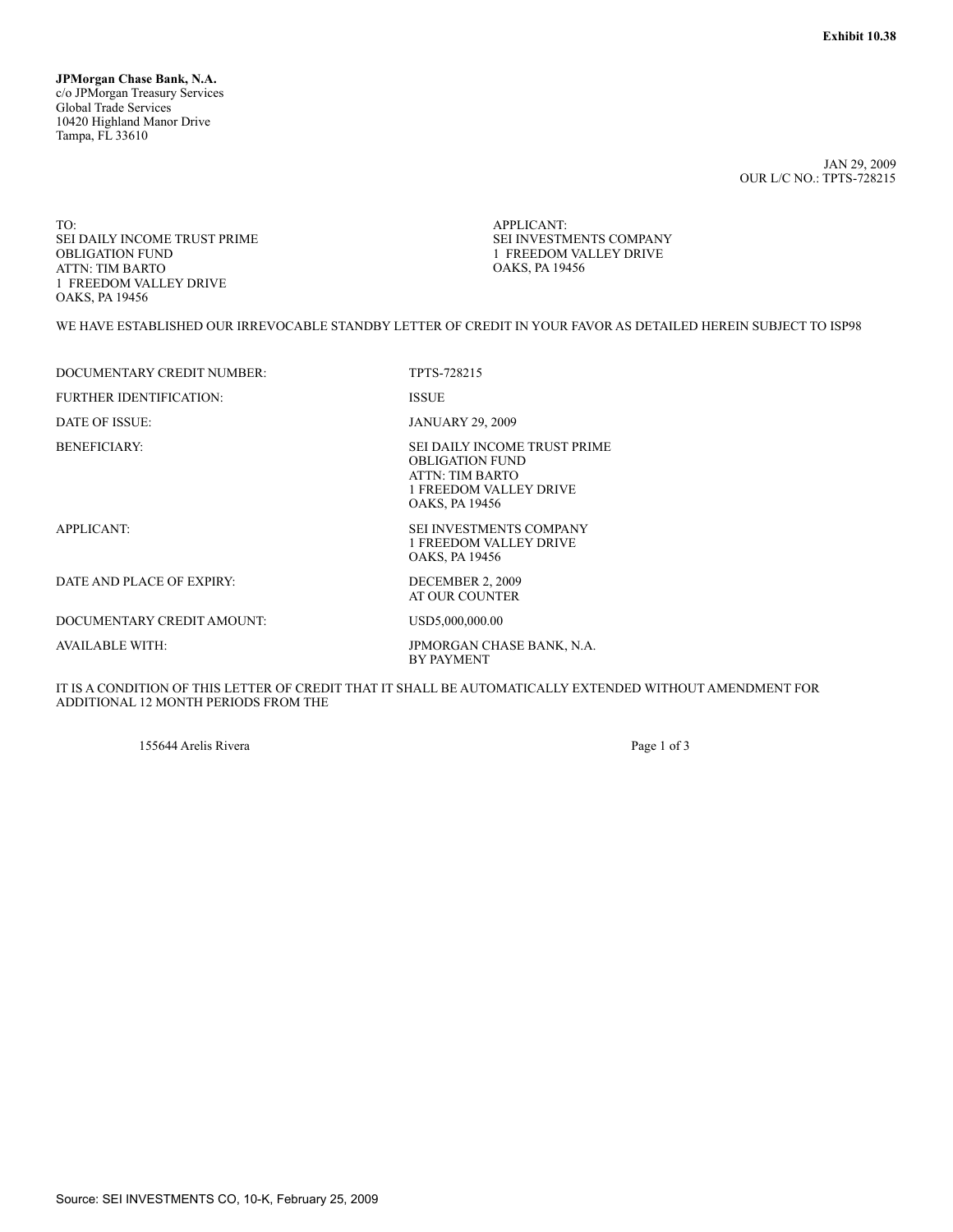> JAN 29, 2009 OUR L/C NO.: TPTS-728215

TO: APPLICANT: SEI DAILY INCOME TRUST PRIME OBLIGATION FUND ATTN: TIM BARTO 1 FREEDOM VALLEY DRIVE OAKS, PA 19456

SEI INVESTMENTS COMPANY 1 FREEDOM VALLEY DRIVE

WE HAVE ESTABLISHED OUR IRREVOCABLE STANDBY LETTER OF CREDIT IN YOUR FAVOR AS DETAILED HEREIN SUBJECT TO ISP98

| DOCUMENTARY CREDIT NUMBER: | TPTS-728215                                                                                                                                |  |
|----------------------------|--------------------------------------------------------------------------------------------------------------------------------------------|--|
| FURTHER IDENTIFICATION:    | <b>ISSUE</b>                                                                                                                               |  |
| DATE OF ISSUE:             | <b>JANUARY 29, 2009</b>                                                                                                                    |  |
| <b>BENEFICIARY:</b>        | <b>SEI DAILY INCOME TRUST PRIME</b><br><b>OBLIGATION FUND</b><br><b>ATTN: TIM BARTO</b><br>1 FREEDOM VALLEY DRIVE<br><b>OAKS, PA 19456</b> |  |
| <b>APPLICANT:</b>          | <b>SEI INVESTMENTS COMPANY</b><br>1 FREEDOM VALLEY DRIVE<br>OAKS, PA 19456                                                                 |  |
| DATE AND PLACE OF EXPIRY:  | DECEMBER 2, 2009<br>AT OUR COUNTER                                                                                                         |  |
| DOCUMENTARY CREDIT AMOUNT: | USD5,000,000.00                                                                                                                            |  |
| <b>AVAILABLE WITH:</b>     | JPMORGAN CHASE BANK, N.A.<br><b>BY PAYMENT</b>                                                                                             |  |

IT IS A CONDITION OF THIS LETTER OF CREDIT THAT IT SHALL BE AUTOMATICALLY EXTENDED WITHOUT AMENDMENT FOR ADDITIONAL 12 MONTH PERIODS FROM THE

155644 Arelis Rivera Page 1 of 3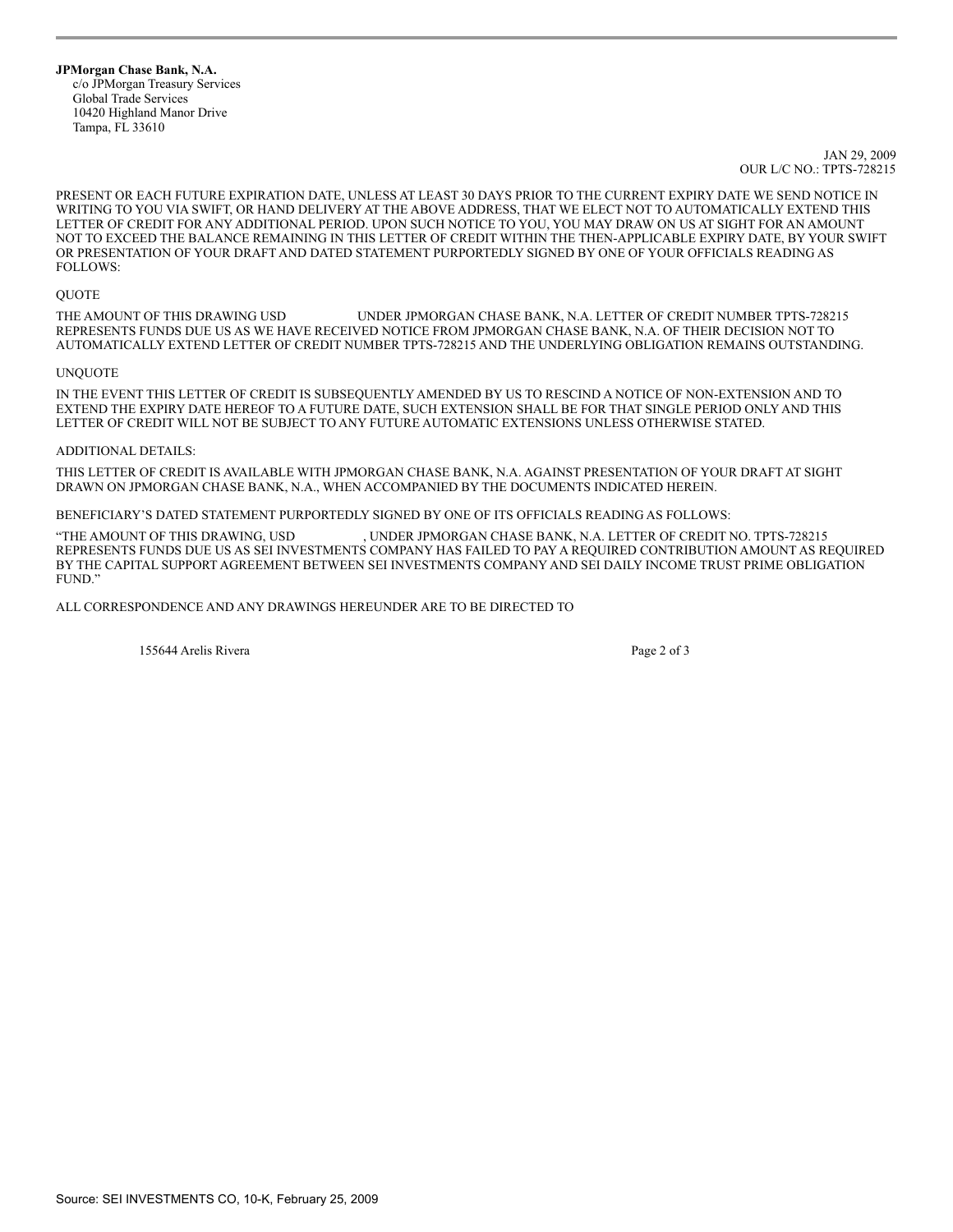## JAN 29, 2009 OUR L/C NO.: TPTS-728215

PRESENT OR EACH FUTURE EXPIRATION DATE, UNLESS AT LEAST 30 DAYS PRIOR TO THE CURRENT EXPIRY DATE WE SEND NOTICE IN WRITING TO YOU VIA SWIFT, OR HAND DELIVERY AT THE ABOVE ADDRESS, THAT WE ELECT NOT TO AUTOMATICALLY EXTEND THIS LETTER OF CREDIT FOR ANY ADDITIONAL PERIOD. UPON SUCH NOTICE TO YOU, YOU MAY DRAW ON US AT SIGHT FOR AN AMOUNT NOT TO EXCEED THE BALANCE REMAINING IN THIS LETTER OF CREDIT WITHIN THE THEN-APPLICABLE EXPIRY DATE, BY YOUR SWIFT OR PRESENTATION OF YOUR DRAFT AND DATED STATEMENT PURPORTEDLY SIGNED BY ONE OF YOUR OFFICIALS READING AS FOLLOWS:

## QUOTE

THE AMOUNT OF THIS DRAWING USD UNDER JPMORGAN CHASE BANK, N.A. LETTER OF CREDIT NUMBER TPTS-728215 REPRESENTS FUNDS DUE US AS WE HAVE RECEIVED NOTICE FROM JPMORGAN CHASE BANK, N.A. OF THEIR DECISION NOT TO AUTOMATICALLY EXTEND LETTER OF CREDIT NUMBER TPTS-728215 AND THE UNDERLYING OBLIGATION REMAINS OUTSTANDING.

## UNQUOTE

IN THE EVENT THIS LETTER OF CREDIT IS SUBSEQUENTLY AMENDED BY US TO RESCIND A NOTICE OF NON-EXTENSION AND TO EXTEND THE EXPIRY DATE HEREOF TO A FUTURE DATE, SUCH EXTENSION SHALL BE FOR THAT SINGLE PERIOD ONLY AND THIS LETTER OF CREDIT WILL NOT BE SUBJECT TO ANY FUTURE AUTOMATIC EXTENSIONS UNLESS OTHERWISE STATED.

## ADDITIONAL DETAILS:

THIS LETTER OF CREDIT IS AVAILABLE WITH JPMORGAN CHASE BANK, N.A. AGAINST PRESENTATION OF YOUR DRAFT AT SIGHT DRAWN ON JPMORGAN CHASE BANK, N.A., WHEN ACCOMPANIED BY THE DOCUMENTS INDICATED HEREIN.

BENEFICIARY'S DATED STATEMENT PURPORTEDLY SIGNED BY ONE OF ITS OFFICIALS READING AS FOLLOWS:

"THE AMOUNT OF THIS DRAWING, USD , UNDER JPMORGAN CHASE BANK, N.A. LETTER OF CREDIT NO. TPTS-728215 REPRESENTS FUNDS DUE US AS SEI INVESTMENTS COMPANY HAS FAILED TO PAY A REQUIRED CONTRIBUTION AMOUNT AS REQUIRED BY THE CAPITAL SUPPORT AGREEMENT BETWEEN SEI INVESTMENTS COMPANY AND SEI DAILY INCOME TRUST PRIME OBLIGATION FUND<sup>"</sup>

ALL CORRESPONDENCE AND ANY DRAWINGS HEREUNDER ARE TO BE DIRECTED TO

155644 Arelis Rivera **Page 2 of 3** and 2 of 3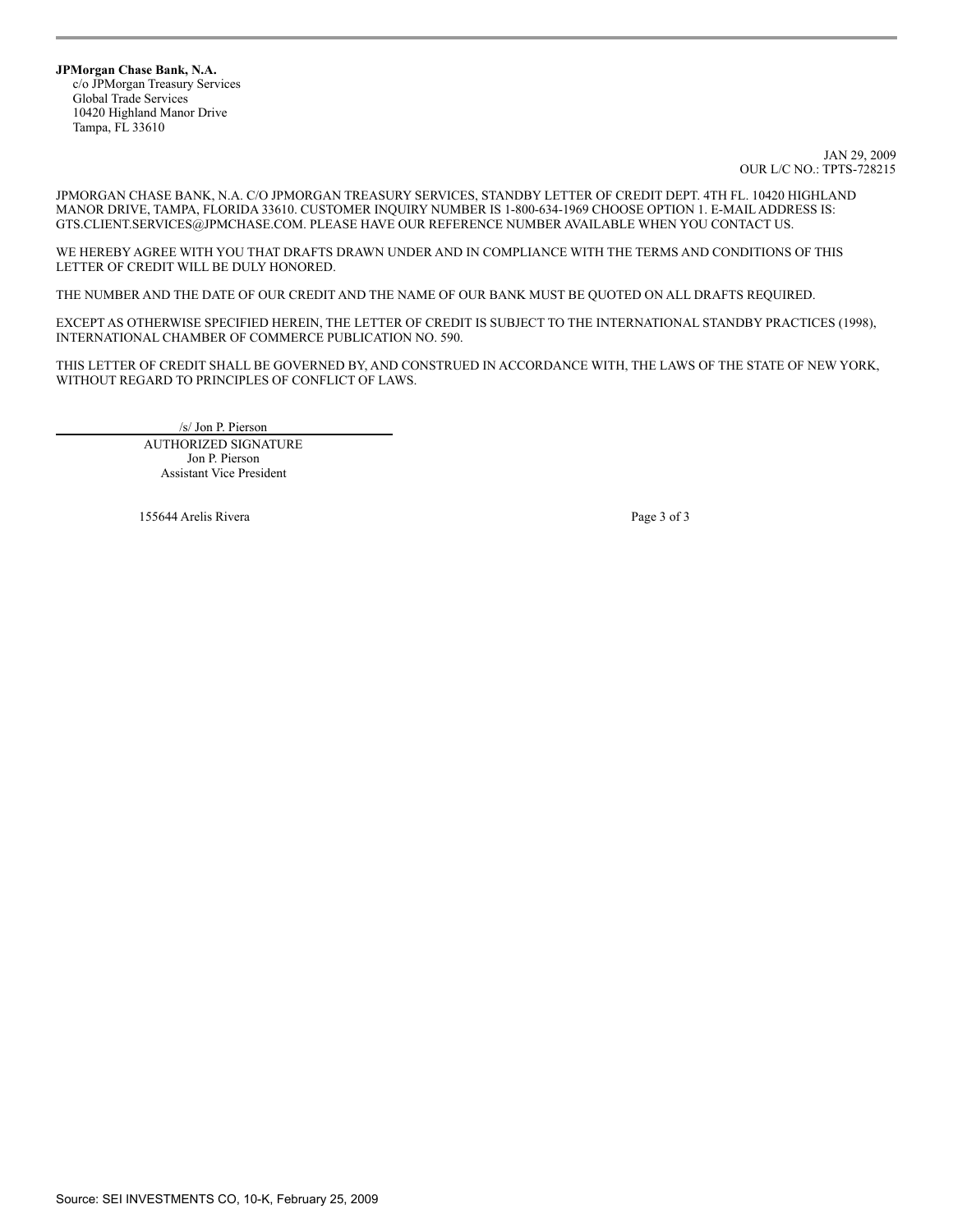> JAN 29, 2009 OUR L/C NO.: TPTS-728215

JPMORGAN CHASE BANK, N.A. C/O JPMORGAN TREASURY SERVICES, STANDBY LETTER OF CREDIT DEPT. 4TH FL. 10420 HIGHLAND MANOR DRIVE, TAMPA, FLORIDA 33610. CUSTOMER INQUIRY NUMBER IS 1-800-634-1969 CHOOSE OPTION 1. E-MAIL ADDRESS IS: GTS.CLIENT.SERVICES@JPMCHASE.COM. PLEASE HAVE OUR REFERENCE NUMBER AVAILABLE WHEN YOU CONTACT US.

WE HEREBY AGREE WITH YOU THAT DRAFTS DRAWN UNDER AND IN COMPLIANCE WITH THE TERMS AND CONDITIONS OF THIS LETTER OF CREDIT WILL BE DULY HONORED.

THE NUMBER AND THE DATE OF OUR CREDIT AND THE NAME OF OUR BANK MUST BE QUOTED ON ALL DRAFTS REQUIRED.

EXCEPT AS OTHERWISE SPECIFIED HEREIN, THE LETTER OF CREDIT IS SUBJECT TO THE INTERNATIONAL STANDBY PRACTICES (1998), INTERNATIONAL CHAMBER OF COMMERCE PUBLICATION NO. 590.

THIS LETTER OF CREDIT SHALL BE GOVERNED BY, AND CONSTRUED IN ACCORDANCE WITH, THE LAWS OF THE STATE OF NEW YORK, WITHOUT REGARD TO PRINCIPLES OF CONFLICT OF LAWS.

/s/ Jon P. Pierson

AUTHORIZED SIGNATURE Jon P. Pierson Assistant Vice President

155644 Arelis Rivera **Page 3 of 3**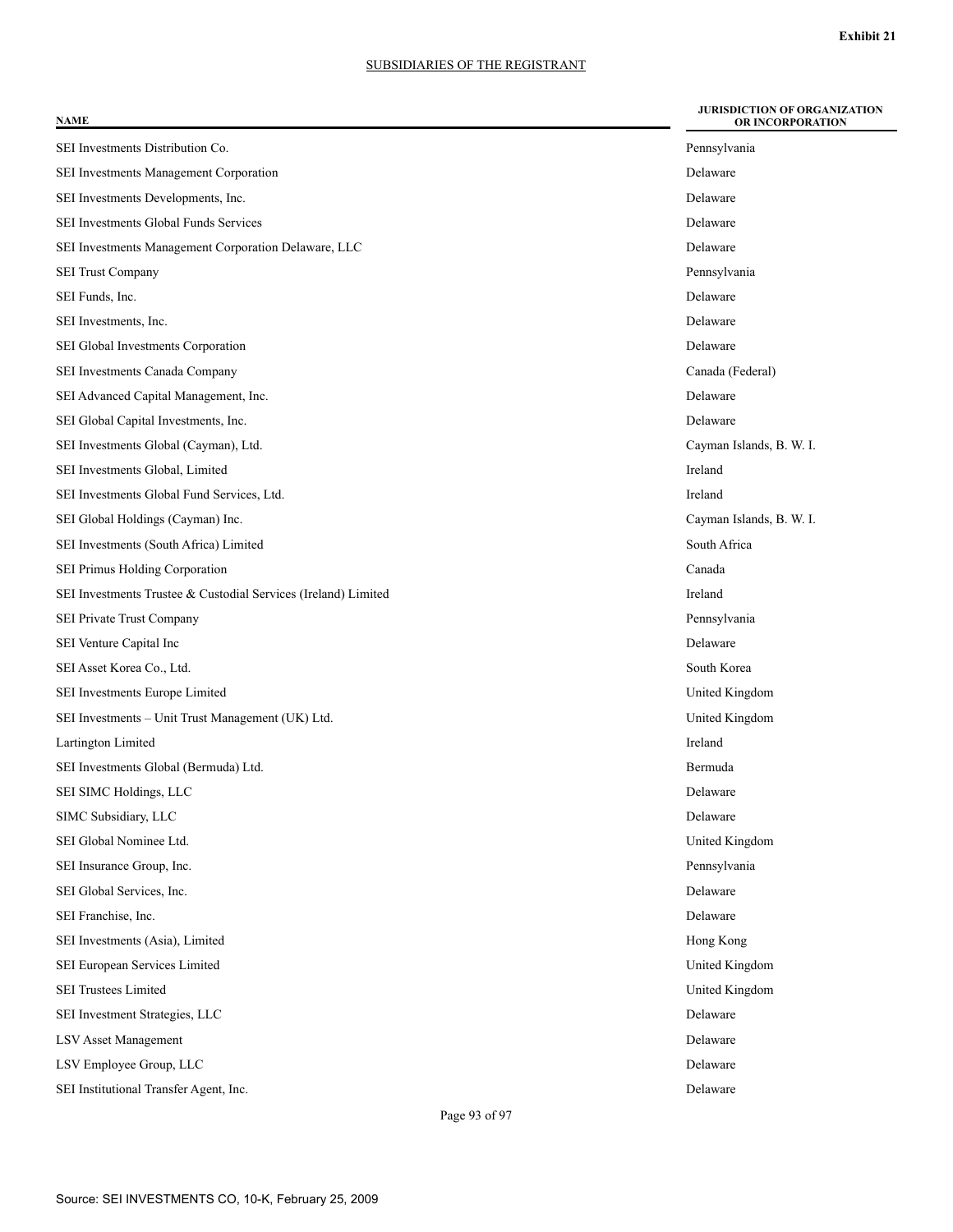## SUBSIDIARIES OF THE REGISTRANT

# **JURISDICTION OF ORGANIZATION**

| <b>NAME</b>                                                    | OR INCORPORATION         |
|----------------------------------------------------------------|--------------------------|
| SEI Investments Distribution Co.                               | Pennsylvania             |
| SEI Investments Management Corporation                         | Delaware                 |
| SEI Investments Developments, Inc.                             | Delaware                 |
| SEI Investments Global Funds Services                          | Delaware                 |
| SEI Investments Management Corporation Delaware, LLC           | Delaware                 |
| SEI Trust Company                                              | Pennsylvania             |
| SEI Funds, Inc.                                                | Delaware                 |
| SEI Investments, Inc.                                          | Delaware                 |
| SEI Global Investments Corporation                             | Delaware                 |
| SEI Investments Canada Company                                 | Canada (Federal)         |
| SEI Advanced Capital Management, Inc.                          | Delaware                 |
| SEI Global Capital Investments, Inc.                           | Delaware                 |
| SEI Investments Global (Cayman), Ltd.                          | Cayman Islands, B. W. I. |
| SEI Investments Global, Limited                                | Ireland                  |
| SEI Investments Global Fund Services, Ltd.                     | Ireland                  |
| SEI Global Holdings (Cayman) Inc.                              | Cayman Islands, B. W. I. |
| SEI Investments (South Africa) Limited                         | South Africa             |
| SEI Primus Holding Corporation                                 | Canada                   |
| SEI Investments Trustee & Custodial Services (Ireland) Limited | Ireland                  |
| SEI Private Trust Company                                      | Pennsylvania             |
| SEI Venture Capital Inc                                        | Delaware                 |
| SEI Asset Korea Co., Ltd.                                      | South Korea              |
| SEI Investments Europe Limited                                 | United Kingdom           |
| SEI Investments - Unit Trust Management (UK) Ltd.              | United Kingdom           |
| Lartington Limited                                             | Ireland                  |
| SEI Investments Global (Bermuda) Ltd.                          | Bermuda                  |
| SEI SIMC Holdings, LLC                                         | Delaware                 |
| SIMC Subsidiary, LLC                                           | Delaware                 |
| SEI Global Nominee Ltd.                                        | United Kingdom           |
| SEI Insurance Group, Inc.                                      | Pennsylvania             |
| SEI Global Services, Inc.                                      | Delaware                 |
| SEI Franchise, Inc.                                            | Delaware                 |
| SEI Investments (Asia), Limited                                | Hong Kong                |
| SEI European Services Limited                                  | United Kingdom           |
| <b>SEI Trustees Limited</b>                                    | United Kingdom           |
| SEI Investment Strategies, LLC                                 | Delaware                 |
| LSV Asset Management                                           | Delaware                 |
| LSV Employee Group, LLC                                        | Delaware                 |
| SEI Institutional Transfer Agent, Inc.                         | Delaware                 |

Page 93 of 97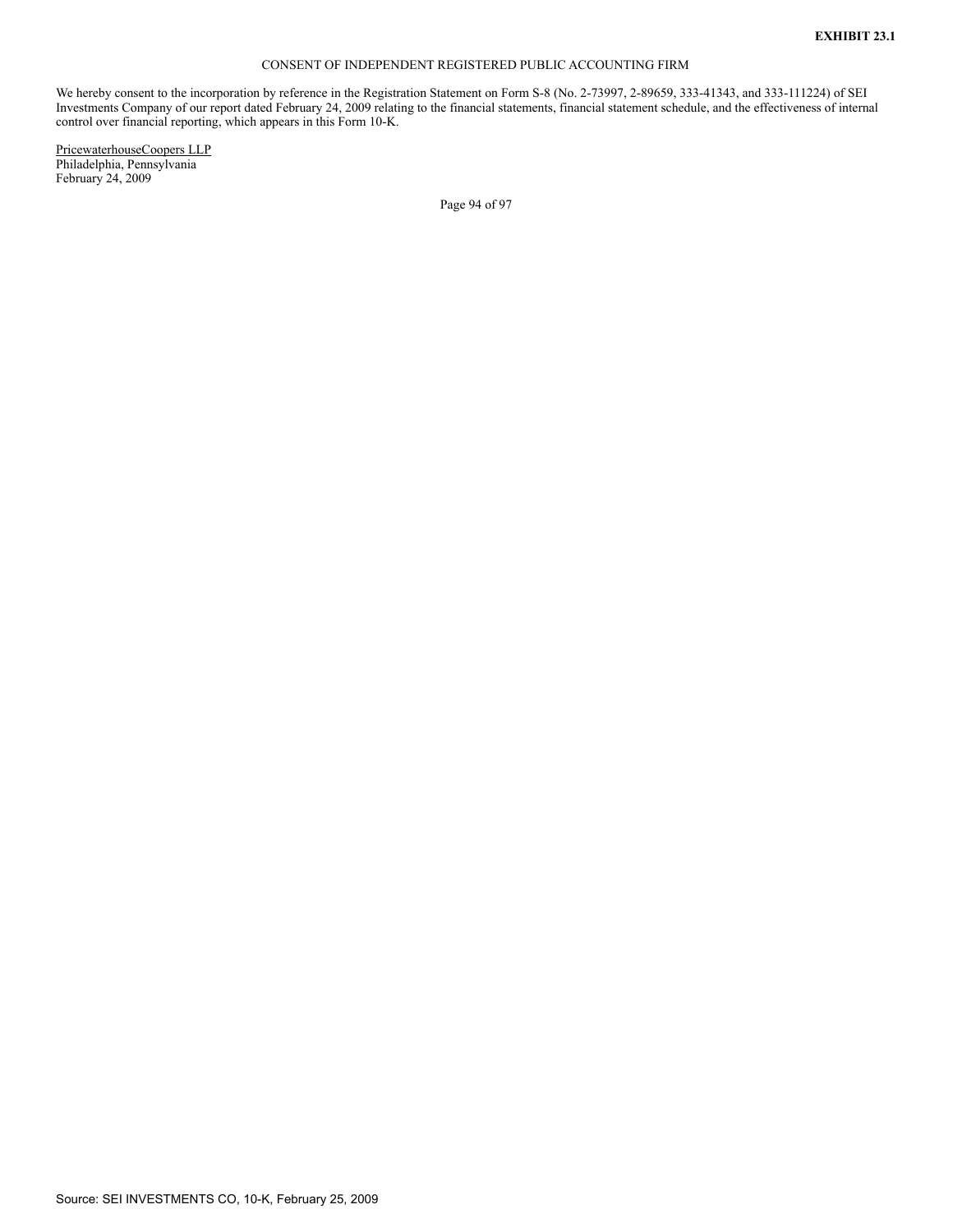## CONSENT OF INDEPENDENT REGISTERED PUBLIC ACCOUNTING FIRM

We hereby consent to the incorporation by reference in the Registration Statement on Form S-8 (No. 2-73997, 2-89659, 333-41343, and 333-111224) of SEI Investments Company of our report dated February 24, 2009 relating to the financial statements, financial statement schedule, and the effectiveness of internal control over financial reporting, which appears in this Form 10-K.

PricewaterhouseCoopers LLP Philadelphia, Pennsylvania February 24, 2009

Page 94 of 97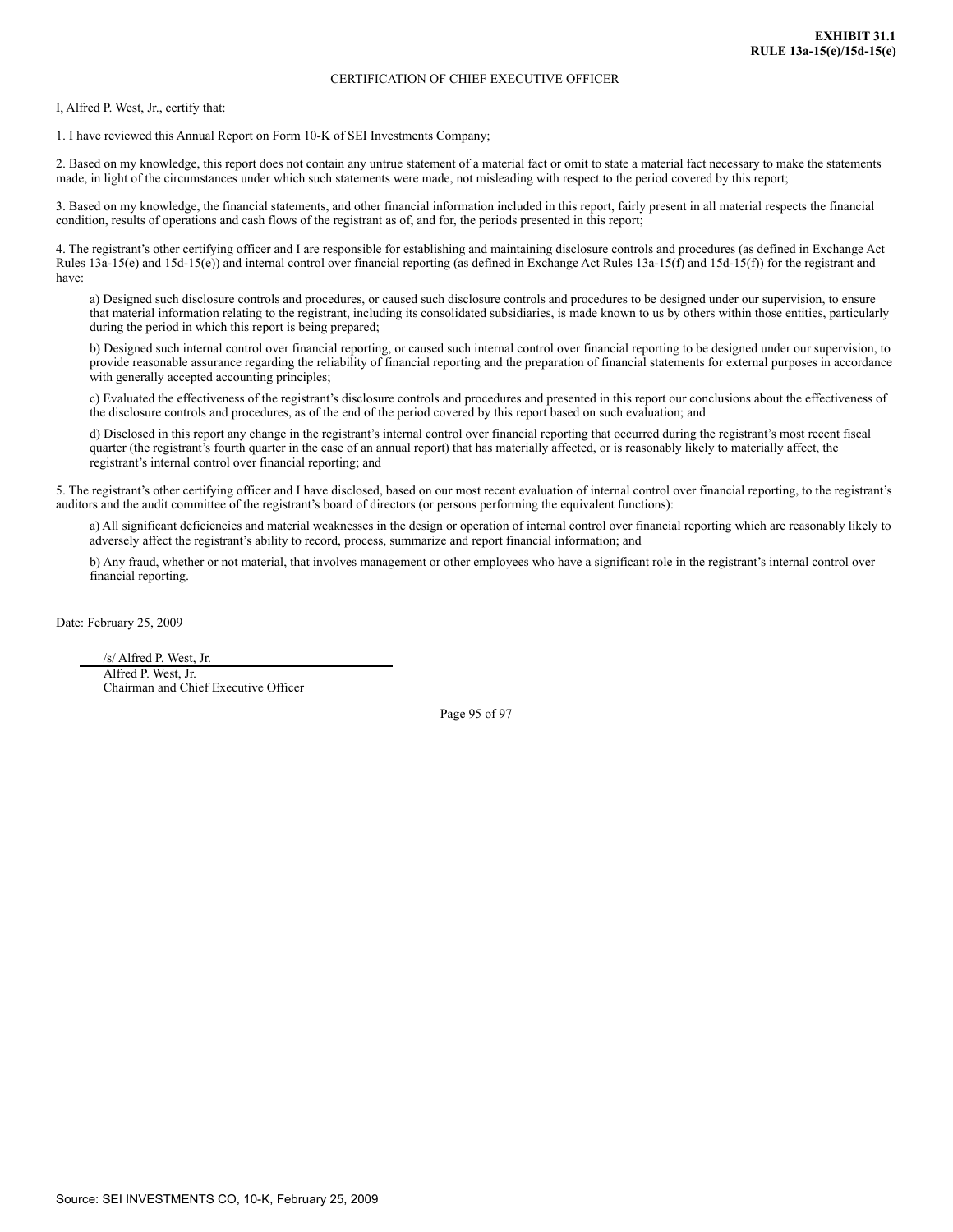## CERTIFICATION OF CHIEF EXECUTIVE OFFICER

I, Alfred P. West, Jr., certify that:

1. I have reviewed this Annual Report on Form 10-K of SEI Investments Company;

2. Based on my knowledge, this report does not contain any untrue statement of a material fact or omit to state a material fact necessary to make the statements made, in light of the circumstances under which such statements were made, not misleading with respect to the period covered by this report;

3. Based on my knowledge, the financial statements, and other financial information included in this report, fairly present in all material respects the financial condition, results of operations and cash flows of the registrant as of, and for, the periods presented in this report;

4. The registrant's other certifying officer and I are responsible for establishing and maintaining disclosure controls and procedures (as defined in Exchange Act Rules  $13a-15(e)$  and  $15d-15(e)$  and internal control over financial reporting (as defined in Exchange Act Rules  $13a-15(f)$ ) and  $15d-15(f)$  for the registrant and have:

a) Designed such disclosure controls and procedures, or caused such disclosure controls and procedures to be designed under our supervision, to ensure that material information relating to the registrant, including its consolidated subsidiaries, is made known to us by others within those entities, particularly during the period in which this report is being prepared;

b) Designed such internal control over financial reporting, or caused such internal control over financial reporting to be designed under our supervision, to provide reasonable assurance regarding the reliability of financial reporting and the preparation of financial statements for external purposes in accordance with generally accepted accounting principles;

c) Evaluated the effectiveness of the registrant's disclosure controls and procedures and presented in this report our conclusions about the effectiveness of the disclosure controls and procedures, as of the end of the period covered by this report based on such evaluation; and

d) Disclosed in this report any change in the registrant's internal control over financial reporting that occurred during the registrant's most recent fiscal quarter (the registrant's fourth quarter in the case of an annual report) that has materially affected, or is reasonably likely to materially affect, the registrant's internal control over financial reporting; and

5. The registrant's other certifying officer and I have disclosed, based on our most recent evaluation of internal control over financial reporting, to the registrant's auditors and the audit committee of the registrant's board of directors (or persons performing the equivalent functions):

a) All significant deficiencies and material weaknesses in the design or operation of internal control over financial reporting which are reasonably likely to adversely affect the registrant's ability to record, process, summarize and report financial information; and

b) Any fraud, whether or not material, that involves management or other employees who have a significant role in the registrant's internal control over financial reporting.

Date: February 25, 2009

/s/ Alfred P. West, Jr. Alfred P. West, Jr. Chairman and Chief Executive Officer

Page 95 of 97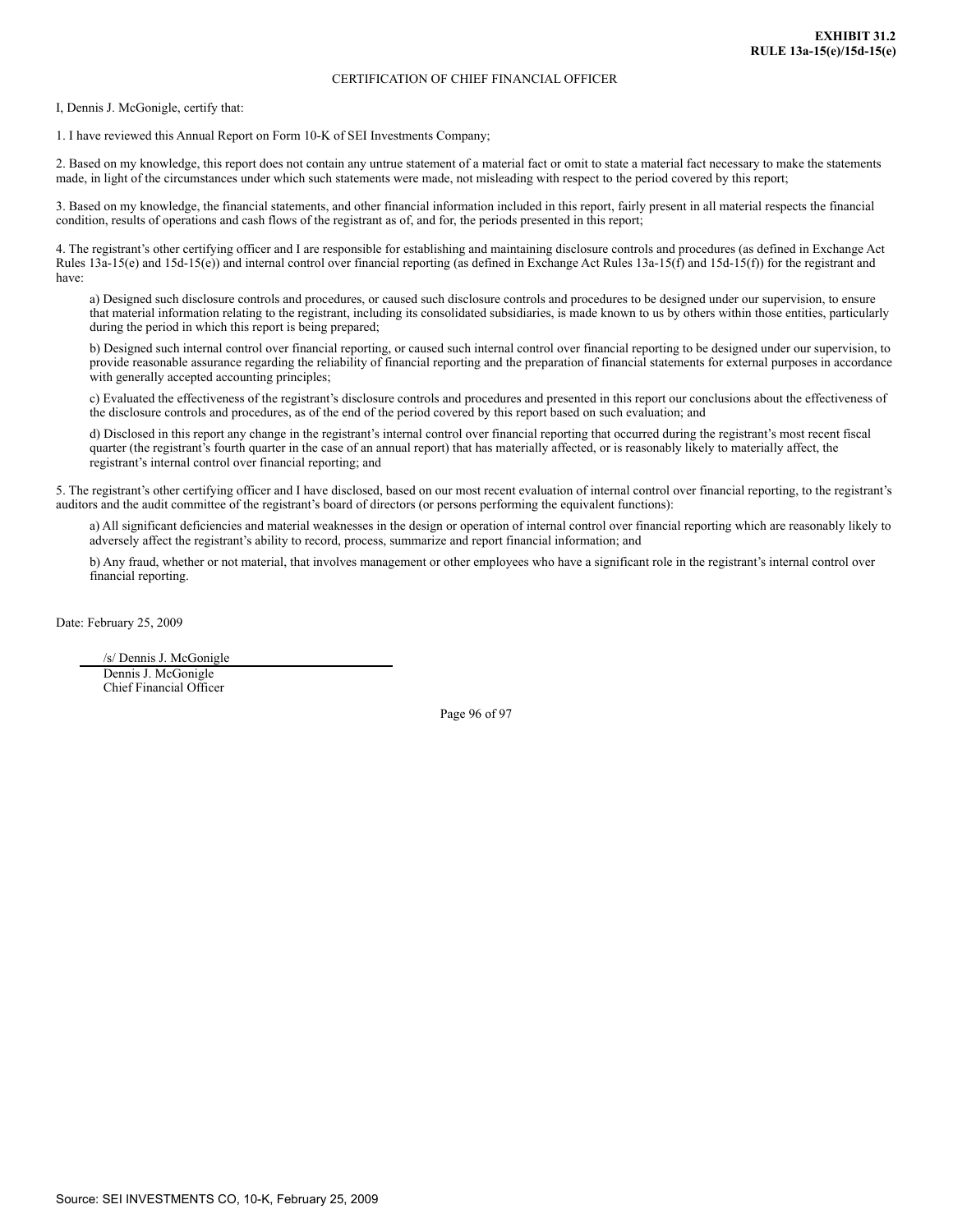## CERTIFICATION OF CHIEF FINANCIAL OFFICER

I, Dennis J. McGonigle, certify that:

1. I have reviewed this Annual Report on Form 10-K of SEI Investments Company;

2. Based on my knowledge, this report does not contain any untrue statement of a material fact or omit to state a material fact necessary to make the statements made, in light of the circumstances under which such statements were made, not misleading with respect to the period covered by this report;

3. Based on my knowledge, the financial statements, and other financial information included in this report, fairly present in all material respects the financial condition, results of operations and cash flows of the registrant as of, and for, the periods presented in this report;

4. The registrant's other certifying officer and I are responsible for establishing and maintaining disclosure controls and procedures (as defined in Exchange Act Rules  $13a-15(e)$  and  $15d-15(e)$  and internal control over financial reporting (as defined in Exchange Act Rules  $13a-15(f)$ ) and  $15d-15(f)$  for the registrant and have:

a) Designed such disclosure controls and procedures, or caused such disclosure controls and procedures to be designed under our supervision, to ensure that material information relating to the registrant, including its consolidated subsidiaries, is made known to us by others within those entities, particularly during the period in which this report is being prepared;

b) Designed such internal control over financial reporting, or caused such internal control over financial reporting to be designed under our supervision, to provide reasonable assurance regarding the reliability of financial reporting and the preparation of financial statements for external purposes in accordance with generally accepted accounting principles;

c) Evaluated the effectiveness of the registrant's disclosure controls and procedures and presented in this report our conclusions about the effectiveness of the disclosure controls and procedures, as of the end of the period covered by this report based on such evaluation; and

d) Disclosed in this report any change in the registrant's internal control over financial reporting that occurred during the registrant's most recent fiscal quarter (the registrant's fourth quarter in the case of an annual report) that has materially affected, or is reasonably likely to materially affect, the registrant's internal control over financial reporting; and

5. The registrant's other certifying officer and I have disclosed, based on our most recent evaluation of internal control over financial reporting, to the registrant's auditors and the audit committee of the registrant's board of directors (or persons performing the equivalent functions):

a) All significant deficiencies and material weaknesses in the design or operation of internal control over financial reporting which are reasonably likely to adversely affect the registrant's ability to record, process, summarize and report financial information; and

b) Any fraud, whether or not material, that involves management or other employees who have a significant role in the registrant's internal control over financial reporting.

Date: February 25, 2009

/s/ Dennis J. McGonigle Dennis J. McGonigle Chief Financial Officer

Page 96 of 97